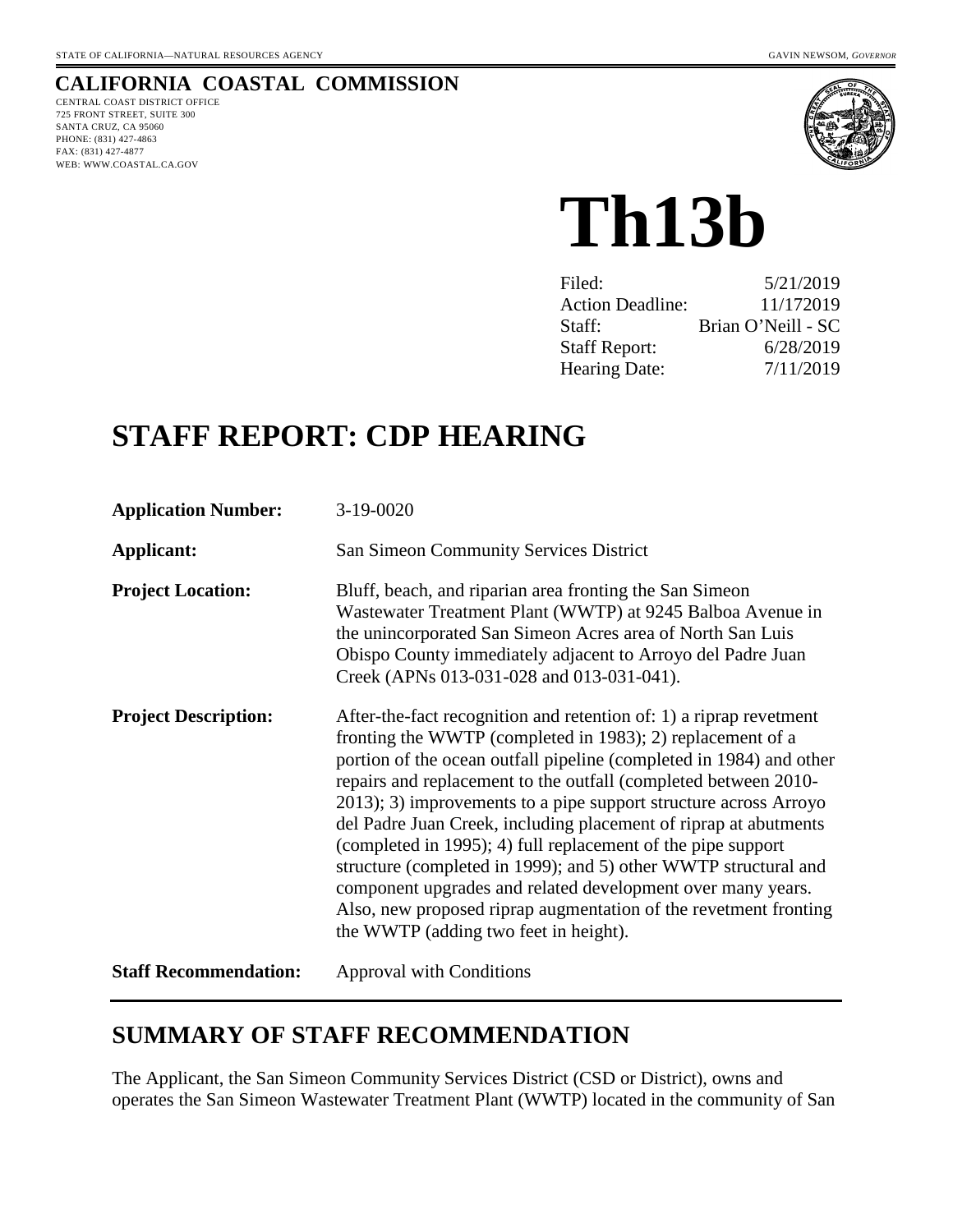## **CALIFORNIA COASTAL COMMISSION**

CENTRAL COAST DISTRICT OFFICE 725 FRONT STREET, SUITE 300 SANTA CRUZ, CA 95060 PHONE: (831) 427-4863 FAX: (831) 427-4877 WEB: WWW.COASTAL.CA.GOV



**Th13b**

| Filed:                  | 5/21/2019          |
|-------------------------|--------------------|
| <b>Action Deadline:</b> | 11/172019          |
| Staff:                  | Brian O'Neill - SC |
| <b>Staff Report:</b>    | 6/28/2019          |
| <b>Hearing Date:</b>    | 7/11/2019          |
|                         |                    |

# **STAFF REPORT: CDP HEARING**

| <b>Application Number:</b>   | 3-19-0020                                                                                                                                                                                                                                                                                                                                                                                                                                                                                                                                                                                                                                                                                                                         |
|------------------------------|-----------------------------------------------------------------------------------------------------------------------------------------------------------------------------------------------------------------------------------------------------------------------------------------------------------------------------------------------------------------------------------------------------------------------------------------------------------------------------------------------------------------------------------------------------------------------------------------------------------------------------------------------------------------------------------------------------------------------------------|
| Applicant:                   | San Simeon Community Services District                                                                                                                                                                                                                                                                                                                                                                                                                                                                                                                                                                                                                                                                                            |
| <b>Project Location:</b>     | Bluff, beach, and riparian area fronting the San Simeon<br>Wastewater Treatment Plant (WWTP) at 9245 Balboa Avenue in<br>the unincorporated San Simeon Acres area of North San Luis<br>Obispo County immediately adjacent to Arroyo del Padre Juan<br>Creek (APNs 013-031-028 and 013-031-041).                                                                                                                                                                                                                                                                                                                                                                                                                                   |
| <b>Project Description:</b>  | After-the-fact recognition and retention of: 1) a riprap revetment<br>fronting the WWTP (completed in 1983); 2) replacement of a<br>portion of the ocean outfall pipeline (completed in 1984) and other<br>repairs and replacement to the outfall (completed between 2010-<br>2013); 3) improvements to a pipe support structure across Arroyo<br>del Padre Juan Creek, including placement of riprap at abutments<br>(completed in 1995); 4) full replacement of the pipe support<br>structure (completed in 1999); and 5) other WWTP structural and<br>component upgrades and related development over many years.<br>Also, new proposed riprap augmentation of the revetment fronting<br>the WWTP (adding two feet in height). |
| <b>Staff Recommendation:</b> | <b>Approval with Conditions</b>                                                                                                                                                                                                                                                                                                                                                                                                                                                                                                                                                                                                                                                                                                   |

# **SUMMARY OF STAFF RECOMMENDATION**

The Applicant, the San Simeon Community Services District (CSD or District), owns and operates the San Simeon Wastewater Treatment Plant (WWTP) located in the community of San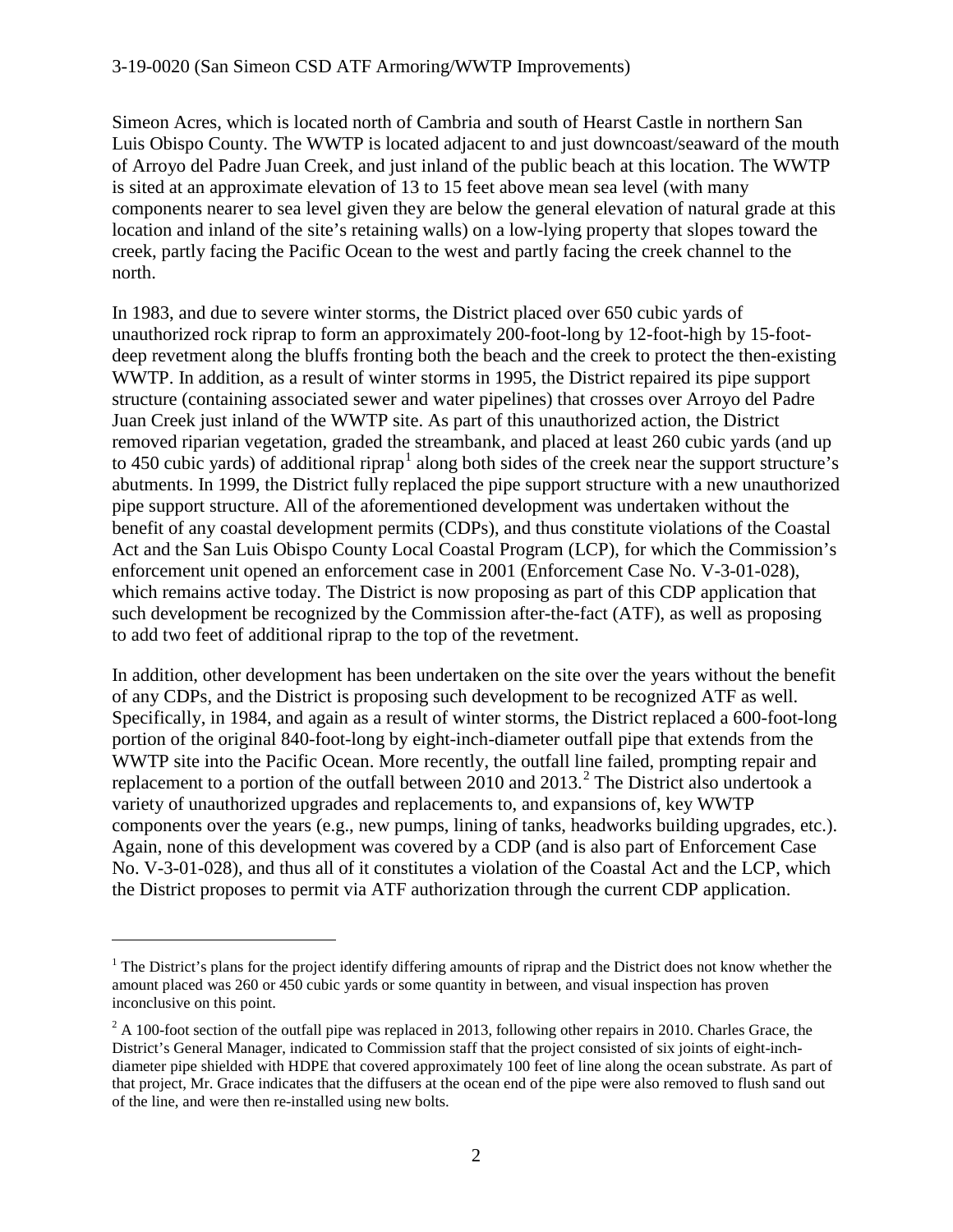Simeon Acres, which is located north of Cambria and south of Hearst Castle in northern San Luis Obispo County. The WWTP is located adjacent to and just downcoast/seaward of the mouth of Arroyo del Padre Juan Creek, and just inland of the public beach at this location. The WWTP is sited at an approximate elevation of 13 to 15 feet above mean sea level (with many components nearer to sea level given they are below the general elevation of natural grade at this location and inland of the site's retaining walls) on a low-lying property that slopes toward the creek, partly facing the Pacific Ocean to the west and partly facing the creek channel to the north.

In 1983, and due to severe winter storms, the District placed over 650 cubic yards of unauthorized rock riprap to form an approximately 200-foot-long by 12-foot-high by 15-footdeep revetment along the bluffs fronting both the beach and the creek to protect the then-existing WWTP. In addition, as a result of winter storms in 1995, the District repaired its pipe support structure (containing associated sewer and water pipelines) that crosses over Arroyo del Padre Juan Creek just inland of the WWTP site. As part of this unauthorized action, the District removed riparian vegetation, graded the streambank, and placed at least 260 cubic yards (and up to 450 cubic yards) of additional riprap<sup>[1](#page-1-0)</sup> along both sides of the creek near the support structure's abutments. In 1999, the District fully replaced the pipe support structure with a new unauthorized pipe support structure. All of the aforementioned development was undertaken without the benefit of any coastal development permits (CDPs), and thus constitute violations of the Coastal Act and the San Luis Obispo County Local Coastal Program (LCP), for which the Commission's enforcement unit opened an enforcement case in 2001 (Enforcement Case No. V-3-01-028), which remains active today. The District is now proposing as part of this CDP application that such development be recognized by the Commission after-the-fact (ATF), as well as proposing to add two feet of additional riprap to the top of the revetment.

In addition, other development has been undertaken on the site over the years without the benefit of any CDPs, and the District is proposing such development to be recognized ATF as well. Specifically, in 1984, and again as a result of winter storms, the District replaced a 600-foot-long portion of the original 840-foot-long by eight-inch-diameter outfall pipe that extends from the WWTP site into the Pacific Ocean. More recently, the outfall line failed, prompting repair and replacement to a portion of the outfall between [2](#page-1-1)010 and  $2013<sup>2</sup>$ . The District also undertook a variety of unauthorized upgrades and replacements to, and expansions of, key WWTP components over the years (e.g., new pumps, lining of tanks, headworks building upgrades, etc.). Again, none of this development was covered by a CDP (and is also part of Enforcement Case No. V-3-01-028), and thus all of it constitutes a violation of the Coastal Act and the LCP, which the District proposes to permit via ATF authorization through the current CDP application.

<span id="page-1-0"></span> $1$  The District's plans for the project identify differing amounts of riprap and the District does not know whether the amount placed was 260 or 450 cubic yards or some quantity in between, and visual inspection has proven inconclusive on this point.

<span id="page-1-1"></span> $2 A 100$ -foot section of the outfall pipe was replaced in 2013, following other repairs in 2010. Charles Grace, the District's General Manager, indicated to Commission staff that the project consisted of six joints of eight-inchdiameter pipe shielded with HDPE that covered approximately 100 feet of line along the ocean substrate. As part of that project, Mr. Grace indicates that the diffusers at the ocean end of the pipe were also removed to flush sand out of the line, and were then re-installed using new bolts.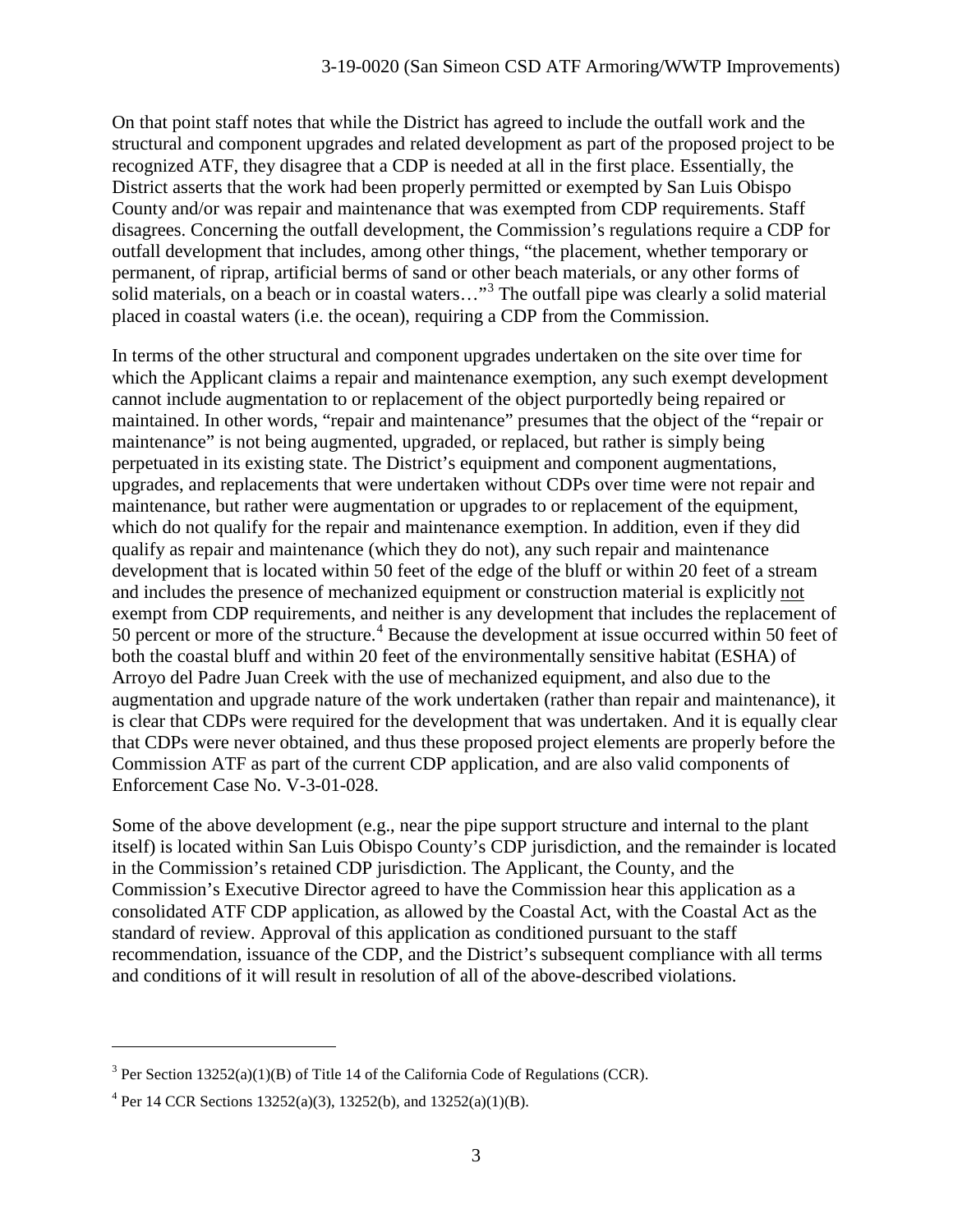On that point staff notes that while the District has agreed to include the outfall work and the structural and component upgrades and related development as part of the proposed project to be recognized ATF, they disagree that a CDP is needed at all in the first place. Essentially, the District asserts that the work had been properly permitted or exempted by San Luis Obispo County and/or was repair and maintenance that was exempted from CDP requirements. Staff disagrees. Concerning the outfall development, the Commission's regulations require a CDP for outfall development that includes, among other things, "the placement, whether temporary or permanent, of riprap, artificial berms of sand or other beach materials, or any other forms of solid materials, on a beach or in coastal waters..."<sup>[3](#page-2-0)</sup> The outfall pipe was clearly a solid material placed in coastal waters (i.e. the ocean), requiring a CDP from the Commission.

In terms of the other structural and component upgrades undertaken on the site over time for which the Applicant claims a repair and maintenance exemption, any such exempt development cannot include augmentation to or replacement of the object purportedly being repaired or maintained. In other words, "repair and maintenance" presumes that the object of the "repair or maintenance" is not being augmented, upgraded, or replaced, but rather is simply being perpetuated in its existing state. The District's equipment and component augmentations, upgrades, and replacements that were undertaken without CDPs over time were not repair and maintenance, but rather were augmentation or upgrades to or replacement of the equipment, which do not qualify for the repair and maintenance exemption. In addition, even if they did qualify as repair and maintenance (which they do not), any such repair and maintenance development that is located within 50 feet of the edge of the bluff or within 20 feet of a stream and includes the presence of mechanized equipment or construction material is explicitly not exempt from CDP requirements, and neither is any development that includes the replacement of 50 percent or more of the structure.<sup>[4](#page-2-1)</sup> Because the development at issue occurred within 50 feet of both the coastal bluff and within 20 feet of the environmentally sensitive habitat (ESHA) of Arroyo del Padre Juan Creek with the use of mechanized equipment, and also due to the augmentation and upgrade nature of the work undertaken (rather than repair and maintenance), it is clear that CDPs were required for the development that was undertaken. And it is equally clear that CDPs were never obtained, and thus these proposed project elements are properly before the Commission ATF as part of the current CDP application, and are also valid components of Enforcement Case No. V-3-01-028.

Some of the above development (e.g., near the pipe support structure and internal to the plant itself) is located within San Luis Obispo County's CDP jurisdiction, and the remainder is located in the Commission's retained CDP jurisdiction. The Applicant, the County, and the Commission's Executive Director agreed to have the Commission hear this application as a consolidated ATF CDP application, as allowed by the Coastal Act, with the Coastal Act as the standard of review. Approval of this application as conditioned pursuant to the staff recommendation, issuance of the CDP, and the District's subsequent compliance with all terms and conditions of it will result in resolution of all of the above-described violations.

<span id="page-2-0"></span> $3$  Per Section 13252(a)(1)(B) of Title 14 of the California Code of Regulations (CCR).

<span id="page-2-1"></span><sup>&</sup>lt;sup>4</sup> Per 14 CCR Sections 13252(a)(3), 13252(b), and 13252(a)(1)(B).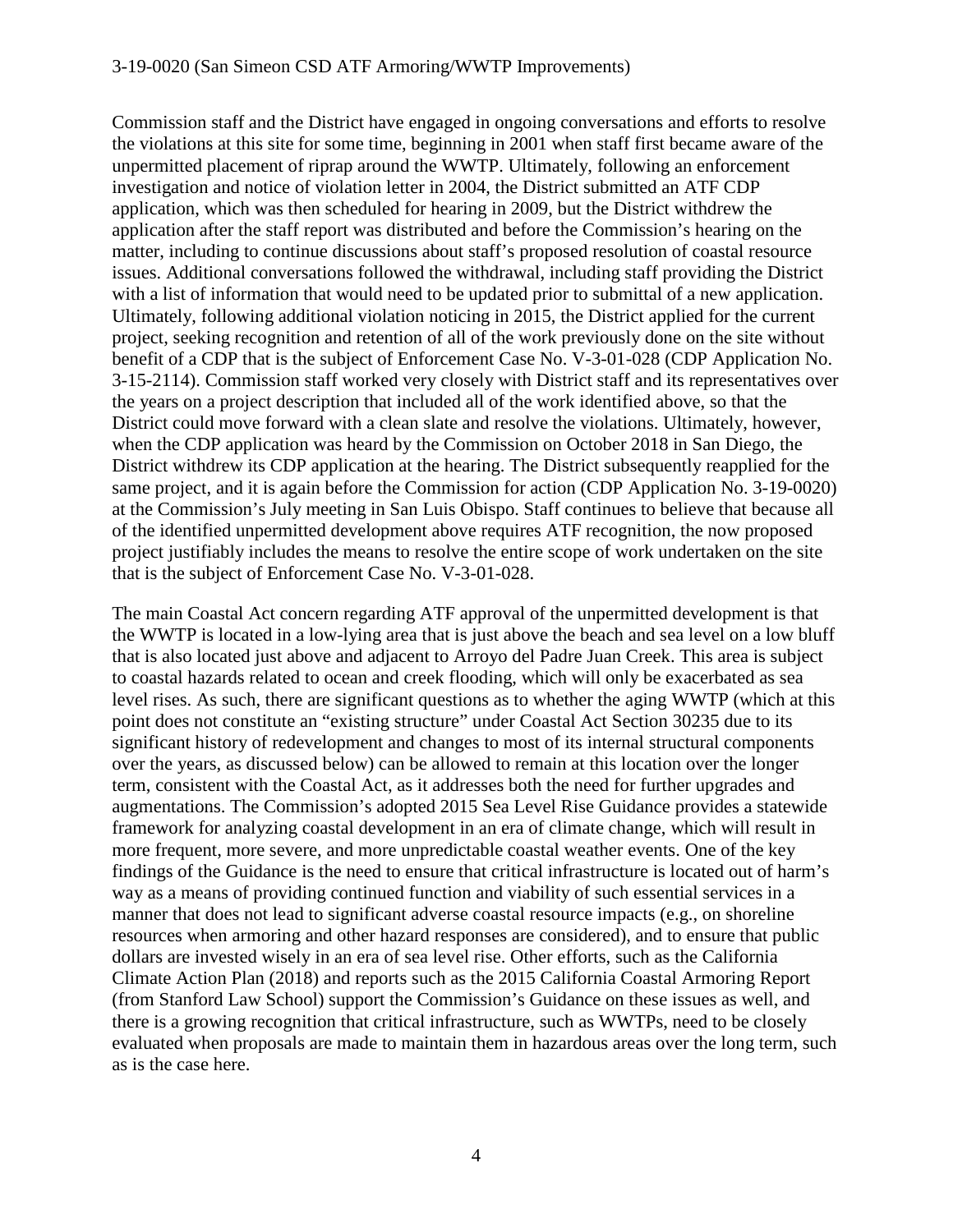#### 3-19-0020 (San Simeon CSD ATF Armoring/WWTP Improvements)

Commission staff and the District have engaged in ongoing conversations and efforts to resolve the violations at this site for some time, beginning in 2001 when staff first became aware of the unpermitted placement of riprap around the WWTP. Ultimately, following an enforcement investigation and notice of violation letter in 2004, the District submitted an ATF CDP application, which was then scheduled for hearing in 2009, but the District withdrew the application after the staff report was distributed and before the Commission's hearing on the matter, including to continue discussions about staff's proposed resolution of coastal resource issues. Additional conversations followed the withdrawal, including staff providing the District with a list of information that would need to be updated prior to submittal of a new application. Ultimately, following additional violation noticing in 2015, the District applied for the current project, seeking recognition and retention of all of the work previously done on the site without benefit of a CDP that is the subject of Enforcement Case No. V-3-01-028 (CDP Application No. 3-15-2114). Commission staff worked very closely with District staff and its representatives over the years on a project description that included all of the work identified above, so that the District could move forward with a clean slate and resolve the violations. Ultimately, however, when the CDP application was heard by the Commission on October 2018 in San Diego, the District withdrew its CDP application at the hearing. The District subsequently reapplied for the same project, and it is again before the Commission for action (CDP Application No. 3-19-0020) at the Commission's July meeting in San Luis Obispo. Staff continues to believe that because all of the identified unpermitted development above requires ATF recognition, the now proposed project justifiably includes the means to resolve the entire scope of work undertaken on the site that is the subject of Enforcement Case No. V-3-01-028.

The main Coastal Act concern regarding ATF approval of the unpermitted development is that the WWTP is located in a low-lying area that is just above the beach and sea level on a low bluff that is also located just above and adjacent to Arroyo del Padre Juan Creek. This area is subject to coastal hazards related to ocean and creek flooding, which will only be exacerbated as sea level rises. As such, there are significant questions as to whether the aging WWTP (which at this point does not constitute an "existing structure" under Coastal Act Section 30235 due to its significant history of redevelopment and changes to most of its internal structural components over the years, as discussed below) can be allowed to remain at this location over the longer term, consistent with the Coastal Act, as it addresses both the need for further upgrades and augmentations. The Commission's adopted 2015 Sea Level Rise Guidance provides a statewide framework for analyzing coastal development in an era of climate change, which will result in more frequent, more severe, and more unpredictable coastal weather events. One of the key findings of the Guidance is the need to ensure that critical infrastructure is located out of harm's way as a means of providing continued function and viability of such essential services in a manner that does not lead to significant adverse coastal resource impacts (e.g., on shoreline resources when armoring and other hazard responses are considered), and to ensure that public dollars are invested wisely in an era of sea level rise. Other efforts, such as the California Climate Action Plan (2018) and reports such as the 2015 California Coastal Armoring Report (from Stanford Law School) support the Commission's Guidance on these issues as well, and there is a growing recognition that critical infrastructure, such as WWTPs, need to be closely evaluated when proposals are made to maintain them in hazardous areas over the long term, such as is the case here.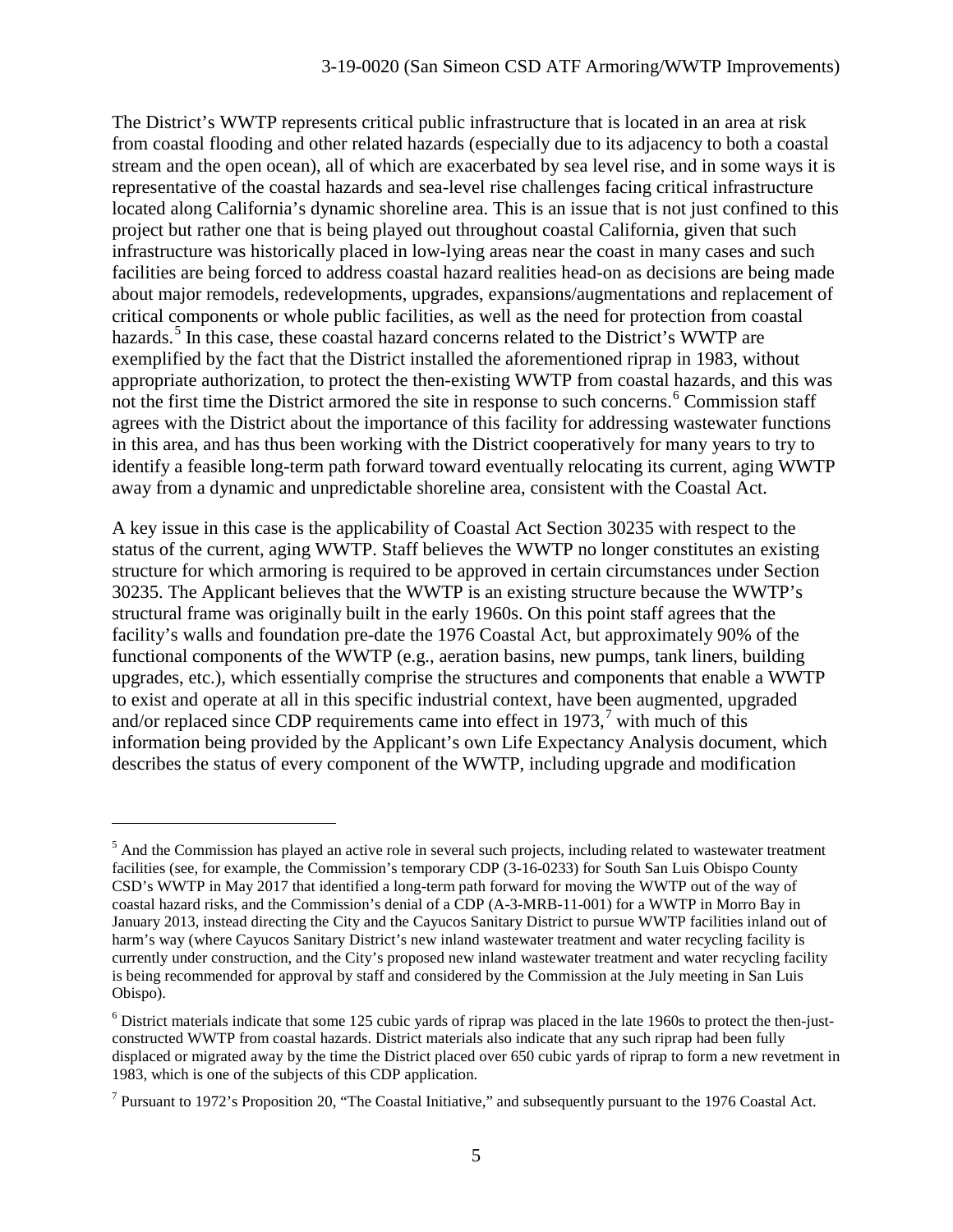The District's WWTP represents critical public infrastructure that is located in an area at risk from coastal flooding and other related hazards (especially due to its adjacency to both a coastal stream and the open ocean), all of which are exacerbated by sea level rise, and in some ways it is representative of the coastal hazards and sea-level rise challenges facing critical infrastructure located along California's dynamic shoreline area. This is an issue that is not just confined to this project but rather one that is being played out throughout coastal California, given that such infrastructure was historically placed in low-lying areas near the coast in many cases and such facilities are being forced to address coastal hazard realities head-on as decisions are being made about major remodels, redevelopments, upgrades, expansions/augmentations and replacement of critical components or whole public facilities, as well as the need for protection from coastal hazards.<sup>[5](#page-4-0)</sup> In this case, these coastal hazard concerns related to the District's WWTP are exemplified by the fact that the District installed the aforementioned riprap in 1983, without appropriate authorization, to protect the then-existing WWTP from coastal hazards, and this was not the first time the District armored the site in response to such concerns.<sup>[6](#page-4-1)</sup> Commission staff agrees with the District about the importance of this facility for addressing wastewater functions in this area, and has thus been working with the District cooperatively for many years to try to identify a feasible long-term path forward toward eventually relocating its current, aging WWTP away from a dynamic and unpredictable shoreline area, consistent with the Coastal Act.

A key issue in this case is the applicability of Coastal Act Section 30235 with respect to the status of the current, aging WWTP. Staff believes the WWTP no longer constitutes an existing structure for which armoring is required to be approved in certain circumstances under Section 30235. The Applicant believes that the WWTP is an existing structure because the WWTP's structural frame was originally built in the early 1960s. On this point staff agrees that the facility's walls and foundation pre-date the 1976 Coastal Act, but approximately 90% of the functional components of the WWTP (e.g., aeration basins, new pumps, tank liners, building upgrades, etc.), which essentially comprise the structures and components that enable a WWTP to exist and operate at all in this specific industrial context, have been augmented, upgraded and/or replaced since CDP requirements came into effect in 19[7](#page-4-2)3,<sup>7</sup> with much of this information being provided by the Applicant's own Life Expectancy Analysis document, which describes the status of every component of the WWTP, including upgrade and modification

<span id="page-4-0"></span> $<sup>5</sup>$  And the Commission has played an active role in several such projects, including related to wastewater treatment</sup> facilities (see, for example, the Commission's temporary CDP (3-16-0233) for South San Luis Obispo County CSD's WWTP in May 2017 that identified a long-term path forward for moving the WWTP out of the way of coastal hazard risks, and the Commission's denial of a CDP (A-3-MRB-11-001) for a WWTP in Morro Bay in January 2013, instead directing the City and the Cayucos Sanitary District to pursue WWTP facilities inland out of harm's way (where Cayucos Sanitary District's new inland wastewater treatment and water recycling facility is currently under construction, and the City's proposed new inland wastewater treatment and water recycling facility is being recommended for approval by staff and considered by the Commission at the July meeting in San Luis Obispo).

<span id="page-4-1"></span> $6$  District materials indicate that some 125 cubic yards of riprap was placed in the late 1960s to protect the then-justconstructed WWTP from coastal hazards. District materials also indicate that any such riprap had been fully displaced or migrated away by the time the District placed over 650 cubic yards of riprap to form a new revetment in 1983, which is one of the subjects of this CDP application.

<span id="page-4-2"></span><sup>7</sup> Pursuant to 1972's Proposition 20, "The Coastal Initiative," and subsequently pursuant to the 1976 Coastal Act.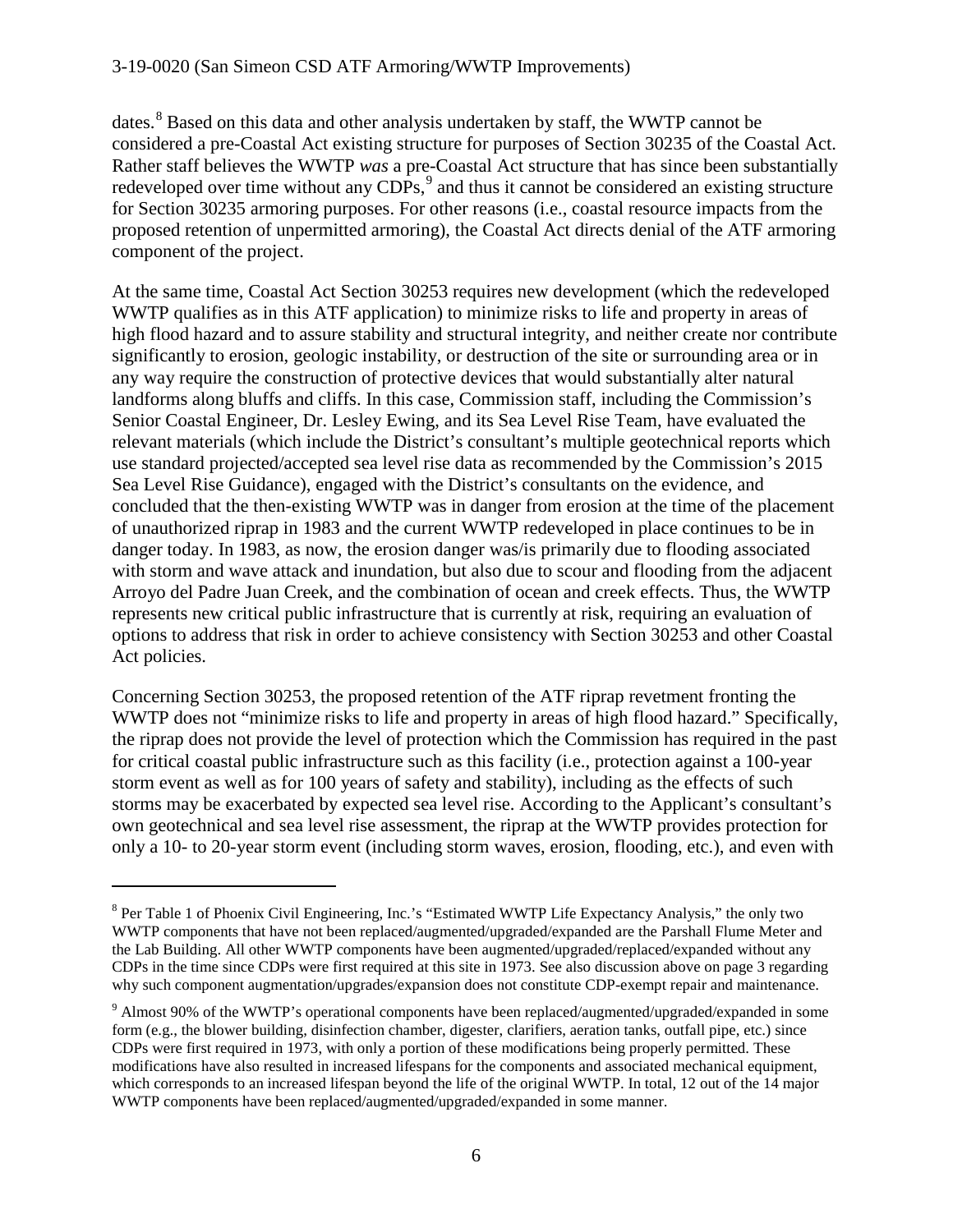dates.<sup>[8](#page-5-0)</sup> Based on this data and other analysis undertaken by staff, the WWTP cannot be considered a pre-Coastal Act existing structure for purposes of Section 30235 of the Coastal Act. Rather staff believes the WWTP *was* a pre-Coastal Act structure that has since been substantially redeveloped over time without any  $CDPs$ ,  $9$  and thus it cannot be considered an existing structure for Section 30235 armoring purposes. For other reasons (i.e., coastal resource impacts from the proposed retention of unpermitted armoring), the Coastal Act directs denial of the ATF armoring component of the project.

At the same time, Coastal Act Section 30253 requires new development (which the redeveloped WWTP qualifies as in this ATF application) to minimize risks to life and property in areas of high flood hazard and to assure stability and structural integrity, and neither create nor contribute significantly to erosion, geologic instability, or destruction of the site or surrounding area or in any way require the construction of protective devices that would substantially alter natural landforms along bluffs and cliffs. In this case, Commission staff, including the Commission's Senior Coastal Engineer, Dr. Lesley Ewing, and its Sea Level Rise Team, have evaluated the relevant materials (which include the District's consultant's multiple geotechnical reports which use standard projected/accepted sea level rise data as recommended by the Commission's 2015 Sea Level Rise Guidance), engaged with the District's consultants on the evidence, and concluded that the then-existing WWTP was in danger from erosion at the time of the placement of unauthorized riprap in 1983 and the current WWTP redeveloped in place continues to be in danger today. In 1983, as now, the erosion danger was/is primarily due to flooding associated with storm and wave attack and inundation, but also due to scour and flooding from the adjacent Arroyo del Padre Juan Creek, and the combination of ocean and creek effects. Thus, the WWTP represents new critical public infrastructure that is currently at risk, requiring an evaluation of options to address that risk in order to achieve consistency with Section 30253 and other Coastal Act policies.

Concerning Section 30253, the proposed retention of the ATF riprap revetment fronting the WWTP does not "minimize risks to life and property in areas of high flood hazard." Specifically, the riprap does not provide the level of protection which the Commission has required in the past for critical coastal public infrastructure such as this facility (i.e., protection against a 100-year storm event as well as for 100 years of safety and stability), including as the effects of such storms may be exacerbated by expected sea level rise. According to the Applicant's consultant's own geotechnical and sea level rise assessment, the riprap at the WWTP provides protection for only a 10- to 20-year storm event (including storm waves, erosion, flooding, etc.), and even with

<span id="page-5-0"></span><sup>8</sup> Per Table 1 of Phoenix Civil Engineering, Inc.'s "Estimated WWTP Life Expectancy Analysis," the only two WWTP components that have not been replaced/augmented/upgraded/expanded are the Parshall Flume Meter and the Lab Building. All other WWTP components have been augmented/upgraded/replaced/expanded without any CDPs in the time since CDPs were first required at this site in 1973. See also discussion above on page 3 regarding why such component augmentation/upgrades/expansion does not constitute CDP-exempt repair and maintenance.

<span id="page-5-1"></span><sup>9</sup> Almost 90% of the WWTP's operational components have been replaced/augmented/upgraded/expanded in some form (e.g., the blower building, disinfection chamber, digester, clarifiers, aeration tanks, outfall pipe, etc.) since CDPs were first required in 1973, with only a portion of these modifications being properly permitted. These modifications have also resulted in increased lifespans for the components and associated mechanical equipment, which corresponds to an increased lifespan beyond the life of the original WWTP. In total, 12 out of the 14 major WWTP components have been replaced/augmented/upgraded/expanded in some manner.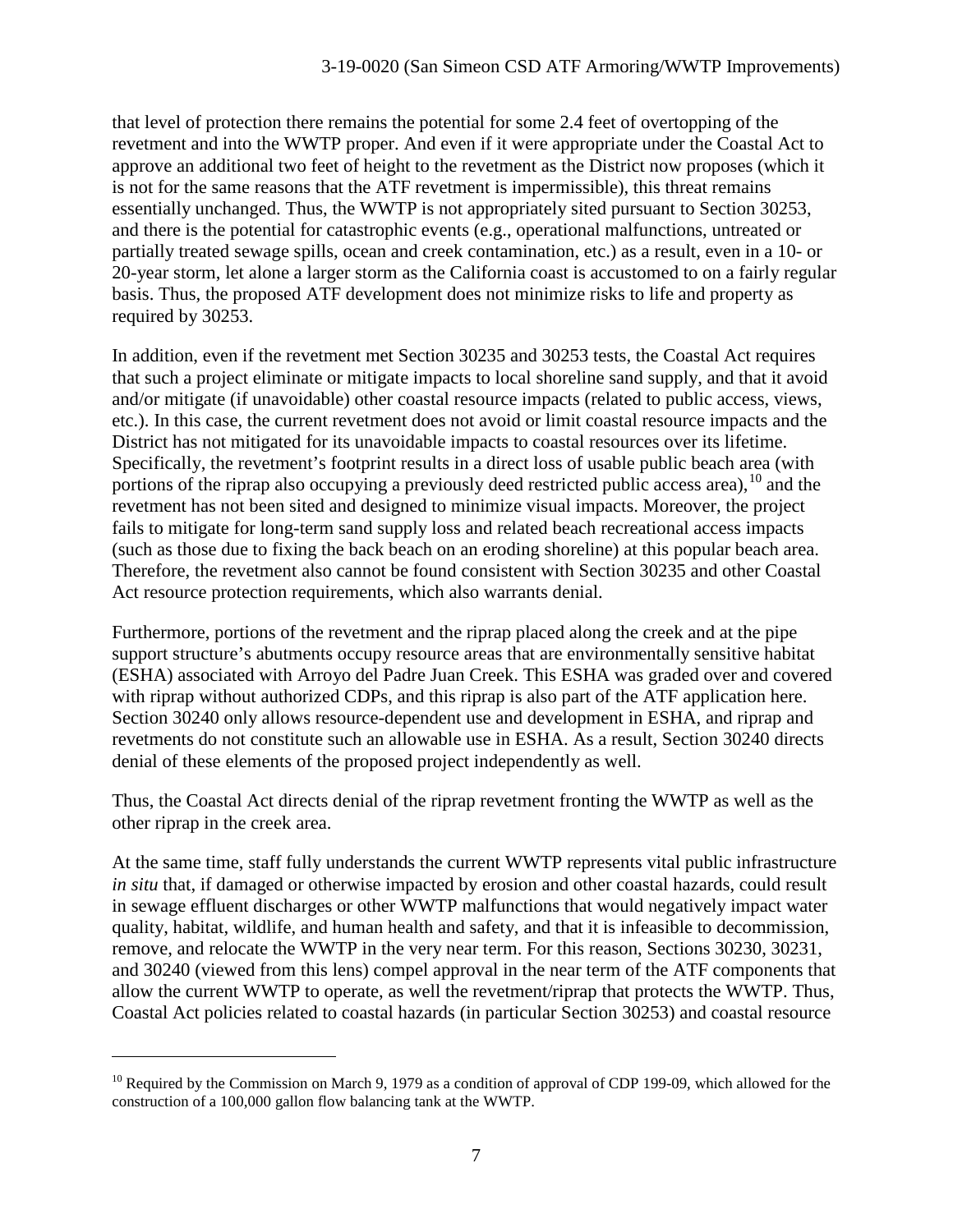that level of protection there remains the potential for some 2.4 feet of overtopping of the revetment and into the WWTP proper. And even if it were appropriate under the Coastal Act to approve an additional two feet of height to the revetment as the District now proposes (which it is not for the same reasons that the ATF revetment is impermissible), this threat remains essentially unchanged. Thus, the WWTP is not appropriately sited pursuant to Section 30253, and there is the potential for catastrophic events (e.g., operational malfunctions, untreated or partially treated sewage spills, ocean and creek contamination, etc.) as a result, even in a 10- or 20-year storm, let alone a larger storm as the California coast is accustomed to on a fairly regular basis. Thus, the proposed ATF development does not minimize risks to life and property as required by 30253.

In addition, even if the revetment met Section 30235 and 30253 tests, the Coastal Act requires that such a project eliminate or mitigate impacts to local shoreline sand supply, and that it avoid and/or mitigate (if unavoidable) other coastal resource impacts (related to public access, views, etc.). In this case, the current revetment does not avoid or limit coastal resource impacts and the District has not mitigated for its unavoidable impacts to coastal resources over its lifetime. Specifically, the revetment's footprint results in a direct loss of usable public beach area (with portions of the riprap also occupying a previously deed restricted public access area),  $^{10}$  $^{10}$  $^{10}$  and the revetment has not been sited and designed to minimize visual impacts. Moreover, the project fails to mitigate for long-term sand supply loss and related beach recreational access impacts (such as those due to fixing the back beach on an eroding shoreline) at this popular beach area. Therefore, the revetment also cannot be found consistent with Section 30235 and other Coastal Act resource protection requirements, which also warrants denial.

Furthermore, portions of the revetment and the riprap placed along the creek and at the pipe support structure's abutments occupy resource areas that are environmentally sensitive habitat (ESHA) associated with Arroyo del Padre Juan Creek. This ESHA was graded over and covered with riprap without authorized CDPs, and this riprap is also part of the ATF application here. Section 30240 only allows resource-dependent use and development in ESHA, and riprap and revetments do not constitute such an allowable use in ESHA. As a result, Section 30240 directs denial of these elements of the proposed project independently as well.

Thus, the Coastal Act directs denial of the riprap revetment fronting the WWTP as well as the other riprap in the creek area.

At the same time, staff fully understands the current WWTP represents vital public infrastructure *in situ* that, if damaged or otherwise impacted by erosion and other coastal hazards, could result in sewage effluent discharges or other WWTP malfunctions that would negatively impact water quality, habitat, wildlife, and human health and safety, and that it is infeasible to decommission, remove, and relocate the WWTP in the very near term. For this reason, Sections 30230, 30231, and 30240 (viewed from this lens) compel approval in the near term of the ATF components that allow the current WWTP to operate, as well the revetment/riprap that protects the WWTP. Thus, Coastal Act policies related to coastal hazards (in particular Section 30253) and coastal resource

<span id="page-6-0"></span> $^{10}$  Required by the Commission on March 9, 1979 as a condition of approval of CDP 199-09, which allowed for the construction of a 100,000 gallon flow balancing tank at the WWTP.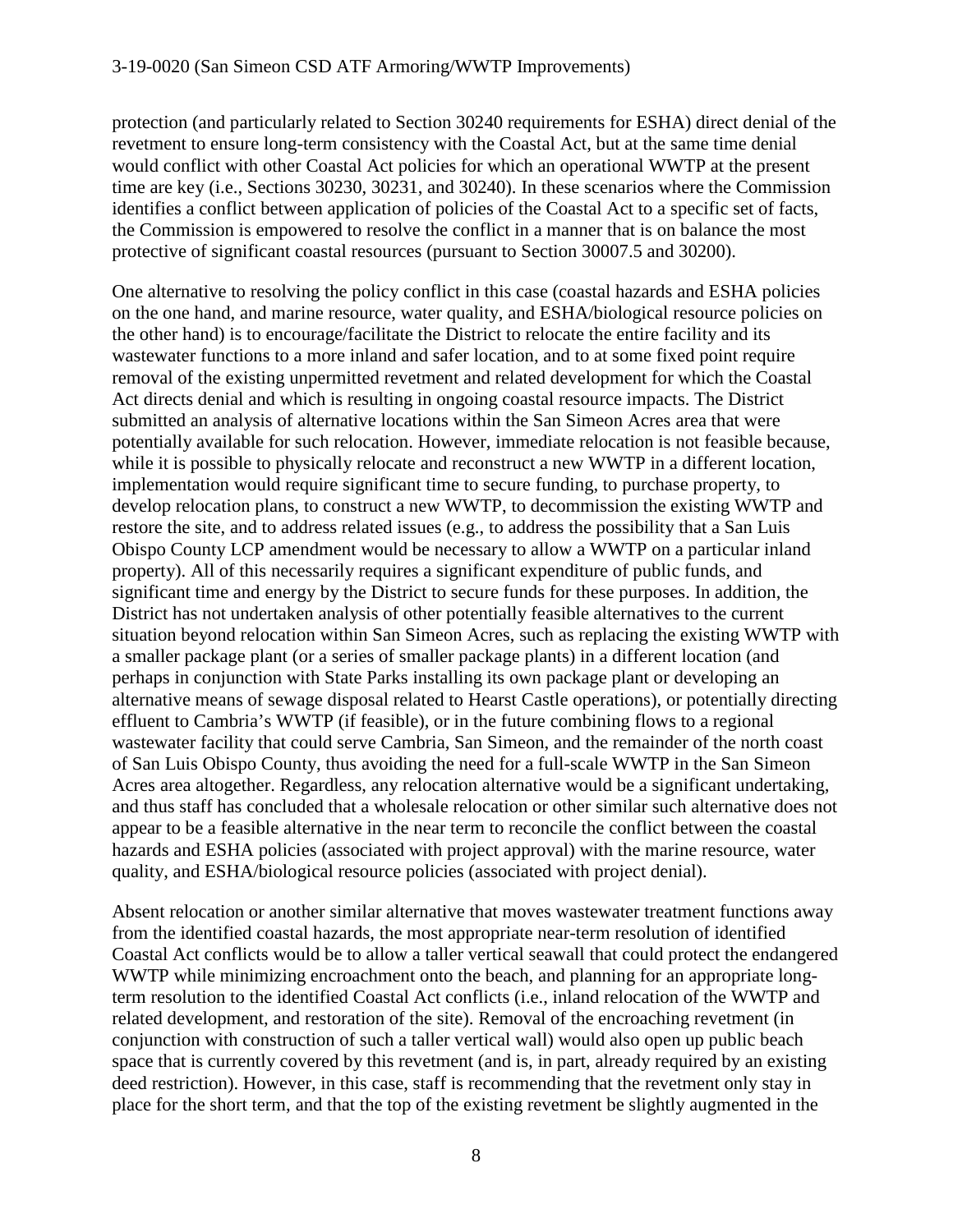protection (and particularly related to Section 30240 requirements for ESHA) direct denial of the revetment to ensure long-term consistency with the Coastal Act, but at the same time denial would conflict with other Coastal Act policies for which an operational WWTP at the present time are key (i.e., Sections 30230, 30231, and 30240). In these scenarios where the Commission identifies a conflict between application of policies of the Coastal Act to a specific set of facts, the Commission is empowered to resolve the conflict in a manner that is on balance the most protective of significant coastal resources (pursuant to Section 30007.5 and 30200).

One alternative to resolving the policy conflict in this case (coastal hazards and ESHA policies on the one hand, and marine resource, water quality, and ESHA/biological resource policies on the other hand) is to encourage/facilitate the District to relocate the entire facility and its wastewater functions to a more inland and safer location, and to at some fixed point require removal of the existing unpermitted revetment and related development for which the Coastal Act directs denial and which is resulting in ongoing coastal resource impacts. The District submitted an analysis of alternative locations within the San Simeon Acres area that were potentially available for such relocation. However, immediate relocation is not feasible because, while it is possible to physically relocate and reconstruct a new WWTP in a different location, implementation would require significant time to secure funding, to purchase property, to develop relocation plans, to construct a new WWTP, to decommission the existing WWTP and restore the site, and to address related issues (e.g., to address the possibility that a San Luis Obispo County LCP amendment would be necessary to allow a WWTP on a particular inland property). All of this necessarily requires a significant expenditure of public funds, and significant time and energy by the District to secure funds for these purposes. In addition, the District has not undertaken analysis of other potentially feasible alternatives to the current situation beyond relocation within San Simeon Acres, such as replacing the existing WWTP with a smaller package plant (or a series of smaller package plants) in a different location (and perhaps in conjunction with State Parks installing its own package plant or developing an alternative means of sewage disposal related to Hearst Castle operations), or potentially directing effluent to Cambria's WWTP (if feasible), or in the future combining flows to a regional wastewater facility that could serve Cambria, San Simeon, and the remainder of the north coast of San Luis Obispo County, thus avoiding the need for a full-scale WWTP in the San Simeon Acres area altogether. Regardless, any relocation alternative would be a significant undertaking, and thus staff has concluded that a wholesale relocation or other similar such alternative does not appear to be a feasible alternative in the near term to reconcile the conflict between the coastal hazards and ESHA policies (associated with project approval) with the marine resource, water quality, and ESHA/biological resource policies (associated with project denial).

Absent relocation or another similar alternative that moves wastewater treatment functions away from the identified coastal hazards, the most appropriate near-term resolution of identified Coastal Act conflicts would be to allow a taller vertical seawall that could protect the endangered WWTP while minimizing encroachment onto the beach, and planning for an appropriate longterm resolution to the identified Coastal Act conflicts (i.e., inland relocation of the WWTP and related development, and restoration of the site). Removal of the encroaching revetment (in conjunction with construction of such a taller vertical wall) would also open up public beach space that is currently covered by this revetment (and is, in part, already required by an existing deed restriction). However, in this case, staff is recommending that the revetment only stay in place for the short term, and that the top of the existing revetment be slightly augmented in the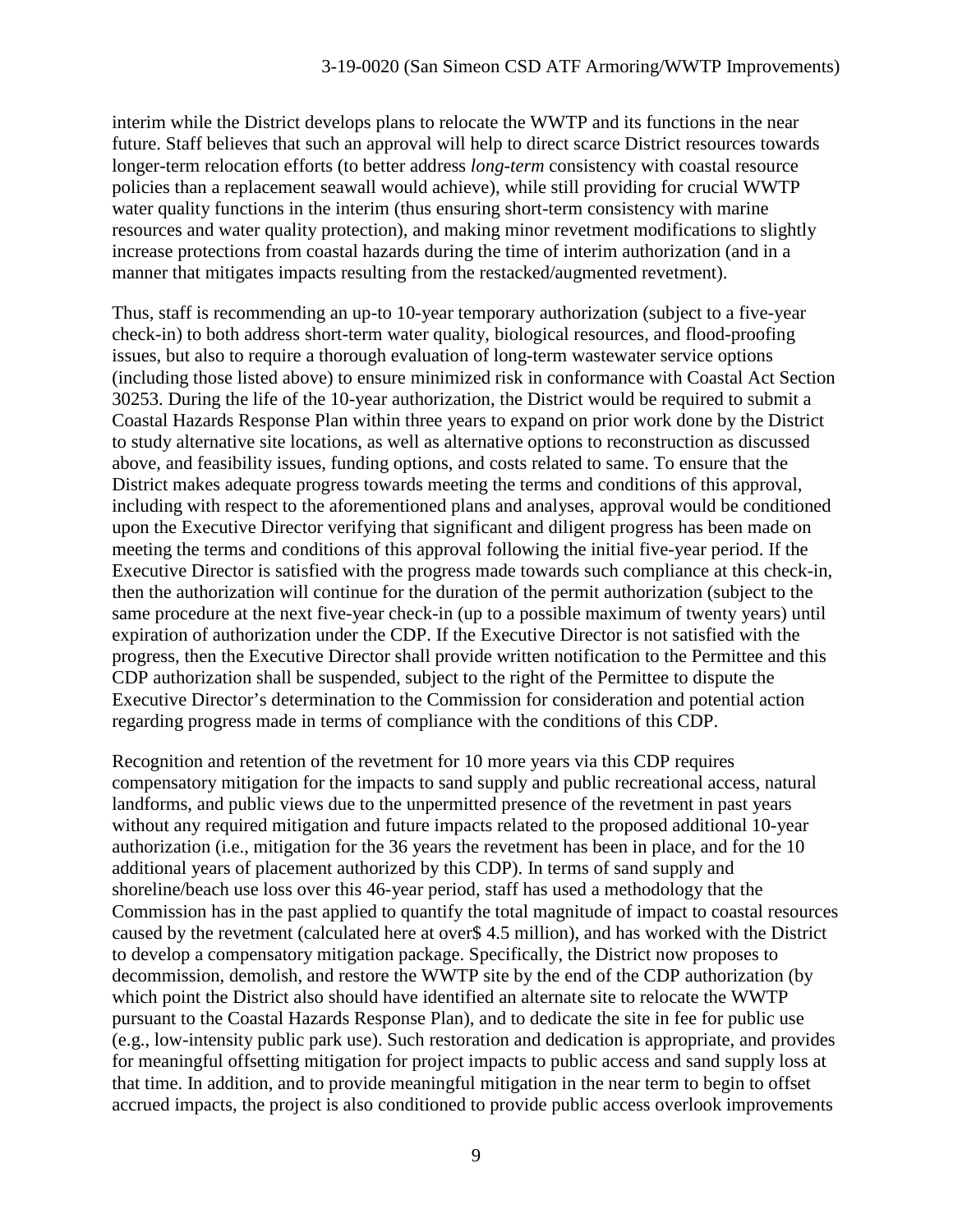interim while the District develops plans to relocate the WWTP and its functions in the near future. Staff believes that such an approval will help to direct scarce District resources towards longer-term relocation efforts (to better address *long-term* consistency with coastal resource policies than a replacement seawall would achieve), while still providing for crucial WWTP water quality functions in the interim (thus ensuring short-term consistency with marine resources and water quality protection), and making minor revetment modifications to slightly increase protections from coastal hazards during the time of interim authorization (and in a manner that mitigates impacts resulting from the restacked/augmented revetment).

Thus, staff is recommending an up-to 10-year temporary authorization (subject to a five-year check-in) to both address short-term water quality, biological resources, and flood-proofing issues, but also to require a thorough evaluation of long-term wastewater service options (including those listed above) to ensure minimized risk in conformance with Coastal Act Section 30253. During the life of the 10-year authorization, the District would be required to submit a Coastal Hazards Response Plan within three years to expand on prior work done by the District to study alternative site locations, as well as alternative options to reconstruction as discussed above, and feasibility issues, funding options, and costs related to same. To ensure that the District makes adequate progress towards meeting the terms and conditions of this approval, including with respect to the aforementioned plans and analyses, approval would be conditioned upon the Executive Director verifying that significant and diligent progress has been made on meeting the terms and conditions of this approval following the initial five-year period. If the Executive Director is satisfied with the progress made towards such compliance at this check-in, then the authorization will continue for the duration of the permit authorization (subject to the same procedure at the next five-year check-in (up to a possible maximum of twenty years) until expiration of authorization under the CDP. If the Executive Director is not satisfied with the progress, then the Executive Director shall provide written notification to the Permittee and this CDP authorization shall be suspended, subject to the right of the Permittee to dispute the Executive Director's determination to the Commission for consideration and potential action regarding progress made in terms of compliance with the conditions of this CDP.

Recognition and retention of the revetment for 10 more years via this CDP requires compensatory mitigation for the impacts to sand supply and public recreational access, natural landforms, and public views due to the unpermitted presence of the revetment in past years without any required mitigation and future impacts related to the proposed additional 10-year authorization (i.e., mitigation for the 36 years the revetment has been in place, and for the 10 additional years of placement authorized by this CDP). In terms of sand supply and shoreline/beach use loss over this 46-year period, staff has used a methodology that the Commission has in the past applied to quantify the total magnitude of impact to coastal resources caused by the revetment (calculated here at over\$ 4.5 million), and has worked with the District to develop a compensatory mitigation package. Specifically, the District now proposes to decommission, demolish, and restore the WWTP site by the end of the CDP authorization (by which point the District also should have identified an alternate site to relocate the WWTP pursuant to the Coastal Hazards Response Plan), and to dedicate the site in fee for public use (e.g., low-intensity public park use). Such restoration and dedication is appropriate, and provides for meaningful offsetting mitigation for project impacts to public access and sand supply loss at that time. In addition, and to provide meaningful mitigation in the near term to begin to offset accrued impacts, the project is also conditioned to provide public access overlook improvements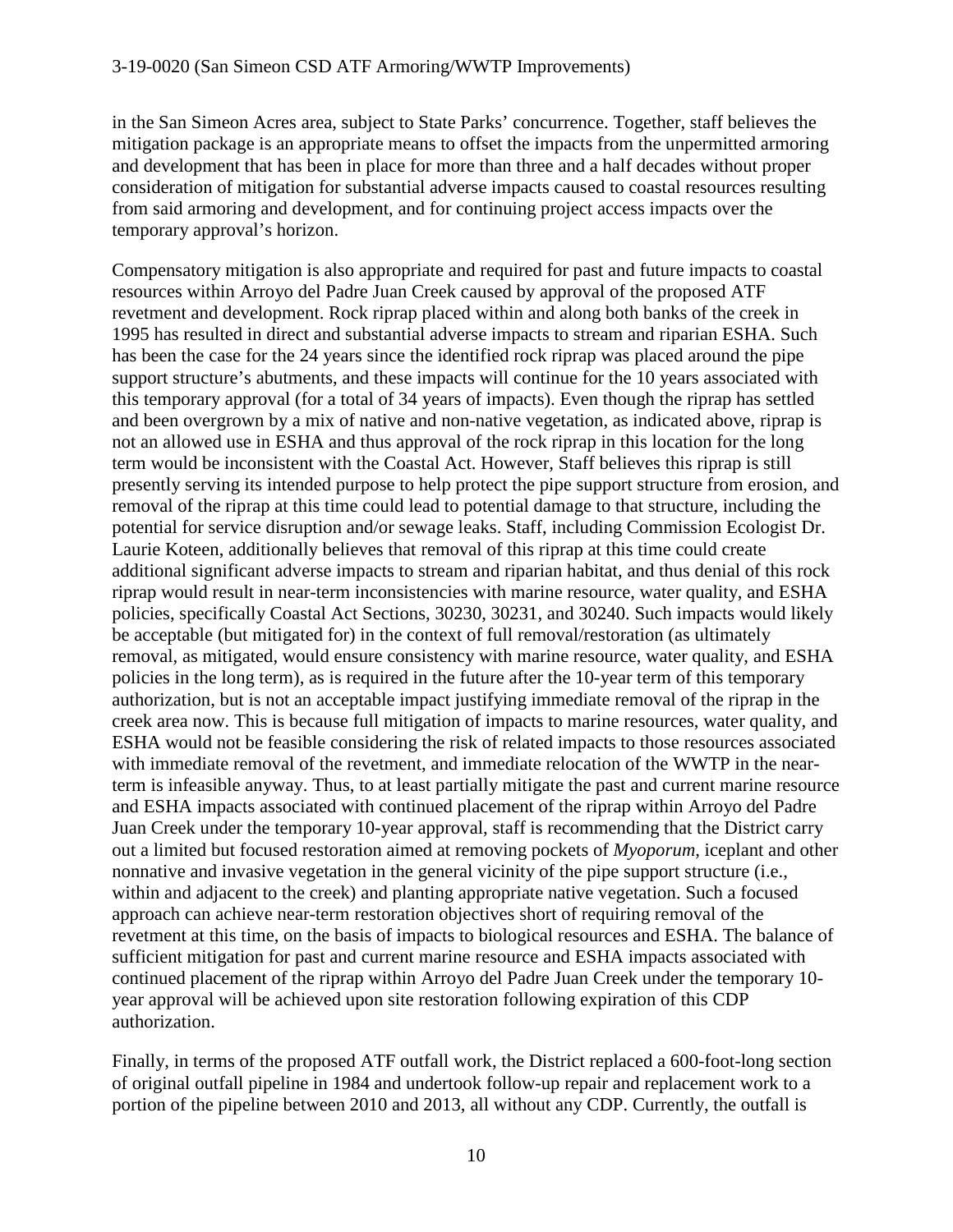in the San Simeon Acres area, subject to State Parks' concurrence. Together, staff believes the mitigation package is an appropriate means to offset the impacts from the unpermitted armoring and development that has been in place for more than three and a half decades without proper consideration of mitigation for substantial adverse impacts caused to coastal resources resulting from said armoring and development, and for continuing project access impacts over the temporary approval's horizon.

Compensatory mitigation is also appropriate and required for past and future impacts to coastal resources within Arroyo del Padre Juan Creek caused by approval of the proposed ATF revetment and development. Rock riprap placed within and along both banks of the creek in 1995 has resulted in direct and substantial adverse impacts to stream and riparian ESHA. Such has been the case for the 24 years since the identified rock riprap was placed around the pipe support structure's abutments, and these impacts will continue for the 10 years associated with this temporary approval (for a total of 34 years of impacts). Even though the riprap has settled and been overgrown by a mix of native and non-native vegetation, as indicated above, riprap is not an allowed use in ESHA and thus approval of the rock riprap in this location for the long term would be inconsistent with the Coastal Act. However, Staff believes this riprap is still presently serving its intended purpose to help protect the pipe support structure from erosion, and removal of the riprap at this time could lead to potential damage to that structure, including the potential for service disruption and/or sewage leaks. Staff, including Commission Ecologist Dr. Laurie Koteen, additionally believes that removal of this riprap at this time could create additional significant adverse impacts to stream and riparian habitat, and thus denial of this rock riprap would result in near-term inconsistencies with marine resource, water quality, and ESHA policies, specifically Coastal Act Sections, 30230, 30231, and 30240. Such impacts would likely be acceptable (but mitigated for) in the context of full removal/restoration (as ultimately removal, as mitigated, would ensure consistency with marine resource, water quality, and ESHA policies in the long term), as is required in the future after the 10-year term of this temporary authorization, but is not an acceptable impact justifying immediate removal of the riprap in the creek area now. This is because full mitigation of impacts to marine resources, water quality, and ESHA would not be feasible considering the risk of related impacts to those resources associated with immediate removal of the revetment, and immediate relocation of the WWTP in the nearterm is infeasible anyway. Thus, to at least partially mitigate the past and current marine resource and ESHA impacts associated with continued placement of the riprap within Arroyo del Padre Juan Creek under the temporary 10-year approval, staff is recommending that the District carry out a limited but focused restoration aimed at removing pockets of *Myoporum*, iceplant and other nonnative and invasive vegetation in the general vicinity of the pipe support structure (i.e., within and adjacent to the creek) and planting appropriate native vegetation. Such a focused approach can achieve near-term restoration objectives short of requiring removal of the revetment at this time, on the basis of impacts to biological resources and ESHA. The balance of sufficient mitigation for past and current marine resource and ESHA impacts associated with continued placement of the riprap within Arroyo del Padre Juan Creek under the temporary 10 year approval will be achieved upon site restoration following expiration of this CDP authorization.

Finally, in terms of the proposed ATF outfall work, the District replaced a 600-foot-long section of original outfall pipeline in 1984 and undertook follow-up repair and replacement work to a portion of the pipeline between 2010 and 2013, all without any CDP. Currently, the outfall is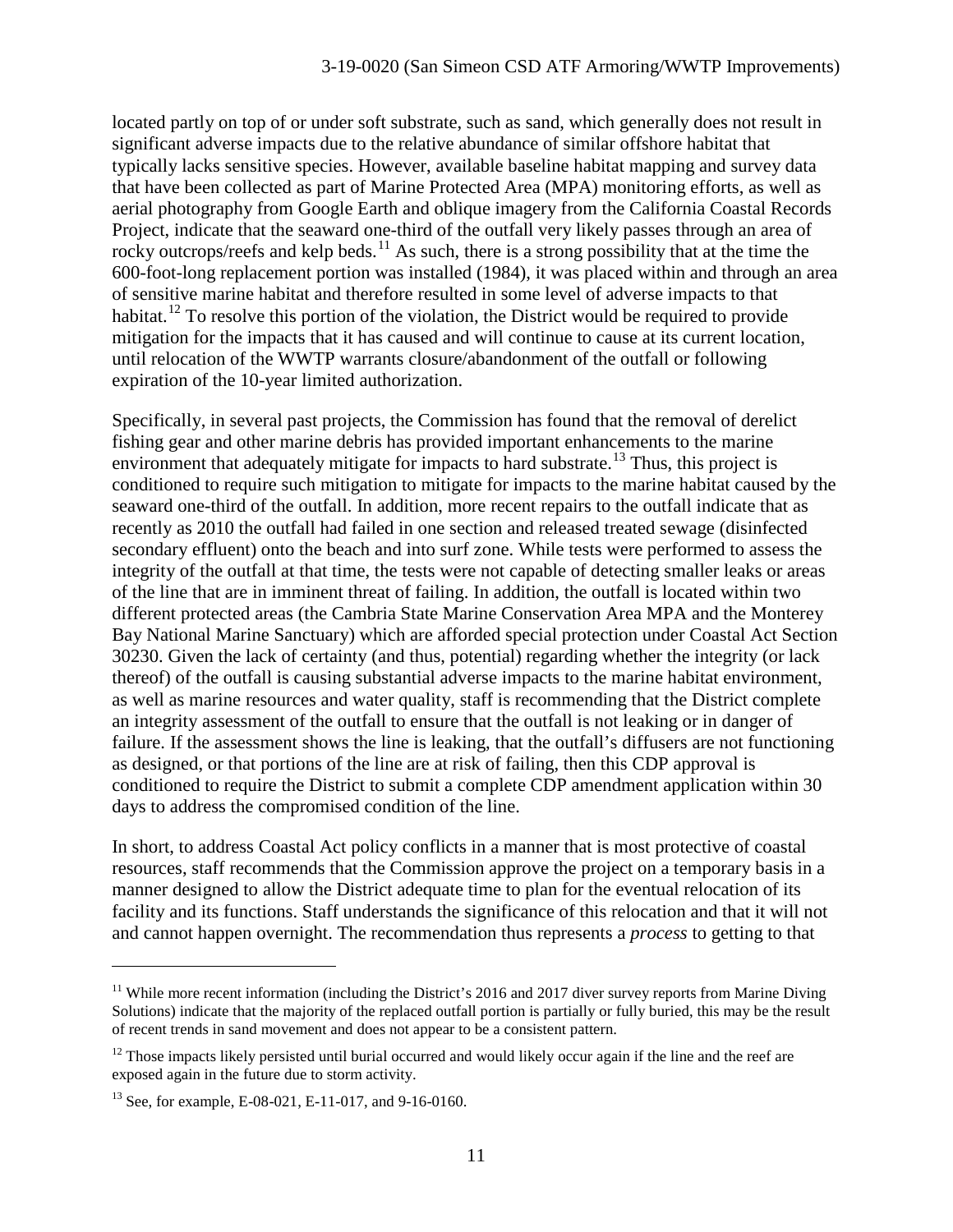located partly on top of or under soft substrate, such as sand, which generally does not result in significant adverse impacts due to the relative abundance of similar offshore habitat that typically lacks sensitive species. However, available baseline habitat mapping and survey data that have been collected as part of Marine Protected Area (MPA) monitoring efforts, as well as aerial photography from Google Earth and oblique imagery from the California Coastal Records Project, indicate that the seaward one-third of the outfall very likely passes through an area of rocky outcrops/reefs and kelp beds.<sup>[11](#page-10-0)</sup> As such, there is a strong possibility that at the time the 600-foot-long replacement portion was installed (1984), it was placed within and through an area of sensitive marine habitat and therefore resulted in some level of adverse impacts to that habitat.<sup>[12](#page-10-1)</sup> To resolve this portion of the violation, the District would be required to provide mitigation for the impacts that it has caused and will continue to cause at its current location, until relocation of the WWTP warrants closure/abandonment of the outfall or following expiration of the 10-year limited authorization.

Specifically, in several past projects, the Commission has found that the removal of derelict fishing gear and other marine debris has provided important enhancements to the marine environment that adequately mitigate for impacts to hard substrate.<sup>[13](#page-10-2)</sup> Thus, this project is conditioned to require such mitigation to mitigate for impacts to the marine habitat caused by the seaward one-third of the outfall. In addition, more recent repairs to the outfall indicate that as recently as 2010 the outfall had failed in one section and released treated sewage (disinfected secondary effluent) onto the beach and into surf zone. While tests were performed to assess the integrity of the outfall at that time, the tests were not capable of detecting smaller leaks or areas of the line that are in imminent threat of failing. In addition, the outfall is located within two different protected areas (the Cambria State Marine Conservation Area MPA and the Monterey Bay National Marine Sanctuary) which are afforded special protection under Coastal Act Section 30230. Given the lack of certainty (and thus, potential) regarding whether the integrity (or lack thereof) of the outfall is causing substantial adverse impacts to the marine habitat environment, as well as marine resources and water quality, staff is recommending that the District complete an integrity assessment of the outfall to ensure that the outfall is not leaking or in danger of failure. If the assessment shows the line is leaking, that the outfall's diffusers are not functioning as designed, or that portions of the line are at risk of failing, then this CDP approval is conditioned to require the District to submit a complete CDP amendment application within 30 days to address the compromised condition of the line.

In short, to address Coastal Act policy conflicts in a manner that is most protective of coastal resources, staff recommends that the Commission approve the project on a temporary basis in a manner designed to allow the District adequate time to plan for the eventual relocation of its facility and its functions. Staff understands the significance of this relocation and that it will not and cannot happen overnight. The recommendation thus represents a *process* to getting to that

<span id="page-10-0"></span><sup>&</sup>lt;sup>11</sup> While more recent information (including the District's 2016 and 2017 diver survey reports from Marine Diving Solutions) indicate that the majority of the replaced outfall portion is partially or fully buried, this may be the result of recent trends in sand movement and does not appear to be a consistent pattern.

<span id="page-10-1"></span> $12$  Those impacts likely persisted until burial occurred and would likely occur again if the line and the reef are exposed again in the future due to storm activity.

<span id="page-10-2"></span><sup>13</sup> See, for example, E-08-021, E-11-017, and 9-16-0160.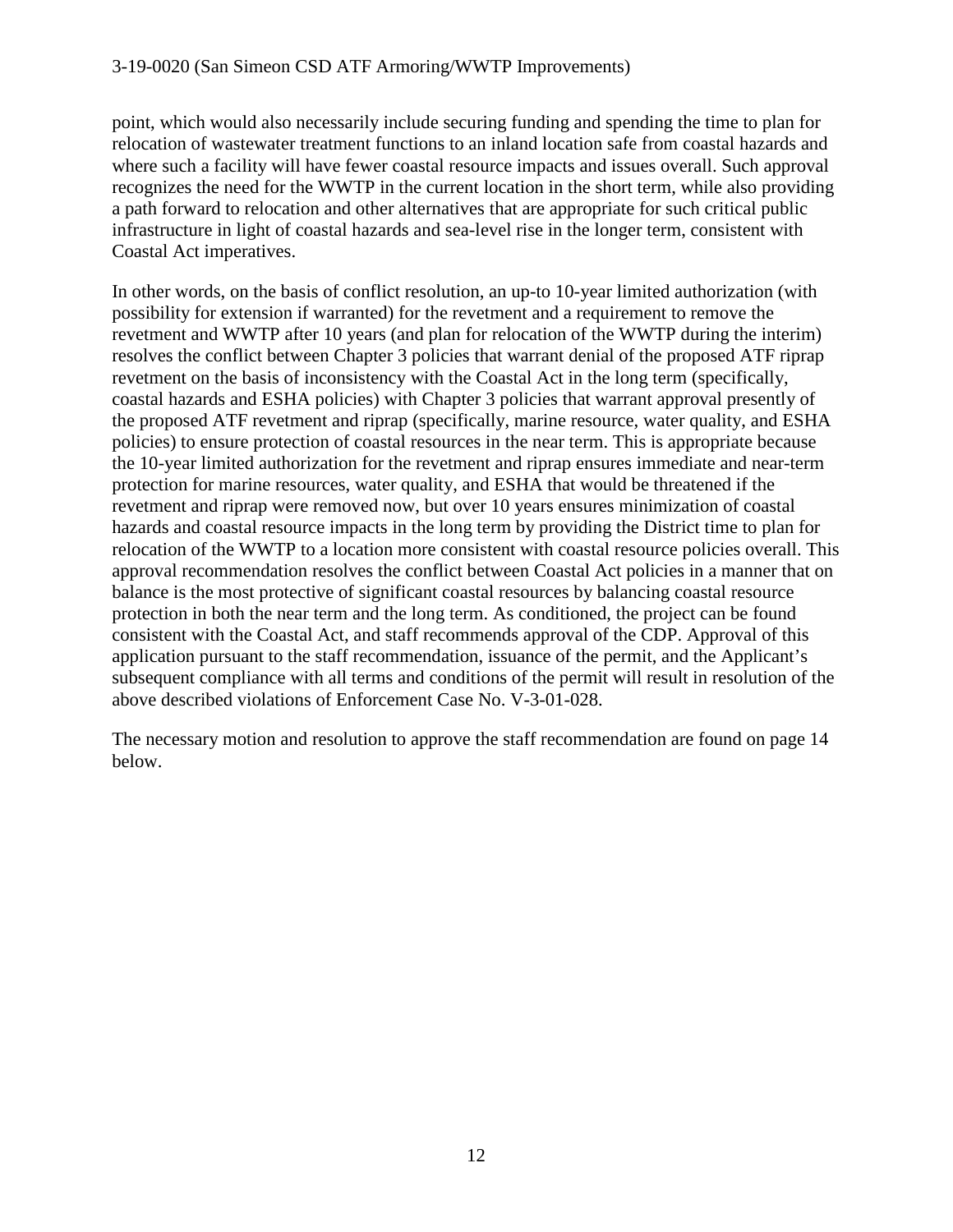point, which would also necessarily include securing funding and spending the time to plan for relocation of wastewater treatment functions to an inland location safe from coastal hazards and where such a facility will have fewer coastal resource impacts and issues overall. Such approval recognizes the need for the WWTP in the current location in the short term, while also providing a path forward to relocation and other alternatives that are appropriate for such critical public infrastructure in light of coastal hazards and sea-level rise in the longer term, consistent with Coastal Act imperatives.

In other words, on the basis of conflict resolution, an up-to 10-year limited authorization (with possibility for extension if warranted) for the revetment and a requirement to remove the revetment and WWTP after 10 years (and plan for relocation of the WWTP during the interim) resolves the conflict between Chapter 3 policies that warrant denial of the proposed ATF riprap revetment on the basis of inconsistency with the Coastal Act in the long term (specifically, coastal hazards and ESHA policies) with Chapter 3 policies that warrant approval presently of the proposed ATF revetment and riprap (specifically, marine resource, water quality, and ESHA policies) to ensure protection of coastal resources in the near term. This is appropriate because the 10-year limited authorization for the revetment and riprap ensures immediate and near-term protection for marine resources, water quality, and ESHA that would be threatened if the revetment and riprap were removed now, but over 10 years ensures minimization of coastal hazards and coastal resource impacts in the long term by providing the District time to plan for relocation of the WWTP to a location more consistent with coastal resource policies overall. This approval recommendation resolves the conflict between Coastal Act policies in a manner that on balance is the most protective of significant coastal resources by balancing coastal resource protection in both the near term and the long term. As conditioned, the project can be found consistent with the Coastal Act, and staff recommends approval of the CDP. Approval of this application pursuant to the staff recommendation, issuance of the permit, and the Applicant's subsequent compliance with all terms and conditions of the permit will result in resolution of the above described violations of Enforcement Case No. V-3-01-028.

The necessary motion and resolution to approve the staff recommendation are found on page 14 below.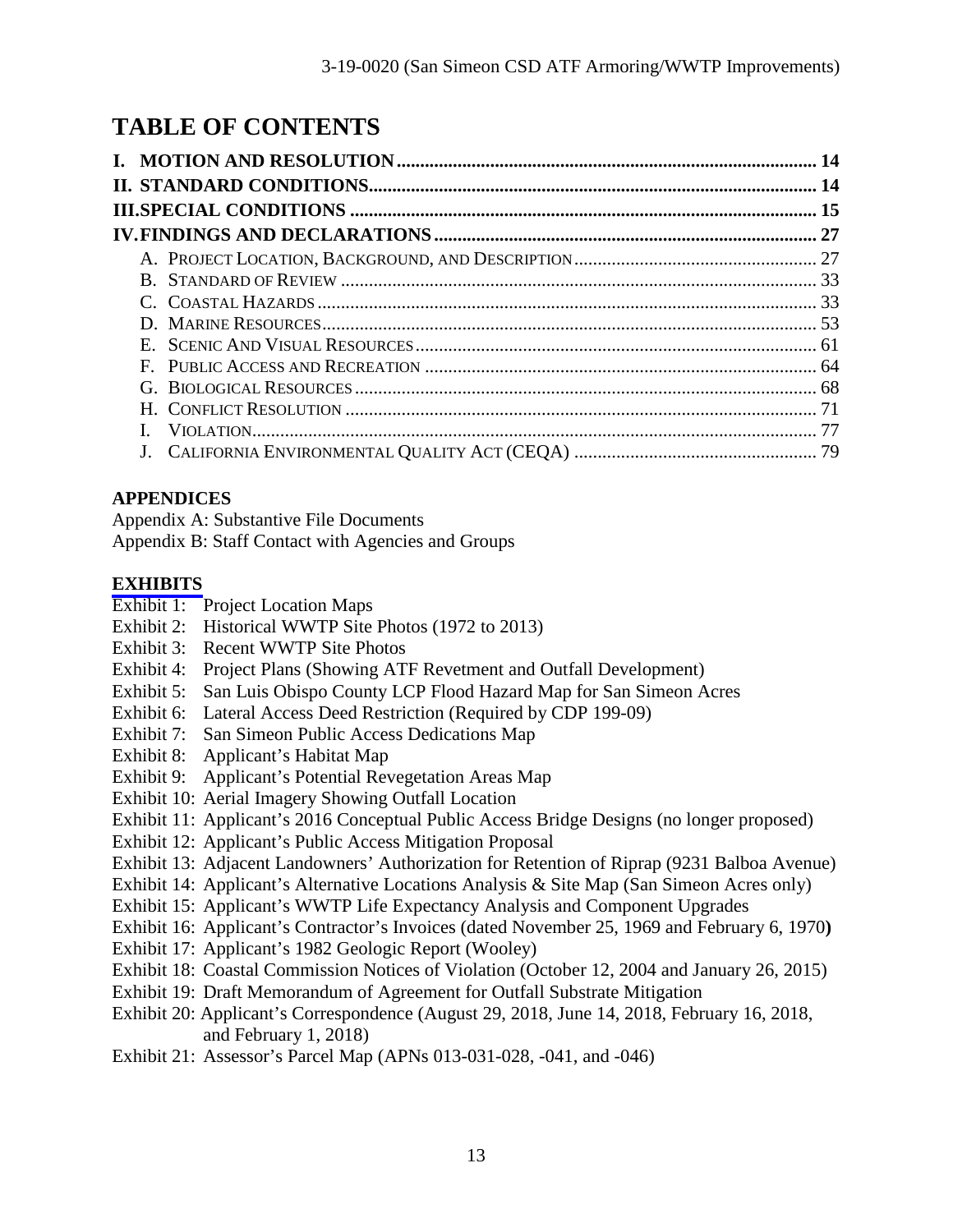# **TABLE OF CONTENTS**

#### **APPENDICES**

Appendix A: Substantive File Documents

Appendix B: Staff Contact with Agencies and Groups

#### **[EXHIBITS](https://documents.coastal.ca.gov/reports/2019/7/th13b/th13b-7-2019-report.pdf)**

- Exhibit 1: Project Location Maps
- Exhibit 2: Historical WWTP Site Photos (1972 to 2013)
- Exhibit 3: Recent WWTP Site Photos
- Exhibit 4: Project Plans (Showing ATF Revetment and Outfall Development)
- Exhibit 5: San Luis Obispo County LCP Flood Hazard Map for San Simeon Acres
- Exhibit 6: Lateral Access Deed Restriction (Required by CDP 199-09)
- Exhibit 7: San Simeon Public Access Dedications Map
- Exhibit 8: Applicant's Habitat Map
- Exhibit 9: Applicant's Potential Revegetation Areas Map
- Exhibit 10: Aerial Imagery Showing Outfall Location
- Exhibit 11: Applicant's 2016 Conceptual Public Access Bridge Designs (no longer proposed)
- Exhibit 12: Applicant's Public Access Mitigation Proposal
- Exhibit 13: Adjacent Landowners' Authorization for Retention of Riprap (9231 Balboa Avenue)
- Exhibit 14: Applicant's Alternative Locations Analysis & Site Map (San Simeon Acres only)
- Exhibit 15: Applicant's WWTP Life Expectancy Analysis and Component Upgrades
- Exhibit 16: Applicant's Contractor's Invoices (dated November 25, 1969 and February 6, 1970**)**
- Exhibit 17: Applicant's 1982 Geologic Report (Wooley)
- Exhibit 18: Coastal Commission Notices of Violation (October 12, 2004 and January 26, 2015)
- Exhibit 19: Draft Memorandum of Agreement for Outfall Substrate Mitigation
- Exhibit 20: Applicant's Correspondence (August 29, 2018, June 14, 2018, February 16, 2018, and February 1, 2018)
- Exhibit 21: Assessor's Parcel Map (APNs 013-031-028, -041, and -046)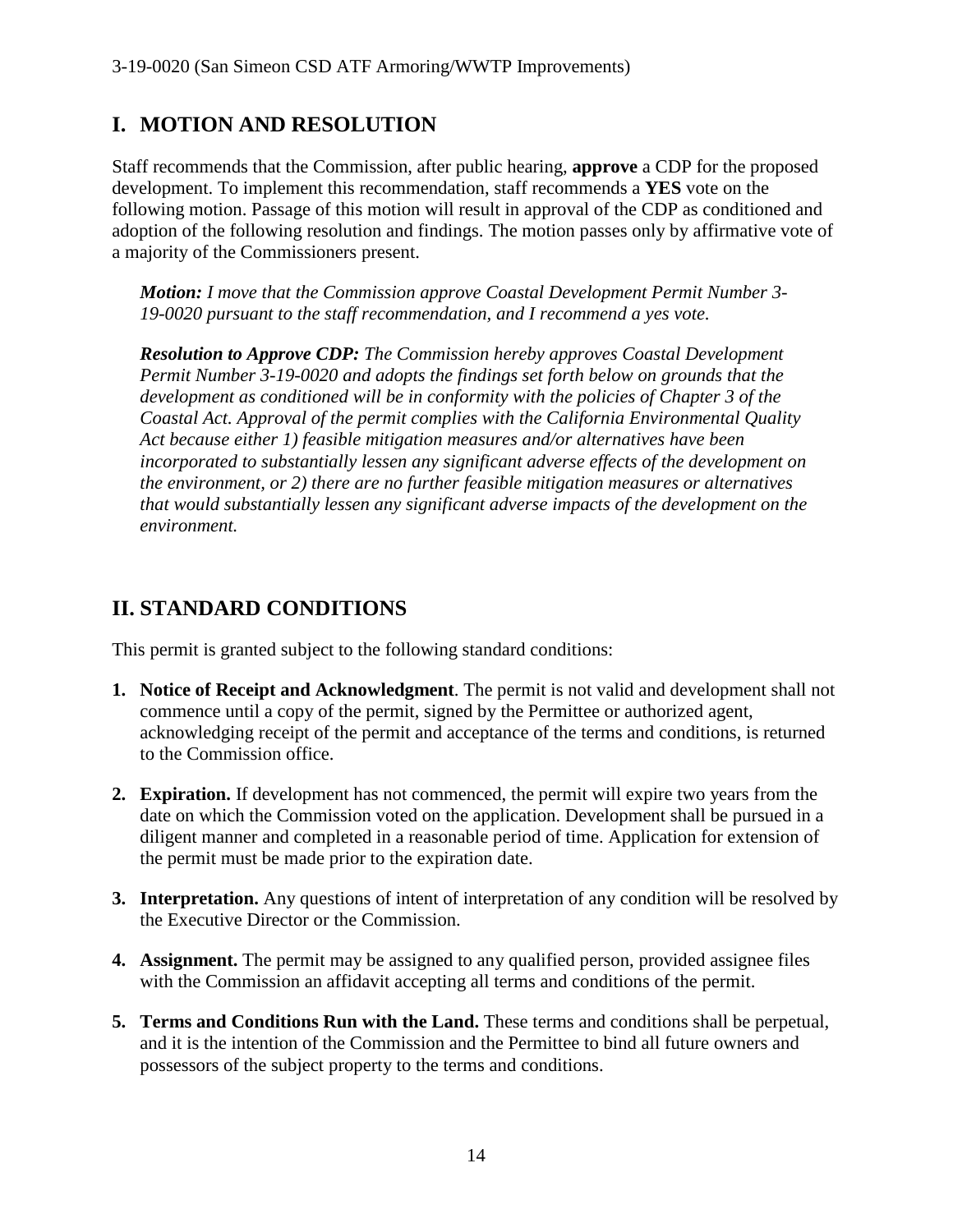# **I. MOTION AND RESOLUTION**

Staff recommends that the Commission, after public hearing, **approve** a CDP for the proposed development. To implement this recommendation, staff recommends a **YES** vote on the following motion. Passage of this motion will result in approval of the CDP as conditioned and adoption of the following resolution and findings. The motion passes only by affirmative vote of a majority of the Commissioners present.

*Motion: I move that the Commission approve Coastal Development Permit Number 3- 19-0020 pursuant to the staff recommendation, and I recommend a yes vote.* 

*Resolution to Approve CDP: The Commission hereby approves Coastal Development Permit Number 3-19-0020 and adopts the findings set forth below on grounds that the development as conditioned will be in conformity with the policies of Chapter 3 of the Coastal Act. Approval of the permit complies with the California Environmental Quality Act because either 1) feasible mitigation measures and/or alternatives have been incorporated to substantially lessen any significant adverse effects of the development on the environment, or 2) there are no further feasible mitigation measures or alternatives that would substantially lessen any significant adverse impacts of the development on the environment.*

# **II. STANDARD CONDITIONS**

This permit is granted subject to the following standard conditions:

- **1. Notice of Receipt and Acknowledgment**. The permit is not valid and development shall not commence until a copy of the permit, signed by the Permittee or authorized agent, acknowledging receipt of the permit and acceptance of the terms and conditions, is returned to the Commission office.
- **2. Expiration.** If development has not commenced, the permit will expire two years from the date on which the Commission voted on the application. Development shall be pursued in a diligent manner and completed in a reasonable period of time. Application for extension of the permit must be made prior to the expiration date.
- **3. Interpretation.** Any questions of intent of interpretation of any condition will be resolved by the Executive Director or the Commission.
- **4. Assignment.** The permit may be assigned to any qualified person, provided assignee files with the Commission an affidavit accepting all terms and conditions of the permit.
- **5. Terms and Conditions Run with the Land.** These terms and conditions shall be perpetual, and it is the intention of the Commission and the Permittee to bind all future owners and possessors of the subject property to the terms and conditions.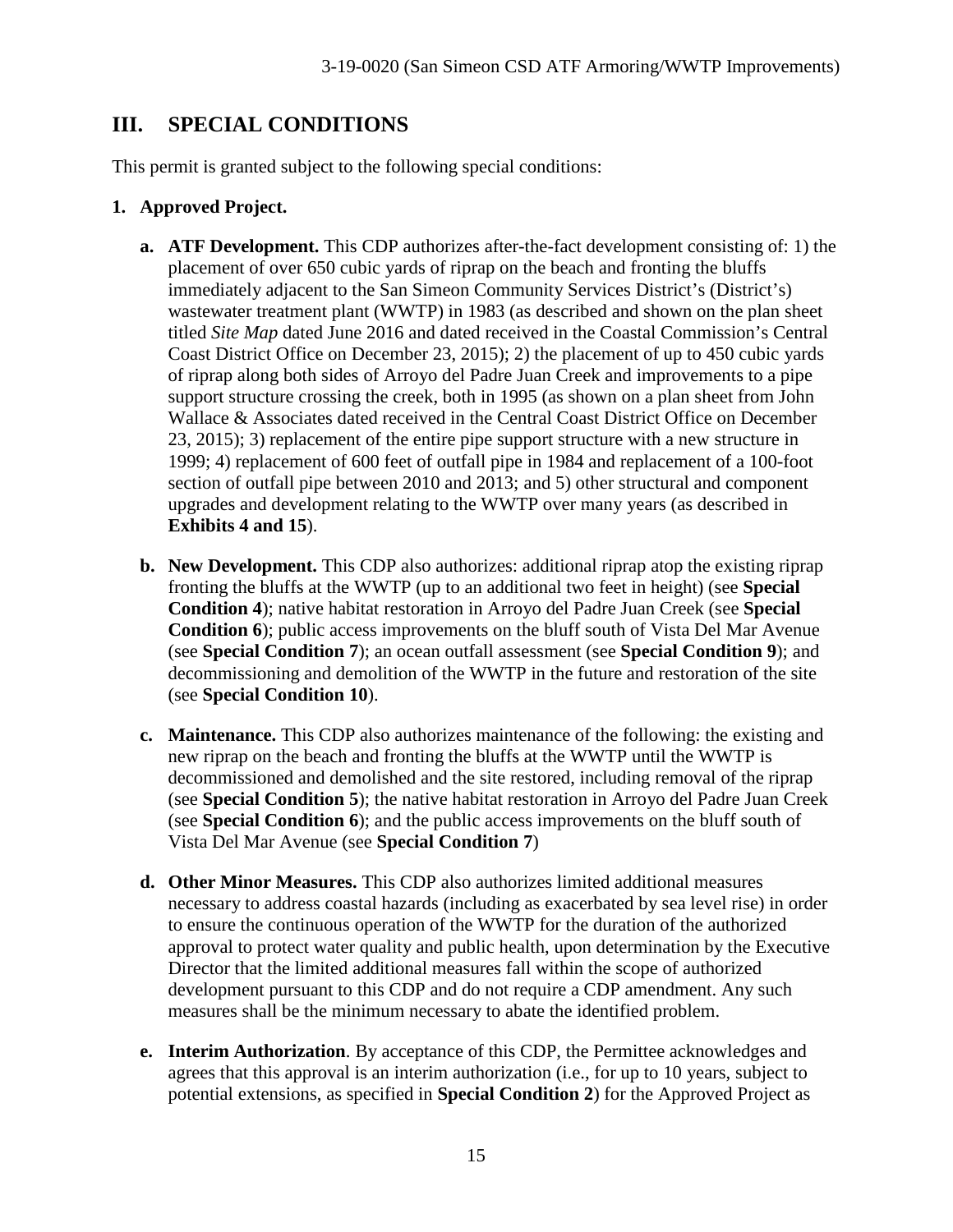# **III. SPECIAL CONDITIONS**

This permit is granted subject to the following special conditions:

#### **1. Approved Project.**

- **a. ATF Development.** This CDP authorizes after-the-fact development consisting of: 1) the placement of over 650 cubic yards of riprap on the beach and fronting the bluffs immediately adjacent to the San Simeon Community Services District's (District's) wastewater treatment plant (WWTP) in 1983 (as described and shown on the plan sheet titled *Site Map* dated June 2016 and dated received in the Coastal Commission's Central Coast District Office on December 23, 2015); 2) the placement of up to 450 cubic yards of riprap along both sides of Arroyo del Padre Juan Creek and improvements to a pipe support structure crossing the creek, both in 1995 (as shown on a plan sheet from John Wallace & Associates dated received in the Central Coast District Office on December 23, 2015); 3) replacement of the entire pipe support structure with a new structure in 1999; 4) replacement of 600 feet of outfall pipe in 1984 and replacement of a 100-foot section of outfall pipe between 2010 and 2013; and 5) other structural and component upgrades and development relating to the WWTP over many years (as described in **Exhibits 4 and 15**).
- **b. New Development.** This CDP also authorizes: additional riprap atop the existing riprap fronting the bluffs at the WWTP (up to an additional two feet in height) (see **Special Condition 4**); native habitat restoration in Arroyo del Padre Juan Creek (see **Special Condition 6**); public access improvements on the bluff south of Vista Del Mar Avenue (see **Special Condition 7**); an ocean outfall assessment (see **Special Condition 9**); and decommissioning and demolition of the WWTP in the future and restoration of the site (see **Special Condition 10**).
- **c. Maintenance.** This CDP also authorizes maintenance of the following: the existing and new riprap on the beach and fronting the bluffs at the WWTP until the WWTP is decommissioned and demolished and the site restored, including removal of the riprap (see **Special Condition 5**); the native habitat restoration in Arroyo del Padre Juan Creek (see **Special Condition 6**); and the public access improvements on the bluff south of Vista Del Mar Avenue (see **Special Condition 7**)
- **d. Other Minor Measures.** This CDP also authorizes limited additional measures necessary to address coastal hazards (including as exacerbated by sea level rise) in order to ensure the continuous operation of the WWTP for the duration of the authorized approval to protect water quality and public health, upon determination by the Executive Director that the limited additional measures fall within the scope of authorized development pursuant to this CDP and do not require a CDP amendment. Any such measures shall be the minimum necessary to abate the identified problem.
- **e. Interim Authorization**. By acceptance of this CDP, the Permittee acknowledges and agrees that this approval is an interim authorization (i.e., for up to 10 years, subject to potential extensions, as specified in **Special Condition 2**) for the Approved Project as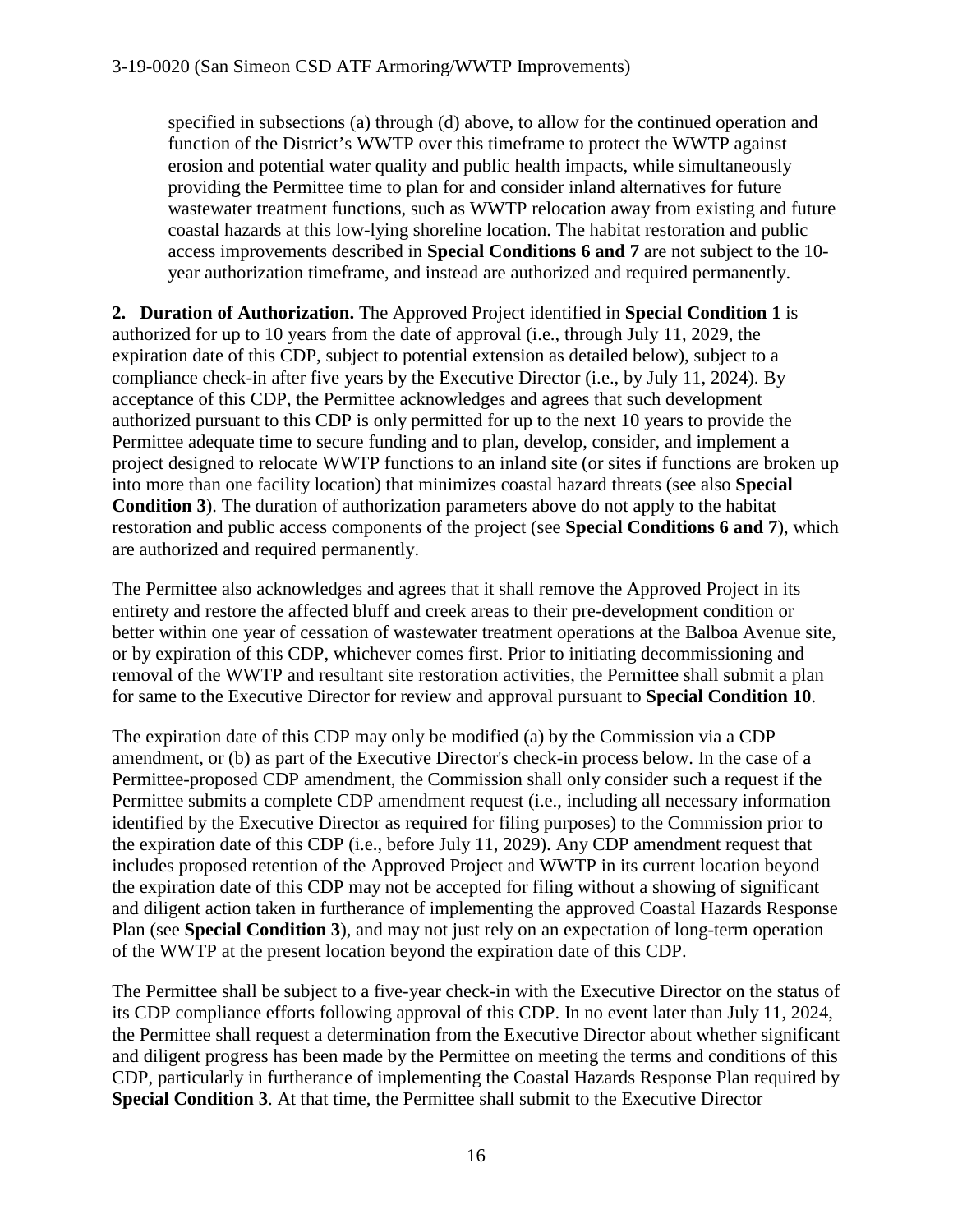specified in subsections (a) through (d) above, to allow for the continued operation and function of the District's WWTP over this timeframe to protect the WWTP against erosion and potential water quality and public health impacts, while simultaneously providing the Permittee time to plan for and consider inland alternatives for future wastewater treatment functions, such as WWTP relocation away from existing and future coastal hazards at this low-lying shoreline location. The habitat restoration and public access improvements described in **Special Conditions 6 and 7** are not subject to the 10 year authorization timeframe, and instead are authorized and required permanently.

**2. Duration of Authorization.** The Approved Project identified in **Special Condition 1** is authorized for up to 10 years from the date of approval (i.e., through July 11, 2029, the expiration date of this CDP, subject to potential extension as detailed below), subject to a compliance check-in after five years by the Executive Director (i.e., by July 11, 2024). By acceptance of this CDP, the Permittee acknowledges and agrees that such development authorized pursuant to this CDP is only permitted for up to the next 10 years to provide the Permittee adequate time to secure funding and to plan, develop, consider, and implement a project designed to relocate WWTP functions to an inland site (or sites if functions are broken up into more than one facility location) that minimizes coastal hazard threats (see also **Special Condition 3**). The duration of authorization parameters above do not apply to the habitat restoration and public access components of the project (see **Special Conditions 6 and 7**), which are authorized and required permanently.

The Permittee also acknowledges and agrees that it shall remove the Approved Project in its entirety and restore the affected bluff and creek areas to their pre-development condition or better within one year of cessation of wastewater treatment operations at the Balboa Avenue site, or by expiration of this CDP, whichever comes first. Prior to initiating decommissioning and removal of the WWTP and resultant site restoration activities, the Permittee shall submit a plan for same to the Executive Director for review and approval pursuant to **Special Condition 10**.

The expiration date of this CDP may only be modified (a) by the Commission via a CDP amendment, or (b) as part of the Executive Director's check-in process below. In the case of a Permittee-proposed CDP amendment, the Commission shall only consider such a request if the Permittee submits a complete CDP amendment request (i.e., including all necessary information identified by the Executive Director as required for filing purposes) to the Commission prior to the expiration date of this CDP (i.e., before July 11, 2029). Any CDP amendment request that includes proposed retention of the Approved Project and WWTP in its current location beyond the expiration date of this CDP may not be accepted for filing without a showing of significant and diligent action taken in furtherance of implementing the approved Coastal Hazards Response Plan (see **Special Condition 3**), and may not just rely on an expectation of long-term operation of the WWTP at the present location beyond the expiration date of this CDP.

The Permittee shall be subject to a five-year check-in with the Executive Director on the status of its CDP compliance efforts following approval of this CDP. In no event later than July 11, 2024, the Permittee shall request a determination from the Executive Director about whether significant and diligent progress has been made by the Permittee on meeting the terms and conditions of this CDP, particularly in furtherance of implementing the Coastal Hazards Response Plan required by **Special Condition 3**. At that time, the Permittee shall submit to the Executive Director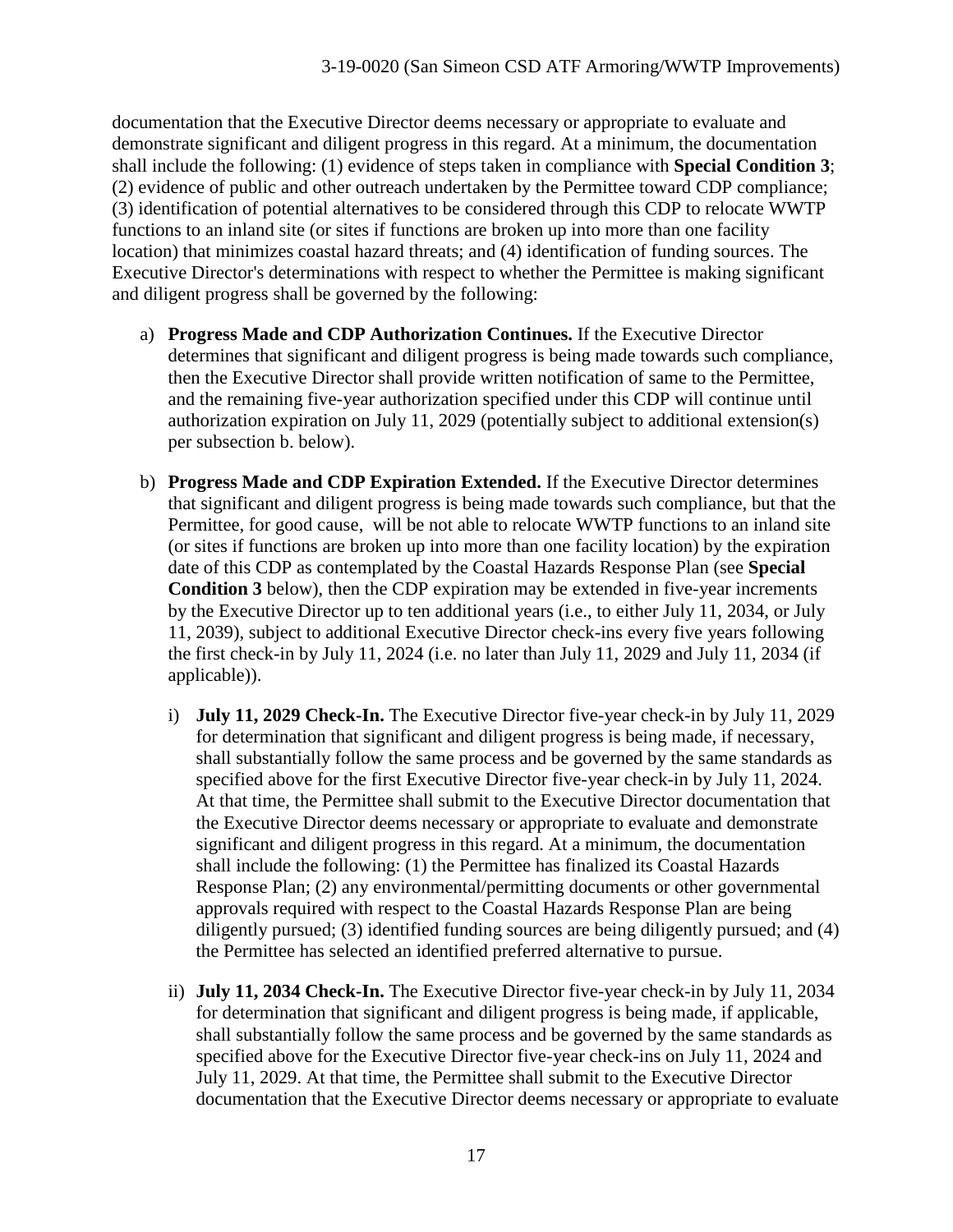documentation that the Executive Director deems necessary or appropriate to evaluate and demonstrate significant and diligent progress in this regard. At a minimum, the documentation shall include the following: (1) evidence of steps taken in compliance with **Special Condition 3**; (2) evidence of public and other outreach undertaken by the Permittee toward CDP compliance; (3) identification of potential alternatives to be considered through this CDP to relocate WWTP functions to an inland site (or sites if functions are broken up into more than one facility location) that minimizes coastal hazard threats; and (4) identification of funding sources. The Executive Director's determinations with respect to whether the Permittee is making significant and diligent progress shall be governed by the following:

- a) **Progress Made and CDP Authorization Continues.** If the Executive Director determines that significant and diligent progress is being made towards such compliance, then the Executive Director shall provide written notification of same to the Permittee, and the remaining five-year authorization specified under this CDP will continue until authorization expiration on July 11, 2029 (potentially subject to additional extension(s) per subsection b. below).
- b) **Progress Made and CDP Expiration Extended.** If the Executive Director determines that significant and diligent progress is being made towards such compliance, but that the Permittee, for good cause, will be not able to relocate WWTP functions to an inland site (or sites if functions are broken up into more than one facility location) by the expiration date of this CDP as contemplated by the Coastal Hazards Response Plan (see **Special Condition 3** below), then the CDP expiration may be extended in five-year increments by the Executive Director up to ten additional years (i.e., to either July 11, 2034, or July 11, 2039), subject to additional Executive Director check-ins every five years following the first check-in by July 11, 2024 (i.e. no later than July 11, 2029 and July 11, 2034 (if applicable)).
	- i) **July 11, 2029 Check-In.** The Executive Director five-year check-in by July 11, 2029 for determination that significant and diligent progress is being made, if necessary, shall substantially follow the same process and be governed by the same standards as specified above for the first Executive Director five-year check-in by July 11, 2024. At that time, the Permittee shall submit to the Executive Director documentation that the Executive Director deems necessary or appropriate to evaluate and demonstrate significant and diligent progress in this regard. At a minimum, the documentation shall include the following: (1) the Permittee has finalized its Coastal Hazards Response Plan; (2) any environmental/permitting documents or other governmental approvals required with respect to the Coastal Hazards Response Plan are being diligently pursued; (3) identified funding sources are being diligently pursued; and (4) the Permittee has selected an identified preferred alternative to pursue.
	- ii) **July 11, 2034 Check-In.** The Executive Director five-year check-in by July 11, 2034 for determination that significant and diligent progress is being made, if applicable, shall substantially follow the same process and be governed by the same standards as specified above for the Executive Director five-year check-ins on July 11, 2024 and July 11, 2029. At that time, the Permittee shall submit to the Executive Director documentation that the Executive Director deems necessary or appropriate to evaluate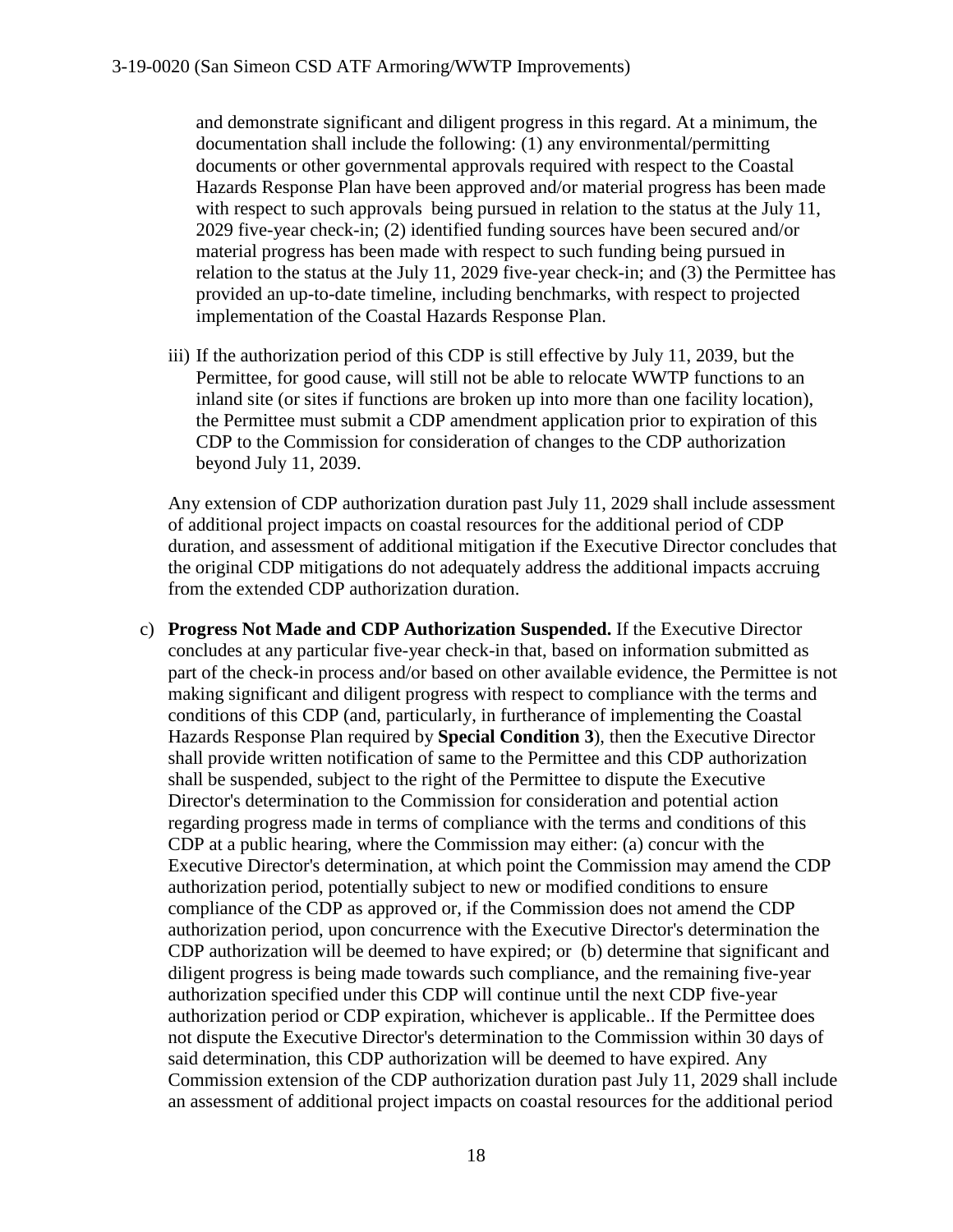and demonstrate significant and diligent progress in this regard. At a minimum, the documentation shall include the following: (1) any environmental/permitting documents or other governmental approvals required with respect to the Coastal Hazards Response Plan have been approved and/or material progress has been made with respect to such approvals being pursued in relation to the status at the July 11, 2029 five-year check-in; (2) identified funding sources have been secured and/or material progress has been made with respect to such funding being pursued in relation to the status at the July 11, 2029 five-year check-in; and (3) the Permittee has provided an up-to-date timeline, including benchmarks, with respect to projected implementation of the Coastal Hazards Response Plan.

iii) If the authorization period of this CDP is still effective by July 11, 2039, but the Permittee, for good cause, will still not be able to relocate WWTP functions to an inland site (or sites if functions are broken up into more than one facility location), the Permittee must submit a CDP amendment application prior to expiration of this CDP to the Commission for consideration of changes to the CDP authorization beyond July 11, 2039.

Any extension of CDP authorization duration past July 11, 2029 shall include assessment of additional project impacts on coastal resources for the additional period of CDP duration, and assessment of additional mitigation if the Executive Director concludes that the original CDP mitigations do not adequately address the additional impacts accruing from the extended CDP authorization duration.

c) **Progress Not Made and CDP Authorization Suspended.** If the Executive Director concludes at any particular five-year check-in that, based on information submitted as part of the check-in process and/or based on other available evidence, the Permittee is not making significant and diligent progress with respect to compliance with the terms and conditions of this CDP (and, particularly, in furtherance of implementing the Coastal Hazards Response Plan required by **Special Condition 3**), then the Executive Director shall provide written notification of same to the Permittee and this CDP authorization shall be suspended, subject to the right of the Permittee to dispute the Executive Director's determination to the Commission for consideration and potential action regarding progress made in terms of compliance with the terms and conditions of this CDP at a public hearing, where the Commission may either: (a) concur with the Executive Director's determination, at which point the Commission may amend the CDP authorization period, potentially subject to new or modified conditions to ensure compliance of the CDP as approved or, if the Commission does not amend the CDP authorization period, upon concurrence with the Executive Director's determination the CDP authorization will be deemed to have expired; or (b) determine that significant and diligent progress is being made towards such compliance, and the remaining five-year authorization specified under this CDP will continue until the next CDP five-year authorization period or CDP expiration, whichever is applicable.. If the Permittee does not dispute the Executive Director's determination to the Commission within 30 days of said determination, this CDP authorization will be deemed to have expired. Any Commission extension of the CDP authorization duration past July 11, 2029 shall include an assessment of additional project impacts on coastal resources for the additional period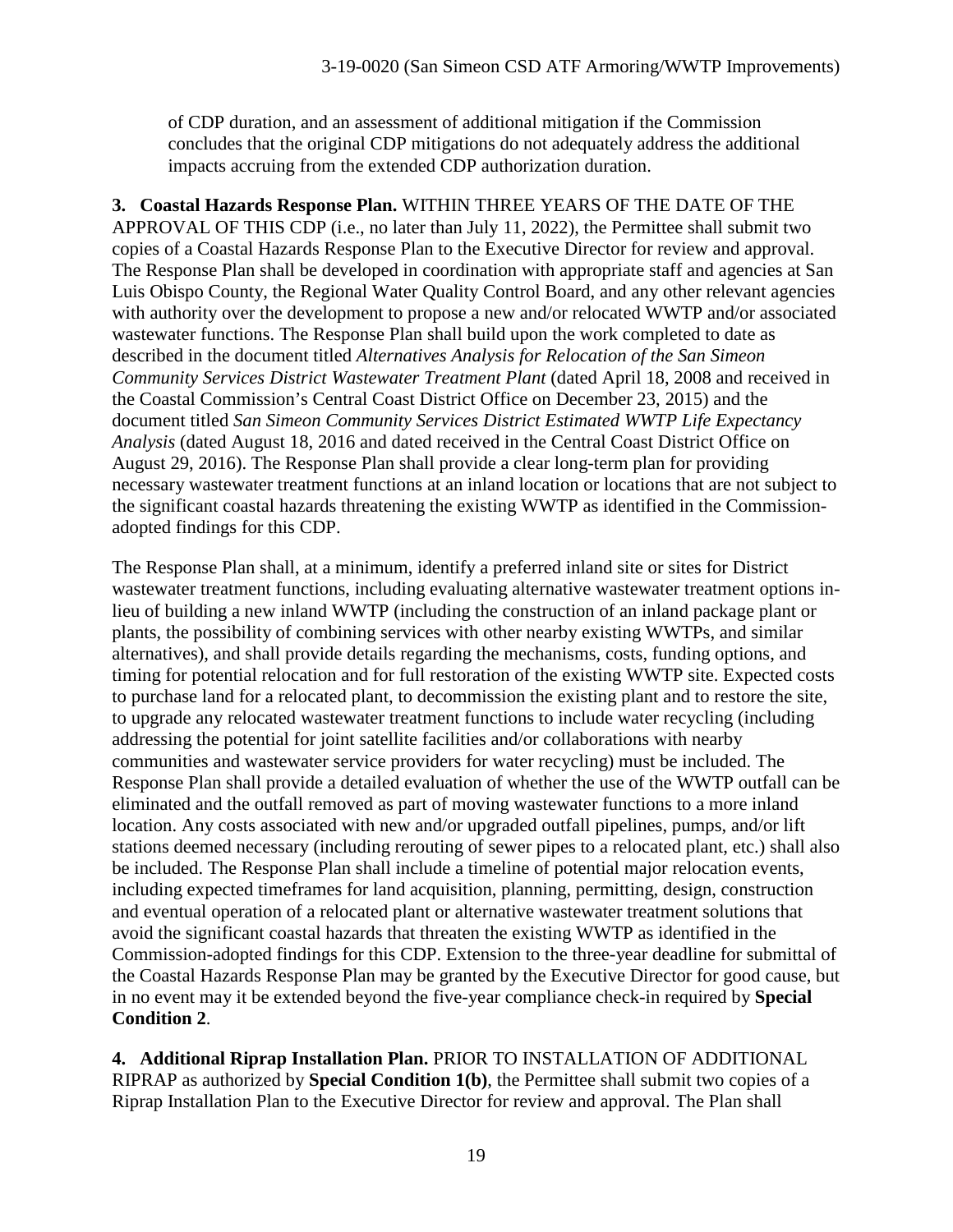of CDP duration, and an assessment of additional mitigation if the Commission concludes that the original CDP mitigations do not adequately address the additional impacts accruing from the extended CDP authorization duration.

**3. Coastal Hazards Response Plan.** WITHIN THREE YEARS OF THE DATE OF THE APPROVAL OF THIS CDP (i.e., no later than July 11, 2022), the Permittee shall submit two copies of a Coastal Hazards Response Plan to the Executive Director for review and approval. The Response Plan shall be developed in coordination with appropriate staff and agencies at San Luis Obispo County, the Regional Water Quality Control Board, and any other relevant agencies with authority over the development to propose a new and/or relocated WWTP and/or associated wastewater functions. The Response Plan shall build upon the work completed to date as described in the document titled *Alternatives Analysis for Relocation of the San Simeon Community Services District Wastewater Treatment Plant (dated April 18, 2008 and received in* the Coastal Commission's Central Coast District Office on December 23, 2015) and the document titled *San Simeon Community Services District Estimated WWTP Life Expectancy Analysis* (dated August 18, 2016 and dated received in the Central Coast District Office on August 29, 2016). The Response Plan shall provide a clear long-term plan for providing necessary wastewater treatment functions at an inland location or locations that are not subject to the significant coastal hazards threatening the existing WWTP as identified in the Commissionadopted findings for this CDP.

The Response Plan shall, at a minimum, identify a preferred inland site or sites for District wastewater treatment functions, including evaluating alternative wastewater treatment options inlieu of building a new inland WWTP (including the construction of an inland package plant or plants, the possibility of combining services with other nearby existing WWTPs, and similar alternatives), and shall provide details regarding the mechanisms, costs, funding options, and timing for potential relocation and for full restoration of the existing WWTP site. Expected costs to purchase land for a relocated plant, to decommission the existing plant and to restore the site, to upgrade any relocated wastewater treatment functions to include water recycling (including addressing the potential for joint satellite facilities and/or collaborations with nearby communities and wastewater service providers for water recycling) must be included. The Response Plan shall provide a detailed evaluation of whether the use of the WWTP outfall can be eliminated and the outfall removed as part of moving wastewater functions to a more inland location. Any costs associated with new and/or upgraded outfall pipelines, pumps, and/or lift stations deemed necessary (including rerouting of sewer pipes to a relocated plant, etc.) shall also be included. The Response Plan shall include a timeline of potential major relocation events, including expected timeframes for land acquisition, planning, permitting, design, construction and eventual operation of a relocated plant or alternative wastewater treatment solutions that avoid the significant coastal hazards that threaten the existing WWTP as identified in the Commission-adopted findings for this CDP. Extension to the three-year deadline for submittal of the Coastal Hazards Response Plan may be granted by the Executive Director for good cause, but in no event may it be extended beyond the five-year compliance check-in required by **Special Condition 2**.

**4. Additional Riprap Installation Plan.** PRIOR TO INSTALLATION OF ADDITIONAL RIPRAP as authorized by **Special Condition 1(b)**, the Permittee shall submit two copies of a Riprap Installation Plan to the Executive Director for review and approval. The Plan shall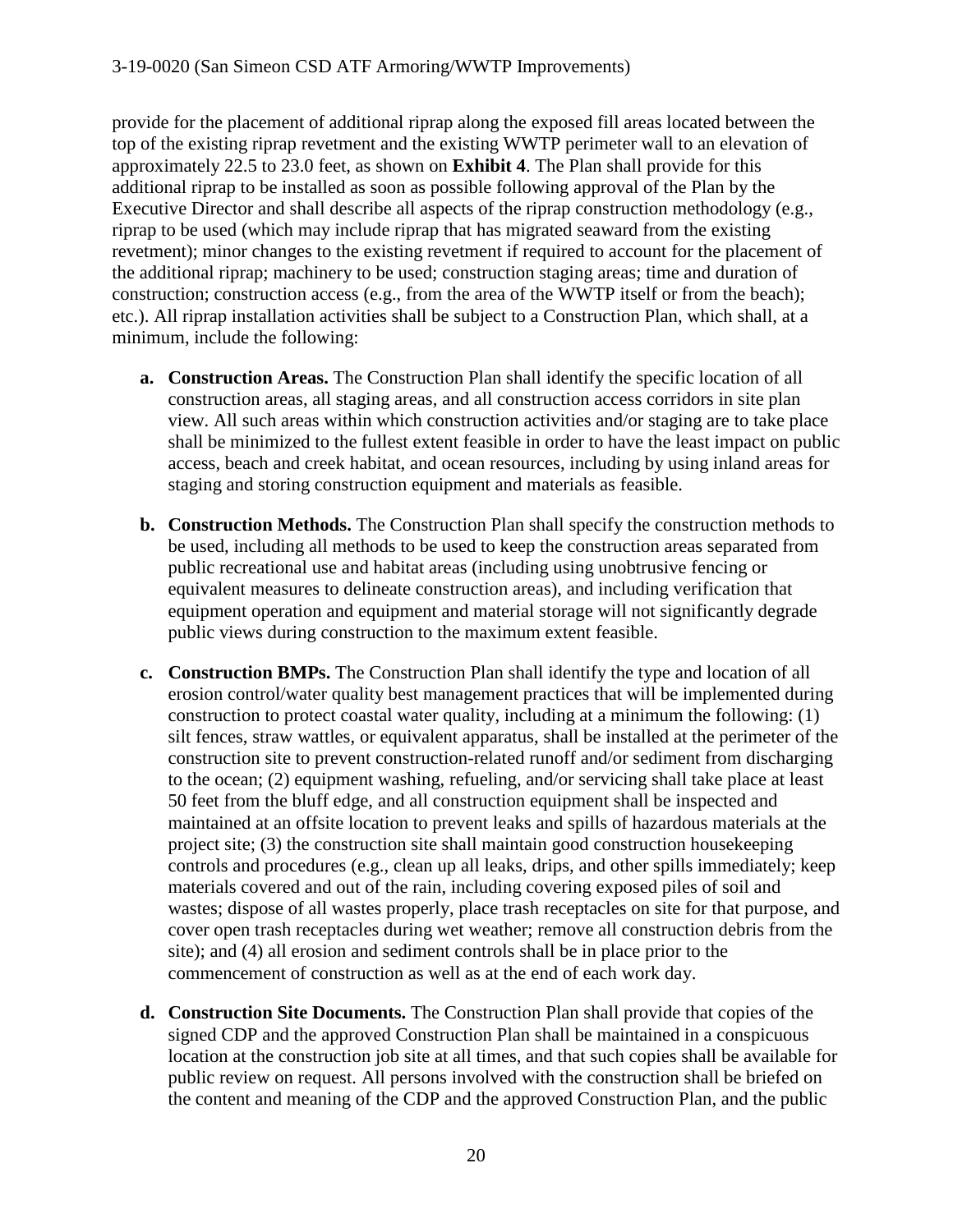provide for the placement of additional riprap along the exposed fill areas located between the top of the existing riprap revetment and the existing WWTP perimeter wall to an elevation of approximately 22.5 to 23.0 feet, as shown on **Exhibit 4**. The Plan shall provide for this additional riprap to be installed as soon as possible following approval of the Plan by the Executive Director and shall describe all aspects of the riprap construction methodology (e.g., riprap to be used (which may include riprap that has migrated seaward from the existing revetment); minor changes to the existing revetment if required to account for the placement of the additional riprap; machinery to be used; construction staging areas; time and duration of construction; construction access (e.g., from the area of the WWTP itself or from the beach); etc.). All riprap installation activities shall be subject to a Construction Plan, which shall, at a minimum, include the following:

- **a. Construction Areas.** The Construction Plan shall identify the specific location of all construction areas, all staging areas, and all construction access corridors in site plan view. All such areas within which construction activities and/or staging are to take place shall be minimized to the fullest extent feasible in order to have the least impact on public access, beach and creek habitat, and ocean resources, including by using inland areas for staging and storing construction equipment and materials as feasible.
- **b. Construction Methods.** The Construction Plan shall specify the construction methods to be used, including all methods to be used to keep the construction areas separated from public recreational use and habitat areas (including using unobtrusive fencing or equivalent measures to delineate construction areas), and including verification that equipment operation and equipment and material storage will not significantly degrade public views during construction to the maximum extent feasible.
- **c. Construction BMPs.** The Construction Plan shall identify the type and location of all erosion control/water quality best management practices that will be implemented during construction to protect coastal water quality, including at a minimum the following: (1) silt fences, straw wattles, or equivalent apparatus, shall be installed at the perimeter of the construction site to prevent construction-related runoff and/or sediment from discharging to the ocean; (2) equipment washing, refueling, and/or servicing shall take place at least 50 feet from the bluff edge, and all construction equipment shall be inspected and maintained at an offsite location to prevent leaks and spills of hazardous materials at the project site; (3) the construction site shall maintain good construction housekeeping controls and procedures (e.g., clean up all leaks, drips, and other spills immediately; keep materials covered and out of the rain, including covering exposed piles of soil and wastes; dispose of all wastes properly, place trash receptacles on site for that purpose, and cover open trash receptacles during wet weather; remove all construction debris from the site); and (4) all erosion and sediment controls shall be in place prior to the commencement of construction as well as at the end of each work day.
- **d. Construction Site Documents.** The Construction Plan shall provide that copies of the signed CDP and the approved Construction Plan shall be maintained in a conspicuous location at the construction job site at all times, and that such copies shall be available for public review on request. All persons involved with the construction shall be briefed on the content and meaning of the CDP and the approved Construction Plan, and the public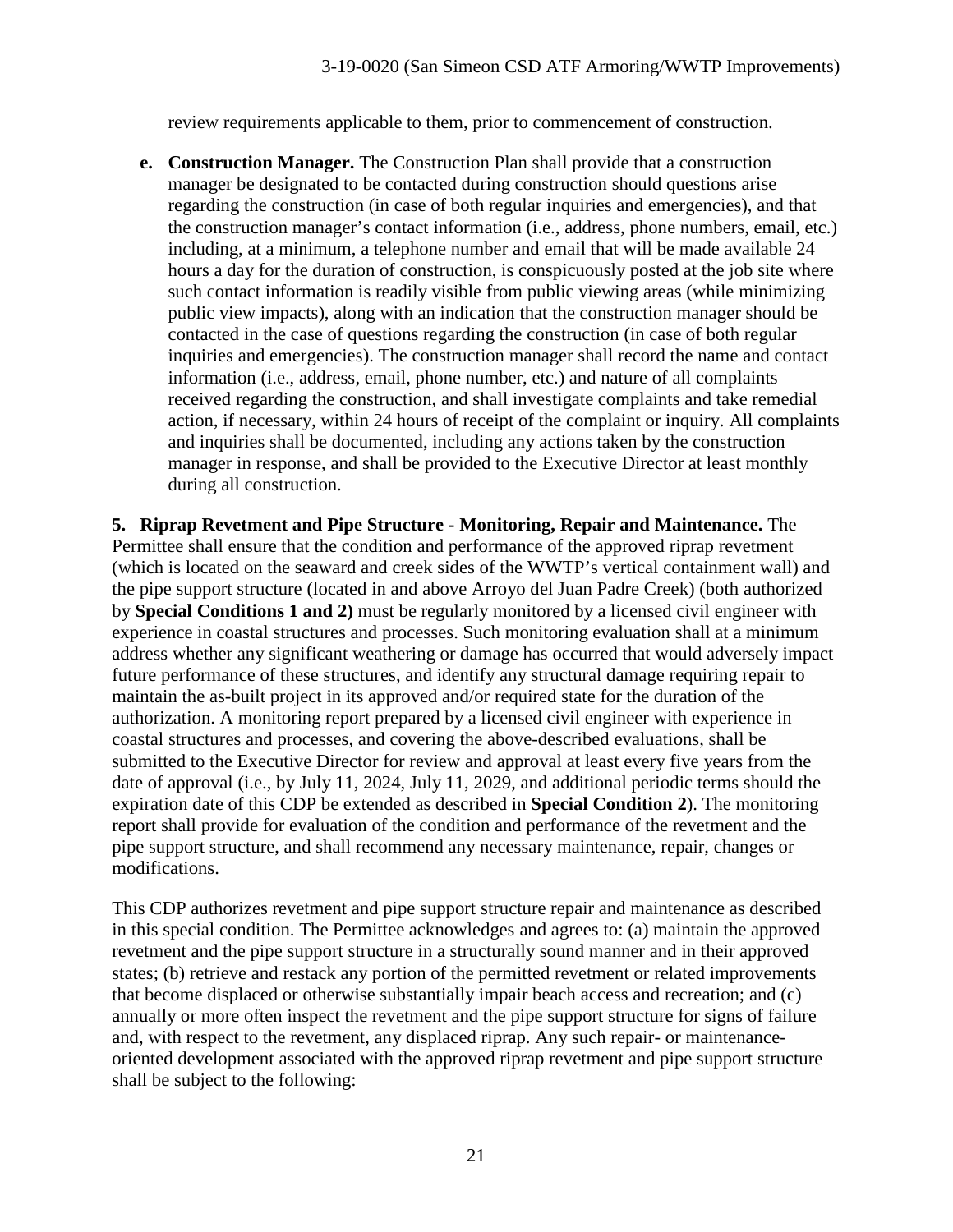review requirements applicable to them, prior to commencement of construction.

**e. Construction Manager.** The Construction Plan shall provide that a construction manager be designated to be contacted during construction should questions arise regarding the construction (in case of both regular inquiries and emergencies), and that the construction manager's contact information (i.e., address, phone numbers, email, etc.) including, at a minimum, a telephone number and email that will be made available 24 hours a day for the duration of construction, is conspicuously posted at the job site where such contact information is readily visible from public viewing areas (while minimizing public view impacts), along with an indication that the construction manager should be contacted in the case of questions regarding the construction (in case of both regular inquiries and emergencies). The construction manager shall record the name and contact information (i.e., address, email, phone number, etc.) and nature of all complaints received regarding the construction, and shall investigate complaints and take remedial action, if necessary, within 24 hours of receipt of the complaint or inquiry. All complaints and inquiries shall be documented, including any actions taken by the construction manager in response, and shall be provided to the Executive Director at least monthly during all construction.

**5. Riprap Revetment and Pipe Structure - Monitoring, Repair and Maintenance.** The Permittee shall ensure that the condition and performance of the approved riprap revetment (which is located on the seaward and creek sides of the WWTP's vertical containment wall) and the pipe support structure (located in and above Arroyo del Juan Padre Creek) (both authorized by **Special Conditions 1 and 2)** must be regularly monitored by a licensed civil engineer with experience in coastal structures and processes. Such monitoring evaluation shall at a minimum address whether any significant weathering or damage has occurred that would adversely impact future performance of these structures, and identify any structural damage requiring repair to maintain the as-built project in its approved and/or required state for the duration of the authorization. A monitoring report prepared by a licensed civil engineer with experience in coastal structures and processes, and covering the above-described evaluations, shall be submitted to the Executive Director for review and approval at least every five years from the date of approval (i.e., by July 11, 2024, July 11, 2029, and additional periodic terms should the expiration date of this CDP be extended as described in **Special Condition 2**). The monitoring report shall provide for evaluation of the condition and performance of the revetment and the pipe support structure, and shall recommend any necessary maintenance, repair, changes or modifications.

This CDP authorizes revetment and pipe support structure repair and maintenance as described in this special condition. The Permittee acknowledges and agrees to: (a) maintain the approved revetment and the pipe support structure in a structurally sound manner and in their approved states; (b) retrieve and restack any portion of the permitted revetment or related improvements that become displaced or otherwise substantially impair beach access and recreation; and (c) annually or more often inspect the revetment and the pipe support structure for signs of failure and, with respect to the revetment, any displaced riprap. Any such repair- or maintenanceoriented development associated with the approved riprap revetment and pipe support structure shall be subject to the following: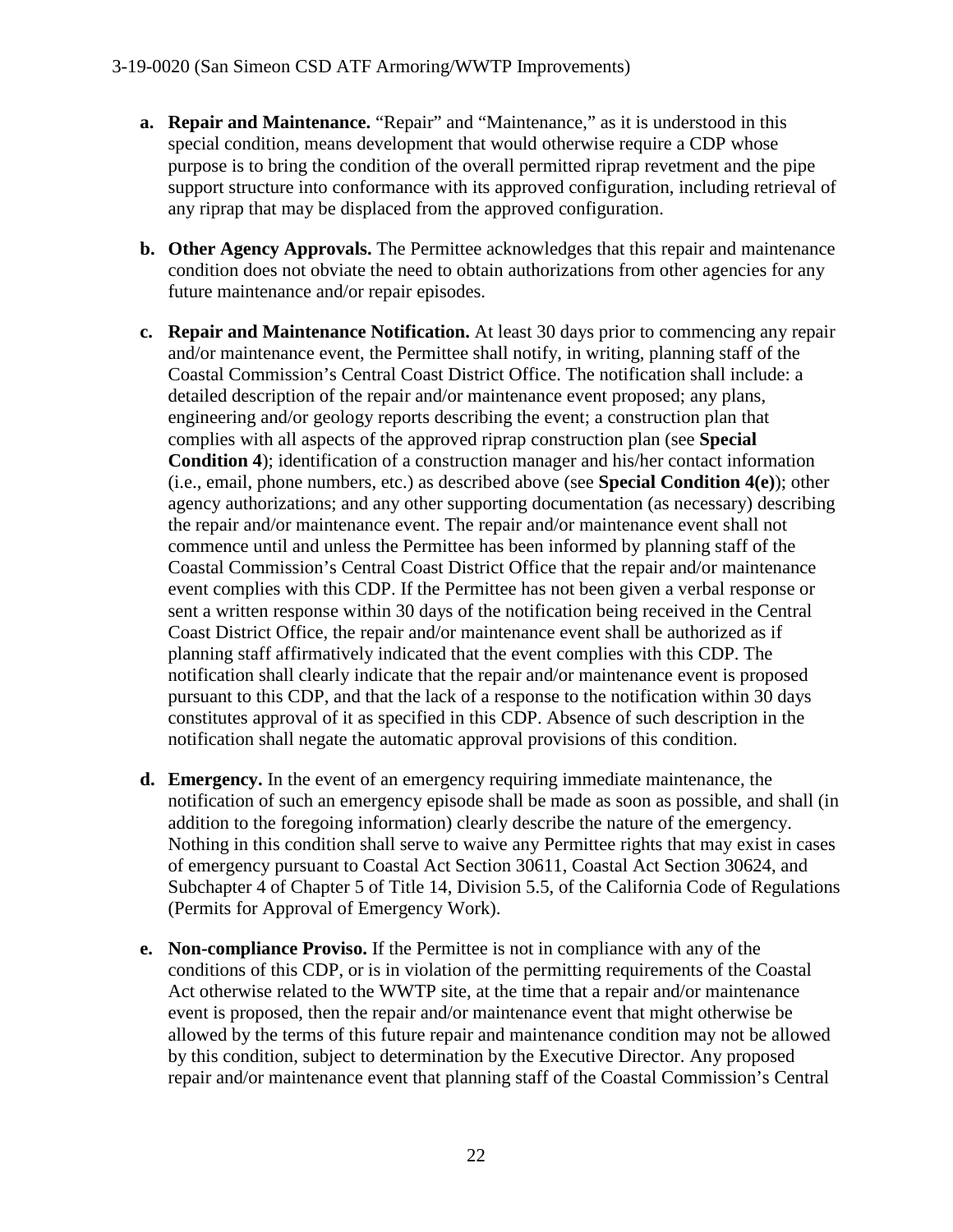- **a. Repair and Maintenance.** "Repair" and "Maintenance," as it is understood in this special condition, means development that would otherwise require a CDP whose purpose is to bring the condition of the overall permitted riprap revetment and the pipe support structure into conformance with its approved configuration, including retrieval of any riprap that may be displaced from the approved configuration.
- **b. Other Agency Approvals.** The Permittee acknowledges that this repair and maintenance condition does not obviate the need to obtain authorizations from other agencies for any future maintenance and/or repair episodes.
- **c. Repair and Maintenance Notification.** At least 30 days prior to commencing any repair and/or maintenance event, the Permittee shall notify, in writing, planning staff of the Coastal Commission's Central Coast District Office. The notification shall include: a detailed description of the repair and/or maintenance event proposed; any plans, engineering and/or geology reports describing the event; a construction plan that complies with all aspects of the approved riprap construction plan (see **Special Condition 4**); identification of a construction manager and his/her contact information (i.e., email, phone numbers, etc.) as described above (see **Special Condition 4(e)**); other agency authorizations; and any other supporting documentation (as necessary) describing the repair and/or maintenance event. The repair and/or maintenance event shall not commence until and unless the Permittee has been informed by planning staff of the Coastal Commission's Central Coast District Office that the repair and/or maintenance event complies with this CDP. If the Permittee has not been given a verbal response or sent a written response within 30 days of the notification being received in the Central Coast District Office, the repair and/or maintenance event shall be authorized as if planning staff affirmatively indicated that the event complies with this CDP. The notification shall clearly indicate that the repair and/or maintenance event is proposed pursuant to this CDP, and that the lack of a response to the notification within 30 days constitutes approval of it as specified in this CDP. Absence of such description in the notification shall negate the automatic approval provisions of this condition.
- **d. Emergency.** In the event of an emergency requiring immediate maintenance, the notification of such an emergency episode shall be made as soon as possible, and shall (in addition to the foregoing information) clearly describe the nature of the emergency. Nothing in this condition shall serve to waive any Permittee rights that may exist in cases of emergency pursuant to Coastal Act Section 30611, Coastal Act Section 30624, and Subchapter 4 of Chapter 5 of Title 14, Division 5.5, of the California Code of Regulations (Permits for Approval of Emergency Work).
- **e. Non-compliance Proviso.** If the Permittee is not in compliance with any of the conditions of this CDP, or is in violation of the permitting requirements of the Coastal Act otherwise related to the WWTP site, at the time that a repair and/or maintenance event is proposed, then the repair and/or maintenance event that might otherwise be allowed by the terms of this future repair and maintenance condition may not be allowed by this condition, subject to determination by the Executive Director. Any proposed repair and/or maintenance event that planning staff of the Coastal Commission's Central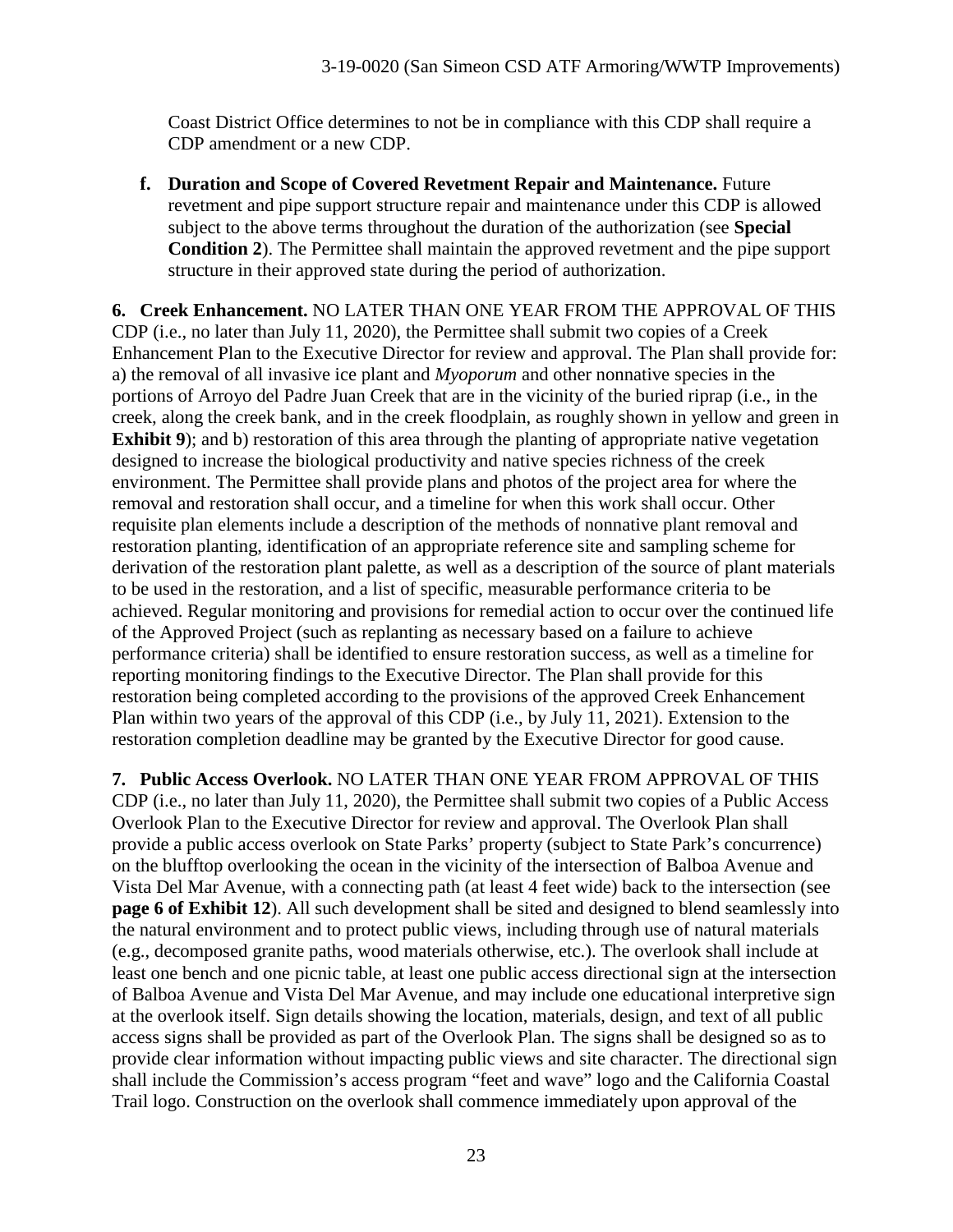Coast District Office determines to not be in compliance with this CDP shall require a CDP amendment or a new CDP.

**f. Duration and Scope of Covered Revetment Repair and Maintenance.** Future revetment and pipe support structure repair and maintenance under this CDP is allowed subject to the above terms throughout the duration of the authorization (see **Special Condition 2**). The Permittee shall maintain the approved revetment and the pipe support structure in their approved state during the period of authorization.

**6. Creek Enhancement.** NO LATER THAN ONE YEAR FROM THE APPROVAL OF THIS CDP (i.e., no later than July 11, 2020), the Permittee shall submit two copies of a Creek Enhancement Plan to the Executive Director for review and approval. The Plan shall provide for: a) the removal of all invasive ice plant and *Myoporum* and other nonnative species in the portions of Arroyo del Padre Juan Creek that are in the vicinity of the buried riprap (i.e., in the creek, along the creek bank, and in the creek floodplain, as roughly shown in yellow and green in **Exhibit 9**); and b) restoration of this area through the planting of appropriate native vegetation designed to increase the biological productivity and native species richness of the creek environment. The Permittee shall provide plans and photos of the project area for where the removal and restoration shall occur, and a timeline for when this work shall occur. Other requisite plan elements include a description of the methods of nonnative plant removal and restoration planting, identification of an appropriate reference site and sampling scheme for derivation of the restoration plant palette, as well as a description of the source of plant materials to be used in the restoration, and a list of specific, measurable performance criteria to be achieved. Regular monitoring and provisions for remedial action to occur over the continued life of the Approved Project (such as replanting as necessary based on a failure to achieve performance criteria) shall be identified to ensure restoration success, as well as a timeline for reporting monitoring findings to the Executive Director. The Plan shall provide for this restoration being completed according to the provisions of the approved Creek Enhancement Plan within two years of the approval of this CDP (i.e., by July 11, 2021). Extension to the restoration completion deadline may be granted by the Executive Director for good cause.

**7. Public Access Overlook.** NO LATER THAN ONE YEAR FROM APPROVAL OF THIS CDP (i.e., no later than July 11, 2020), the Permittee shall submit two copies of a Public Access Overlook Plan to the Executive Director for review and approval. The Overlook Plan shall provide a public access overlook on State Parks' property (subject to State Park's concurrence) on the blufftop overlooking the ocean in the vicinity of the intersection of Balboa Avenue and Vista Del Mar Avenue, with a connecting path (at least 4 feet wide) back to the intersection (see **page 6 of Exhibit 12**). All such development shall be sited and designed to blend seamlessly into the natural environment and to protect public views, including through use of natural materials (e.g., decomposed granite paths, wood materials otherwise, etc.). The overlook shall include at least one bench and one picnic table, at least one public access directional sign at the intersection of Balboa Avenue and Vista Del Mar Avenue, and may include one educational interpretive sign at the overlook itself. Sign details showing the location, materials, design, and text of all public access signs shall be provided as part of the Overlook Plan. The signs shall be designed so as to provide clear information without impacting public views and site character. The directional sign shall include the Commission's access program "feet and wave" logo and the California Coastal Trail logo. Construction on the overlook shall commence immediately upon approval of the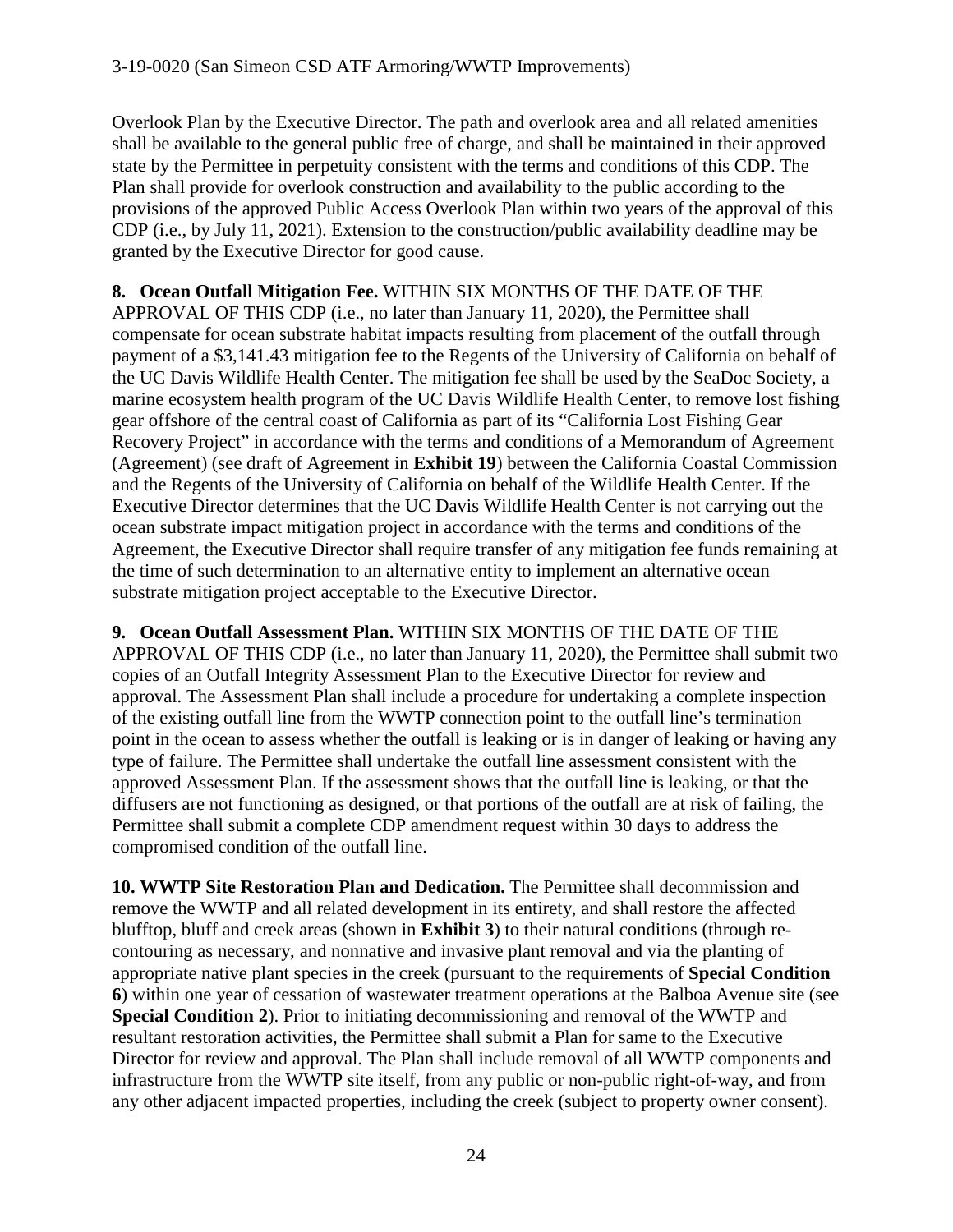Overlook Plan by the Executive Director. The path and overlook area and all related amenities shall be available to the general public free of charge, and shall be maintained in their approved state by the Permittee in perpetuity consistent with the terms and conditions of this CDP. The Plan shall provide for overlook construction and availability to the public according to the provisions of the approved Public Access Overlook Plan within two years of the approval of this CDP (i.e., by July 11, 2021). Extension to the construction/public availability deadline may be granted by the Executive Director for good cause.

**8. Ocean Outfall Mitigation Fee.** WITHIN SIX MONTHS OF THE DATE OF THE APPROVAL OF THIS CDP (i.e., no later than January 11, 2020), the Permittee shall compensate for ocean substrate habitat impacts resulting from placement of the outfall through payment of a \$3,141.43 mitigation fee to the Regents of the University of California on behalf of the UC Davis Wildlife Health Center. The mitigation fee shall be used by the SeaDoc Society, a marine ecosystem health program of the UC Davis Wildlife Health Center, to remove lost fishing gear offshore of the central coast of California as part of its "California Lost Fishing Gear Recovery Project" in accordance with the terms and conditions of a Memorandum of Agreement (Agreement) (see draft of Agreement in **Exhibit 19**) between the California Coastal Commission and the Regents of the University of California on behalf of the Wildlife Health Center. If the Executive Director determines that the UC Davis Wildlife Health Center is not carrying out the ocean substrate impact mitigation project in accordance with the terms and conditions of the Agreement, the Executive Director shall require transfer of any mitigation fee funds remaining at the time of such determination to an alternative entity to implement an alternative ocean substrate mitigation project acceptable to the Executive Director.

**9. Ocean Outfall Assessment Plan.** WITHIN SIX MONTHS OF THE DATE OF THE APPROVAL OF THIS CDP (i.e., no later than January 11, 2020), the Permittee shall submit two copies of an Outfall Integrity Assessment Plan to the Executive Director for review and approval. The Assessment Plan shall include a procedure for undertaking a complete inspection of the existing outfall line from the WWTP connection point to the outfall line's termination point in the ocean to assess whether the outfall is leaking or is in danger of leaking or having any type of failure. The Permittee shall undertake the outfall line assessment consistent with the approved Assessment Plan. If the assessment shows that the outfall line is leaking, or that the diffusers are not functioning as designed, or that portions of the outfall are at risk of failing, the Permittee shall submit a complete CDP amendment request within 30 days to address the compromised condition of the outfall line.

**10. WWTP Site Restoration Plan and Dedication.** The Permittee shall decommission and remove the WWTP and all related development in its entirety, and shall restore the affected blufftop, bluff and creek areas (shown in **Exhibit 3**) to their natural conditions (through recontouring as necessary, and nonnative and invasive plant removal and via the planting of appropriate native plant species in the creek (pursuant to the requirements of **Special Condition 6**) within one year of cessation of wastewater treatment operations at the Balboa Avenue site (see **Special Condition 2**). Prior to initiating decommissioning and removal of the WWTP and resultant restoration activities, the Permittee shall submit a Plan for same to the Executive Director for review and approval. The Plan shall include removal of all WWTP components and infrastructure from the WWTP site itself, from any public or non-public right-of-way, and from any other adjacent impacted properties, including the creek (subject to property owner consent).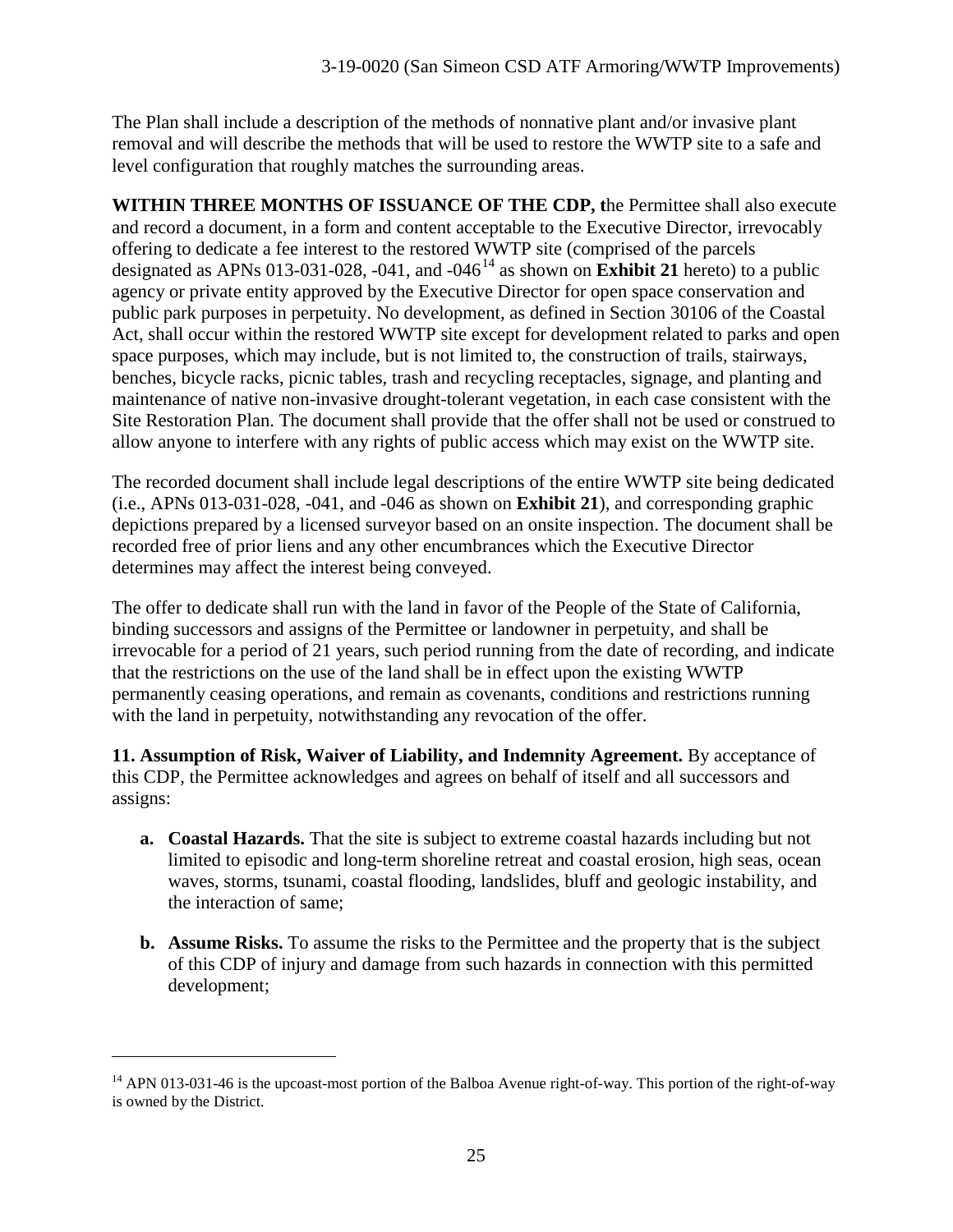The Plan shall include a description of the methods of nonnative plant and/or invasive plant removal and will describe the methods that will be used to restore the WWTP site to a safe and level configuration that roughly matches the surrounding areas.

**WITHIN THREE MONTHS OF ISSUANCE OF THE CDP, t**he Permittee shall also execute and record a document, in a form and content acceptable to the Executive Director, irrevocably offering to dedicate a fee interest to the restored WWTP site (comprised of the parcels designated as APNs 013-031-028, -041, and -046[14](#page-24-0) as shown on **Exhibit 21** hereto) to a public agency or private entity approved by the Executive Director for open space conservation and public park purposes in perpetuity. No development, as defined in Section 30106 of the Coastal Act, shall occur within the restored WWTP site except for development related to parks and open space purposes, which may include, but is not limited to, the construction of trails, stairways, benches, bicycle racks, picnic tables, trash and recycling receptacles, signage, and planting and maintenance of native non-invasive drought-tolerant vegetation, in each case consistent with the Site Restoration Plan. The document shall provide that the offer shall not be used or construed to allow anyone to interfere with any rights of public access which may exist on the WWTP site.

The recorded document shall include legal descriptions of the entire WWTP site being dedicated (i.e., APNs 013-031-028, -041, and -046 as shown on **Exhibit 21**), and corresponding graphic depictions prepared by a licensed surveyor based on an onsite inspection. The document shall be recorded free of prior liens and any other encumbrances which the Executive Director determines may affect the interest being conveyed.

The offer to dedicate shall run with the land in favor of the People of the State of California, binding successors and assigns of the Permittee or landowner in perpetuity, and shall be irrevocable for a period of 21 years, such period running from the date of recording, and indicate that the restrictions on the use of the land shall be in effect upon the existing WWTP permanently ceasing operations, and remain as covenants, conditions and restrictions running with the land in perpetuity, notwithstanding any revocation of the offer.

**11. Assumption of Risk, Waiver of Liability, and Indemnity Agreement.** By acceptance of this CDP, the Permittee acknowledges and agrees on behalf of itself and all successors and assigns:

- **a. Coastal Hazards.** That the site is subject to extreme coastal hazards including but not limited to episodic and long-term shoreline retreat and coastal erosion, high seas, ocean waves, storms, tsunami, coastal flooding, landslides, bluff and geologic instability, and the interaction of same;
- **b. Assume Risks.** To assume the risks to the Permittee and the property that is the subject of this CDP of injury and damage from such hazards in connection with this permitted development;

<span id="page-24-0"></span><sup>&</sup>lt;sup>14</sup> APN 013-031-46 is the upcoast-most portion of the Balboa Avenue right-of-way. This portion of the right-of-way is owned by the District.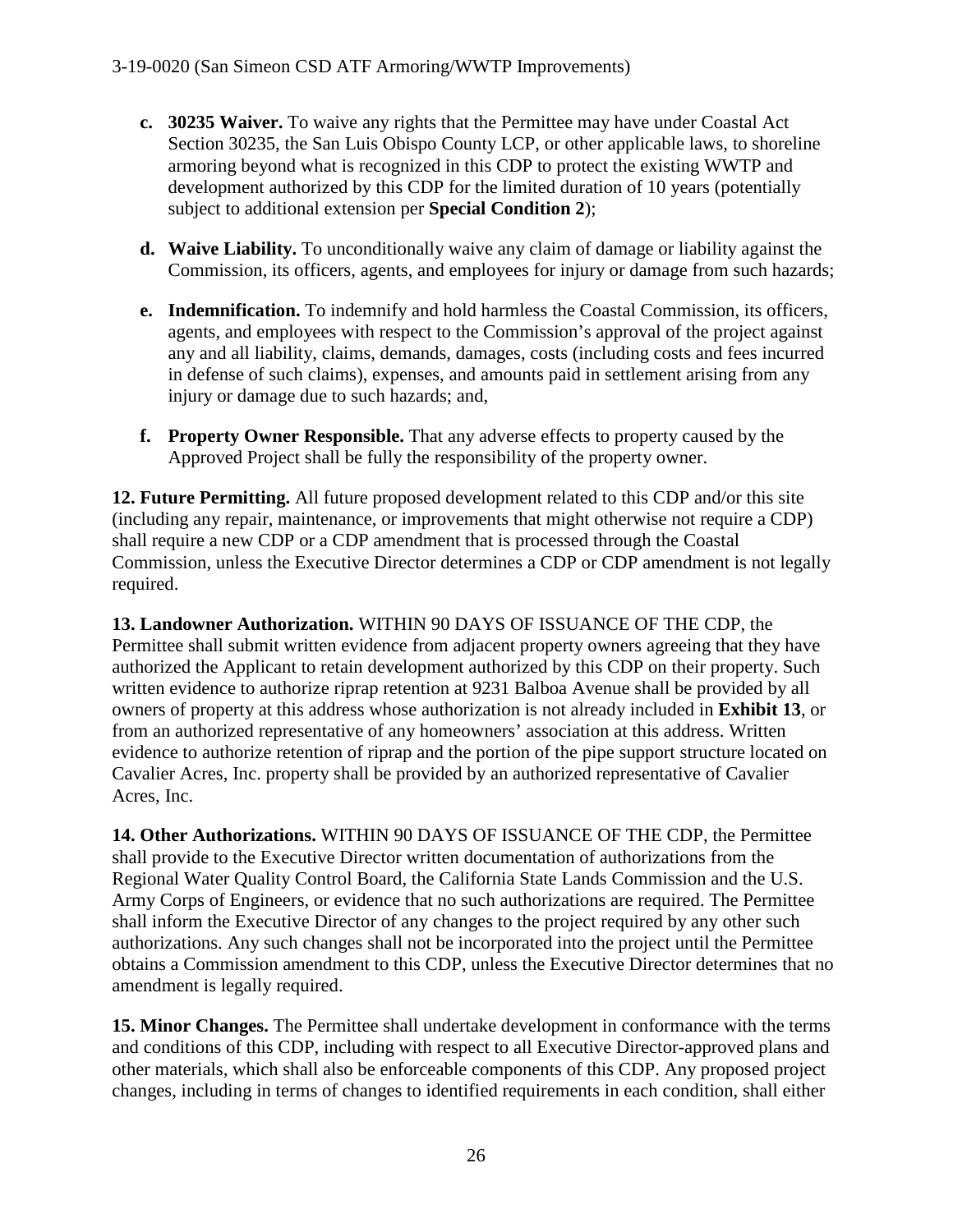- **c. 30235 Waiver.** To waive any rights that the Permittee may have under Coastal Act Section 30235, the San Luis Obispo County LCP, or other applicable laws, to shoreline armoring beyond what is recognized in this CDP to protect the existing WWTP and development authorized by this CDP for the limited duration of 10 years (potentially subject to additional extension per **Special Condition 2**);
- **d. Waive Liability.** To unconditionally waive any claim of damage or liability against the Commission, its officers, agents, and employees for injury or damage from such hazards;
- **e. Indemnification.** To indemnify and hold harmless the Coastal Commission, its officers, agents, and employees with respect to the Commission's approval of the project against any and all liability, claims, demands, damages, costs (including costs and fees incurred in defense of such claims), expenses, and amounts paid in settlement arising from any injury or damage due to such hazards; and,
- **f. Property Owner Responsible.** That any adverse effects to property caused by the Approved Project shall be fully the responsibility of the property owner.

**12. Future Permitting.** All future proposed development related to this CDP and/or this site (including any repair, maintenance, or improvements that might otherwise not require a CDP) shall require a new CDP or a CDP amendment that is processed through the Coastal Commission, unless the Executive Director determines a CDP or CDP amendment is not legally required.

**13. Landowner Authorization.** WITHIN 90 DAYS OF ISSUANCE OF THE CDP, the Permittee shall submit written evidence from adjacent property owners agreeing that they have authorized the Applicant to retain development authorized by this CDP on their property. Such written evidence to authorize riprap retention at 9231 Balboa Avenue shall be provided by all owners of property at this address whose authorization is not already included in **Exhibit 13**, or from an authorized representative of any homeowners' association at this address. Written evidence to authorize retention of riprap and the portion of the pipe support structure located on Cavalier Acres, Inc. property shall be provided by an authorized representative of Cavalier Acres, Inc.

**14. Other Authorizations.** WITHIN 90 DAYS OF ISSUANCE OF THE CDP, the Permittee shall provide to the Executive Director written documentation of authorizations from the Regional Water Quality Control Board, the California State Lands Commission and the U.S. Army Corps of Engineers, or evidence that no such authorizations are required. The Permittee shall inform the Executive Director of any changes to the project required by any other such authorizations. Any such changes shall not be incorporated into the project until the Permittee obtains a Commission amendment to this CDP, unless the Executive Director determines that no amendment is legally required.

**15. Minor Changes.** The Permittee shall undertake development in conformance with the terms and conditions of this CDP, including with respect to all Executive Director-approved plans and other materials, which shall also be enforceable components of this CDP. Any proposed project changes, including in terms of changes to identified requirements in each condition, shall either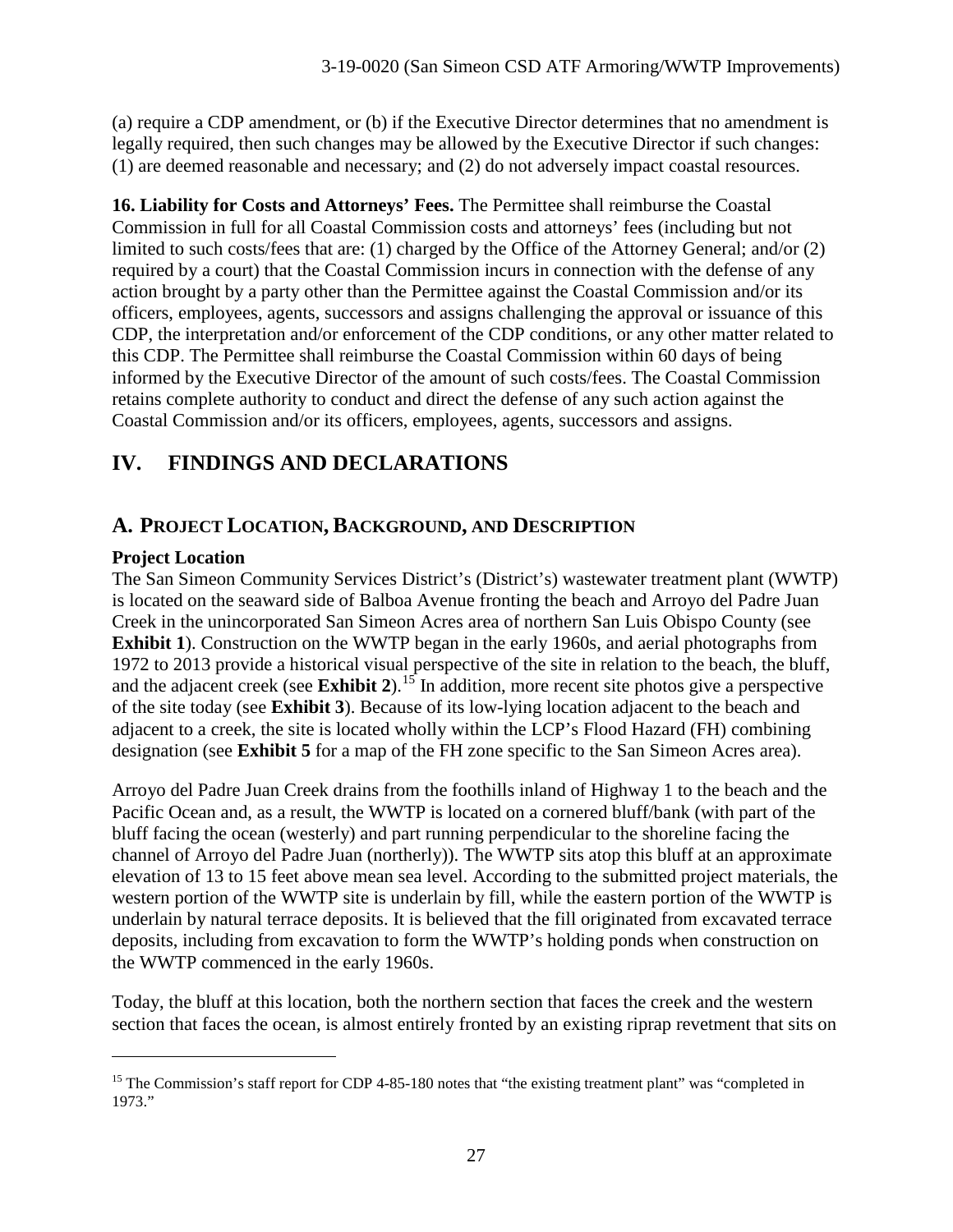(a) require a CDP amendment, or (b) if the Executive Director determines that no amendment is legally required, then such changes may be allowed by the Executive Director if such changes: (1) are deemed reasonable and necessary; and (2) do not adversely impact coastal resources.

**16. Liability for Costs and Attorneys' Fees.** The Permittee shall reimburse the Coastal Commission in full for all Coastal Commission costs and attorneys' fees (including but not limited to such costs/fees that are: (1) charged by the Office of the Attorney General; and/or (2) required by a court) that the Coastal Commission incurs in connection with the defense of any action brought by a party other than the Permittee against the Coastal Commission and/or its officers, employees, agents, successors and assigns challenging the approval or issuance of this CDP, the interpretation and/or enforcement of the CDP conditions, or any other matter related to this CDP. The Permittee shall reimburse the Coastal Commission within 60 days of being informed by the Executive Director of the amount of such costs/fees. The Coastal Commission retains complete authority to conduct and direct the defense of any such action against the Coastal Commission and/or its officers, employees, agents, successors and assigns.

# **IV. FINDINGS AND DECLARATIONS**

# **A. PROJECT LOCATION, BACKGROUND, AND DESCRIPTION**

#### **Project Location**

 $\overline{a}$ 

The San Simeon Community Services District's (District's) wastewater treatment plant (WWTP) is located on the seaward side of Balboa Avenue fronting the beach and Arroyo del Padre Juan Creek in the unincorporated San Simeon Acres area of northern San Luis Obispo County (see **Exhibit 1**). Construction on the WWTP began in the early 1960s, and aerial photographs from 1972 to 2013 provide a historical visual perspective of the site in relation to the beach, the bluff, and the adjacent creek (see **Exhibit 2**).<sup>[15](#page-26-0)</sup> In addition, more recent site photos give a perspective of the site today (see **Exhibit 3**). Because of its low-lying location adjacent to the beach and adjacent to a creek, the site is located wholly within the LCP's Flood Hazard (FH) combining designation (see **Exhibit 5** for a map of the FH zone specific to the San Simeon Acres area).

Arroyo del Padre Juan Creek drains from the foothills inland of Highway 1 to the beach and the Pacific Ocean and, as a result, the WWTP is located on a cornered bluff/bank (with part of the bluff facing the ocean (westerly) and part running perpendicular to the shoreline facing the channel of Arroyo del Padre Juan (northerly)). The WWTP sits atop this bluff at an approximate elevation of 13 to 15 feet above mean sea level. According to the submitted project materials, the western portion of the WWTP site is underlain by fill, while the eastern portion of the WWTP is underlain by natural terrace deposits. It is believed that the fill originated from excavated terrace deposits, including from excavation to form the WWTP's holding ponds when construction on the WWTP commenced in the early 1960s.

Today, the bluff at this location, both the northern section that faces the creek and the western section that faces the ocean, is almost entirely fronted by an existing riprap revetment that sits on

<span id="page-26-0"></span><sup>&</sup>lt;sup>15</sup> The Commission's staff report for CDP 4-85-180 notes that "the existing treatment plant" was "completed in 1973."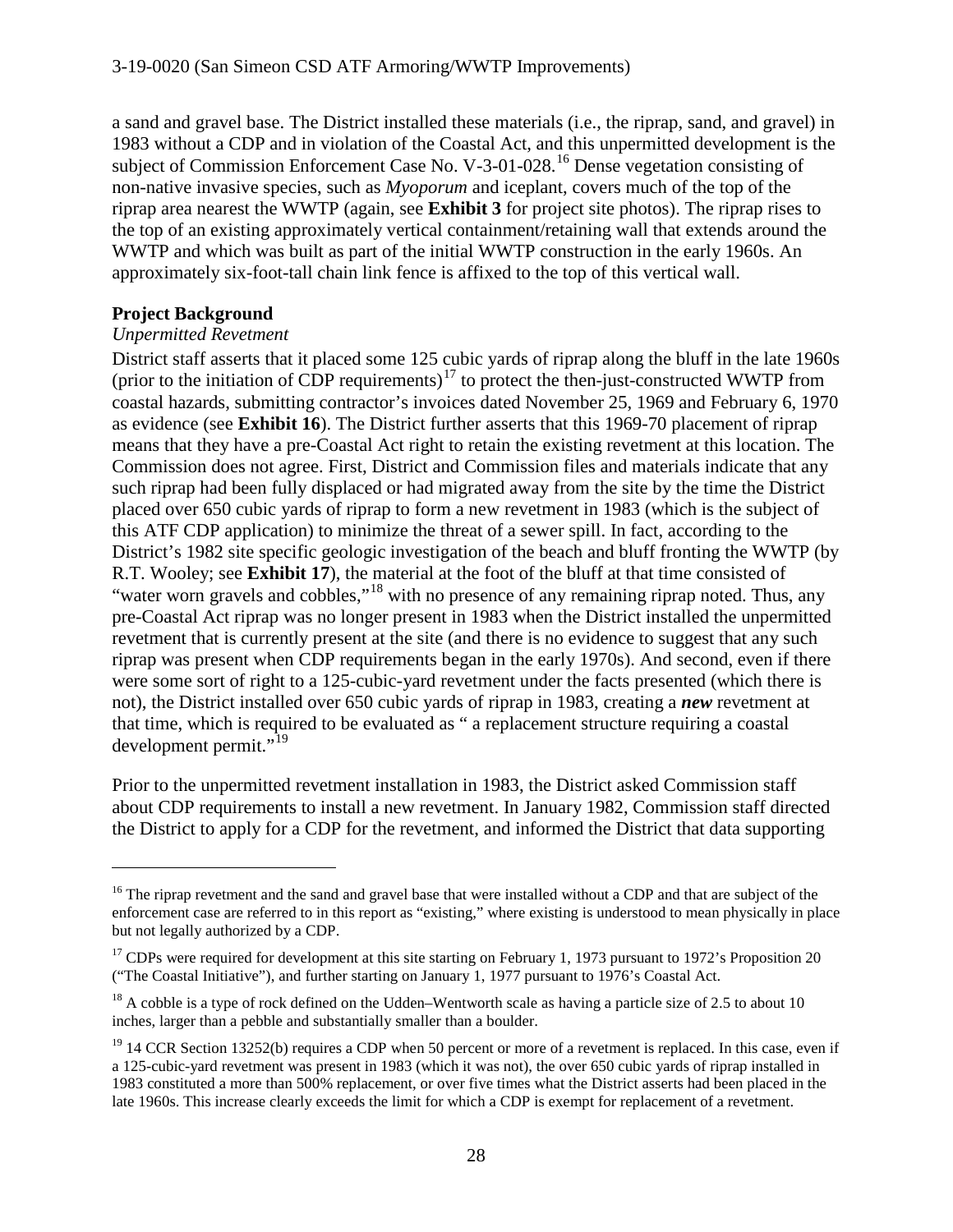a sand and gravel base. The District installed these materials (i.e., the riprap, sand, and gravel) in 1983 without a CDP and in violation of the Coastal Act, and this unpermitted development is the subject of Commission Enforcement Case No. V-3-01-028.<sup>[16](#page-27-0)</sup> Dense vegetation consisting of non-native invasive species, such as *Myoporum* and iceplant, covers much of the top of the riprap area nearest the WWTP (again, see **Exhibit 3** for project site photos). The riprap rises to the top of an existing approximately vertical containment/retaining wall that extends around the WWTP and which was built as part of the initial WWTP construction in the early 1960s. An approximately six-foot-tall chain link fence is affixed to the top of this vertical wall.

#### **Project Background**

 $\overline{a}$ 

#### *Unpermitted Revetment*

District staff asserts that it placed some 125 cubic yards of riprap along the bluff in the late 1960s (prior to the initiation of CDP requirements) $17$  to protect the then-just-constructed WWTP from coastal hazards, submitting contractor's invoices dated November 25, 1969 and February 6, 1970 as evidence (see **Exhibit 16**). The District further asserts that this 1969-70 placement of riprap means that they have a pre-Coastal Act right to retain the existing revetment at this location. The Commission does not agree. First, District and Commission files and materials indicate that any such riprap had been fully displaced or had migrated away from the site by the time the District placed over 650 cubic yards of riprap to form a new revetment in 1983 (which is the subject of this ATF CDP application) to minimize the threat of a sewer spill. In fact, according to the District's 1982 site specific geologic investigation of the beach and bluff fronting the WWTP (by R.T. Wooley; see **Exhibit 17**), the material at the foot of the bluff at that time consisted of "water worn gravels and cobbles,"<sup>[18](#page-27-2)</sup> with no presence of any remaining riprap noted. Thus, any pre-Coastal Act riprap was no longer present in 1983 when the District installed the unpermitted revetment that is currently present at the site (and there is no evidence to suggest that any such riprap was present when CDP requirements began in the early 1970s). And second, even if there were some sort of right to a 125-cubic-yard revetment under the facts presented (which there is not), the District installed over 650 cubic yards of riprap in 1983, creating a *new* revetment at that time, which is required to be evaluated as " a replacement structure requiring a coastal development permit."<sup>[19](#page-27-3)</sup>

Prior to the unpermitted revetment installation in 1983, the District asked Commission staff about CDP requirements to install a new revetment. In January 1982, Commission staff directed the District to apply for a CDP for the revetment, and informed the District that data supporting

<span id="page-27-0"></span><sup>&</sup>lt;sup>16</sup> The riprap revetment and the sand and gravel base that were installed without a CDP and that are subject of the enforcement case are referred to in this report as "existing," where existing is understood to mean physically in place but not legally authorized by a CDP.

<span id="page-27-1"></span><sup>&</sup>lt;sup>17</sup> CDPs were required for development at this site starting on February 1, 1973 pursuant to 1972's Proposition 20 ("The Coastal Initiative"), and further starting on January 1, 1977 pursuant to 1976's Coastal Act.

<span id="page-27-2"></span> $18$  A cobble is a type of rock defined on the Udden–Wentworth scale as having a particle size of 2.5 to about 10 inches, larger than a pebble and substantially smaller than a boulder.

<span id="page-27-3"></span> $19$  14 CCR Section 13252(b) requires a CDP when 50 percent or more of a revetment is replaced. In this case, even if a 125-cubic-yard revetment was present in 1983 (which it was not), the over 650 cubic yards of riprap installed in 1983 constituted a more than 500% replacement, or over five times what the District asserts had been placed in the late 1960s. This increase clearly exceeds the limit for which a CDP is exempt for replacement of a revetment.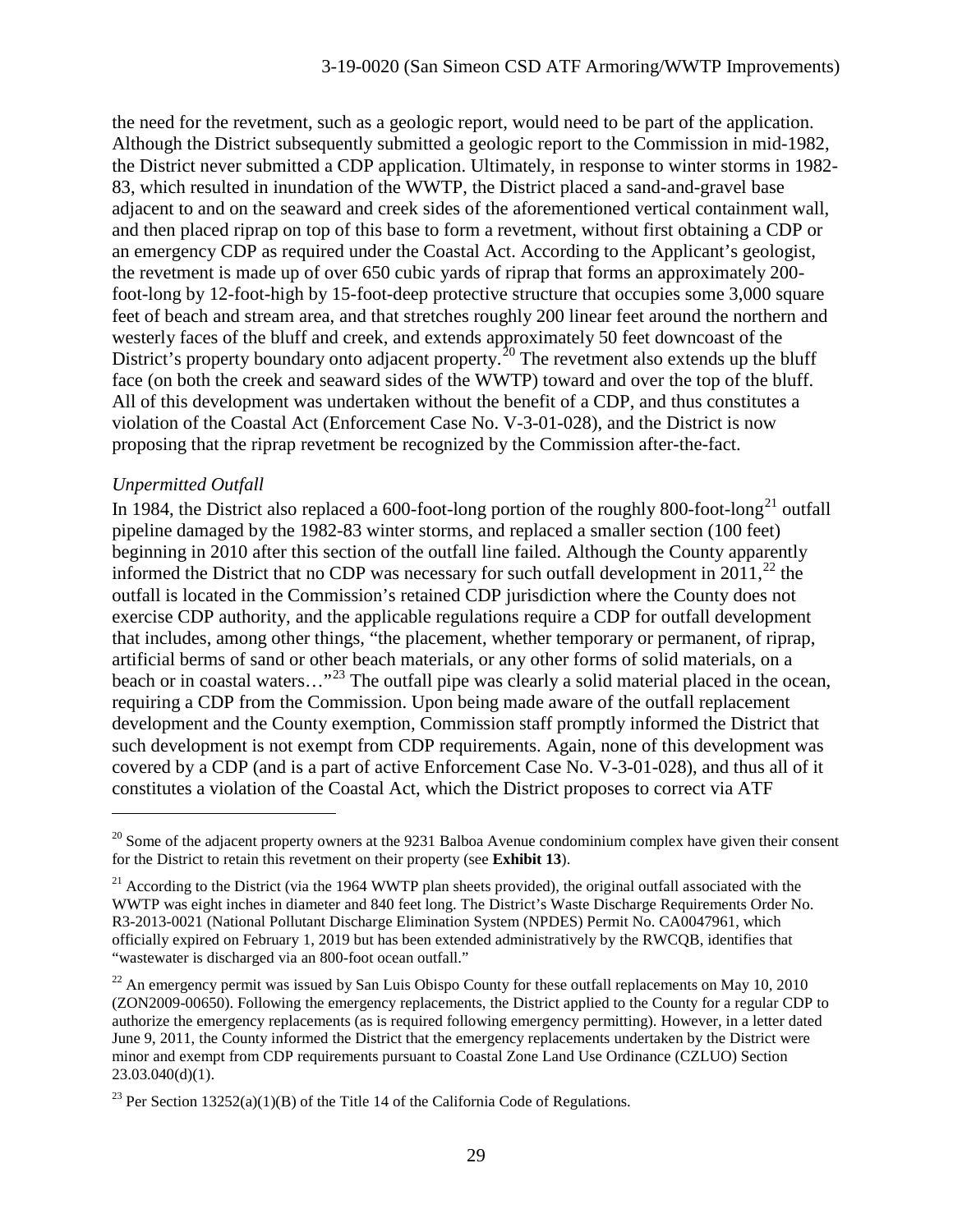the need for the revetment, such as a geologic report, would need to be part of the application. Although the District subsequently submitted a geologic report to the Commission in mid-1982, the District never submitted a CDP application. Ultimately, in response to winter storms in 1982- 83, which resulted in inundation of the WWTP, the District placed a sand-and-gravel base adjacent to and on the seaward and creek sides of the aforementioned vertical containment wall, and then placed riprap on top of this base to form a revetment, without first obtaining a CDP or an emergency CDP as required under the Coastal Act. According to the Applicant's geologist, the revetment is made up of over 650 cubic yards of riprap that forms an approximately 200 foot-long by 12-foot-high by 15-foot-deep protective structure that occupies some 3,000 square feet of beach and stream area, and that stretches roughly 200 linear feet around the northern and westerly faces of the bluff and creek, and extends approximately 50 feet downcoast of the District's property boundary onto adjacent property.<sup>[20](#page-28-0)</sup> The revetment also extends up the bluff face (on both the creek and seaward sides of the WWTP) toward and over the top of the bluff. All of this development was undertaken without the benefit of a CDP, and thus constitutes a violation of the Coastal Act (Enforcement Case No. V-3-01-028), and the District is now proposing that the riprap revetment be recognized by the Commission after-the-fact.

#### *Unpermitted Outfall*

 $\overline{a}$ 

In 1984, the District also replaced a 600-foot-long portion of the roughly 800-foot-long<sup>[21](#page-28-1)</sup> outfall pipeline damaged by the 1982-83 winter storms, and replaced a smaller section (100 feet) beginning in 2010 after this section of the outfall line failed. Although the County apparently informed the District that no CDP was necessary for such outfall development in 2011,<sup>[22](#page-28-2)</sup> the outfall is located in the Commission's retained CDP jurisdiction where the County does not exercise CDP authority, and the applicable regulations require a CDP for outfall development that includes, among other things, "the placement, whether temporary or permanent, of riprap, artificial berms of sand or other beach materials, or any other forms of solid materials, on a beach or in coastal waters..."<sup>[23](#page-28-3)</sup> The outfall pipe was clearly a solid material placed in the ocean, requiring a CDP from the Commission. Upon being made aware of the outfall replacement development and the County exemption, Commission staff promptly informed the District that such development is not exempt from CDP requirements. Again, none of this development was covered by a CDP (and is a part of active Enforcement Case No. V-3-01-028), and thus all of it constitutes a violation of the Coastal Act, which the District proposes to correct via ATF

<span id="page-28-0"></span> $^{20}$  Some of the adjacent property owners at the 9231 Balboa Avenue condominium complex have given their consent for the District to retain this revetment on their property (see **Exhibit 13**).

<span id="page-28-1"></span> $21$  According to the District (via the 1964 WWTP plan sheets provided), the original outfall associated with the WWTP was eight inches in diameter and 840 feet long. The District's Waste Discharge Requirements Order No. R3-2013-0021 (National Pollutant Discharge Elimination System (NPDES) Permit No. CA0047961, which officially expired on February 1, 2019 but has been extended administratively by the RWCQB, identifies that "wastewater is discharged via an 800-foot ocean outfall."

<span id="page-28-2"></span> $^{22}$  An emergency permit was issued by San Luis Obispo County for these outfall replacements on May 10, 2010 (ZON2009-00650). Following the emergency replacements, the District applied to the County for a regular CDP to authorize the emergency replacements (as is required following emergency permitting). However, in a letter dated June 9, 2011, the County informed the District that the emergency replacements undertaken by the District were minor and exempt from CDP requirements pursuant to Coastal Zone Land Use Ordinance (CZLUO) Section 23.03.040(d)(1).

<span id="page-28-3"></span><sup>&</sup>lt;sup>23</sup> Per Section 13252(a)(1)(B) of the Title 14 of the California Code of Regulations.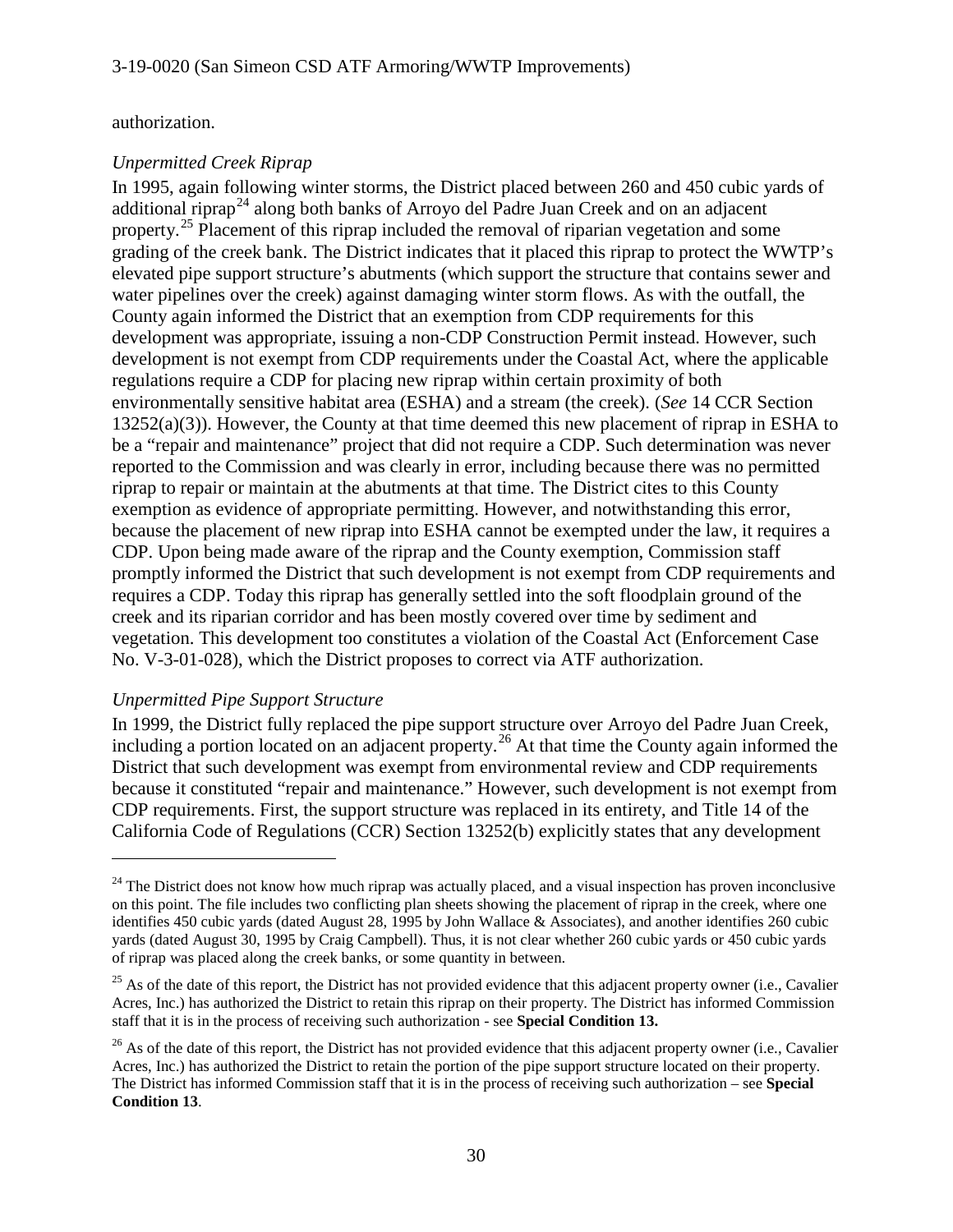authorization.

#### *Unpermitted Creek Riprap*

In 1995, again following winter storms, the District placed between 260 and 450 cubic yards of additional riprap<sup>[24](#page-29-0)</sup> along both banks of Arroyo del Padre Juan Creek and on an adjacent property.<sup>[25](#page-29-1)</sup> Placement of this riprap included the removal of riparian vegetation and some grading of the creek bank. The District indicates that it placed this riprap to protect the WWTP's elevated pipe support structure's abutments (which support the structure that contains sewer and water pipelines over the creek) against damaging winter storm flows. As with the outfall, the County again informed the District that an exemption from CDP requirements for this development was appropriate, issuing a non-CDP Construction Permit instead. However, such development is not exempt from CDP requirements under the Coastal Act, where the applicable regulations require a CDP for placing new riprap within certain proximity of both environmentally sensitive habitat area (ESHA) and a stream (the creek). (*See* 14 CCR Section 13252(a)(3)). However, the County at that time deemed this new placement of riprap in ESHA to be a "repair and maintenance" project that did not require a CDP. Such determination was never reported to the Commission and was clearly in error, including because there was no permitted riprap to repair or maintain at the abutments at that time. The District cites to this County exemption as evidence of appropriate permitting. However, and notwithstanding this error, because the placement of new riprap into ESHA cannot be exempted under the law, it requires a CDP. Upon being made aware of the riprap and the County exemption, Commission staff promptly informed the District that such development is not exempt from CDP requirements and requires a CDP. Today this riprap has generally settled into the soft floodplain ground of the creek and its riparian corridor and has been mostly covered over time by sediment and vegetation. This development too constitutes a violation of the Coastal Act (Enforcement Case No. V-3-01-028), which the District proposes to correct via ATF authorization.

#### *Unpermitted Pipe Support Structure*

 $\overline{a}$ 

In 1999, the District fully replaced the pipe support structure over Arroyo del Padre Juan Creek, including a portion located on an adjacent property. [26](#page-29-2) At that time the County again informed the District that such development was exempt from environmental review and CDP requirements because it constituted "repair and maintenance." However, such development is not exempt from CDP requirements. First, the support structure was replaced in its entirety, and Title 14 of the California Code of Regulations (CCR) Section 13252(b) explicitly states that any development

<span id="page-29-0"></span> $24$  The District does not know how much riprap was actually placed, and a visual inspection has proven inconclusive on this point. The file includes two conflicting plan sheets showing the placement of riprap in the creek, where one identifies 450 cubic yards (dated August 28, 1995 by John Wallace & Associates), and another identifies 260 cubic yards (dated August 30, 1995 by Craig Campbell). Thus, it is not clear whether 260 cubic yards or 450 cubic yards of riprap was placed along the creek banks, or some quantity in between.

<span id="page-29-1"></span> $25$  As of the date of this report, the District has not provided evidence that this adjacent property owner (i.e., Cavalier Acres, Inc.) has authorized the District to retain this riprap on their property. The District has informed Commission staff that it is in the process of receiving such authorization - see **Special Condition 13.**

<span id="page-29-2"></span> $26$  As of the date of this report, the District has not provided evidence that this adjacent property owner (i.e., Cavalier Acres, Inc.) has authorized the District to retain the portion of the pipe support structure located on their property. The District has informed Commission staff that it is in the process of receiving such authorization – see **Special Condition 13**.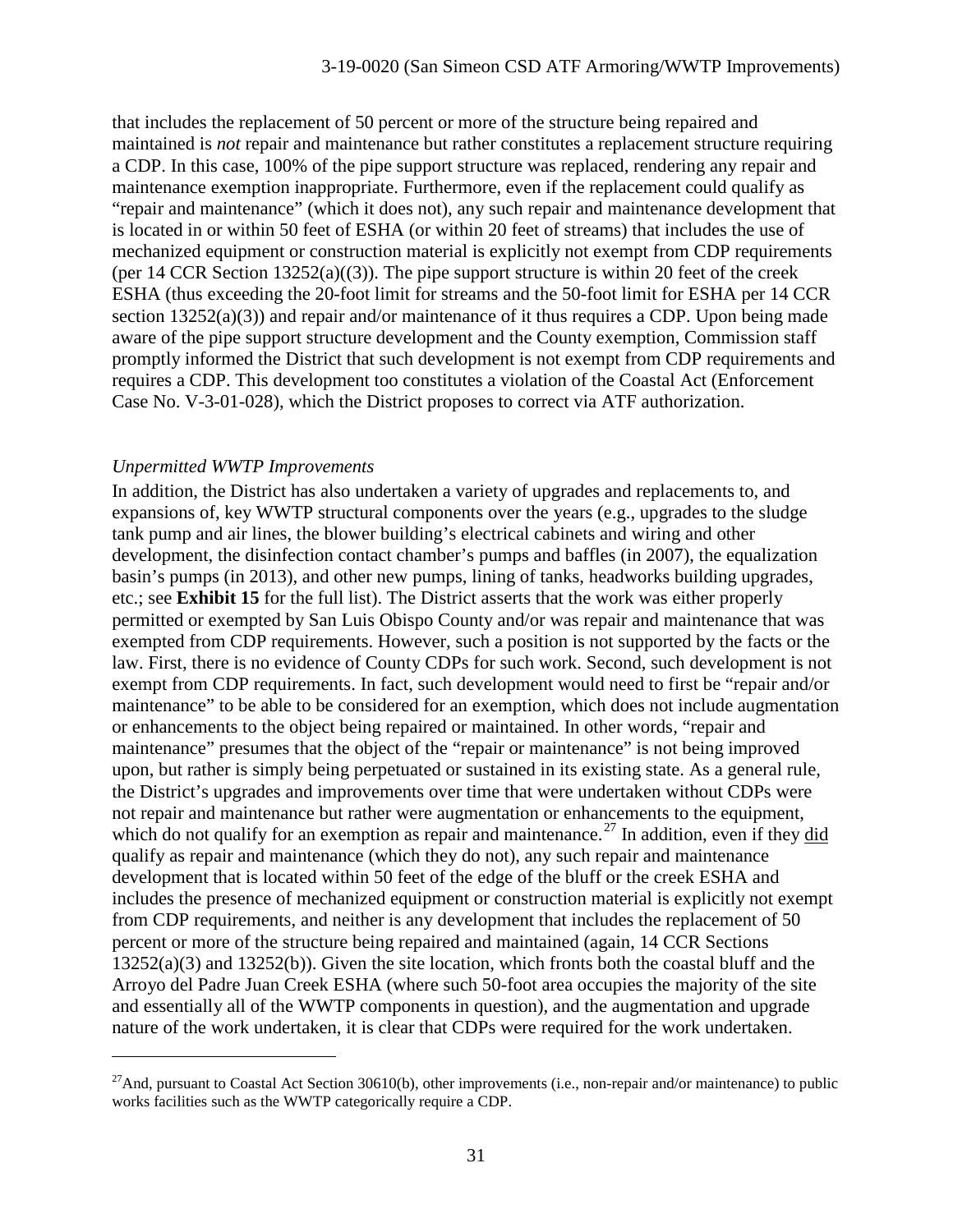that includes the replacement of 50 percent or more of the structure being repaired and maintained is *not* repair and maintenance but rather constitutes a replacement structure requiring a CDP. In this case, 100% of the pipe support structure was replaced, rendering any repair and maintenance exemption inappropriate. Furthermore, even if the replacement could qualify as "repair and maintenance" (which it does not), any such repair and maintenance development that is located in or within 50 feet of ESHA (or within 20 feet of streams) that includes the use of mechanized equipment or construction material is explicitly not exempt from CDP requirements (per 14 CCR Section  $13252(a)((3))$ ). The pipe support structure is within 20 feet of the creek ESHA (thus exceeding the 20-foot limit for streams and the 50-foot limit for ESHA per 14 CCR section  $13252(a)(3)$ ) and repair and/or maintenance of it thus requires a CDP. Upon being made aware of the pipe support structure development and the County exemption, Commission staff promptly informed the District that such development is not exempt from CDP requirements and requires a CDP. This development too constitutes a violation of the Coastal Act (Enforcement Case No. V-3-01-028), which the District proposes to correct via ATF authorization.

#### *Unpermitted WWTP Improvements*

 $\overline{a}$ 

In addition, the District has also undertaken a variety of upgrades and replacements to, and expansions of, key WWTP structural components over the years (e.g., upgrades to the sludge tank pump and air lines, the blower building's electrical cabinets and wiring and other development, the disinfection contact chamber's pumps and baffles (in 2007), the equalization basin's pumps (in 2013), and other new pumps, lining of tanks, headworks building upgrades, etc.; see **Exhibit 15** for the full list). The District asserts that the work was either properly permitted or exempted by San Luis Obispo County and/or was repair and maintenance that was exempted from CDP requirements. However, such a position is not supported by the facts or the law. First, there is no evidence of County CDPs for such work. Second, such development is not exempt from CDP requirements. In fact, such development would need to first be "repair and/or maintenance" to be able to be considered for an exemption, which does not include augmentation or enhancements to the object being repaired or maintained. In other words, "repair and maintenance" presumes that the object of the "repair or maintenance" is not being improved upon, but rather is simply being perpetuated or sustained in its existing state. As a general rule, the District's upgrades and improvements over time that were undertaken without CDPs were not repair and maintenance but rather were augmentation or enhancements to the equipment, which do not qualify for an exemption as repair and maintenance.<sup>[27](#page-30-0)</sup> In addition, even if they did qualify as repair and maintenance (which they do not), any such repair and maintenance development that is located within 50 feet of the edge of the bluff or the creek ESHA and includes the presence of mechanized equipment or construction material is explicitly not exempt from CDP requirements, and neither is any development that includes the replacement of 50 percent or more of the structure being repaired and maintained (again, 14 CCR Sections 13252(a)(3) and 13252(b)). Given the site location, which fronts both the coastal bluff and the Arroyo del Padre Juan Creek ESHA (where such 50-foot area occupies the majority of the site and essentially all of the WWTP components in question), and the augmentation and upgrade nature of the work undertaken, it is clear that CDPs were required for the work undertaken.

<span id="page-30-0"></span><sup>&</sup>lt;sup>27</sup>And, pursuant to Coastal Act Section 30610(b), other improvements (i.e., non-repair and/or maintenance) to public works facilities such as the WWTP categorically require a CDP.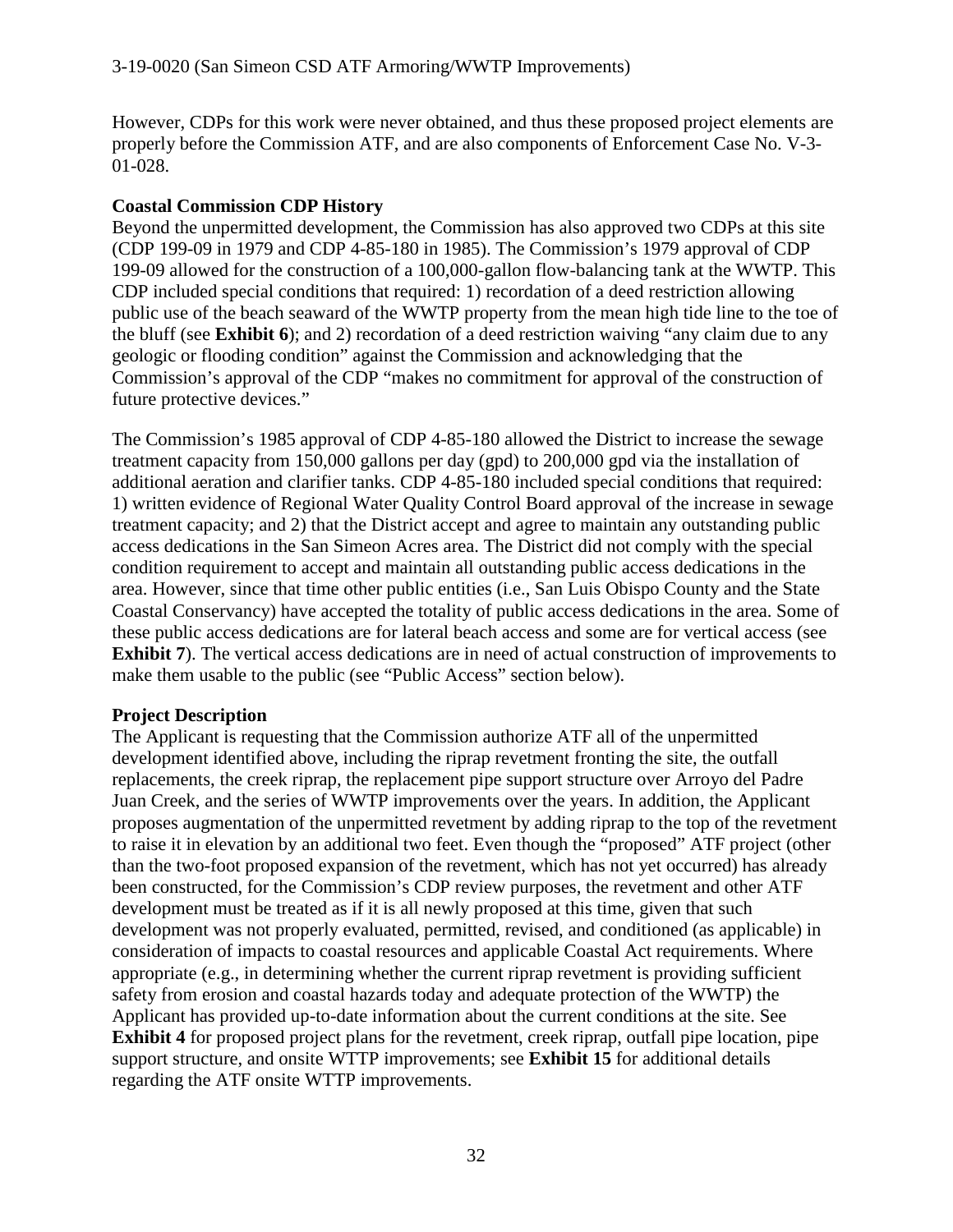However, CDPs for this work were never obtained, and thus these proposed project elements are properly before the Commission ATF, and are also components of Enforcement Case No. V-3- 01-028.

#### **Coastal Commission CDP History**

Beyond the unpermitted development, the Commission has also approved two CDPs at this site (CDP 199-09 in 1979 and CDP 4-85-180 in 1985). The Commission's 1979 approval of CDP 199-09 allowed for the construction of a 100,000-gallon flow-balancing tank at the WWTP. This CDP included special conditions that required: 1) recordation of a deed restriction allowing public use of the beach seaward of the WWTP property from the mean high tide line to the toe of the bluff (see **Exhibit 6**); and 2) recordation of a deed restriction waiving "any claim due to any geologic or flooding condition" against the Commission and acknowledging that the Commission's approval of the CDP "makes no commitment for approval of the construction of future protective devices."

The Commission's 1985 approval of CDP 4-85-180 allowed the District to increase the sewage treatment capacity from 150,000 gallons per day (gpd) to 200,000 gpd via the installation of additional aeration and clarifier tanks. CDP 4-85-180 included special conditions that required: 1) written evidence of Regional Water Quality Control Board approval of the increase in sewage treatment capacity; and 2) that the District accept and agree to maintain any outstanding public access dedications in the San Simeon Acres area. The District did not comply with the special condition requirement to accept and maintain all outstanding public access dedications in the area. However, since that time other public entities (i.e., San Luis Obispo County and the State Coastal Conservancy) have accepted the totality of public access dedications in the area. Some of these public access dedications are for lateral beach access and some are for vertical access (see **Exhibit 7**). The vertical access dedications are in need of actual construction of improvements to make them usable to the public (see "Public Access" section below).

#### **Project Description**

The Applicant is requesting that the Commission authorize ATF all of the unpermitted development identified above, including the riprap revetment fronting the site, the outfall replacements, the creek riprap, the replacement pipe support structure over Arroyo del Padre Juan Creek, and the series of WWTP improvements over the years. In addition, the Applicant proposes augmentation of the unpermitted revetment by adding riprap to the top of the revetment to raise it in elevation by an additional two feet. Even though the "proposed" ATF project (other than the two-foot proposed expansion of the revetment, which has not yet occurred) has already been constructed, for the Commission's CDP review purposes, the revetment and other ATF development must be treated as if it is all newly proposed at this time, given that such development was not properly evaluated, permitted, revised, and conditioned (as applicable) in consideration of impacts to coastal resources and applicable Coastal Act requirements. Where appropriate (e.g., in determining whether the current riprap revetment is providing sufficient safety from erosion and coastal hazards today and adequate protection of the WWTP) the Applicant has provided up-to-date information about the current conditions at the site. See **Exhibit 4** for proposed project plans for the revetment, creek riprap, outfall pipe location, pipe support structure, and onsite WTTP improvements; see **Exhibit 15** for additional details regarding the ATF onsite WTTP improvements.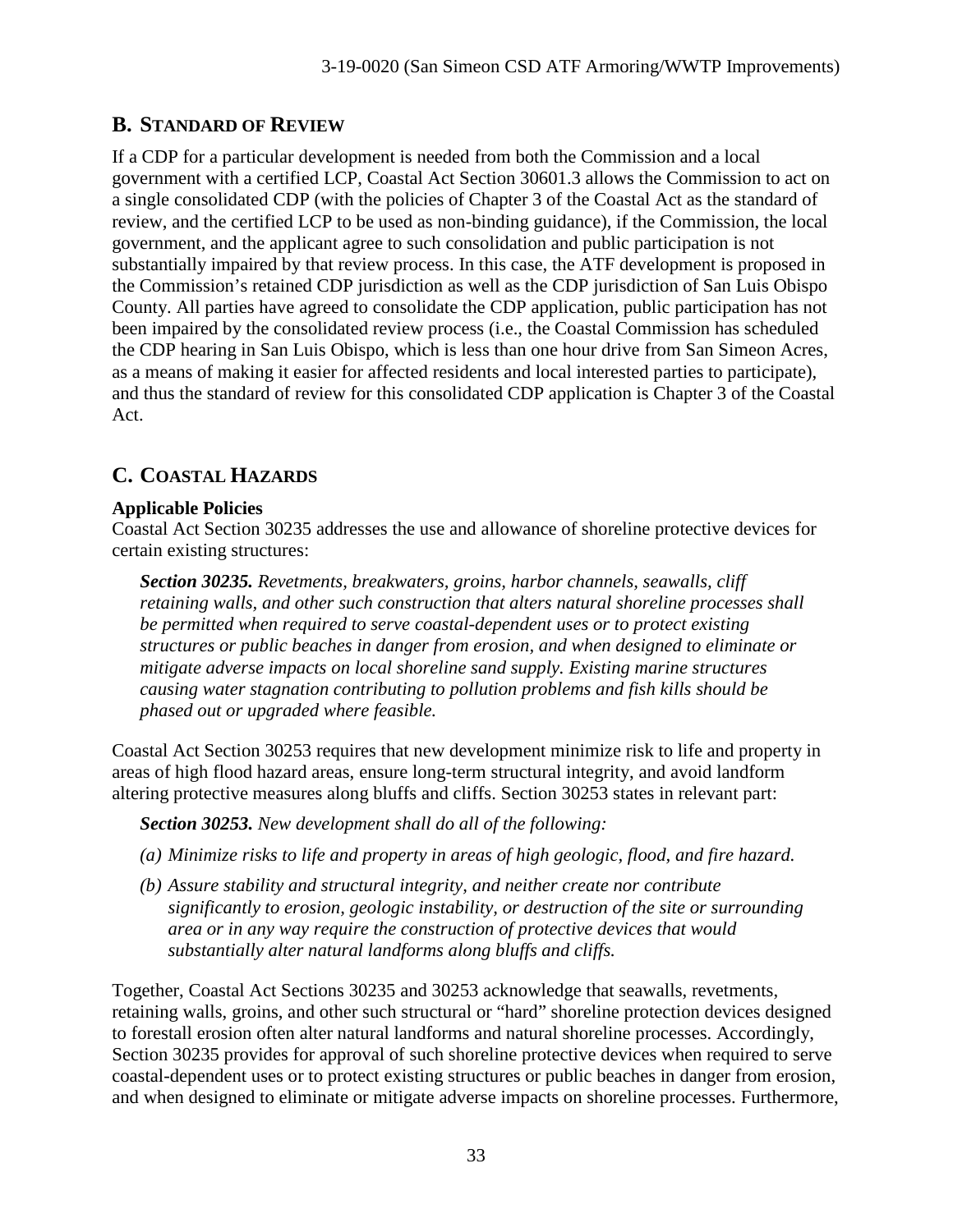### **B. STANDARD OF REVIEW**

If a CDP for a particular development is needed from both the Commission and a local government with a certified LCP, Coastal Act Section 30601.3 allows the Commission to act on a single consolidated CDP (with the policies of Chapter 3 of the Coastal Act as the standard of review, and the certified LCP to be used as non-binding guidance), if the Commission, the local government, and the applicant agree to such consolidation and public participation is not substantially impaired by that review process. In this case, the ATF development is proposed in the Commission's retained CDP jurisdiction as well as the CDP jurisdiction of San Luis Obispo County. All parties have agreed to consolidate the CDP application, public participation has not been impaired by the consolidated review process (i.e., the Coastal Commission has scheduled the CDP hearing in San Luis Obispo, which is less than one hour drive from San Simeon Acres, as a means of making it easier for affected residents and local interested parties to participate), and thus the standard of review for this consolidated CDP application is Chapter 3 of the Coastal Act.

### **C. COASTAL HAZARDS**

#### **Applicable Policies**

Coastal Act Section 30235 addresses the use and allowance of shoreline protective devices for certain existing structures:

*Section 30235. Revetments, breakwaters, groins, harbor channels, seawalls, cliff retaining walls, and other such construction that alters natural shoreline processes shall be permitted when required to serve coastal-dependent uses or to protect existing structures or public beaches in danger from erosion, and when designed to eliminate or mitigate adverse impacts on local shoreline sand supply. Existing marine structures causing water stagnation contributing to pollution problems and fish kills should be phased out or upgraded where feasible.*

Coastal Act Section 30253 requires that new development minimize risk to life and property in areas of high flood hazard areas, ensure long-term structural integrity, and avoid landform altering protective measures along bluffs and cliffs. Section 30253 states in relevant part:

*Section 30253. New development shall do all of the following:*

- *(a) Minimize risks to life and property in areas of high geologic, flood, and fire hazard.*
- *(b) Assure stability and structural integrity, and neither create nor contribute significantly to erosion, geologic instability, or destruction of the site or surrounding area or in any way require the construction of protective devices that would substantially alter natural landforms along bluffs and cliffs.*

Together, Coastal Act Sections 30235 and 30253 acknowledge that seawalls, revetments, retaining walls, groins, and other such structural or "hard" shoreline protection devices designed to forestall erosion often alter natural landforms and natural shoreline processes. Accordingly, Section 30235 provides for approval of such shoreline protective devices when required to serve coastal-dependent uses or to protect existing structures or public beaches in danger from erosion, and when designed to eliminate or mitigate adverse impacts on shoreline processes. Furthermore,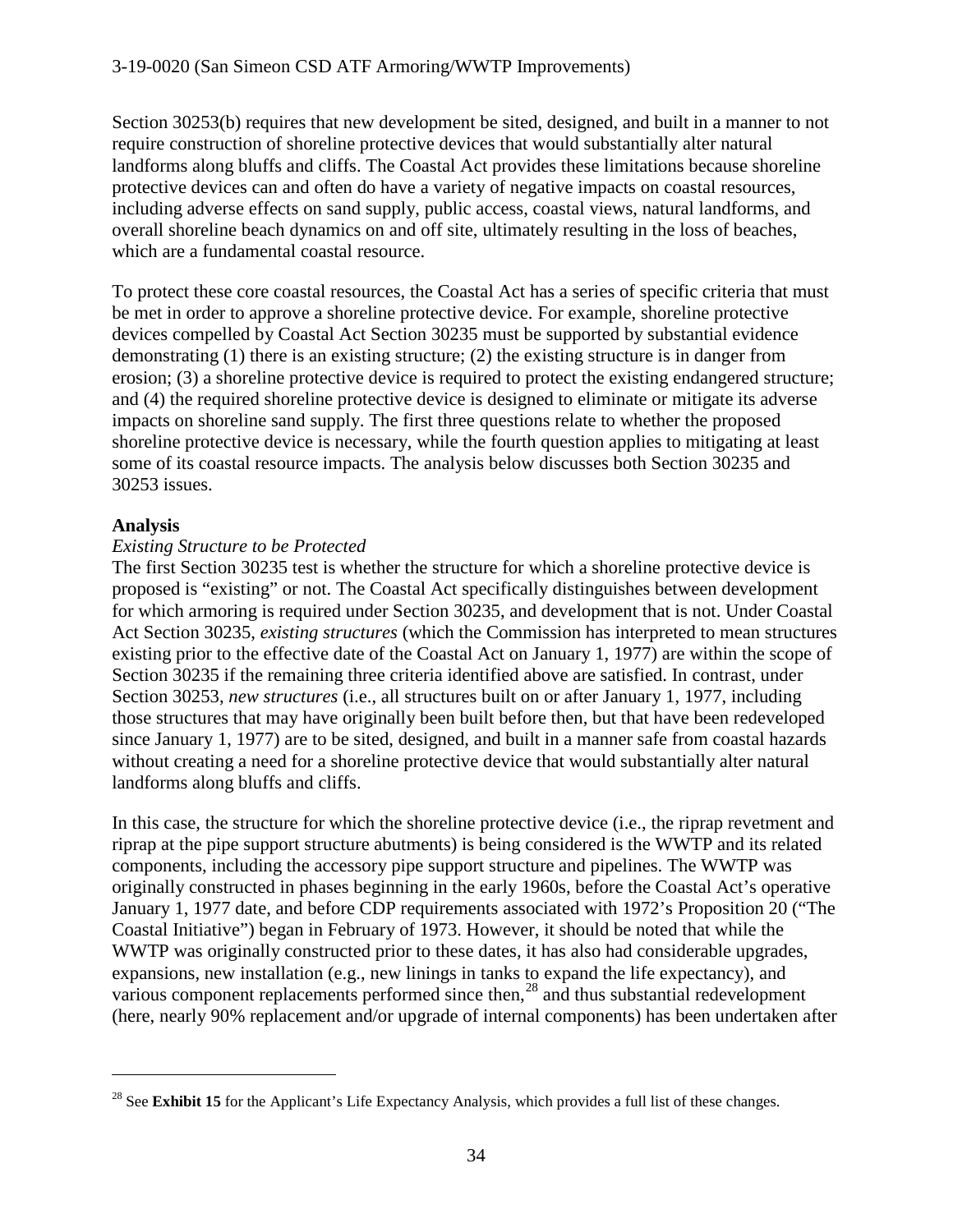Section 30253(b) requires that new development be sited, designed, and built in a manner to not require construction of shoreline protective devices that would substantially alter natural landforms along bluffs and cliffs. The Coastal Act provides these limitations because shoreline protective devices can and often do have a variety of negative impacts on coastal resources, including adverse effects on sand supply, public access, coastal views, natural landforms, and overall shoreline beach dynamics on and off site, ultimately resulting in the loss of beaches, which are a fundamental coastal resource.

To protect these core coastal resources, the Coastal Act has a series of specific criteria that must be met in order to approve a shoreline protective device. For example, shoreline protective devices compelled by Coastal Act Section 30235 must be supported by substantial evidence demonstrating (1) there is an existing structure; (2) the existing structure is in danger from erosion; (3) a shoreline protective device is required to protect the existing endangered structure; and (4) the required shoreline protective device is designed to eliminate or mitigate its adverse impacts on shoreline sand supply. The first three questions relate to whether the proposed shoreline protective device is necessary, while the fourth question applies to mitigating at least some of its coastal resource impacts. The analysis below discusses both Section 30235 and 30253 issues.

#### **Analysis**

 $\overline{a}$ 

#### *Existing Structure to be Protected*

The first Section 30235 test is whether the structure for which a shoreline protective device is proposed is "existing" or not. The Coastal Act specifically distinguishes between development for which armoring is required under Section 30235, and development that is not. Under Coastal Act Section 30235, *existing structures* (which the Commission has interpreted to mean structures existing prior to the effective date of the Coastal Act on January 1, 1977) are within the scope of Section 30235 if the remaining three criteria identified above are satisfied. In contrast, under Section 30253, *new structures* (i.e., all structures built on or after January 1, 1977, including those structures that may have originally been built before then, but that have been redeveloped since January 1, 1977) are to be sited, designed, and built in a manner safe from coastal hazards without creating a need for a shoreline protective device that would substantially alter natural landforms along bluffs and cliffs.

In this case, the structure for which the shoreline protective device (i.e., the riprap revetment and riprap at the pipe support structure abutments) is being considered is the WWTP and its related components, including the accessory pipe support structure and pipelines. The WWTP was originally constructed in phases beginning in the early 1960s, before the Coastal Act's operative January 1, 1977 date, and before CDP requirements associated with 1972's Proposition 20 ("The Coastal Initiative") began in February of 1973. However, it should be noted that while the WWTP was originally constructed prior to these dates, it has also had considerable upgrades, expansions, new installation (e.g., new linings in tanks to expand the life expectancy), and various component replacements performed since then,<sup>[28](#page-33-0)</sup> and thus substantial redevelopment (here, nearly 90% replacement and/or upgrade of internal components) has been undertaken after

<span id="page-33-0"></span><sup>&</sup>lt;sup>28</sup> See **Exhibit 15** for the Applicant's Life Expectancy Analysis, which provides a full list of these changes.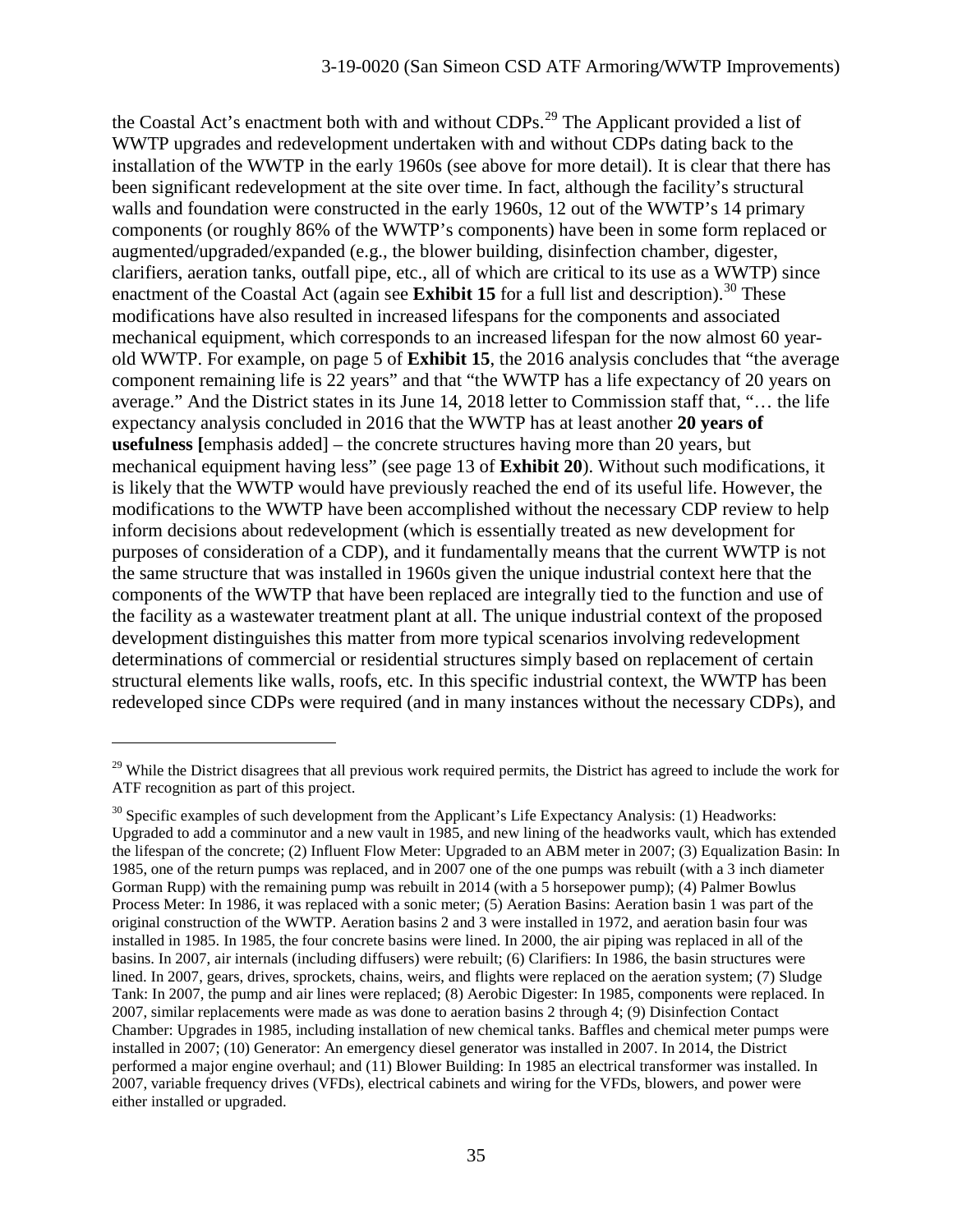the Coastal Act's enactment both with and without CDPs.<sup>[29](#page-34-0)</sup> The Applicant provided a list of WWTP upgrades and redevelopment undertaken with and without CDPs dating back to the installation of the WWTP in the early 1960s (see above for more detail). It is clear that there has been significant redevelopment at the site over time. In fact, although the facility's structural walls and foundation were constructed in the early 1960s, 12 out of the WWTP's 14 primary components (or roughly 86% of the WWTP's components) have been in some form replaced or augmented/upgraded/expanded (e.g., the blower building, disinfection chamber, digester, clarifiers, aeration tanks, outfall pipe, etc., all of which are critical to its use as a WWTP) since enactment of the Coastal Act (again see **Exhibit 15** for a full list and description).<sup>[30](#page-34-1)</sup> These modifications have also resulted in increased lifespans for the components and associated mechanical equipment, which corresponds to an increased lifespan for the now almost 60 yearold WWTP. For example, on page 5 of **Exhibit 15**, the 2016 analysis concludes that "the average component remaining life is 22 years" and that "the WWTP has a life expectancy of 20 years on average." And the District states in its June 14, 2018 letter to Commission staff that, "… the life expectancy analysis concluded in 2016 that the WWTP has at least another **20 years of usefulness [**emphasis added] – the concrete structures having more than 20 years, but mechanical equipment having less" (see page 13 of **Exhibit 20**). Without such modifications, it is likely that the WWTP would have previously reached the end of its useful life. However, the modifications to the WWTP have been accomplished without the necessary CDP review to help inform decisions about redevelopment (which is essentially treated as new development for purposes of consideration of a CDP), and it fundamentally means that the current WWTP is not the same structure that was installed in 1960s given the unique industrial context here that the components of the WWTP that have been replaced are integrally tied to the function and use of the facility as a wastewater treatment plant at all. The unique industrial context of the proposed development distinguishes this matter from more typical scenarios involving redevelopment determinations of commercial or residential structures simply based on replacement of certain structural elements like walls, roofs, etc. In this specific industrial context, the WWTP has been redeveloped since CDPs were required (and in many instances without the necessary CDPs), and

<span id="page-34-0"></span><sup>&</sup>lt;sup>29</sup> While the District disagrees that all previous work required permits, the District has agreed to include the work for ATF recognition as part of this project.

<span id="page-34-1"></span> $30$  Specific examples of such development from the Applicant's Life Expectancy Analysis: (1) Headworks: Upgraded to add a comminutor and a new vault in 1985, and new lining of the headworks vault, which has extended the lifespan of the concrete; (2) Influent Flow Meter: Upgraded to an ABM meter in 2007; (3) Equalization Basin: In 1985, one of the return pumps was replaced, and in 2007 one of the one pumps was rebuilt (with a 3 inch diameter Gorman Rupp) with the remaining pump was rebuilt in 2014 (with a 5 horsepower pump); (4) Palmer Bowlus Process Meter: In 1986, it was replaced with a sonic meter; (5) Aeration Basins: Aeration basin 1 was part of the original construction of the WWTP. Aeration basins 2 and 3 were installed in 1972, and aeration basin four was installed in 1985. In 1985, the four concrete basins were lined. In 2000, the air piping was replaced in all of the basins. In 2007, air internals (including diffusers) were rebuilt; (6) Clarifiers: In 1986, the basin structures were lined. In 2007, gears, drives, sprockets, chains, weirs, and flights were replaced on the aeration system; (7) Sludge Tank: In 2007, the pump and air lines were replaced; (8) Aerobic Digester: In 1985, components were replaced. In 2007, similar replacements were made as was done to aeration basins 2 through 4; (9) Disinfection Contact Chamber: Upgrades in 1985, including installation of new chemical tanks. Baffles and chemical meter pumps were installed in 2007; (10) Generator: An emergency diesel generator was installed in 2007. In 2014, the District performed a major engine overhaul; and (11) Blower Building: In 1985 an electrical transformer was installed. In 2007, variable frequency drives (VFDs), electrical cabinets and wiring for the VFDs, blowers, and power were either installed or upgraded.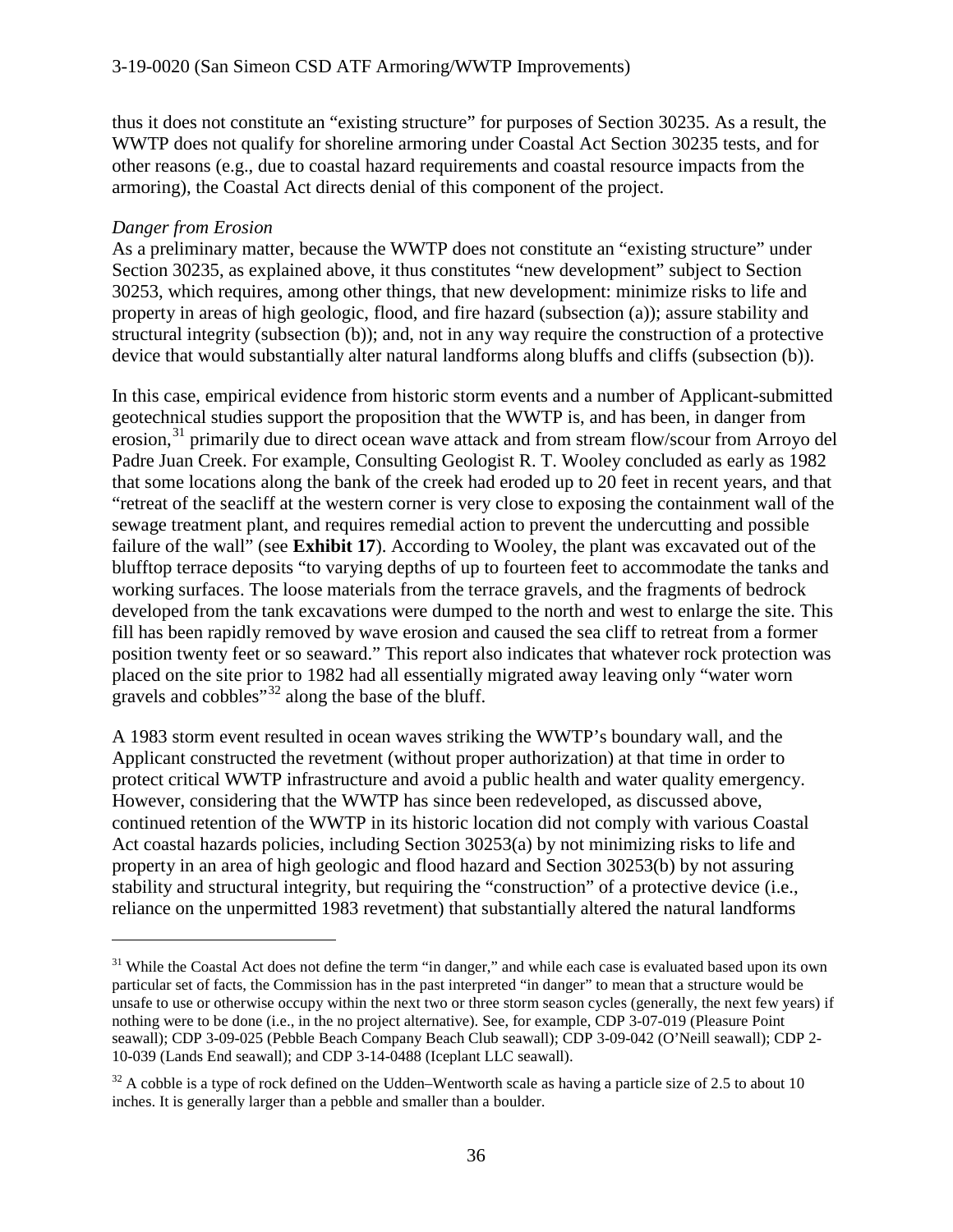thus it does not constitute an "existing structure" for purposes of Section 30235. As a result, the WWTP does not qualify for shoreline armoring under Coastal Act Section 30235 tests, and for other reasons (e.g., due to coastal hazard requirements and coastal resource impacts from the armoring), the Coastal Act directs denial of this component of the project.

#### *Danger from Erosion*

 $\overline{a}$ 

As a preliminary matter, because the WWTP does not constitute an "existing structure" under Section 30235, as explained above, it thus constitutes "new development" subject to Section 30253, which requires, among other things, that new development: minimize risks to life and property in areas of high geologic, flood, and fire hazard (subsection (a)); assure stability and structural integrity (subsection (b)); and, not in any way require the construction of a protective device that would substantially alter natural landforms along bluffs and cliffs (subsection (b)).

In this case, empirical evidence from historic storm events and a number of Applicant-submitted geotechnical studies support the proposition that the WWTP is, and has been, in danger from erosion,<sup>[31](#page-35-0)</sup> primarily due to direct ocean wave attack and from stream flow/scour from Arroyo del Padre Juan Creek. For example, Consulting Geologist R. T. Wooley concluded as early as 1982 that some locations along the bank of the creek had eroded up to 20 feet in recent years, and that "retreat of the seacliff at the western corner is very close to exposing the containment wall of the sewage treatment plant, and requires remedial action to prevent the undercutting and possible failure of the wall" (see **Exhibit 17**). According to Wooley, the plant was excavated out of the blufftop terrace deposits "to varying depths of up to fourteen feet to accommodate the tanks and working surfaces. The loose materials from the terrace gravels, and the fragments of bedrock developed from the tank excavations were dumped to the north and west to enlarge the site. This fill has been rapidly removed by wave erosion and caused the sea cliff to retreat from a former position twenty feet or so seaward." This report also indicates that whatever rock protection was placed on the site prior to 1982 had all essentially migrated away leaving only "water worn gravels and cobbles"<sup>[32](#page-35-1)</sup> along the base of the bluff.

A 1983 storm event resulted in ocean waves striking the WWTP's boundary wall, and the Applicant constructed the revetment (without proper authorization) at that time in order to protect critical WWTP infrastructure and avoid a public health and water quality emergency. However, considering that the WWTP has since been redeveloped, as discussed above, continued retention of the WWTP in its historic location did not comply with various Coastal Act coastal hazards policies, including Section 30253(a) by not minimizing risks to life and property in an area of high geologic and flood hazard and Section 30253(b) by not assuring stability and structural integrity, but requiring the "construction" of a protective device (i.e., reliance on the unpermitted 1983 revetment) that substantially altered the natural landforms

<span id="page-35-0"></span> $31$  While the Coastal Act does not define the term "in danger," and while each case is evaluated based upon its own particular set of facts, the Commission has in the past interpreted "in danger" to mean that a structure would be unsafe to use or otherwise occupy within the next two or three storm season cycles (generally, the next few years) if nothing were to be done (i.e., in the no project alternative). See, for example, CDP 3-07-019 (Pleasure Point seawall); CDP 3-09-025 (Pebble Beach Company Beach Club seawall); CDP 3-09-042 (O'Neill seawall); CDP 2- 10-039 (Lands End seawall); and CDP 3-14-0488 (Iceplant LLC seawall).

<span id="page-35-1"></span> $32$  A cobble is a type of rock defined on the Udden–Wentworth scale as having a particle size of 2.5 to about 10 inches. It is generally larger than a pebble and smaller than a boulder.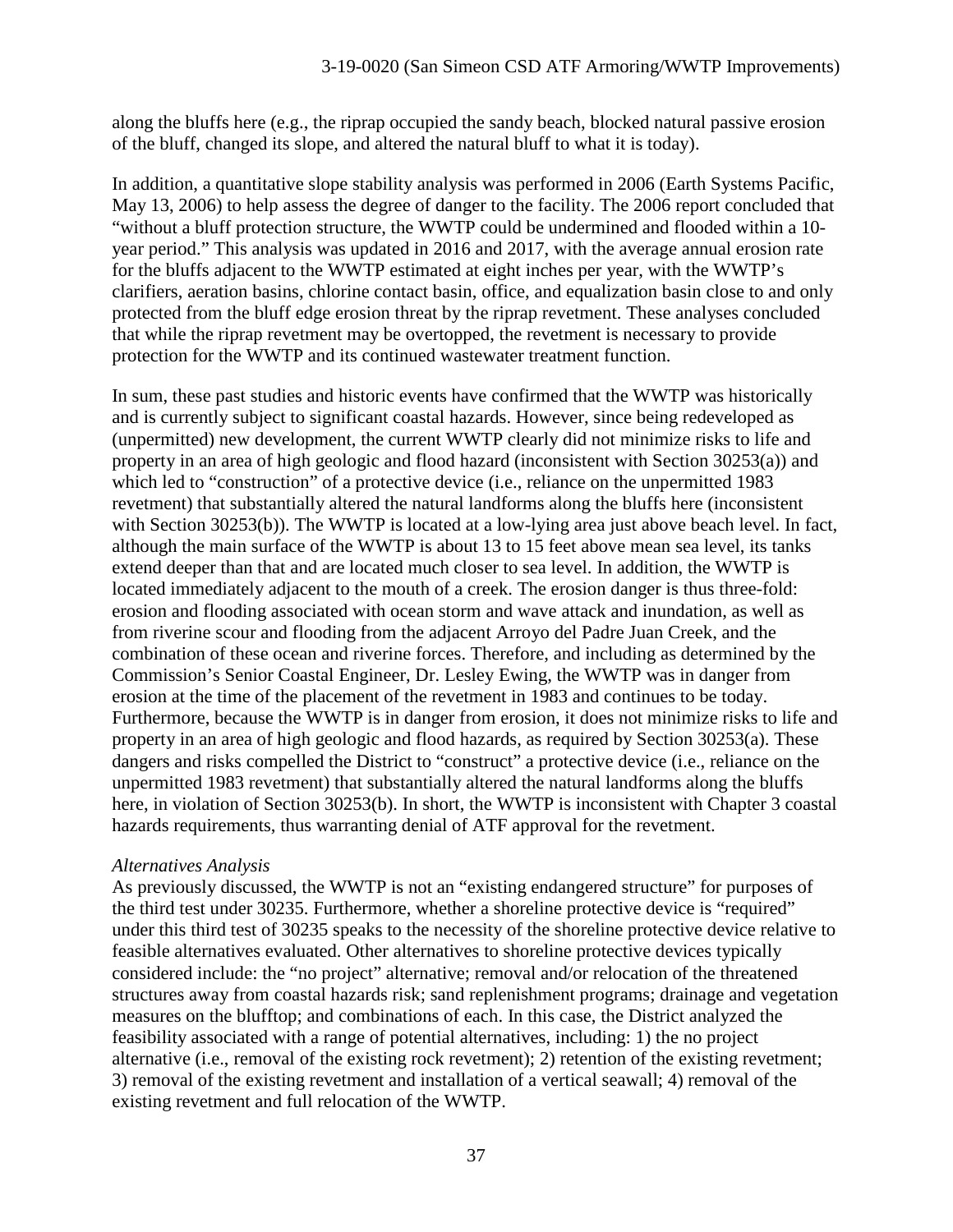along the bluffs here (e.g., the riprap occupied the sandy beach, blocked natural passive erosion of the bluff, changed its slope, and altered the natural bluff to what it is today).

In addition, a quantitative slope stability analysis was performed in 2006 (Earth Systems Pacific, May 13, 2006) to help assess the degree of danger to the facility. The 2006 report concluded that "without a bluff protection structure, the WWTP could be undermined and flooded within a 10 year period." This analysis was updated in 2016 and 2017, with the average annual erosion rate for the bluffs adjacent to the WWTP estimated at eight inches per year, with the WWTP's clarifiers, aeration basins, chlorine contact basin, office, and equalization basin close to and only protected from the bluff edge erosion threat by the riprap revetment. These analyses concluded that while the riprap revetment may be overtopped, the revetment is necessary to provide protection for the WWTP and its continued wastewater treatment function.

In sum, these past studies and historic events have confirmed that the WWTP was historically and is currently subject to significant coastal hazards. However, since being redeveloped as (unpermitted) new development, the current WWTP clearly did not minimize risks to life and property in an area of high geologic and flood hazard (inconsistent with Section 30253(a)) and which led to "construction" of a protective device (i.e., reliance on the unpermitted 1983 revetment) that substantially altered the natural landforms along the bluffs here (inconsistent with Section 30253(b)). The WWTP is located at a low-lying area just above beach level. In fact, although the main surface of the WWTP is about 13 to 15 feet above mean sea level, its tanks extend deeper than that and are located much closer to sea level. In addition, the WWTP is located immediately adjacent to the mouth of a creek. The erosion danger is thus three-fold: erosion and flooding associated with ocean storm and wave attack and inundation, as well as from riverine scour and flooding from the adjacent Arroyo del Padre Juan Creek, and the combination of these ocean and riverine forces. Therefore, and including as determined by the Commission's Senior Coastal Engineer, Dr. Lesley Ewing, the WWTP was in danger from erosion at the time of the placement of the revetment in 1983 and continues to be today. Furthermore, because the WWTP is in danger from erosion, it does not minimize risks to life and property in an area of high geologic and flood hazards, as required by Section 30253(a). These dangers and risks compelled the District to "construct" a protective device (i.e., reliance on the unpermitted 1983 revetment) that substantially altered the natural landforms along the bluffs here, in violation of Section 30253(b). In short, the WWTP is inconsistent with Chapter 3 coastal hazards requirements, thus warranting denial of ATF approval for the revetment.

# *Alternatives Analysis*

As previously discussed, the WWTP is not an "existing endangered structure" for purposes of the third test under 30235. Furthermore, whether a shoreline protective device is "required" under this third test of 30235 speaks to the necessity of the shoreline protective device relative to feasible alternatives evaluated. Other alternatives to shoreline protective devices typically considered include: the "no project" alternative; removal and/or relocation of the threatened structures away from coastal hazards risk; sand replenishment programs; drainage and vegetation measures on the blufftop; and combinations of each. In this case, the District analyzed the feasibility associated with a range of potential alternatives, including: 1) the no project alternative (i.e., removal of the existing rock revetment); 2) retention of the existing revetment; 3) removal of the existing revetment and installation of a vertical seawall; 4) removal of the existing revetment and full relocation of the WWTP.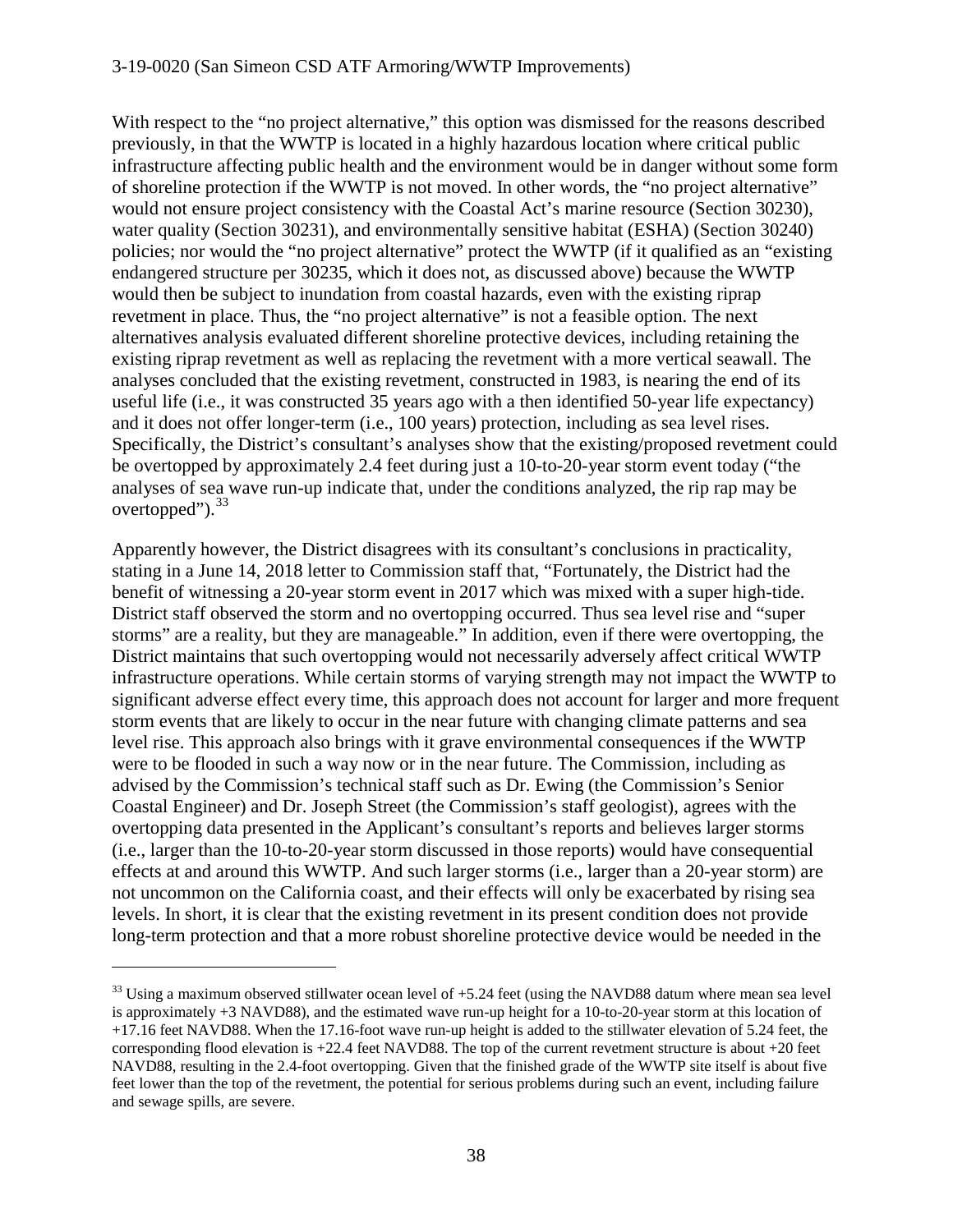#### 3-19-0020 (San Simeon CSD ATF Armoring/WWTP Improvements)

With respect to the "no project alternative," this option was dismissed for the reasons described previously, in that the WWTP is located in a highly hazardous location where critical public infrastructure affecting public health and the environment would be in danger without some form of shoreline protection if the WWTP is not moved. In other words, the "no project alternative" would not ensure project consistency with the Coastal Act's marine resource (Section 30230), water quality (Section 30231), and environmentally sensitive habitat (ESHA) (Section 30240) policies; nor would the "no project alternative" protect the WWTP (if it qualified as an "existing endangered structure per 30235, which it does not, as discussed above) because the WWTP would then be subject to inundation from coastal hazards, even with the existing riprap revetment in place. Thus, the "no project alternative" is not a feasible option. The next alternatives analysis evaluated different shoreline protective devices, including retaining the existing riprap revetment as well as replacing the revetment with a more vertical seawall. The analyses concluded that the existing revetment, constructed in 1983, is nearing the end of its useful life (i.e., it was constructed 35 years ago with a then identified 50-year life expectancy) and it does not offer longer-term (i.e., 100 years) protection, including as sea level rises. Specifically, the District's consultant's analyses show that the existing/proposed revetment could be overtopped by approximately 2.4 feet during just a 10-to-20-year storm event today ("the analyses of sea wave run-up indicate that, under the conditions analyzed, the rip rap may be overtopped").<sup>[33](#page-37-0)</sup>

Apparently however, the District disagrees with its consultant's conclusions in practicality, stating in a June 14, 2018 letter to Commission staff that, "Fortunately, the District had the benefit of witnessing a 20-year storm event in 2017 which was mixed with a super high-tide. District staff observed the storm and no overtopping occurred. Thus sea level rise and "super storms" are a reality, but they are manageable." In addition, even if there were overtopping, the District maintains that such overtopping would not necessarily adversely affect critical WWTP infrastructure operations. While certain storms of varying strength may not impact the WWTP to significant adverse effect every time, this approach does not account for larger and more frequent storm events that are likely to occur in the near future with changing climate patterns and sea level rise. This approach also brings with it grave environmental consequences if the WWTP were to be flooded in such a way now or in the near future. The Commission, including as advised by the Commission's technical staff such as Dr. Ewing (the Commission's Senior Coastal Engineer) and Dr. Joseph Street (the Commission's staff geologist), agrees with the overtopping data presented in the Applicant's consultant's reports and believes larger storms (i.e., larger than the 10-to-20-year storm discussed in those reports) would have consequential effects at and around this WWTP. And such larger storms (i.e., larger than a 20-year storm) are not uncommon on the California coast, and their effects will only be exacerbated by rising sea levels. In short, it is clear that the existing revetment in its present condition does not provide long-term protection and that a more robust shoreline protective device would be needed in the

<span id="page-37-0"></span> $33$  Using a maximum observed stillwater ocean level of  $+5.24$  feet (using the NAVD88 datum where mean sea level is approximately +3 NAVD88), and the estimated wave run-up height for a 10-to-20-year storm at this location of +17.16 feet NAVD88. When the 17.16-foot wave run-up height is added to the stillwater elevation of 5.24 feet, the corresponding flood elevation is +22.4 feet NAVD88. The top of the current revetment structure is about +20 feet NAVD88, resulting in the 2.4-foot overtopping. Given that the finished grade of the WWTP site itself is about five feet lower than the top of the revetment, the potential for serious problems during such an event, including failure and sewage spills, are severe.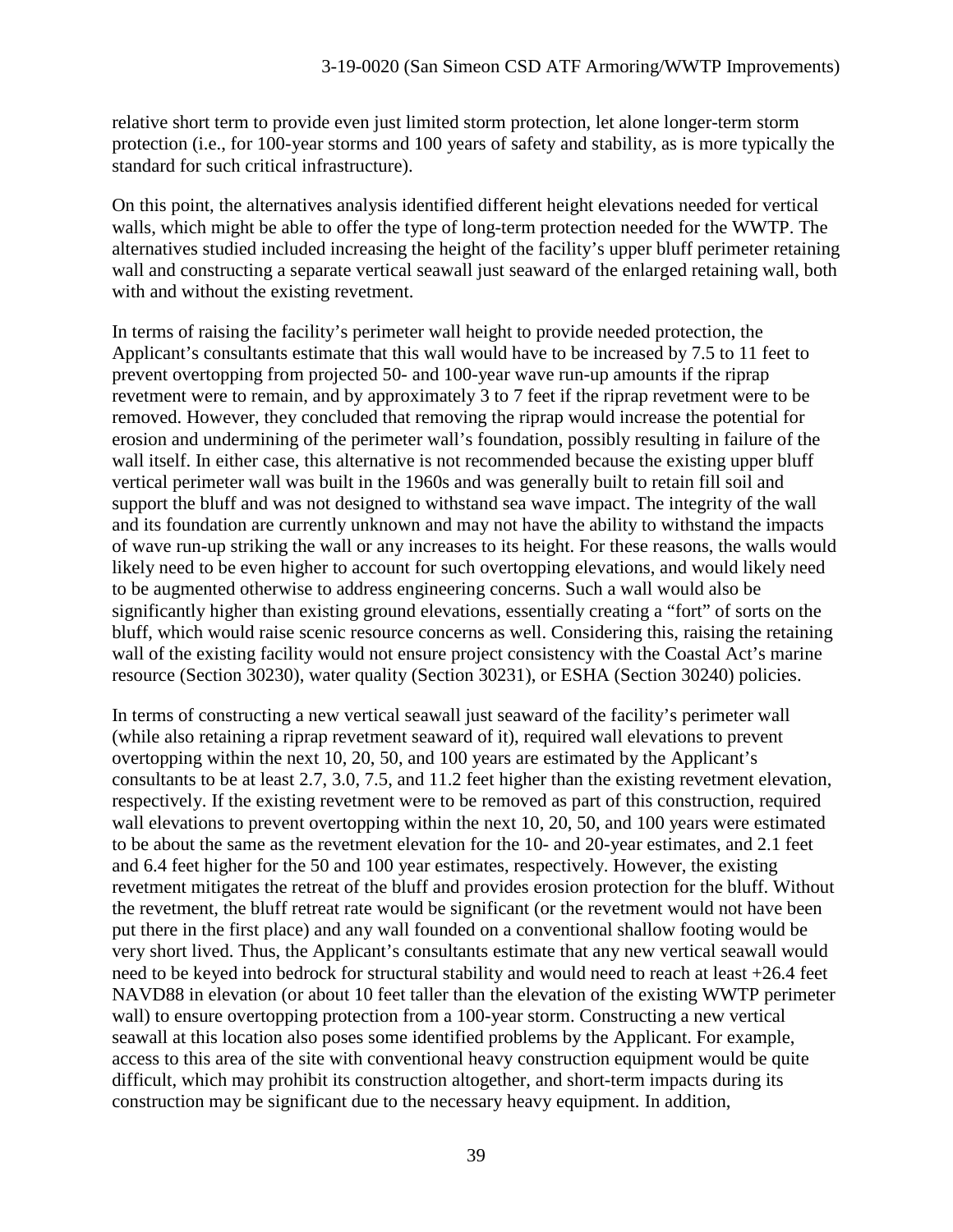relative short term to provide even just limited storm protection, let alone longer-term storm protection (i.e., for 100-year storms and 100 years of safety and stability, as is more typically the standard for such critical infrastructure).

On this point, the alternatives analysis identified different height elevations needed for vertical walls, which might be able to offer the type of long-term protection needed for the WWTP. The alternatives studied included increasing the height of the facility's upper bluff perimeter retaining wall and constructing a separate vertical seawall just seaward of the enlarged retaining wall, both with and without the existing revetment.

In terms of raising the facility's perimeter wall height to provide needed protection, the Applicant's consultants estimate that this wall would have to be increased by 7.5 to 11 feet to prevent overtopping from projected 50- and 100-year wave run-up amounts if the riprap revetment were to remain, and by approximately 3 to 7 feet if the riprap revetment were to be removed. However, they concluded that removing the riprap would increase the potential for erosion and undermining of the perimeter wall's foundation, possibly resulting in failure of the wall itself. In either case, this alternative is not recommended because the existing upper bluff vertical perimeter wall was built in the 1960s and was generally built to retain fill soil and support the bluff and was not designed to withstand sea wave impact. The integrity of the wall and its foundation are currently unknown and may not have the ability to withstand the impacts of wave run-up striking the wall or any increases to its height. For these reasons, the walls would likely need to be even higher to account for such overtopping elevations, and would likely need to be augmented otherwise to address engineering concerns. Such a wall would also be significantly higher than existing ground elevations, essentially creating a "fort" of sorts on the bluff, which would raise scenic resource concerns as well. Considering this, raising the retaining wall of the existing facility would not ensure project consistency with the Coastal Act's marine resource (Section 30230), water quality (Section 30231), or ESHA (Section 30240) policies.

In terms of constructing a new vertical seawall just seaward of the facility's perimeter wall (while also retaining a riprap revetment seaward of it), required wall elevations to prevent overtopping within the next 10, 20, 50, and 100 years are estimated by the Applicant's consultants to be at least 2.7, 3.0, 7.5, and 11.2 feet higher than the existing revetment elevation, respectively. If the existing revetment were to be removed as part of this construction, required wall elevations to prevent overtopping within the next 10, 20, 50, and 100 years were estimated to be about the same as the revetment elevation for the 10- and 20-year estimates, and 2.1 feet and 6.4 feet higher for the 50 and 100 year estimates, respectively. However, the existing revetment mitigates the retreat of the bluff and provides erosion protection for the bluff. Without the revetment, the bluff retreat rate would be significant (or the revetment would not have been put there in the first place) and any wall founded on a conventional shallow footing would be very short lived. Thus, the Applicant's consultants estimate that any new vertical seawall would need to be keyed into bedrock for structural stability and would need to reach at least +26.4 feet NAVD88 in elevation (or about 10 feet taller than the elevation of the existing WWTP perimeter wall) to ensure overtopping protection from a 100-year storm. Constructing a new vertical seawall at this location also poses some identified problems by the Applicant. For example, access to this area of the site with conventional heavy construction equipment would be quite difficult, which may prohibit its construction altogether, and short-term impacts during its construction may be significant due to the necessary heavy equipment. In addition,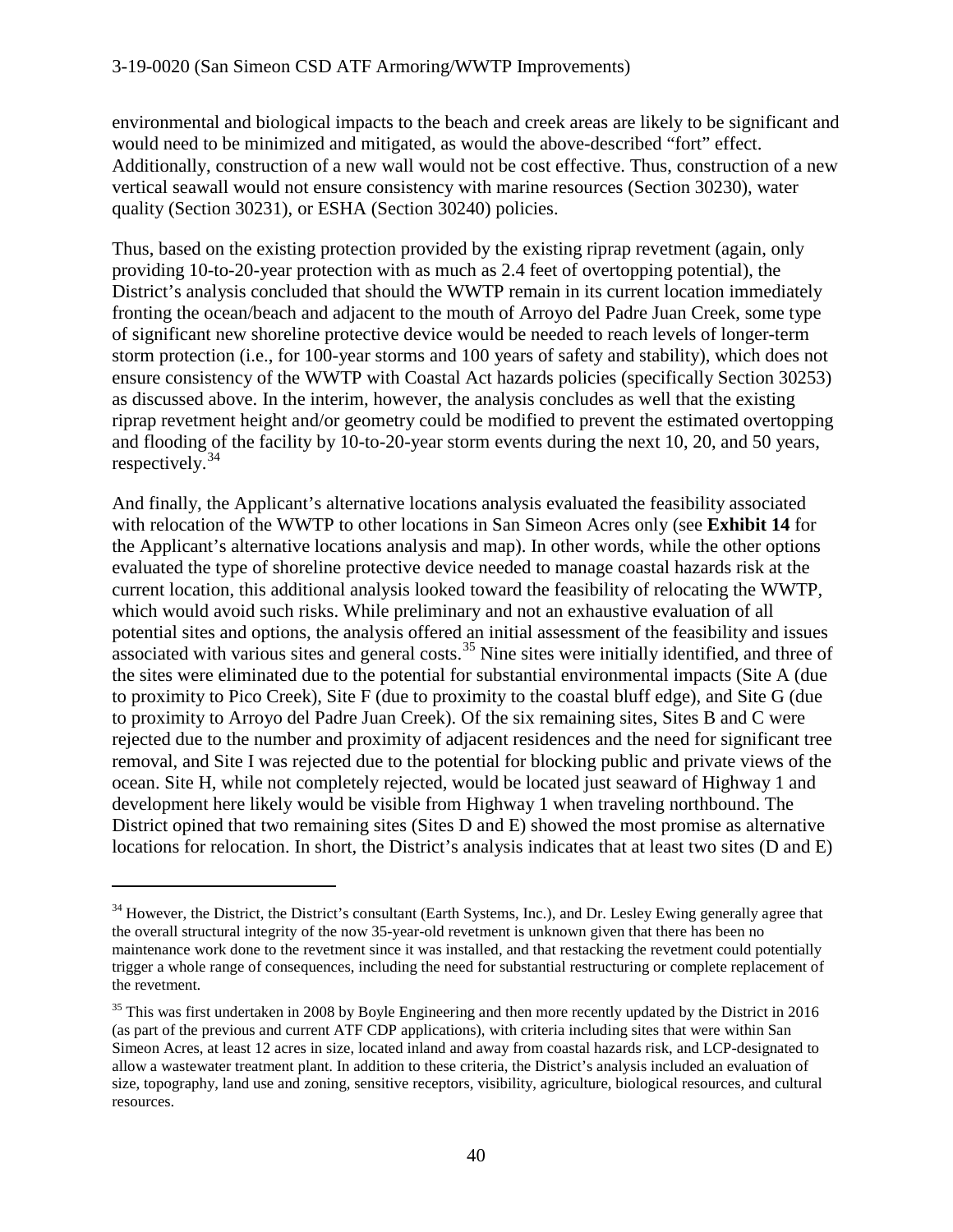environmental and biological impacts to the beach and creek areas are likely to be significant and would need to be minimized and mitigated, as would the above-described "fort" effect. Additionally, construction of a new wall would not be cost effective. Thus, construction of a new vertical seawall would not ensure consistency with marine resources (Section 30230), water quality (Section 30231), or ESHA (Section 30240) policies.

Thus, based on the existing protection provided by the existing riprap revetment (again, only providing 10-to-20-year protection with as much as 2.4 feet of overtopping potential), the District's analysis concluded that should the WWTP remain in its current location immediately fronting the ocean/beach and adjacent to the mouth of Arroyo del Padre Juan Creek, some type of significant new shoreline protective device would be needed to reach levels of longer-term storm protection (i.e., for 100-year storms and 100 years of safety and stability), which does not ensure consistency of the WWTP with Coastal Act hazards policies (specifically Section 30253) as discussed above. In the interim, however, the analysis concludes as well that the existing riprap revetment height and/or geometry could be modified to prevent the estimated overtopping and flooding of the facility by 10-to-20-year storm events during the next 10, 20, and 50 years, respectively.[34](#page-39-0)

And finally, the Applicant's alternative locations analysis evaluated the feasibility associated with relocation of the WWTP to other locations in San Simeon Acres only (see **Exhibit 14** for the Applicant's alternative locations analysis and map). In other words, while the other options evaluated the type of shoreline protective device needed to manage coastal hazards risk at the current location, this additional analysis looked toward the feasibility of relocating the WWTP, which would avoid such risks. While preliminary and not an exhaustive evaluation of all potential sites and options, the analysis offered an initial assessment of the feasibility and issues associated with various sites and general costs.<sup>[35](#page-39-1)</sup> Nine sites were initially identified, and three of the sites were eliminated due to the potential for substantial environmental impacts (Site A (due to proximity to Pico Creek), Site F (due to proximity to the coastal bluff edge), and Site G (due to proximity to Arroyo del Padre Juan Creek). Of the six remaining sites, Sites B and C were rejected due to the number and proximity of adjacent residences and the need for significant tree removal, and Site I was rejected due to the potential for blocking public and private views of the ocean. Site H, while not completely rejected, would be located just seaward of Highway 1 and development here likely would be visible from Highway 1 when traveling northbound. The District opined that two remaining sites (Sites D and E) showed the most promise as alternative locations for relocation. In short, the District's analysis indicates that at least two sites (D and E)

<span id="page-39-0"></span><sup>&</sup>lt;sup>34</sup> However, the District, the District's consultant (Earth Systems, Inc.), and Dr. Lesley Ewing generally agree that the overall structural integrity of the now 35-year-old revetment is unknown given that there has been no maintenance work done to the revetment since it was installed, and that restacking the revetment could potentially trigger a whole range of consequences, including the need for substantial restructuring or complete replacement of the revetment.

<span id="page-39-1"></span><sup>&</sup>lt;sup>35</sup> This was first undertaken in 2008 by Boyle Engineering and then more recently updated by the District in 2016 (as part of the previous and current ATF CDP applications), with criteria including sites that were within San Simeon Acres, at least 12 acres in size, located inland and away from coastal hazards risk, and LCP-designated to allow a wastewater treatment plant. In addition to these criteria, the District's analysis included an evaluation of size, topography, land use and zoning, sensitive receptors, visibility, agriculture, biological resources, and cultural resources.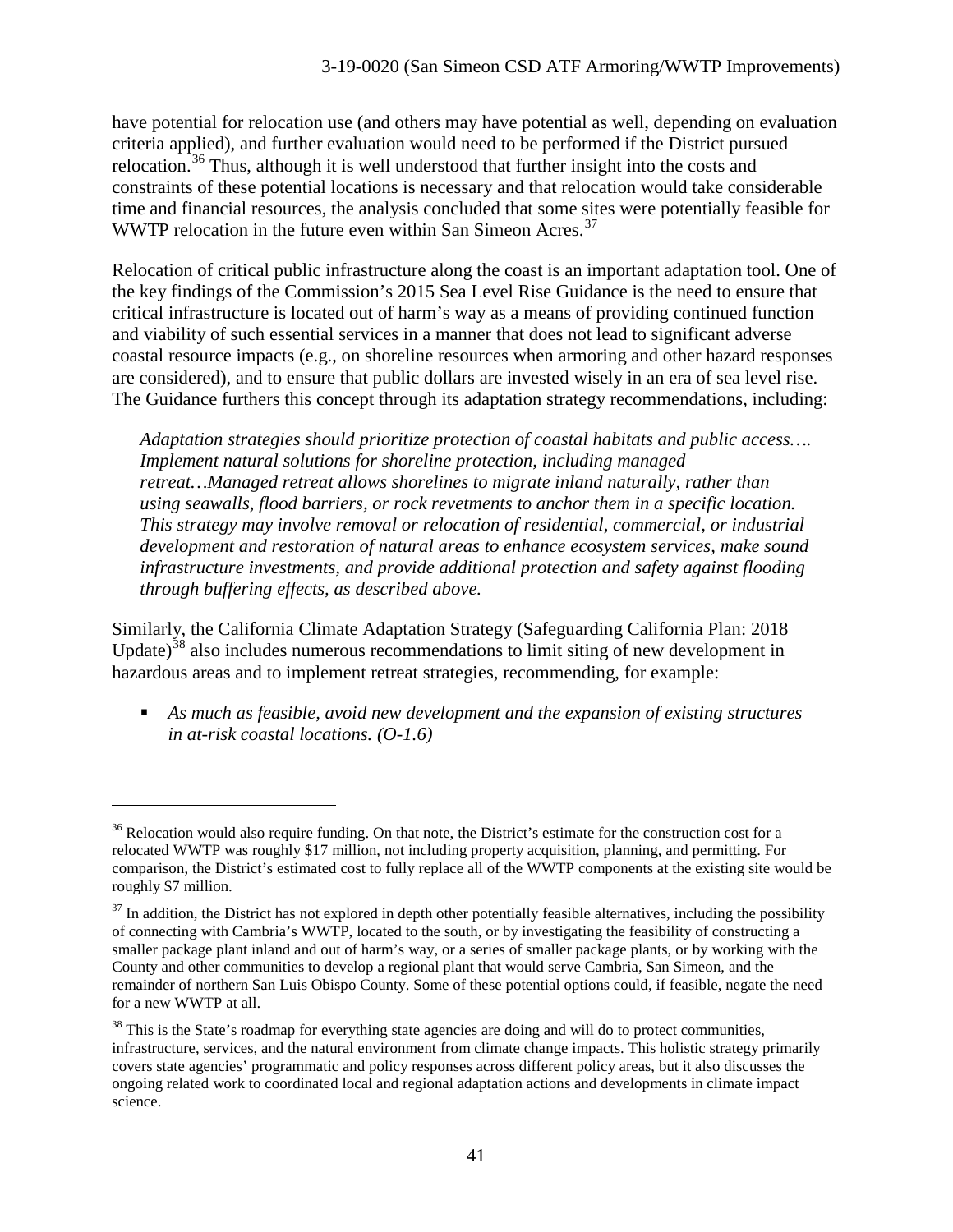have potential for relocation use (and others may have potential as well, depending on evaluation criteria applied), and further evaluation would need to be performed if the District pursued relocation.<sup>[36](#page-40-0)</sup> Thus, although it is well understood that further insight into the costs and constraints of these potential locations is necessary and that relocation would take considerable time and financial resources, the analysis concluded that some sites were potentially feasible for WWTP relocation in the future even within San Simeon Acres.<sup>[37](#page-40-1)</sup>

Relocation of critical public infrastructure along the coast is an important adaptation tool. One of the key findings of the Commission's 2015 Sea Level Rise Guidance is the need to ensure that critical infrastructure is located out of harm's way as a means of providing continued function and viability of such essential services in a manner that does not lead to significant adverse coastal resource impacts (e.g., on shoreline resources when armoring and other hazard responses are considered), and to ensure that public dollars are invested wisely in an era of sea level rise. The Guidance furthers this concept through its adaptation strategy recommendations, including:

*Adaptation strategies should prioritize protection of coastal habitats and public access…. Implement natural solutions for shoreline protection, including managed retreat…Managed retreat allows shorelines to migrate inland naturally, rather than using seawalls, flood barriers, or rock revetments to anchor them in a specific location. This strategy may involve removal or relocation of residential, commercial, or industrial development and restoration of natural areas to enhance ecosystem services, make sound infrastructure investments, and provide additional protection and safety against flooding through buffering effects, as described above.*

Similarly, the California Climate Adaptation Strategy (Safeguarding California Plan: 2018 Update)<sup>[38](#page-40-2)</sup> also includes numerous recommendations to limit siting of new development in hazardous areas and to implement retreat strategies, recommending, for example:

 *As much as feasible, avoid new development and the expansion of existing structures in at-risk coastal locations. (O-1.6)*

<span id="page-40-0"></span><sup>&</sup>lt;sup>36</sup> Relocation would also require funding. On that note, the District's estimate for the construction cost for a relocated WWTP was roughly \$17 million, not including property acquisition, planning, and permitting. For comparison, the District's estimated cost to fully replace all of the WWTP components at the existing site would be roughly \$7 million.

<span id="page-40-1"></span> $37$  In addition, the District has not explored in depth other potentially feasible alternatives, including the possibility of connecting with Cambria's WWTP, located to the south, or by investigating the feasibility of constructing a smaller package plant inland and out of harm's way, or a series of smaller package plants, or by working with the County and other communities to develop a regional plant that would serve Cambria, San Simeon, and the remainder of northern San Luis Obispo County. Some of these potential options could, if feasible, negate the need for a new WWTP at all.

<span id="page-40-2"></span> $38$  This is the State's roadmap for everything state agencies are doing and will do to protect communities, infrastructure, services, and the natural environment from climate change impacts. This holistic strategy primarily covers state agencies' programmatic and policy responses across different policy areas, but it also discusses the ongoing related work to coordinated local and regional adaptation actions and developments in climate impact science.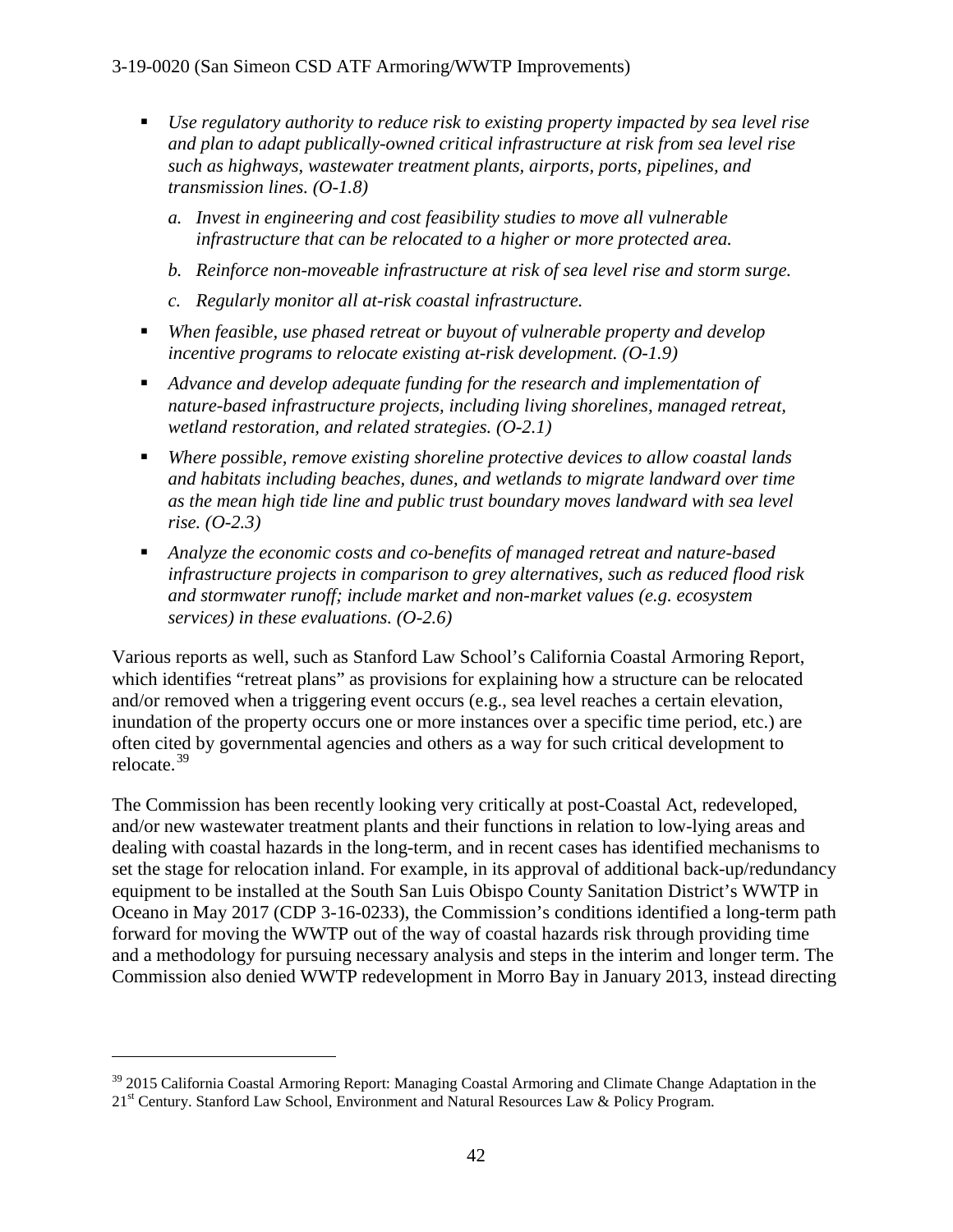- *Use regulatory authority to reduce risk to existing property impacted by sea level rise and plan to adapt publically-owned critical infrastructure at risk from sea level rise such as highways, wastewater treatment plants, airports, ports, pipelines, and transmission lines. (O-1.8)*
	- *a. Invest in engineering and cost feasibility studies to move all vulnerable infrastructure that can be relocated to a higher or more protected area.*
	- *b. Reinforce non-moveable infrastructure at risk of sea level rise and storm surge.*
	- *c. Regularly monitor all at-risk coastal infrastructure.*
- *When feasible, use phased retreat or buyout of vulnerable property and develop incentive programs to relocate existing at-risk development. (O-1.9)*
- *Advance and develop adequate funding for the research and implementation of nature-based infrastructure projects, including living shorelines, managed retreat, wetland restoration, and related strategies. (O-2.1)*
- *Where possible, remove existing shoreline protective devices to allow coastal lands and habitats including beaches, dunes, and wetlands to migrate landward over time as the mean high tide line and public trust boundary moves landward with sea level rise. (O-2.3)*
- *Analyze the economic costs and co-benefits of managed retreat and nature-based infrastructure projects in comparison to grey alternatives, such as reduced flood risk and stormwater runoff; include market and non-market values (e.g. ecosystem services) in these evaluations. (O-2.6)*

Various reports as well, such as Stanford Law School's California Coastal Armoring Report, which identifies "retreat plans" as provisions for explaining how a structure can be relocated and/or removed when a triggering event occurs (e.g., sea level reaches a certain elevation, inundation of the property occurs one or more instances over a specific time period, etc.) are often cited by governmental agencies and others as a way for such critical development to relocate.[39](#page-41-0)

The Commission has been recently looking very critically at post-Coastal Act, redeveloped, and/or new wastewater treatment plants and their functions in relation to low-lying areas and dealing with coastal hazards in the long-term, and in recent cases has identified mechanisms to set the stage for relocation inland. For example, in its approval of additional back-up/redundancy equipment to be installed at the South San Luis Obispo County Sanitation District's WWTP in Oceano in May 2017 (CDP 3-16-0233), the Commission's conditions identified a long-term path forward for moving the WWTP out of the way of coastal hazards risk through providing time and a methodology for pursuing necessary analysis and steps in the interim and longer term. The Commission also denied WWTP redevelopment in Morro Bay in January 2013, instead directing

<span id="page-41-0"></span> $39$  2015 California Coastal Armoring Report: Managing Coastal Armoring and Climate Change Adaptation in the 21<sup>st</sup> Century. Stanford Law School, Environment and Natural Resources Law & Policy Program.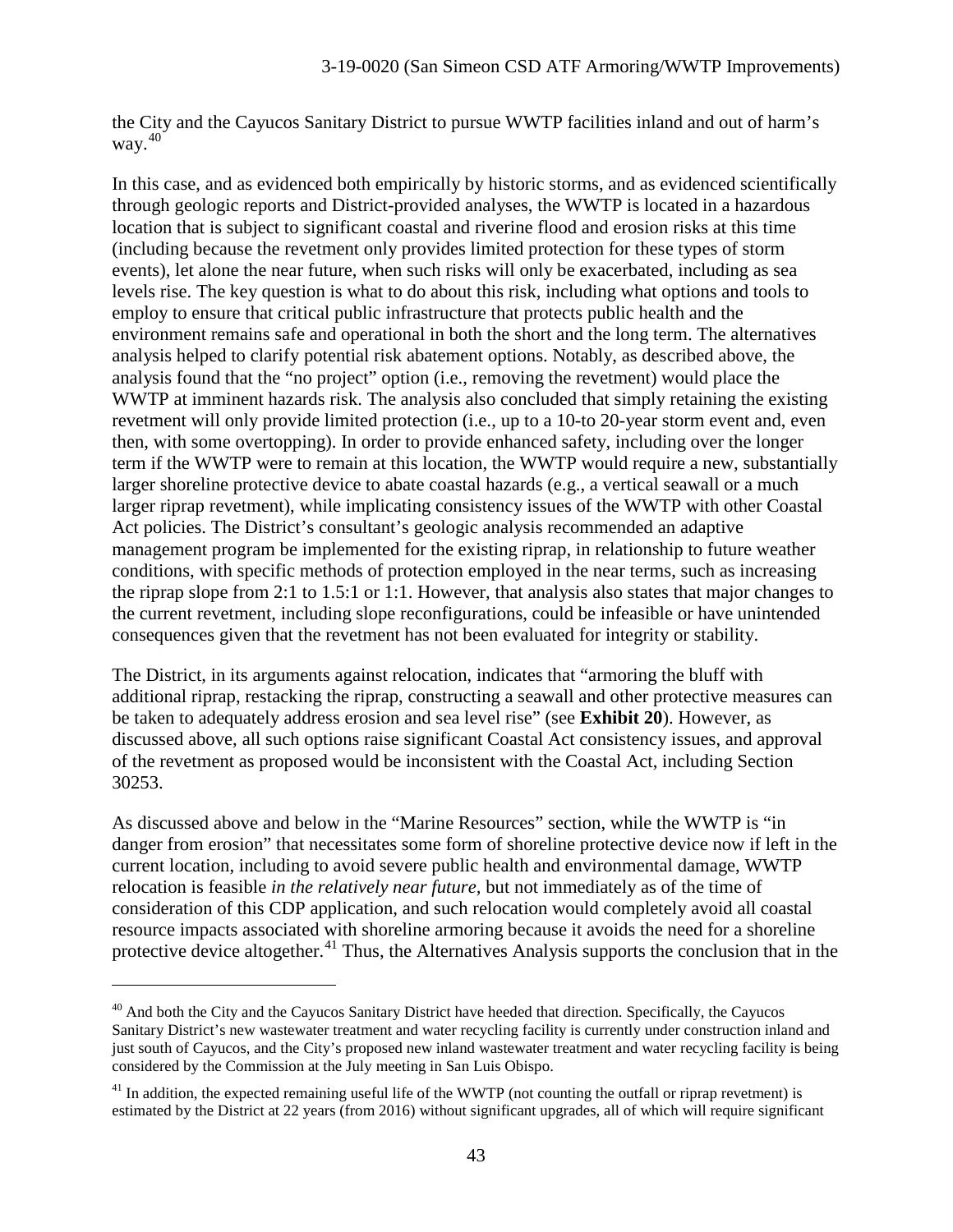the City and the Cayucos Sanitary District to pursue WWTP facilities inland and out of harm's way. [40](#page-42-0)

In this case, and as evidenced both empirically by historic storms, and as evidenced scientifically through geologic reports and District-provided analyses, the WWTP is located in a hazardous location that is subject to significant coastal and riverine flood and erosion risks at this time (including because the revetment only provides limited protection for these types of storm events), let alone the near future, when such risks will only be exacerbated, including as sea levels rise. The key question is what to do about this risk, including what options and tools to employ to ensure that critical public infrastructure that protects public health and the environment remains safe and operational in both the short and the long term. The alternatives analysis helped to clarify potential risk abatement options. Notably, as described above, the analysis found that the "no project" option (i.e., removing the revetment) would place the WWTP at imminent hazards risk. The analysis also concluded that simply retaining the existing revetment will only provide limited protection (i.e., up to a 10-to 20-year storm event and, even then, with some overtopping). In order to provide enhanced safety, including over the longer term if the WWTP were to remain at this location, the WWTP would require a new, substantially larger shoreline protective device to abate coastal hazards (e.g., a vertical seawall or a much larger riprap revetment), while implicating consistency issues of the WWTP with other Coastal Act policies. The District's consultant's geologic analysis recommended an adaptive management program be implemented for the existing riprap, in relationship to future weather conditions, with specific methods of protection employed in the near terms, such as increasing the riprap slope from 2:1 to 1.5:1 or 1:1. However, that analysis also states that major changes to the current revetment, including slope reconfigurations, could be infeasible or have unintended consequences given that the revetment has not been evaluated for integrity or stability.

The District, in its arguments against relocation, indicates that "armoring the bluff with additional riprap, restacking the riprap, constructing a seawall and other protective measures can be taken to adequately address erosion and sea level rise" (see **Exhibit 20**). However, as discussed above, all such options raise significant Coastal Act consistency issues, and approval of the revetment as proposed would be inconsistent with the Coastal Act, including Section 30253.

As discussed above and below in the "Marine Resources" section, while the WWTP is "in danger from erosion" that necessitates some form of shoreline protective device now if left in the current location, including to avoid severe public health and environmental damage, WWTP relocation is feasible *in the relatively near future,* but not immediately as of the time of consideration of this CDP application, and such relocation would completely avoid all coastal resource impacts associated with shoreline armoring because it avoids the need for a shoreline protective device altogether.<sup>[41](#page-42-1)</sup> Thus, the Alternatives Analysis supports the conclusion that in the

<span id="page-42-0"></span> $40$  And both the City and the Cayucos Sanitary District have heeded that direction. Specifically, the Cayucos Sanitary District's new wastewater treatment and water recycling facility is currently under construction inland and just south of Cayucos, and the City's proposed new inland wastewater treatment and water recycling facility is being considered by the Commission at the July meeting in San Luis Obispo.

<span id="page-42-1"></span> $^{41}$  In addition, the expected remaining useful life of the WWTP (not counting the outfall or riprap revetment) is estimated by the District at 22 years (from 2016) without significant upgrades, all of which will require significant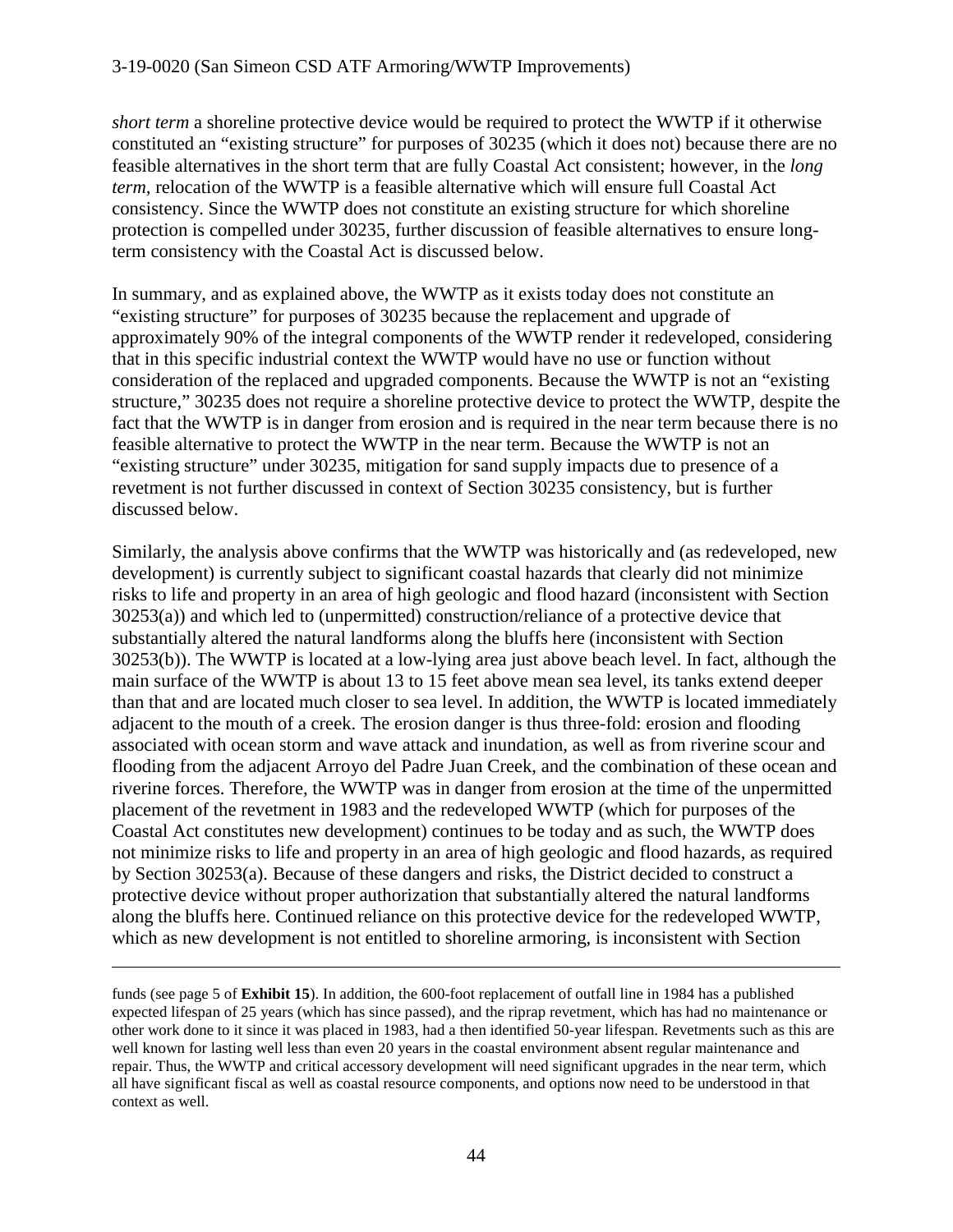*short term* a shoreline protective device would be required to protect the WWTP if it otherwise constituted an "existing structure" for purposes of 30235 (which it does not) because there are no feasible alternatives in the short term that are fully Coastal Act consistent; however, in the *long term,* relocation of the WWTP is a feasible alternative which will ensure full Coastal Act consistency. Since the WWTP does not constitute an existing structure for which shoreline protection is compelled under 30235, further discussion of feasible alternatives to ensure longterm consistency with the Coastal Act is discussed below.

In summary, and as explained above, the WWTP as it exists today does not constitute an "existing structure" for purposes of 30235 because the replacement and upgrade of approximately 90% of the integral components of the WWTP render it redeveloped, considering that in this specific industrial context the WWTP would have no use or function without consideration of the replaced and upgraded components. Because the WWTP is not an "existing structure," 30235 does not require a shoreline protective device to protect the WWTP, despite the fact that the WWTP is in danger from erosion and is required in the near term because there is no feasible alternative to protect the WWTP in the near term. Because the WWTP is not an "existing structure" under 30235, mitigation for sand supply impacts due to presence of a revetment is not further discussed in context of Section 30235 consistency, but is further discussed below.

Similarly, the analysis above confirms that the WWTP was historically and (as redeveloped, new development) is currently subject to significant coastal hazards that clearly did not minimize risks to life and property in an area of high geologic and flood hazard (inconsistent with Section 30253(a)) and which led to (unpermitted) construction/reliance of a protective device that substantially altered the natural landforms along the bluffs here (inconsistent with Section 30253(b)). The WWTP is located at a low-lying area just above beach level. In fact, although the main surface of the WWTP is about 13 to 15 feet above mean sea level, its tanks extend deeper than that and are located much closer to sea level. In addition, the WWTP is located immediately adjacent to the mouth of a creek. The erosion danger is thus three-fold: erosion and flooding associated with ocean storm and wave attack and inundation, as well as from riverine scour and flooding from the adjacent Arroyo del Padre Juan Creek, and the combination of these ocean and riverine forces. Therefore, the WWTP was in danger from erosion at the time of the unpermitted placement of the revetment in 1983 and the redeveloped WWTP (which for purposes of the Coastal Act constitutes new development) continues to be today and as such, the WWTP does not minimize risks to life and property in an area of high geologic and flood hazards, as required by Section 30253(a). Because of these dangers and risks, the District decided to construct a protective device without proper authorization that substantially altered the natural landforms along the bluffs here. Continued reliance on this protective device for the redeveloped WWTP, which as new development is not entitled to shoreline armoring, is inconsistent with Section

funds (see page 5 of **Exhibit 15**). In addition, the 600-foot replacement of outfall line in 1984 has a published expected lifespan of 25 years (which has since passed), and the riprap revetment, which has had no maintenance or other work done to it since it was placed in 1983, had a then identified 50-year lifespan. Revetments such as this are well known for lasting well less than even 20 years in the coastal environment absent regular maintenance and repair. Thus, the WWTP and critical accessory development will need significant upgrades in the near term, which all have significant fiscal as well as coastal resource components, and options now need to be understood in that context as well.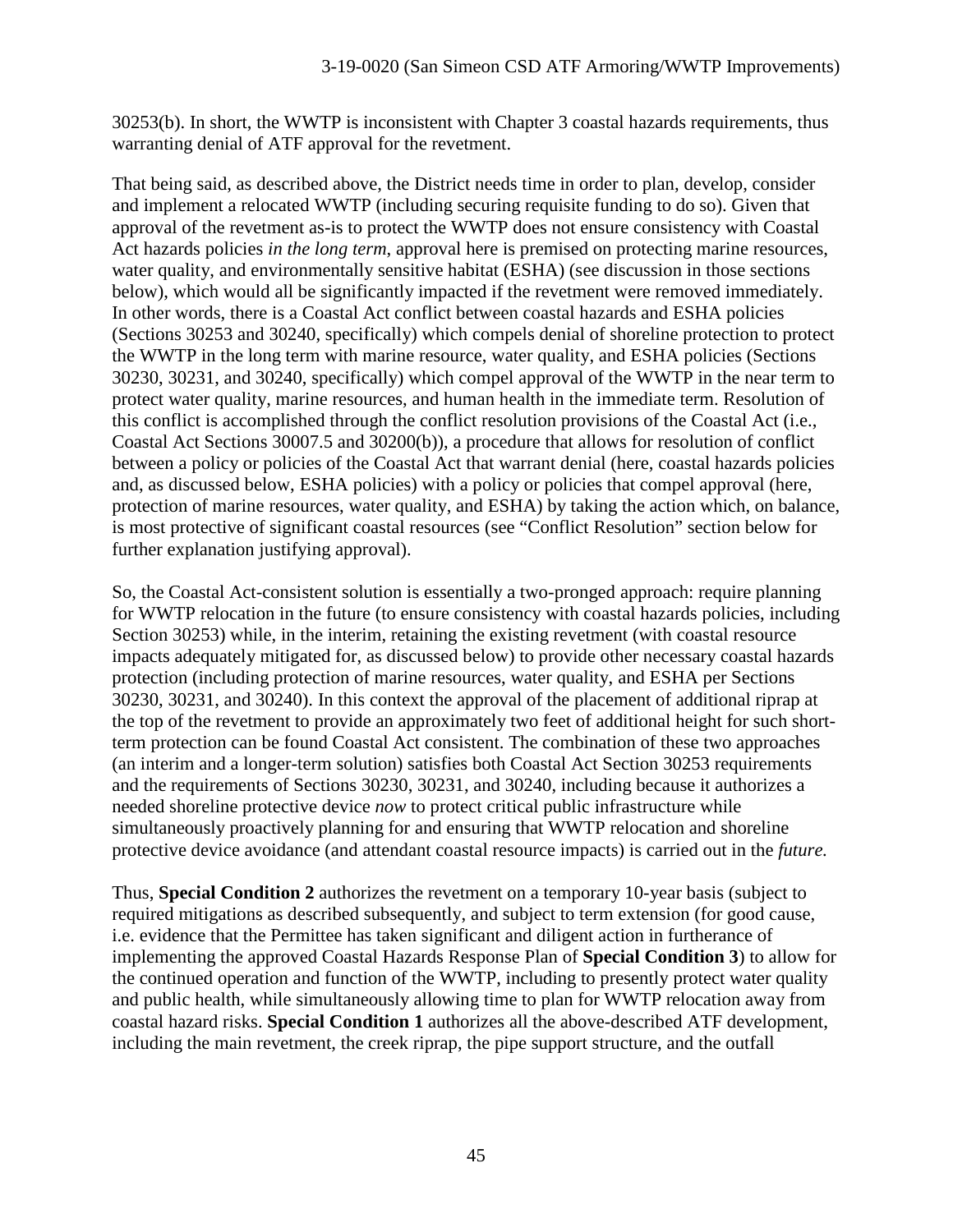30253(b). In short, the WWTP is inconsistent with Chapter 3 coastal hazards requirements, thus warranting denial of ATF approval for the revetment.

That being said, as described above, the District needs time in order to plan, develop, consider and implement a relocated WWTP (including securing requisite funding to do so). Given that approval of the revetment as-is to protect the WWTP does not ensure consistency with Coastal Act hazards policies *in the long term*, approval here is premised on protecting marine resources, water quality, and environmentally sensitive habitat (ESHA) (see discussion in those sections below), which would all be significantly impacted if the revetment were removed immediately. In other words, there is a Coastal Act conflict between coastal hazards and ESHA policies (Sections 30253 and 30240, specifically) which compels denial of shoreline protection to protect the WWTP in the long term with marine resource, water quality, and ESHA policies (Sections 30230, 30231, and 30240, specifically) which compel approval of the WWTP in the near term to protect water quality, marine resources, and human health in the immediate term. Resolution of this conflict is accomplished through the conflict resolution provisions of the Coastal Act (i.e., Coastal Act Sections 30007.5 and 30200(b)), a procedure that allows for resolution of conflict between a policy or policies of the Coastal Act that warrant denial (here, coastal hazards policies and, as discussed below, ESHA policies) with a policy or policies that compel approval (here, protection of marine resources, water quality, and ESHA) by taking the action which, on balance, is most protective of significant coastal resources (see "Conflict Resolution" section below for further explanation justifying approval).

So, the Coastal Act-consistent solution is essentially a two-pronged approach: require planning for WWTP relocation in the future (to ensure consistency with coastal hazards policies, including Section 30253) while, in the interim, retaining the existing revetment (with coastal resource impacts adequately mitigated for, as discussed below) to provide other necessary coastal hazards protection (including protection of marine resources, water quality, and ESHA per Sections 30230, 30231, and 30240). In this context the approval of the placement of additional riprap at the top of the revetment to provide an approximately two feet of additional height for such shortterm protection can be found Coastal Act consistent. The combination of these two approaches (an interim and a longer-term solution) satisfies both Coastal Act Section 30253 requirements and the requirements of Sections 30230, 30231, and 30240, including because it authorizes a needed shoreline protective device *now* to protect critical public infrastructure while simultaneously proactively planning for and ensuring that WWTP relocation and shoreline protective device avoidance (and attendant coastal resource impacts) is carried out in the *future.*

Thus, **Special Condition 2** authorizes the revetment on a temporary 10-year basis (subject to required mitigations as described subsequently, and subject to term extension (for good cause, i.e. evidence that the Permittee has taken significant and diligent action in furtherance of implementing the approved Coastal Hazards Response Plan of **Special Condition 3**) to allow for the continued operation and function of the WWTP, including to presently protect water quality and public health, while simultaneously allowing time to plan for WWTP relocation away from coastal hazard risks. **Special Condition 1** authorizes all the above-described ATF development, including the main revetment, the creek riprap, the pipe support structure, and the outfall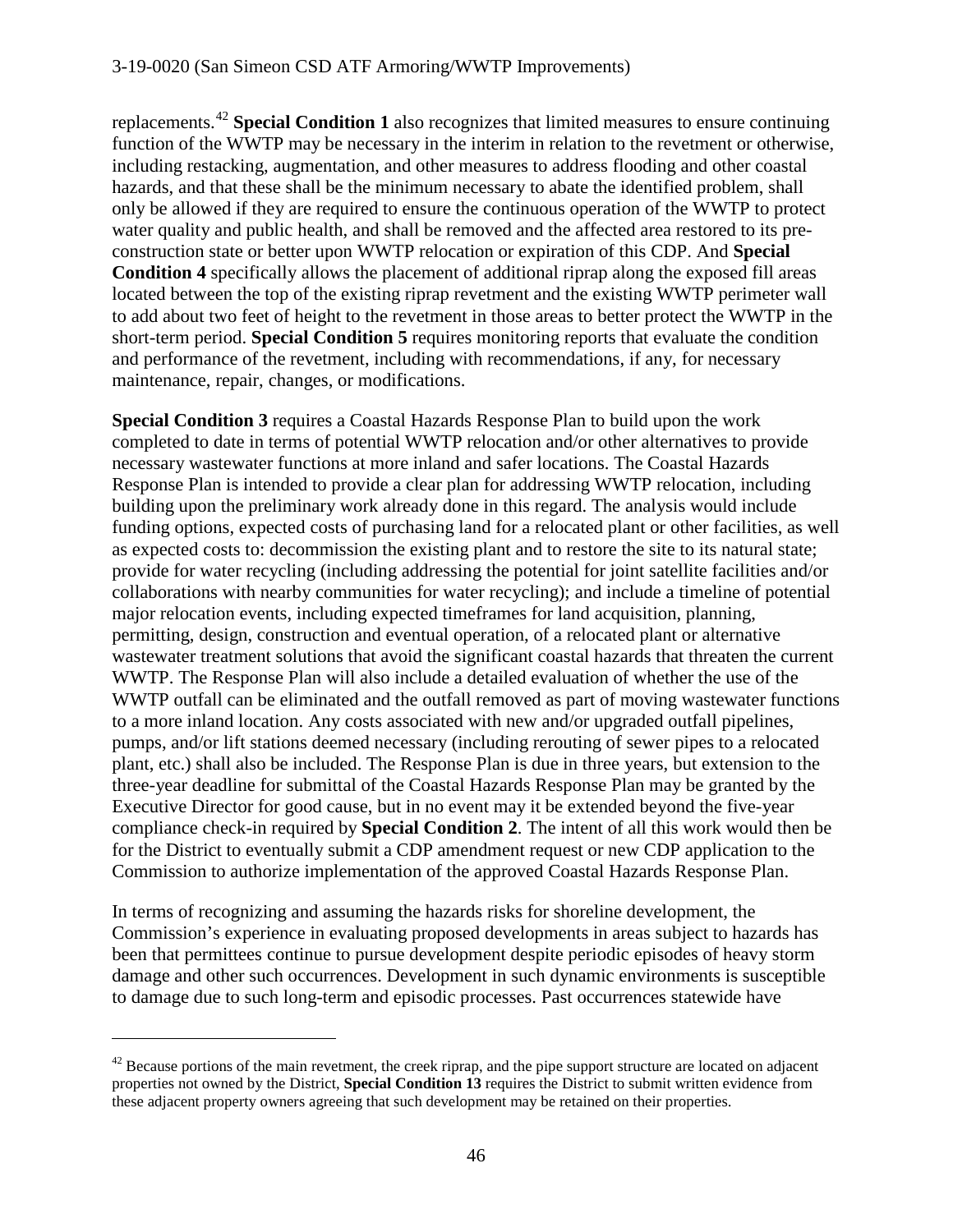replacements.[42](#page-45-0) **Special Condition 1** also recognizes that limited measures to ensure continuing function of the WWTP may be necessary in the interim in relation to the revetment or otherwise, including restacking, augmentation, and other measures to address flooding and other coastal hazards, and that these shall be the minimum necessary to abate the identified problem, shall only be allowed if they are required to ensure the continuous operation of the WWTP to protect water quality and public health, and shall be removed and the affected area restored to its preconstruction state or better upon WWTP relocation or expiration of this CDP. And **Special Condition 4** specifically allows the placement of additional riprap along the exposed fill areas located between the top of the existing riprap revetment and the existing WWTP perimeter wall to add about two feet of height to the revetment in those areas to better protect the WWTP in the short-term period. **Special Condition 5** requires monitoring reports that evaluate the condition and performance of the revetment, including with recommendations, if any, for necessary maintenance, repair, changes, or modifications.

**Special Condition 3** requires a Coastal Hazards Response Plan to build upon the work completed to date in terms of potential WWTP relocation and/or other alternatives to provide necessary wastewater functions at more inland and safer locations. The Coastal Hazards Response Plan is intended to provide a clear plan for addressing WWTP relocation, including building upon the preliminary work already done in this regard. The analysis would include funding options, expected costs of purchasing land for a relocated plant or other facilities, as well as expected costs to: decommission the existing plant and to restore the site to its natural state; provide for water recycling (including addressing the potential for joint satellite facilities and/or collaborations with nearby communities for water recycling); and include a timeline of potential major relocation events, including expected timeframes for land acquisition, planning, permitting, design, construction and eventual operation, of a relocated plant or alternative wastewater treatment solutions that avoid the significant coastal hazards that threaten the current WWTP. The Response Plan will also include a detailed evaluation of whether the use of the WWTP outfall can be eliminated and the outfall removed as part of moving wastewater functions to a more inland location. Any costs associated with new and/or upgraded outfall pipelines, pumps, and/or lift stations deemed necessary (including rerouting of sewer pipes to a relocated plant, etc.) shall also be included. The Response Plan is due in three years, but extension to the three-year deadline for submittal of the Coastal Hazards Response Plan may be granted by the Executive Director for good cause, but in no event may it be extended beyond the five-year compliance check-in required by **Special Condition 2**. The intent of all this work would then be for the District to eventually submit a CDP amendment request or new CDP application to the Commission to authorize implementation of the approved Coastal Hazards Response Plan.

In terms of recognizing and assuming the hazards risks for shoreline development, the Commission's experience in evaluating proposed developments in areas subject to hazards has been that permittees continue to pursue development despite periodic episodes of heavy storm damage and other such occurrences. Development in such dynamic environments is susceptible to damage due to such long-term and episodic processes. Past occurrences statewide have

<span id="page-45-0"></span> $42$  Because portions of the main revetment, the creek riprap, and the pipe support structure are located on adjacent properties not owned by the District, **Special Condition 13** requires the District to submit written evidence from these adjacent property owners agreeing that such development may be retained on their properties.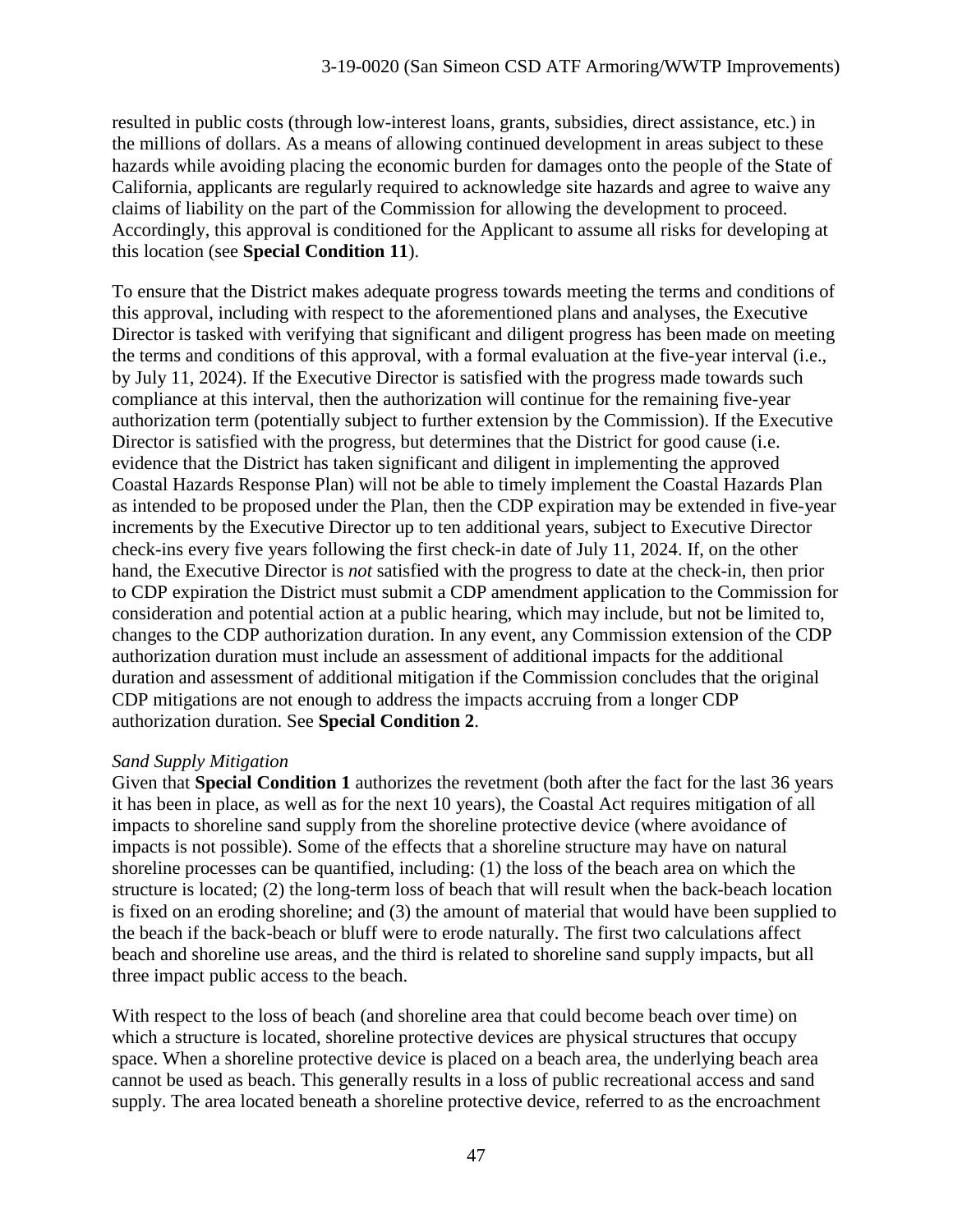resulted in public costs (through low-interest loans, grants, subsidies, direct assistance, etc.) in the millions of dollars. As a means of allowing continued development in areas subject to these hazards while avoiding placing the economic burden for damages onto the people of the State of California, applicants are regularly required to acknowledge site hazards and agree to waive any claims of liability on the part of the Commission for allowing the development to proceed. Accordingly, this approval is conditioned for the Applicant to assume all risks for developing at this location (see **Special Condition 11**).

To ensure that the District makes adequate progress towards meeting the terms and conditions of this approval, including with respect to the aforementioned plans and analyses, the Executive Director is tasked with verifying that significant and diligent progress has been made on meeting the terms and conditions of this approval, with a formal evaluation at the five-year interval (i.e., by July 11, 2024). If the Executive Director is satisfied with the progress made towards such compliance at this interval, then the authorization will continue for the remaining five-year authorization term (potentially subject to further extension by the Commission). If the Executive Director is satisfied with the progress, but determines that the District for good cause (i.e. evidence that the District has taken significant and diligent in implementing the approved Coastal Hazards Response Plan) will not be able to timely implement the Coastal Hazards Plan as intended to be proposed under the Plan, then the CDP expiration may be extended in five-year increments by the Executive Director up to ten additional years, subject to Executive Director check-ins every five years following the first check-in date of July 11, 2024. If, on the other hand, the Executive Director is *not* satisfied with the progress to date at the check-in, then prior to CDP expiration the District must submit a CDP amendment application to the Commission for consideration and potential action at a public hearing, which may include, but not be limited to, changes to the CDP authorization duration. In any event, any Commission extension of the CDP authorization duration must include an assessment of additional impacts for the additional duration and assessment of additional mitigation if the Commission concludes that the original CDP mitigations are not enough to address the impacts accruing from a longer CDP authorization duration. See **Special Condition 2**.

#### *Sand Supply Mitigation*

Given that **Special Condition 1** authorizes the revetment (both after the fact for the last 36 years it has been in place, as well as for the next 10 years), the Coastal Act requires mitigation of all impacts to shoreline sand supply from the shoreline protective device (where avoidance of impacts is not possible). Some of the effects that a shoreline structure may have on natural shoreline processes can be quantified, including: (1) the loss of the beach area on which the structure is located; (2) the long-term loss of beach that will result when the back-beach location is fixed on an eroding shoreline; and (3) the amount of material that would have been supplied to the beach if the back-beach or bluff were to erode naturally. The first two calculations affect beach and shoreline use areas, and the third is related to shoreline sand supply impacts, but all three impact public access to the beach.

With respect to the loss of beach (and shoreline area that could become beach over time) on which a structure is located, shoreline protective devices are physical structures that occupy space. When a shoreline protective device is placed on a beach area, the underlying beach area cannot be used as beach. This generally results in a loss of public recreational access and sand supply. The area located beneath a shoreline protective device, referred to as the encroachment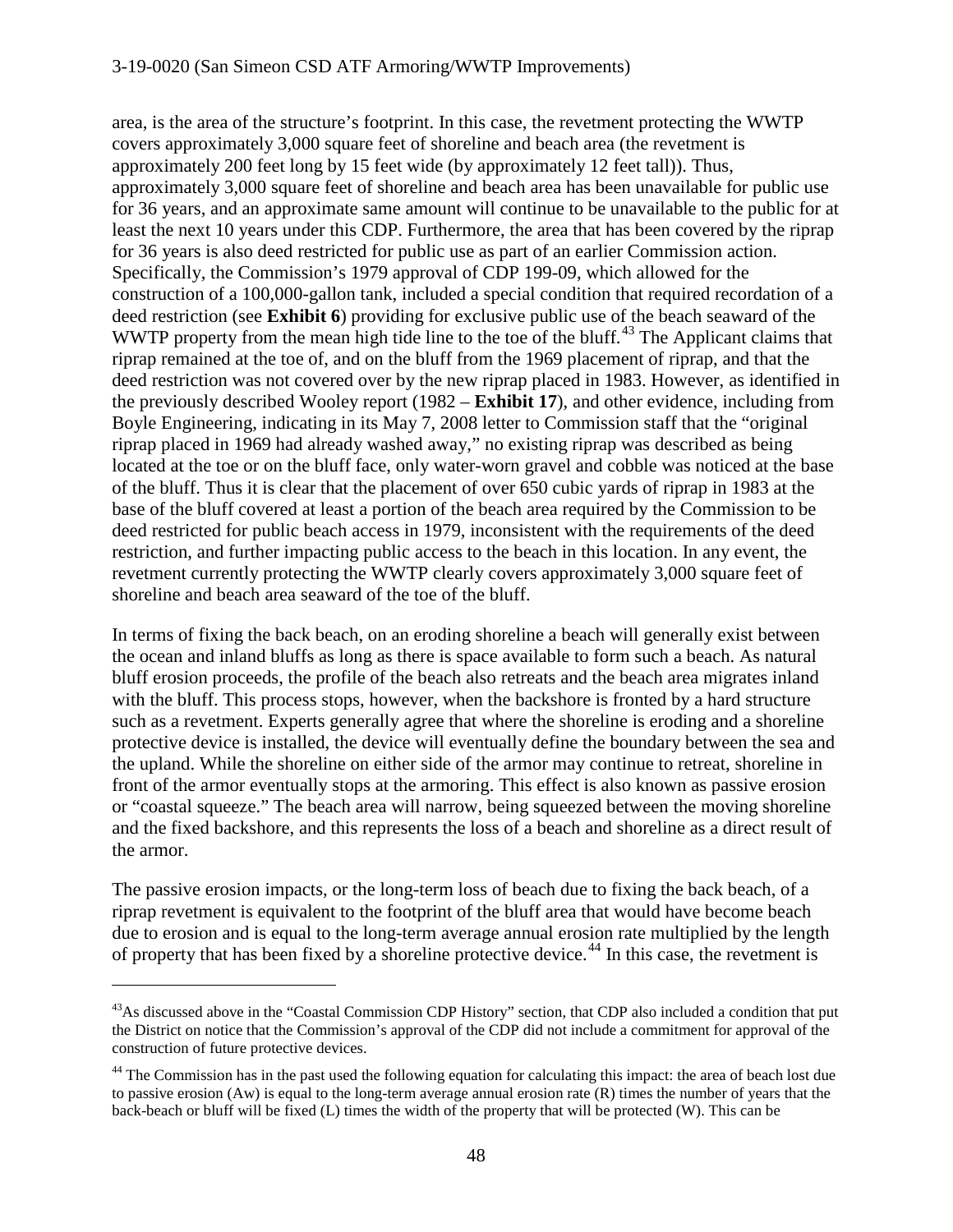area, is the area of the structure's footprint. In this case, the revetment protecting the WWTP covers approximately 3,000 square feet of shoreline and beach area (the revetment is approximately 200 feet long by 15 feet wide (by approximately 12 feet tall)). Thus, approximately 3,000 square feet of shoreline and beach area has been unavailable for public use for 36 years, and an approximate same amount will continue to be unavailable to the public for at least the next 10 years under this CDP. Furthermore, the area that has been covered by the riprap for 36 years is also deed restricted for public use as part of an earlier Commission action. Specifically, the Commission's 1979 approval of CDP 199-09, which allowed for the construction of a 100,000-gallon tank, included a special condition that required recordation of a deed restriction (see **Exhibit 6**) providing for exclusive public use of the beach seaward of the WWTP property from the mean high tide line to the toe of the bluff.<sup>[43](#page-47-0)</sup> The Applicant claims that riprap remained at the toe of, and on the bluff from the 1969 placement of riprap, and that the deed restriction was not covered over by the new riprap placed in 1983. However, as identified in the previously described Wooley report (1982 – **Exhibit 17**), and other evidence, including from Boyle Engineering, indicating in its May 7, 2008 letter to Commission staff that the "original riprap placed in 1969 had already washed away," no existing riprap was described as being located at the toe or on the bluff face, only water-worn gravel and cobble was noticed at the base of the bluff. Thus it is clear that the placement of over 650 cubic yards of riprap in 1983 at the base of the bluff covered at least a portion of the beach area required by the Commission to be deed restricted for public beach access in 1979, inconsistent with the requirements of the deed restriction, and further impacting public access to the beach in this location. In any event, the revetment currently protecting the WWTP clearly covers approximately 3,000 square feet of shoreline and beach area seaward of the toe of the bluff.

In terms of fixing the back beach, on an eroding shoreline a beach will generally exist between the ocean and inland bluffs as long as there is space available to form such a beach. As natural bluff erosion proceeds, the profile of the beach also retreats and the beach area migrates inland with the bluff. This process stops, however, when the backshore is fronted by a hard structure such as a revetment. Experts generally agree that where the shoreline is eroding and a shoreline protective device is installed, the device will eventually define the boundary between the sea and the upland. While the shoreline on either side of the armor may continue to retreat, shoreline in front of the armor eventually stops at the armoring. This effect is also known as passive erosion or "coastal squeeze." The beach area will narrow, being squeezed between the moving shoreline and the fixed backshore, and this represents the loss of a beach and shoreline as a direct result of the armor.

The passive erosion impacts, or the long-term loss of beach due to fixing the back beach, of a riprap revetment is equivalent to the footprint of the bluff area that would have become beach due to erosion and is equal to the long-term average annual erosion rate multiplied by the length of property that has been fixed by a shoreline protective device.[44](#page-47-1) In this case, the revetment is

<span id="page-47-0"></span><sup>&</sup>lt;sup>43</sup>As discussed above in the "Coastal Commission CDP History" section, that CDP also included a condition that put the District on notice that the Commission's approval of the CDP did not include a commitment for approval of the construction of future protective devices.

<span id="page-47-1"></span><sup>&</sup>lt;sup>44</sup> The Commission has in the past used the following equation for calculating this impact: the area of beach lost due to passive erosion (Aw) is equal to the long-term average annual erosion rate (R) times the number of years that the back-beach or bluff will be fixed (L) times the width of the property that will be protected (W). This can be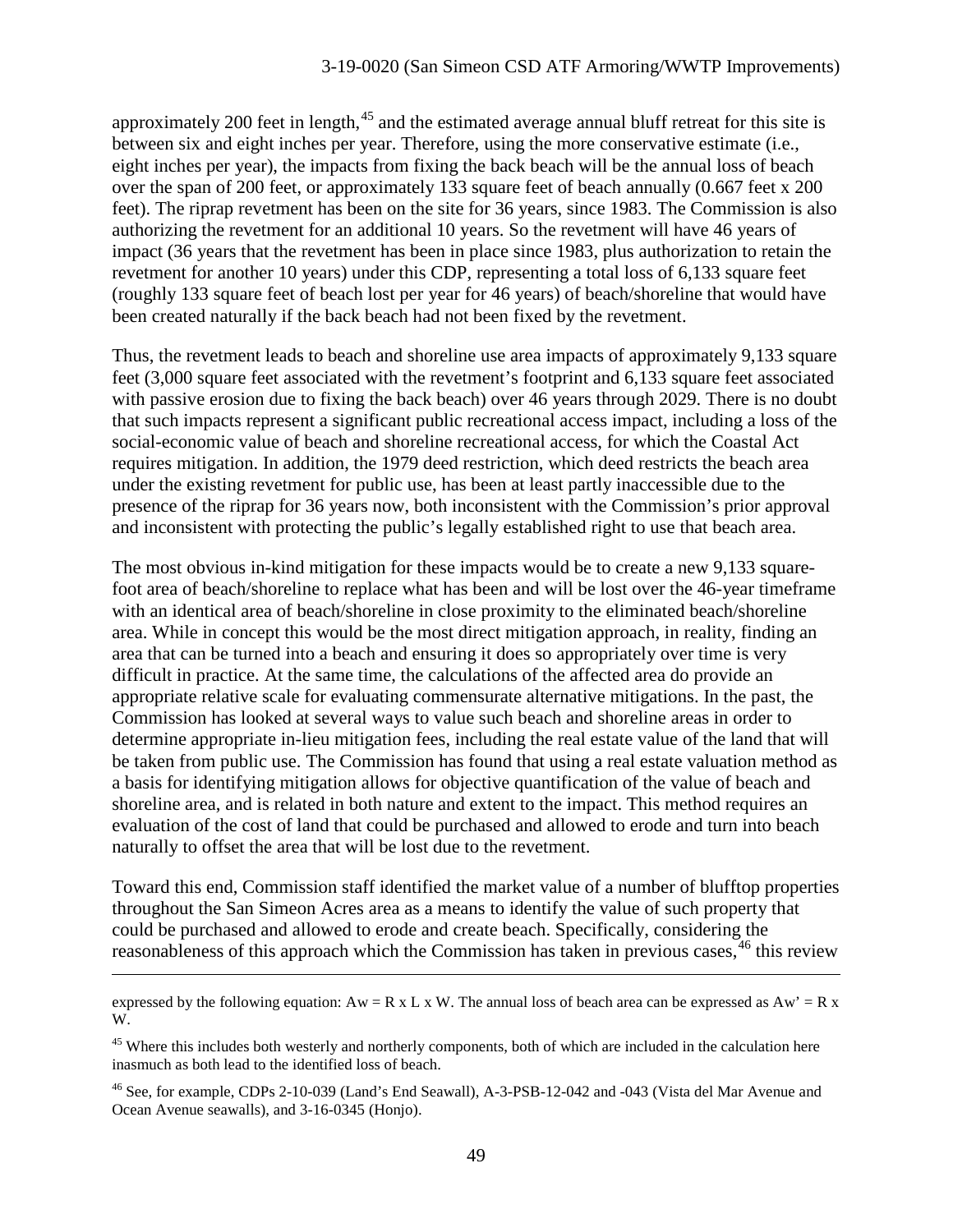approximately 200 feet in length,  $45$  and the estimated average annual bluff retreat for this site is between six and eight inches per year. Therefore, using the more conservative estimate (i.e., eight inches per year), the impacts from fixing the back beach will be the annual loss of beach over the span of 200 feet, or approximately 133 square feet of beach annually (0.667 feet x 200 feet). The riprap revetment has been on the site for 36 years, since 1983. The Commission is also authorizing the revetment for an additional 10 years. So the revetment will have 46 years of impact (36 years that the revetment has been in place since 1983, plus authorization to retain the revetment for another 10 years) under this CDP, representing a total loss of 6,133 square feet (roughly 133 square feet of beach lost per year for 46 years) of beach/shoreline that would have been created naturally if the back beach had not been fixed by the revetment.

Thus, the revetment leads to beach and shoreline use area impacts of approximately 9,133 square feet (3,000 square feet associated with the revetment's footprint and 6,133 square feet associated with passive erosion due to fixing the back beach) over 46 years through 2029. There is no doubt that such impacts represent a significant public recreational access impact, including a loss of the social-economic value of beach and shoreline recreational access, for which the Coastal Act requires mitigation. In addition, the 1979 deed restriction, which deed restricts the beach area under the existing revetment for public use, has been at least partly inaccessible due to the presence of the riprap for 36 years now, both inconsistent with the Commission's prior approval and inconsistent with protecting the public's legally established right to use that beach area.

The most obvious in-kind mitigation for these impacts would be to create a new 9,133 squarefoot area of beach/shoreline to replace what has been and will be lost over the 46-year timeframe with an identical area of beach/shoreline in close proximity to the eliminated beach/shoreline area. While in concept this would be the most direct mitigation approach, in reality, finding an area that can be turned into a beach and ensuring it does so appropriately over time is very difficult in practice. At the same time, the calculations of the affected area do provide an appropriate relative scale for evaluating commensurate alternative mitigations. In the past, the Commission has looked at several ways to value such beach and shoreline areas in order to determine appropriate in-lieu mitigation fees, including the real estate value of the land that will be taken from public use. The Commission has found that using a real estate valuation method as a basis for identifying mitigation allows for objective quantification of the value of beach and shoreline area, and is related in both nature and extent to the impact. This method requires an evaluation of the cost of land that could be purchased and allowed to erode and turn into beach naturally to offset the area that will be lost due to the revetment.

Toward this end, Commission staff identified the market value of a number of blufftop properties throughout the San Simeon Acres area as a means to identify the value of such property that could be purchased and allowed to erode and create beach. Specifically, considering the reasonableness of this approach which the Commission has taken in previous cases,<sup>[46](#page-48-1)</sup> this review

expressed by the following equation:  $Aw = R \times L \times W$ . The annual loss of beach area can be expressed as  $Aw' = R \times L \times W$ . W.

<span id="page-48-0"></span><sup>&</sup>lt;sup>45</sup> Where this includes both westerly and northerly components, both of which are included in the calculation here inasmuch as both lead to the identified loss of beach.

<span id="page-48-1"></span><sup>46</sup> See, for example, CDPs 2-10-039 (Land's End Seawall), A-3-PSB-12-042 and -043 (Vista del Mar Avenue and Ocean Avenue seawalls), and 3-16-0345 (Honjo).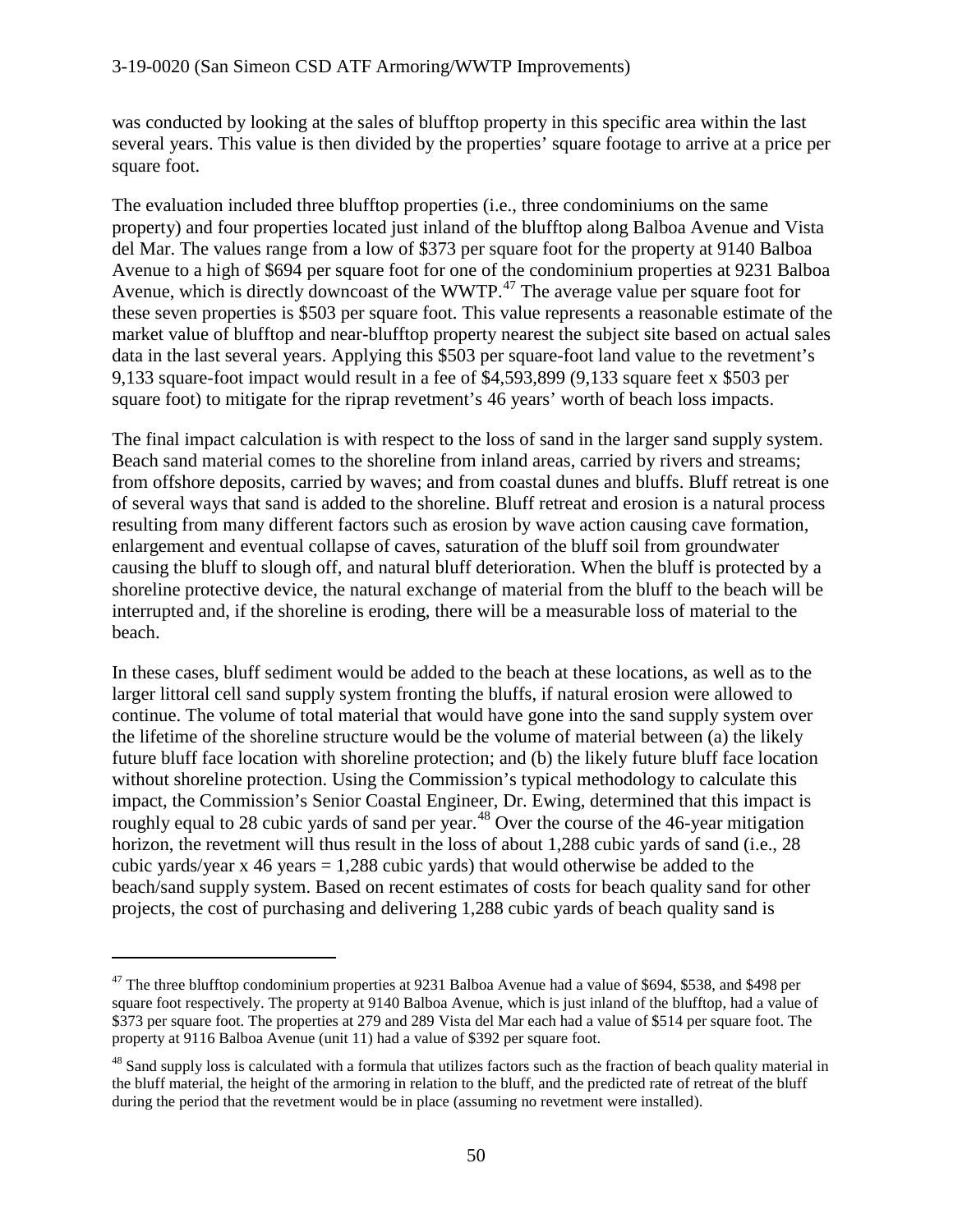was conducted by looking at the sales of blufftop property in this specific area within the last several years. This value is then divided by the properties' square footage to arrive at a price per square foot.

The evaluation included three blufftop properties (i.e., three condominiums on the same property) and four properties located just inland of the blufftop along Balboa Avenue and Vista del Mar. The values range from a low of \$373 per square foot for the property at 9140 Balboa Avenue to a high of \$694 per square foot for one of the condominium properties at 9231 Balboa Avenue, which is directly downcoast of the WWTP.<sup>[47](#page-49-0)</sup> The average value per square foot for these seven properties is \$503 per square foot. This value represents a reasonable estimate of the market value of blufftop and near-blufftop property nearest the subject site based on actual sales data in the last several years. Applying this \$503 per square-foot land value to the revetment's 9,133 square-foot impact would result in a fee of \$4,593,899 (9,133 square feet x \$503 per square foot) to mitigate for the riprap revetment's 46 years' worth of beach loss impacts.

The final impact calculation is with respect to the loss of sand in the larger sand supply system. Beach sand material comes to the shoreline from inland areas, carried by rivers and streams; from offshore deposits, carried by waves; and from coastal dunes and bluffs. Bluff retreat is one of several ways that sand is added to the shoreline. Bluff retreat and erosion is a natural process resulting from many different factors such as erosion by wave action causing cave formation, enlargement and eventual collapse of caves, saturation of the bluff soil from groundwater causing the bluff to slough off, and natural bluff deterioration. When the bluff is protected by a shoreline protective device, the natural exchange of material from the bluff to the beach will be interrupted and, if the shoreline is eroding, there will be a measurable loss of material to the beach.

In these cases, bluff sediment would be added to the beach at these locations, as well as to the larger littoral cell sand supply system fronting the bluffs, if natural erosion were allowed to continue. The volume of total material that would have gone into the sand supply system over the lifetime of the shoreline structure would be the volume of material between (a) the likely future bluff face location with shoreline protection; and (b) the likely future bluff face location without shoreline protection. Using the Commission's typical methodology to calculate this impact, the Commission's Senior Coastal Engineer, Dr. Ewing, determined that this impact is roughly equal to 28 cubic yards of sand per year.<sup>[48](#page-49-1)</sup> Over the course of the 46-year mitigation horizon, the revetment will thus result in the loss of about 1,288 cubic yards of sand (i.e., 28) cubic yards/year  $x$  46 years = 1,288 cubic yards) that would otherwise be added to the beach/sand supply system. Based on recent estimates of costs for beach quality sand for other projects, the cost of purchasing and delivering 1,288 cubic yards of beach quality sand is

<span id="page-49-0"></span> $47$  The three blufftop condominium properties at 9231 Balboa Avenue had a value of \$694, \$538, and \$498 per square foot respectively. The property at 9140 Balboa Avenue, which is just inland of the blufftop, had a value of \$373 per square foot. The properties at 279 and 289 Vista del Mar each had a value of \$514 per square foot. The property at 9116 Balboa Avenue (unit 11) had a value of \$392 per square foot.

<span id="page-49-1"></span><sup>&</sup>lt;sup>48</sup> Sand supply loss is calculated with a formula that utilizes factors such as the fraction of beach quality material in the bluff material, the height of the armoring in relation to the bluff, and the predicted rate of retreat of the bluff during the period that the revetment would be in place (assuming no revetment were installed).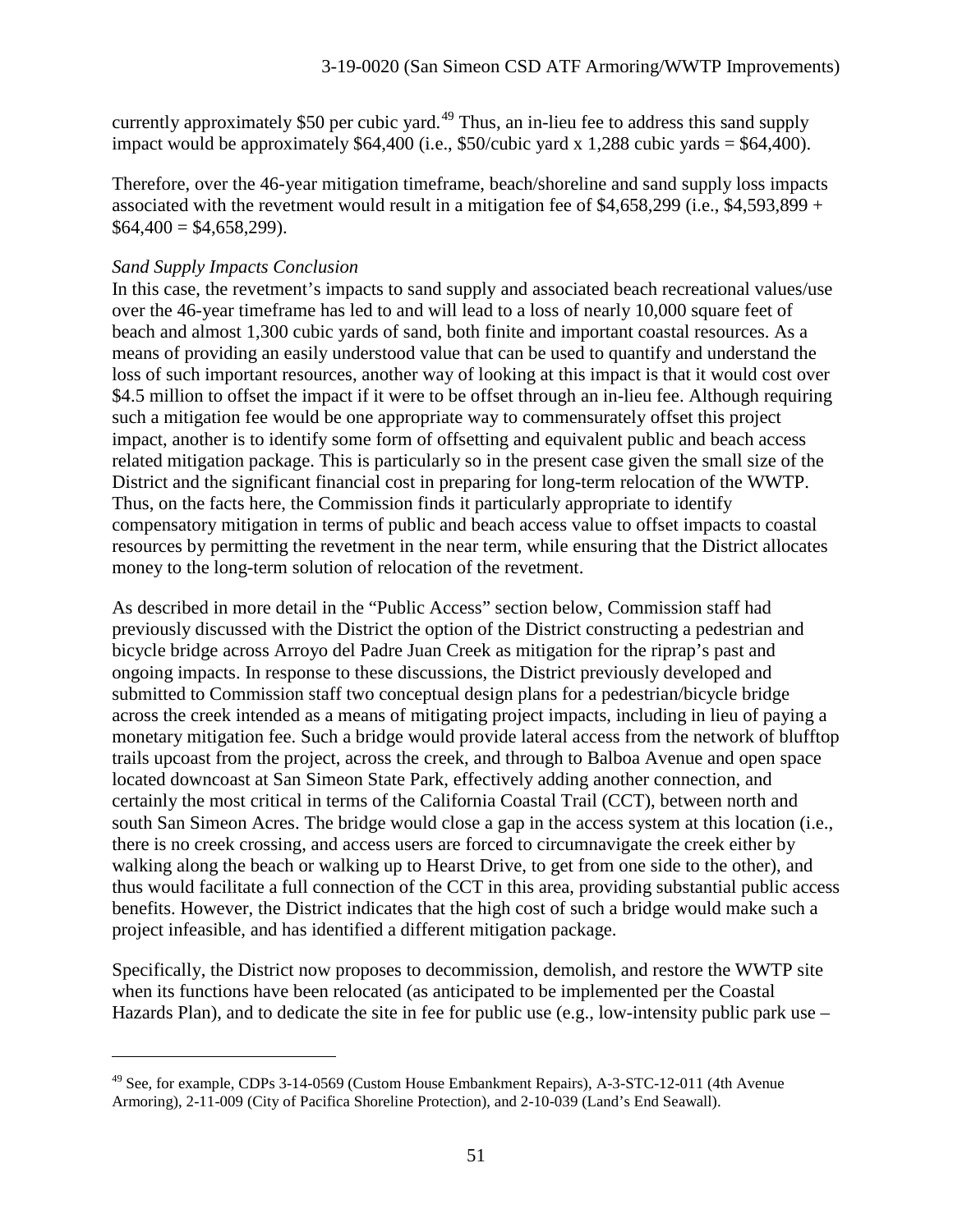currently approximately \$50 per cubic yard.<sup>[49](#page-50-0)</sup> Thus, an in-lieu fee to address this sand supply impact would be approximately  $$64,400$  (i.e.,  $$50/cubic$  yard x 1,288 cubic yards =  $$64,400$ ).

Therefore, over the 46-year mitigation timeframe, beach/shoreline and sand supply loss impacts associated with the revetment would result in a mitigation fee of  $$4,658,299$  (i.e.,  $$4,593,899 +$  $$64,400 = $4,658,299$ .

#### *Sand Supply Impacts Conclusion*

 $\overline{a}$ 

In this case, the revetment's impacts to sand supply and associated beach recreational values/use over the 46-year timeframe has led to and will lead to a loss of nearly 10,000 square feet of beach and almost 1,300 cubic yards of sand, both finite and important coastal resources. As a means of providing an easily understood value that can be used to quantify and understand the loss of such important resources, another way of looking at this impact is that it would cost over \$4.5 million to offset the impact if it were to be offset through an in-lieu fee. Although requiring such a mitigation fee would be one appropriate way to commensurately offset this project impact, another is to identify some form of offsetting and equivalent public and beach access related mitigation package. This is particularly so in the present case given the small size of the District and the significant financial cost in preparing for long-term relocation of the WWTP. Thus, on the facts here, the Commission finds it particularly appropriate to identify compensatory mitigation in terms of public and beach access value to offset impacts to coastal resources by permitting the revetment in the near term, while ensuring that the District allocates money to the long-term solution of relocation of the revetment.

As described in more detail in the "Public Access" section below, Commission staff had previously discussed with the District the option of the District constructing a pedestrian and bicycle bridge across Arroyo del Padre Juan Creek as mitigation for the riprap's past and ongoing impacts. In response to these discussions, the District previously developed and submitted to Commission staff two conceptual design plans for a pedestrian/bicycle bridge across the creek intended as a means of mitigating project impacts, including in lieu of paying a monetary mitigation fee. Such a bridge would provide lateral access from the network of blufftop trails upcoast from the project, across the creek, and through to Balboa Avenue and open space located downcoast at San Simeon State Park, effectively adding another connection, and certainly the most critical in terms of the California Coastal Trail (CCT), between north and south San Simeon Acres. The bridge would close a gap in the access system at this location (i.e., there is no creek crossing, and access users are forced to circumnavigate the creek either by walking along the beach or walking up to Hearst Drive, to get from one side to the other), and thus would facilitate a full connection of the CCT in this area, providing substantial public access benefits. However, the District indicates that the high cost of such a bridge would make such a project infeasible, and has identified a different mitigation package.

Specifically, the District now proposes to decommission, demolish, and restore the WWTP site when its functions have been relocated (as anticipated to be implemented per the Coastal Hazards Plan), and to dedicate the site in fee for public use (e.g., low-intensity public park use –

<span id="page-50-0"></span><sup>&</sup>lt;sup>49</sup> See, for example, CDPs 3-14-0569 (Custom House Embankment Repairs), A-3-STC-12-011 (4th Avenue Armoring), 2-11-009 (City of Pacifica Shoreline Protection), and 2-10-039 (Land's End Seawall).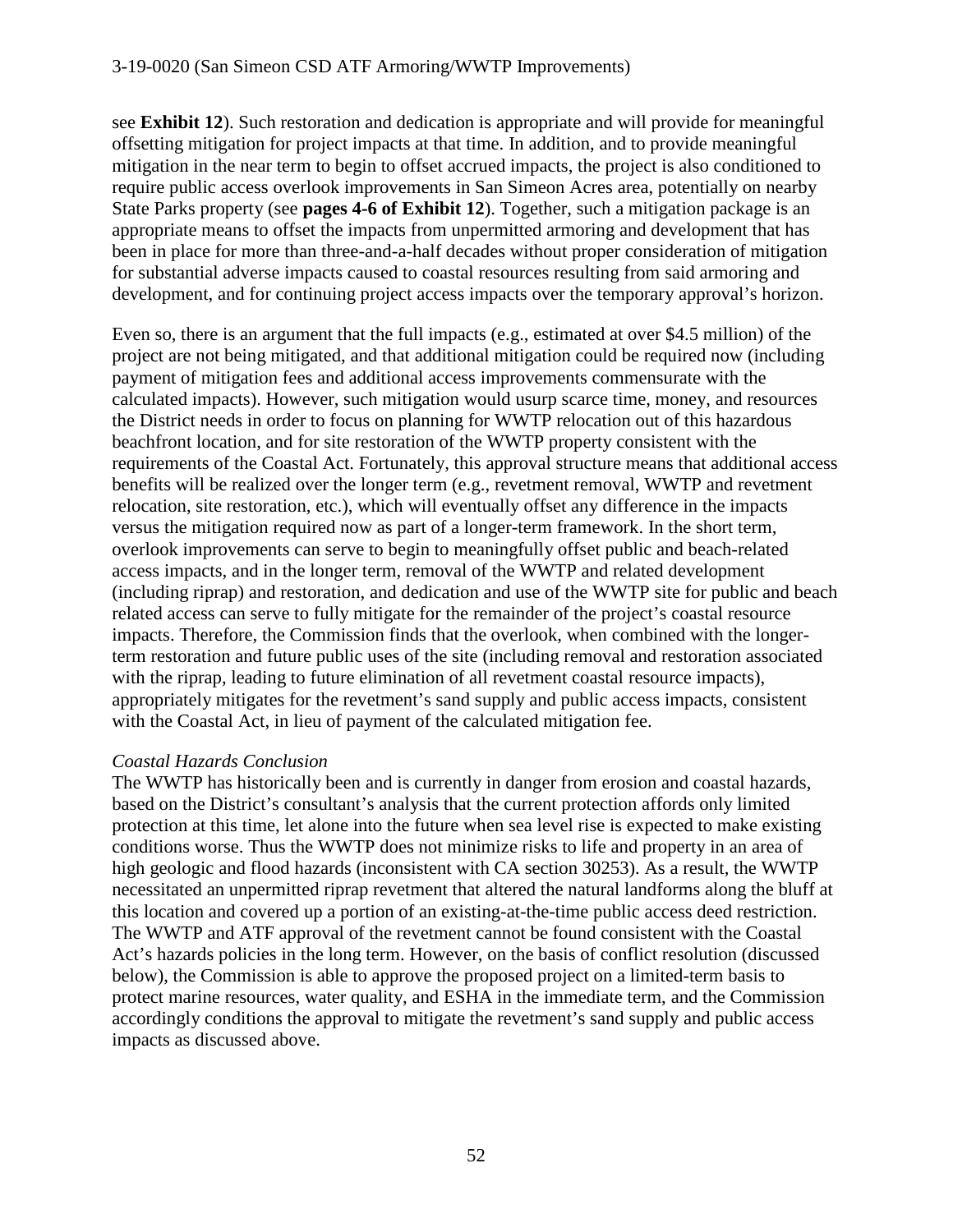see **Exhibit 12**). Such restoration and dedication is appropriate and will provide for meaningful offsetting mitigation for project impacts at that time. In addition, and to provide meaningful mitigation in the near term to begin to offset accrued impacts, the project is also conditioned to require public access overlook improvements in San Simeon Acres area, potentially on nearby State Parks property (see **pages 4-6 of Exhibit 12**). Together, such a mitigation package is an appropriate means to offset the impacts from unpermitted armoring and development that has been in place for more than three-and-a-half decades without proper consideration of mitigation for substantial adverse impacts caused to coastal resources resulting from said armoring and development, and for continuing project access impacts over the temporary approval's horizon.

Even so, there is an argument that the full impacts (e.g., estimated at over \$4.5 million) of the project are not being mitigated, and that additional mitigation could be required now (including payment of mitigation fees and additional access improvements commensurate with the calculated impacts). However, such mitigation would usurp scarce time, money, and resources the District needs in order to focus on planning for WWTP relocation out of this hazardous beachfront location, and for site restoration of the WWTP property consistent with the requirements of the Coastal Act. Fortunately, this approval structure means that additional access benefits will be realized over the longer term (e.g., revetment removal, WWTP and revetment relocation, site restoration, etc.), which will eventually offset any difference in the impacts versus the mitigation required now as part of a longer-term framework. In the short term, overlook improvements can serve to begin to meaningfully offset public and beach-related access impacts, and in the longer term, removal of the WWTP and related development (including riprap) and restoration, and dedication and use of the WWTP site for public and beach related access can serve to fully mitigate for the remainder of the project's coastal resource impacts. Therefore, the Commission finds that the overlook, when combined with the longerterm restoration and future public uses of the site (including removal and restoration associated with the riprap, leading to future elimination of all revetment coastal resource impacts), appropriately mitigates for the revetment's sand supply and public access impacts, consistent with the Coastal Act, in lieu of payment of the calculated mitigation fee.

# *Coastal Hazards Conclusion*

The WWTP has historically been and is currently in danger from erosion and coastal hazards, based on the District's consultant's analysis that the current protection affords only limited protection at this time, let alone into the future when sea level rise is expected to make existing conditions worse. Thus the WWTP does not minimize risks to life and property in an area of high geologic and flood hazards (inconsistent with CA section 30253). As a result, the WWTP necessitated an unpermitted riprap revetment that altered the natural landforms along the bluff at this location and covered up a portion of an existing-at-the-time public access deed restriction. The WWTP and ATF approval of the revetment cannot be found consistent with the Coastal Act's hazards policies in the long term. However, on the basis of conflict resolution (discussed below), the Commission is able to approve the proposed project on a limited-term basis to protect marine resources, water quality, and ESHA in the immediate term, and the Commission accordingly conditions the approval to mitigate the revetment's sand supply and public access impacts as discussed above.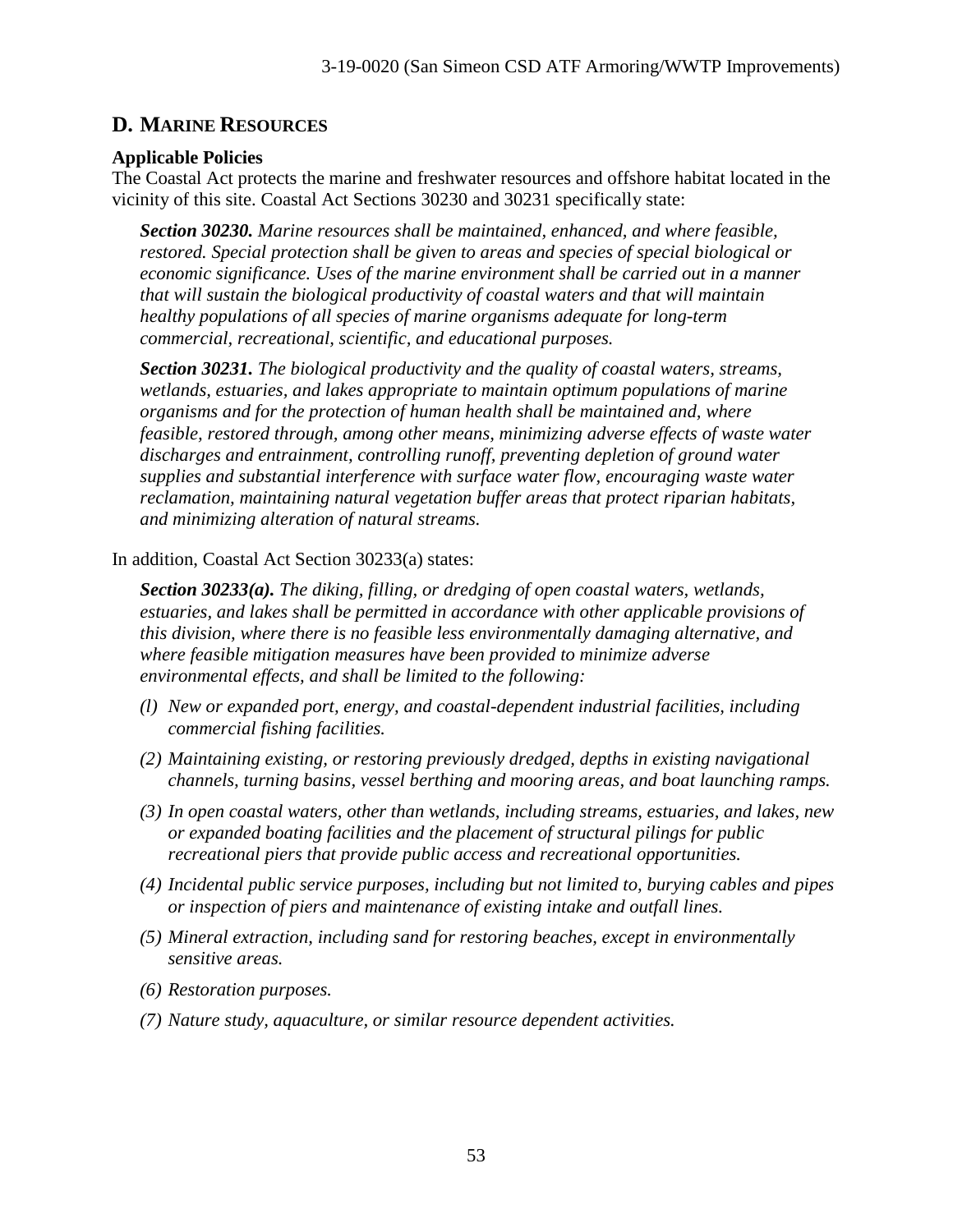# **D. MARINE RESOURCES**

# **Applicable Policies**

The Coastal Act protects the marine and freshwater resources and offshore habitat located in the vicinity of this site. Coastal Act Sections 30230 and 30231 specifically state:

*Section 30230. Marine resources shall be maintained, enhanced, and where feasible, restored. Special protection shall be given to areas and species of special biological or economic significance. Uses of the marine environment shall be carried out in a manner that will sustain the biological productivity of coastal waters and that will maintain healthy populations of all species of marine organisms adequate for long-term commercial, recreational, scientific, and educational purposes.*

*Section 30231. The biological productivity and the quality of coastal waters, streams, wetlands, estuaries, and lakes appropriate to maintain optimum populations of marine organisms and for the protection of human health shall be maintained and, where feasible, restored through, among other means, minimizing adverse effects of waste water discharges and entrainment, controlling runoff, preventing depletion of ground water supplies and substantial interference with surface water flow, encouraging waste water reclamation, maintaining natural vegetation buffer areas that protect riparian habitats, and minimizing alteration of natural streams.*

In addition, Coastal Act Section 30233(a) states:

*Section 30233(a). The diking, filling, or dredging of open coastal waters, wetlands, estuaries, and lakes shall be permitted in accordance with other applicable provisions of this division, where there is no feasible less environmentally damaging alternative, and where feasible mitigation measures have been provided to minimize adverse environmental effects, and shall be limited to the following:*

- *(l) New or expanded port, energy, and coastal-dependent industrial facilities, including commercial fishing facilities.*
- *(2) Maintaining existing, or restoring previously dredged, depths in existing navigational channels, turning basins, vessel berthing and mooring areas, and boat launching ramps.*
- *(3) In open coastal waters, other than wetlands, including streams, estuaries, and lakes, new or expanded boating facilities and the placement of structural pilings for public recreational piers that provide public access and recreational opportunities.*
- *(4) Incidental public service purposes, including but not limited to, burying cables and pipes or inspection of piers and maintenance of existing intake and outfall lines.*
- *(5) Mineral extraction, including sand for restoring beaches, except in environmentally sensitive areas.*
- *(6) Restoration purposes.*
- *(7) Nature study, aquaculture, or similar resource dependent activities.*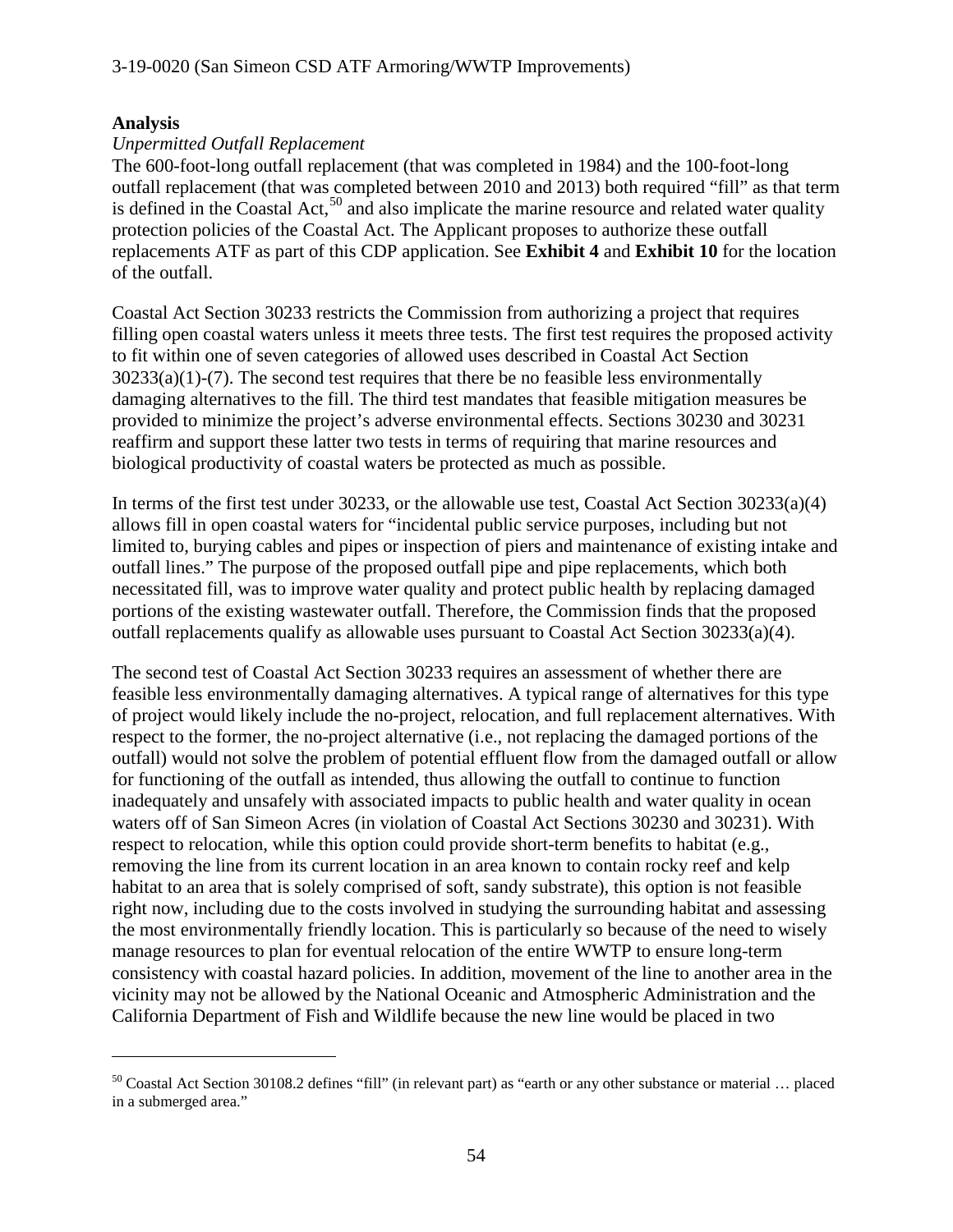### **Analysis**

 $\overline{a}$ 

### *Unpermitted Outfall Replacement*

The 600-foot-long outfall replacement (that was completed in 1984) and the 100-foot-long outfall replacement (that was completed between 2010 and 2013) both required "fill" as that term is defined in the Coastal Act,<sup>[50](#page-53-0)</sup> and also implicate the marine resource and related water quality protection policies of the Coastal Act. The Applicant proposes to authorize these outfall replacements ATF as part of this CDP application. See **Exhibit 4** and **Exhibit 10** for the location of the outfall.

Coastal Act Section 30233 restricts the Commission from authorizing a project that requires filling open coastal waters unless it meets three tests. The first test requires the proposed activity to fit within one of seven categories of allowed uses described in Coastal Act Section  $30233(a)(1)-(7)$ . The second test requires that there be no feasible less environmentally damaging alternatives to the fill. The third test mandates that feasible mitigation measures be provided to minimize the project's adverse environmental effects. Sections 30230 and 30231 reaffirm and support these latter two tests in terms of requiring that marine resources and biological productivity of coastal waters be protected as much as possible.

In terms of the first test under 30233, or the allowable use test, Coastal Act Section 30233(a)(4) allows fill in open coastal waters for "incidental public service purposes, including but not limited to, burying cables and pipes or inspection of piers and maintenance of existing intake and outfall lines." The purpose of the proposed outfall pipe and pipe replacements, which both necessitated fill, was to improve water quality and protect public health by replacing damaged portions of the existing wastewater outfall. Therefore, the Commission finds that the proposed outfall replacements qualify as allowable uses pursuant to Coastal Act Section 30233(a)(4).

The second test of Coastal Act Section 30233 requires an assessment of whether there are feasible less environmentally damaging alternatives. A typical range of alternatives for this type of project would likely include the no-project, relocation, and full replacement alternatives. With respect to the former, the no-project alternative (i.e., not replacing the damaged portions of the outfall) would not solve the problem of potential effluent flow from the damaged outfall or allow for functioning of the outfall as intended, thus allowing the outfall to continue to function inadequately and unsafely with associated impacts to public health and water quality in ocean waters off of San Simeon Acres (in violation of Coastal Act Sections 30230 and 30231). With respect to relocation, while this option could provide short-term benefits to habitat (e.g., removing the line from its current location in an area known to contain rocky reef and kelp habitat to an area that is solely comprised of soft, sandy substrate), this option is not feasible right now, including due to the costs involved in studying the surrounding habitat and assessing the most environmentally friendly location. This is particularly so because of the need to wisely manage resources to plan for eventual relocation of the entire WWTP to ensure long-term consistency with coastal hazard policies. In addition, movement of the line to another area in the vicinity may not be allowed by the National Oceanic and Atmospheric Administration and the California Department of Fish and Wildlife because the new line would be placed in two

<span id="page-53-0"></span> $50$  Coastal Act Section 30108.2 defines "fill" (in relevant part) as "earth or any other substance or material  $\ldots$  placed in a submerged area."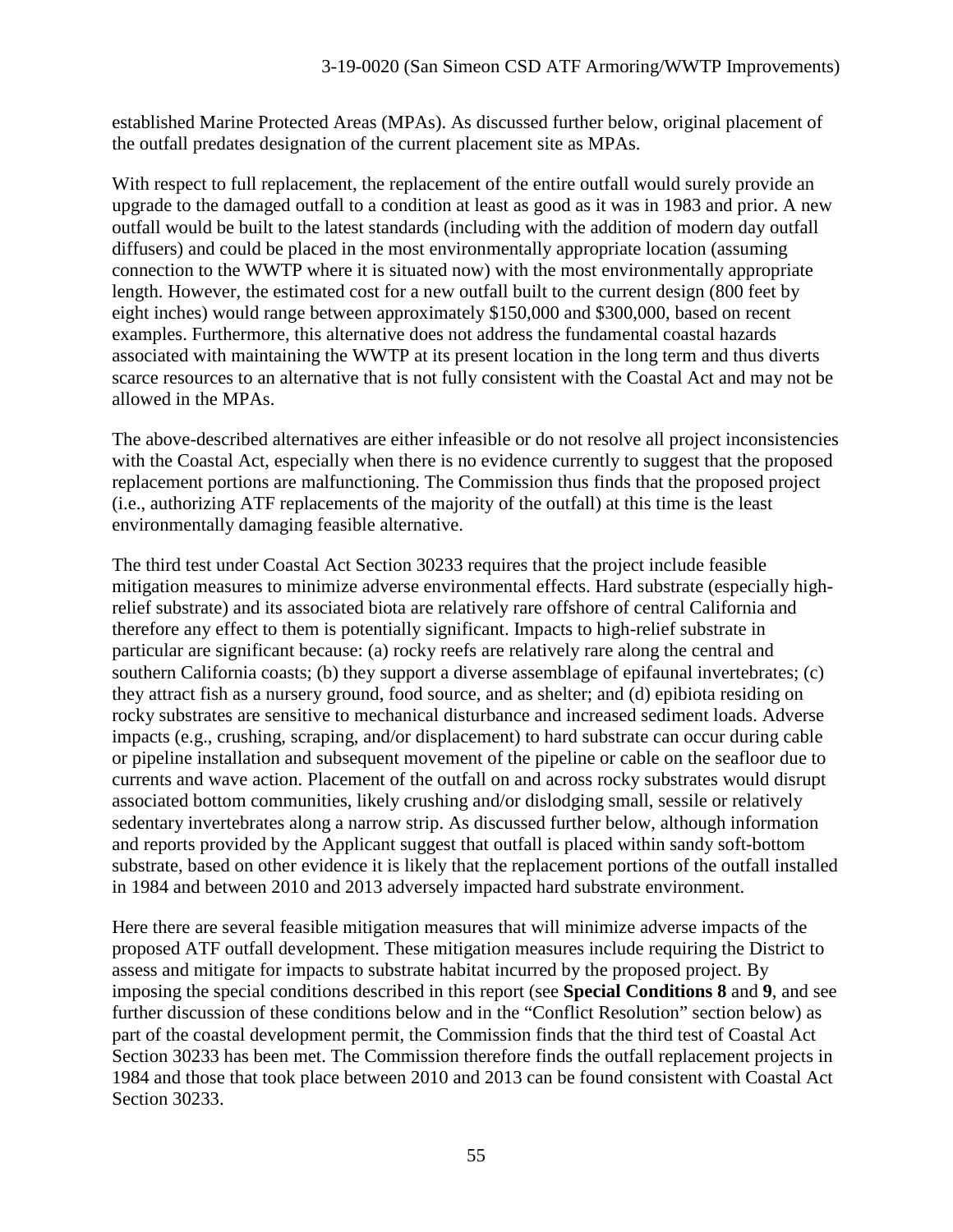established Marine Protected Areas (MPAs). As discussed further below, original placement of the outfall predates designation of the current placement site as MPAs.

With respect to full replacement, the replacement of the entire outfall would surely provide an upgrade to the damaged outfall to a condition at least as good as it was in 1983 and prior. A new outfall would be built to the latest standards (including with the addition of modern day outfall diffusers) and could be placed in the most environmentally appropriate location (assuming connection to the WWTP where it is situated now) with the most environmentally appropriate length. However, the estimated cost for a new outfall built to the current design (800 feet by eight inches) would range between approximately \$150,000 and \$300,000, based on recent examples. Furthermore, this alternative does not address the fundamental coastal hazards associated with maintaining the WWTP at its present location in the long term and thus diverts scarce resources to an alternative that is not fully consistent with the Coastal Act and may not be allowed in the MPAs.

The above-described alternatives are either infeasible or do not resolve all project inconsistencies with the Coastal Act, especially when there is no evidence currently to suggest that the proposed replacement portions are malfunctioning. The Commission thus finds that the proposed project (i.e., authorizing ATF replacements of the majority of the outfall) at this time is the least environmentally damaging feasible alternative.

The third test under Coastal Act Section 30233 requires that the project include feasible mitigation measures to minimize adverse environmental effects. Hard substrate (especially highrelief substrate) and its associated biota are relatively rare offshore of central California and therefore any effect to them is potentially significant. Impacts to high-relief substrate in particular are significant because: (a) rocky reefs are relatively rare along the central and southern California coasts; (b) they support a diverse assemblage of epifaunal invertebrates; (c) they attract fish as a nursery ground, food source, and as shelter; and (d) epibiota residing on rocky substrates are sensitive to mechanical disturbance and increased sediment loads. Adverse impacts (e.g., crushing, scraping, and/or displacement) to hard substrate can occur during cable or pipeline installation and subsequent movement of the pipeline or cable on the seafloor due to currents and wave action. Placement of the outfall on and across rocky substrates would disrupt associated bottom communities, likely crushing and/or dislodging small, sessile or relatively sedentary invertebrates along a narrow strip. As discussed further below, although information and reports provided by the Applicant suggest that outfall is placed within sandy soft-bottom substrate, based on other evidence it is likely that the replacement portions of the outfall installed in 1984 and between 2010 and 2013 adversely impacted hard substrate environment.

Here there are several feasible mitigation measures that will minimize adverse impacts of the proposed ATF outfall development. These mitigation measures include requiring the District to assess and mitigate for impacts to substrate habitat incurred by the proposed project. By imposing the special conditions described in this report (see **Special Conditions 8** and **9**, and see further discussion of these conditions below and in the "Conflict Resolution" section below) as part of the coastal development permit, the Commission finds that the third test of Coastal Act Section 30233 has been met. The Commission therefore finds the outfall replacement projects in 1984 and those that took place between 2010 and 2013 can be found consistent with Coastal Act Section 30233.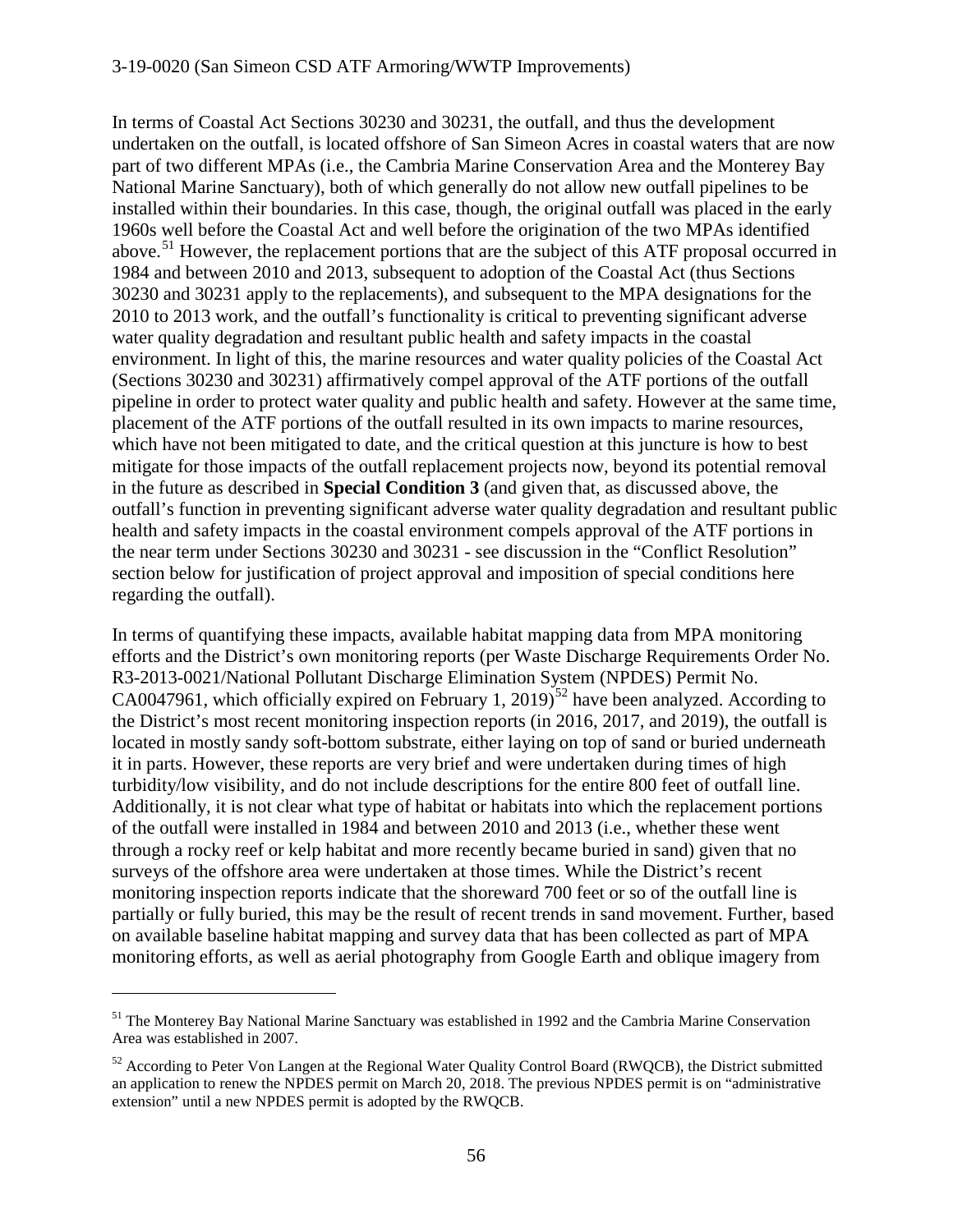In terms of Coastal Act Sections 30230 and 30231, the outfall, and thus the development undertaken on the outfall, is located offshore of San Simeon Acres in coastal waters that are now part of two different MPAs (i.e., the Cambria Marine Conservation Area and the Monterey Bay National Marine Sanctuary), both of which generally do not allow new outfall pipelines to be installed within their boundaries. In this case, though, the original outfall was placed in the early 1960s well before the Coastal Act and well before the origination of the two MPAs identified above.<sup>[51](#page-55-0)</sup> However, the replacement portions that are the subject of this ATF proposal occurred in 1984 and between 2010 and 2013, subsequent to adoption of the Coastal Act (thus Sections 30230 and 30231 apply to the replacements), and subsequent to the MPA designations for the 2010 to 2013 work, and the outfall's functionality is critical to preventing significant adverse water quality degradation and resultant public health and safety impacts in the coastal environment. In light of this, the marine resources and water quality policies of the Coastal Act (Sections 30230 and 30231) affirmatively compel approval of the ATF portions of the outfall pipeline in order to protect water quality and public health and safety. However at the same time, placement of the ATF portions of the outfall resulted in its own impacts to marine resources, which have not been mitigated to date, and the critical question at this juncture is how to best mitigate for those impacts of the outfall replacement projects now, beyond its potential removal in the future as described in **Special Condition 3** (and given that, as discussed above, the outfall's function in preventing significant adverse water quality degradation and resultant public health and safety impacts in the coastal environment compels approval of the ATF portions in the near term under Sections 30230 and 30231 - see discussion in the "Conflict Resolution" section below for justification of project approval and imposition of special conditions here regarding the outfall).

In terms of quantifying these impacts, available habitat mapping data from MPA monitoring efforts and the District's own monitoring reports (per Waste Discharge Requirements Order No. R3-2013-0021/National Pollutant Discharge Elimination System (NPDES) Permit No. CA0047961, which officially expired on February 1, 2019)<sup>[52](#page-55-1)</sup> have been analyzed. According to the District's most recent monitoring inspection reports (in 2016, 2017, and 2019), the outfall is located in mostly sandy soft-bottom substrate, either laying on top of sand or buried underneath it in parts. However, these reports are very brief and were undertaken during times of high turbidity/low visibility, and do not include descriptions for the entire 800 feet of outfall line. Additionally, it is not clear what type of habitat or habitats into which the replacement portions of the outfall were installed in 1984 and between 2010 and 2013 (i.e., whether these went through a rocky reef or kelp habitat and more recently became buried in sand) given that no surveys of the offshore area were undertaken at those times. While the District's recent monitoring inspection reports indicate that the shoreward 700 feet or so of the outfall line is partially or fully buried, this may be the result of recent trends in sand movement. Further, based on available baseline habitat mapping and survey data that has been collected as part of MPA monitoring efforts, as well as aerial photography from Google Earth and oblique imagery from

<span id="page-55-0"></span><sup>&</sup>lt;sup>51</sup> The Monterey Bay National Marine Sanctuary was established in 1992 and the Cambria Marine Conservation Area was established in 2007.

<span id="page-55-1"></span><sup>&</sup>lt;sup>52</sup> According to Peter Von Langen at the Regional Water Quality Control Board (RWQCB), the District submitted an application to renew the NPDES permit on March 20, 2018. The previous NPDES permit is on "administrative extension" until a new NPDES permit is adopted by the RWQCB.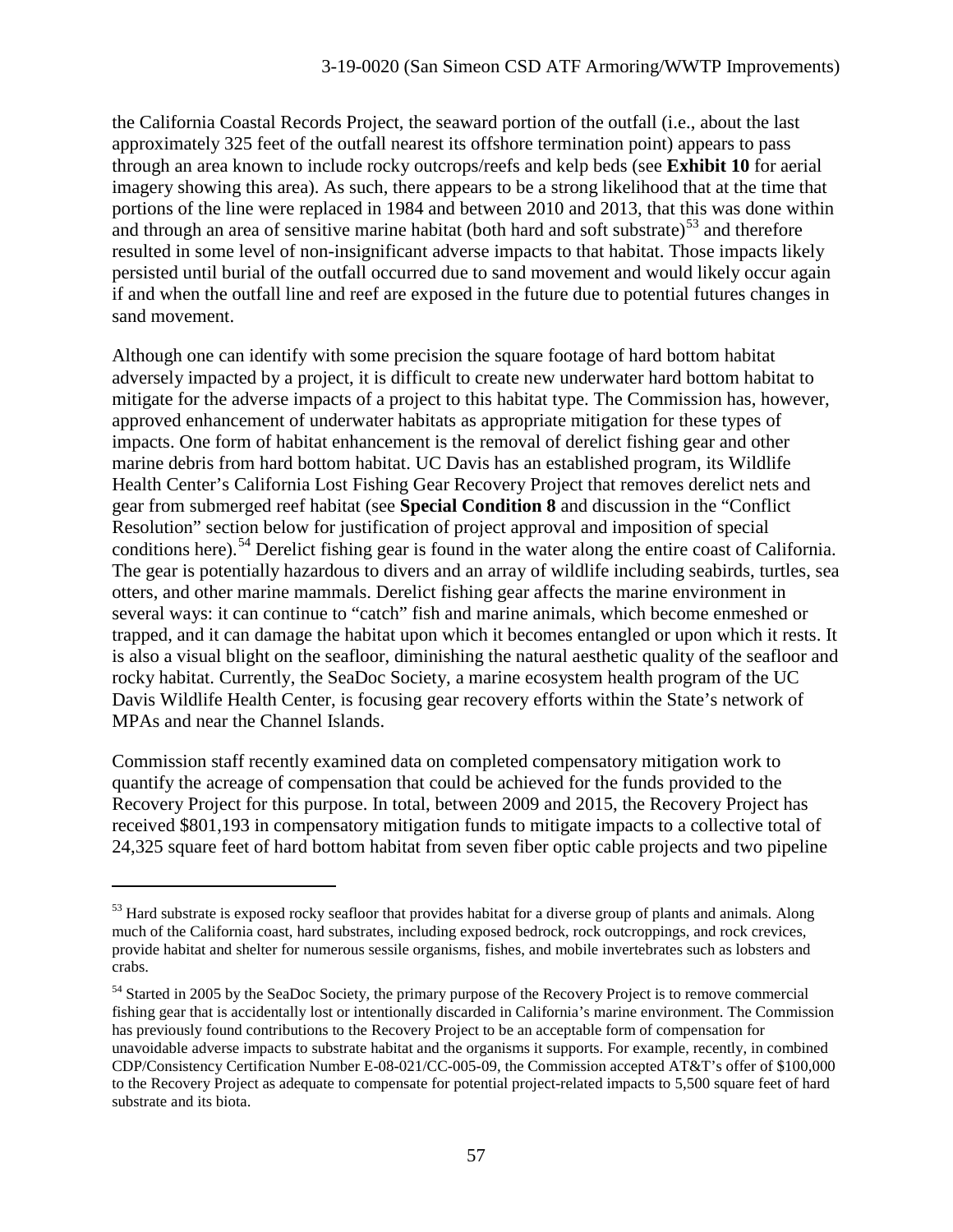the California Coastal Records Project, the seaward portion of the outfall (i.e., about the last approximately 325 feet of the outfall nearest its offshore termination point) appears to pass through an area known to include rocky outcrops/reefs and kelp beds (see **Exhibit 10** for aerial imagery showing this area). As such, there appears to be a strong likelihood that at the time that portions of the line were replaced in 1984 and between 2010 and 2013, that this was done within and through an area of sensitive marine habitat (both hard and soft substrate) $^{53}$  $^{53}$  $^{53}$  and therefore resulted in some level of non-insignificant adverse impacts to that habitat. Those impacts likely persisted until burial of the outfall occurred due to sand movement and would likely occur again if and when the outfall line and reef are exposed in the future due to potential futures changes in sand movement.

Although one can identify with some precision the square footage of hard bottom habitat adversely impacted by a project, it is difficult to create new underwater hard bottom habitat to mitigate for the adverse impacts of a project to this habitat type. The Commission has, however, approved enhancement of underwater habitats as appropriate mitigation for these types of impacts. One form of habitat enhancement is the removal of derelict fishing gear and other marine debris from hard bottom habitat. UC Davis has an established program, its Wildlife Health Center's California Lost Fishing Gear Recovery Project that removes derelict nets and gear from submerged reef habitat (see **Special Condition 8** and discussion in the "Conflict Resolution" section below for justification of project approval and imposition of special conditions here).<sup>[54](#page-56-1)</sup> Derelict fishing gear is found in the water along the entire coast of California. The gear is potentially hazardous to divers and an array of wildlife including seabirds, turtles, sea otters, and other marine mammals. Derelict fishing gear affects the marine environment in several ways: it can continue to "catch" fish and marine animals, which become enmeshed or trapped, and it can damage the habitat upon which it becomes entangled or upon which it rests. It is also a visual blight on the seafloor, diminishing the natural aesthetic quality of the seafloor and rocky habitat. Currently, the SeaDoc Society, a marine ecosystem health program of the UC Davis Wildlife Health Center, is focusing gear recovery efforts within the State's network of MPAs and near the Channel Islands.

Commission staff recently examined data on completed compensatory mitigation work to quantify the acreage of compensation that could be achieved for the funds provided to the Recovery Project for this purpose. In total, between 2009 and 2015, the Recovery Project has received \$801,193 in compensatory mitigation funds to mitigate impacts to a collective total of 24,325 square feet of hard bottom habitat from seven fiber optic cable projects and two pipeline

<span id="page-56-0"></span><sup>&</sup>lt;sup>53</sup> Hard substrate is exposed rocky seafloor that provides habitat for a diverse group of plants and animals. Along much of the California coast, hard substrates, including exposed bedrock, rock outcroppings, and rock crevices, provide habitat and shelter for numerous sessile organisms, fishes, and mobile invertebrates such as lobsters and crabs.

<span id="page-56-1"></span><sup>&</sup>lt;sup>54</sup> Started in 2005 by the SeaDoc Society, the primary purpose of the Recovery Project is to remove commercial fishing gear that is accidentally lost or intentionally discarded in California's marine environment. The Commission has previously found contributions to the Recovery Project to be an acceptable form of compensation for unavoidable adverse impacts to substrate habitat and the organisms it supports. For example, recently, in combined CDP/Consistency Certification Number E-08-021/CC-005-09, the Commission accepted AT&T's offer of \$100,000 to the Recovery Project as adequate to compensate for potential project-related impacts to 5,500 square feet of hard substrate and its biota.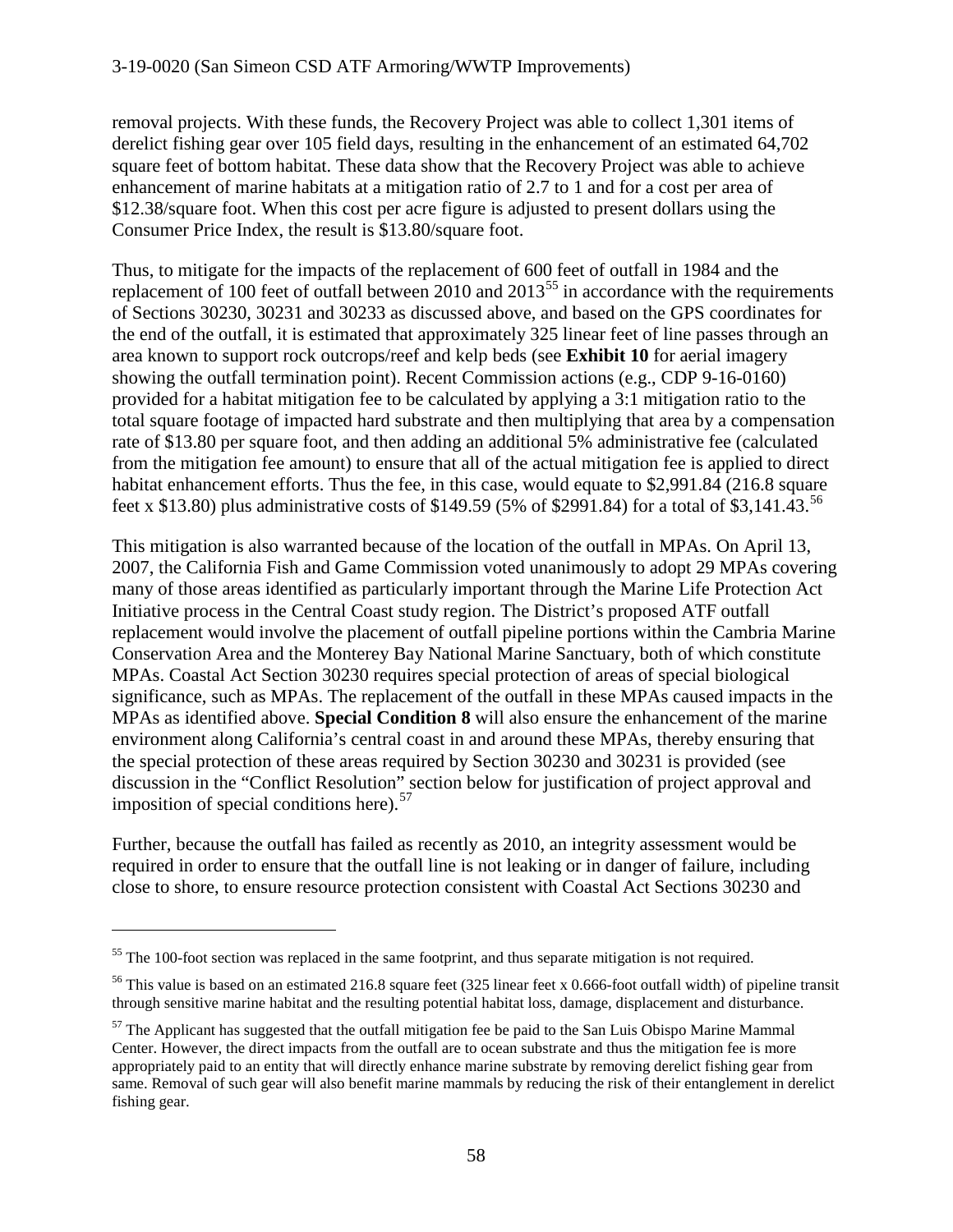removal projects. With these funds, the Recovery Project was able to collect 1,301 items of derelict fishing gear over 105 field days, resulting in the enhancement of an estimated 64,702 square feet of bottom habitat. These data show that the Recovery Project was able to achieve enhancement of marine habitats at a mitigation ratio of 2.7 to 1 and for a cost per area of \$12.38/square foot. When this cost per acre figure is adjusted to present dollars using the Consumer Price Index, the result is \$13.80/square foot.

Thus, to mitigate for the impacts of the replacement of 600 feet of outfall in 1984 and the replacement of 100 feet of outfall between  $2010$  and  $2013^{55}$  $2013^{55}$  $2013^{55}$  in accordance with the requirements of Sections 30230, 30231 and 30233 as discussed above, and based on the GPS coordinates for the end of the outfall, it is estimated that approximately 325 linear feet of line passes through an area known to support rock outcrops/reef and kelp beds (see **Exhibit 10** for aerial imagery showing the outfall termination point). Recent Commission actions (e.g., CDP 9-16-0160) provided for a habitat mitigation fee to be calculated by applying a 3:1 mitigation ratio to the total square footage of impacted hard substrate and then multiplying that area by a compensation rate of \$13.80 per square foot, and then adding an additional 5% administrative fee (calculated from the mitigation fee amount) to ensure that all of the actual mitigation fee is applied to direct habitat enhancement efforts. Thus the fee, in this case, would equate to \$2,991.84 (216.8 square feet x \$13.80) plus administrative costs of \$149.59 (5% of \$2991.84) for a total of \$3,141.43.<sup>[56](#page-57-1)</sup>

This mitigation is also warranted because of the location of the outfall in MPAs. On April 13, 2007, the California Fish and Game Commission voted unanimously to adopt 29 MPAs covering many of those areas identified as particularly important through the Marine Life Protection Act Initiative process in the Central Coast study region. The District's proposed ATF outfall replacement would involve the placement of outfall pipeline portions within the Cambria Marine Conservation Area and the Monterey Bay National Marine Sanctuary, both of which constitute MPAs. Coastal Act Section 30230 requires special protection of areas of special biological significance, such as MPAs. The replacement of the outfall in these MPAs caused impacts in the MPAs as identified above. **Special Condition 8** will also ensure the enhancement of the marine environment along California's central coast in and around these MPAs, thereby ensuring that the special protection of these areas required by Section 30230 and 30231 is provided (see discussion in the "Conflict Resolution" section below for justification of project approval and imposition of special conditions here).<sup>[57](#page-57-2)</sup>

Further, because the outfall has failed as recently as 2010, an integrity assessment would be required in order to ensure that the outfall line is not leaking or in danger of failure, including close to shore, to ensure resource protection consistent with Coastal Act Sections 30230 and

<span id="page-57-0"></span> $55$  The 100-foot section was replaced in the same footprint, and thus separate mitigation is not required.

<span id="page-57-1"></span><sup>&</sup>lt;sup>56</sup> This value is based on an estimated 216.8 square feet (325 linear feet x 0.666-foot outfall width) of pipeline transit through sensitive marine habitat and the resulting potential habitat loss, damage, displacement and disturbance.

<span id="page-57-2"></span> $57$  The Applicant has suggested that the outfall mitigation fee be paid to the San Luis Obispo Marine Mammal Center. However, the direct impacts from the outfall are to ocean substrate and thus the mitigation fee is more appropriately paid to an entity that will directly enhance marine substrate by removing derelict fishing gear from same. Removal of such gear will also benefit marine mammals by reducing the risk of their entanglement in derelict fishing gear.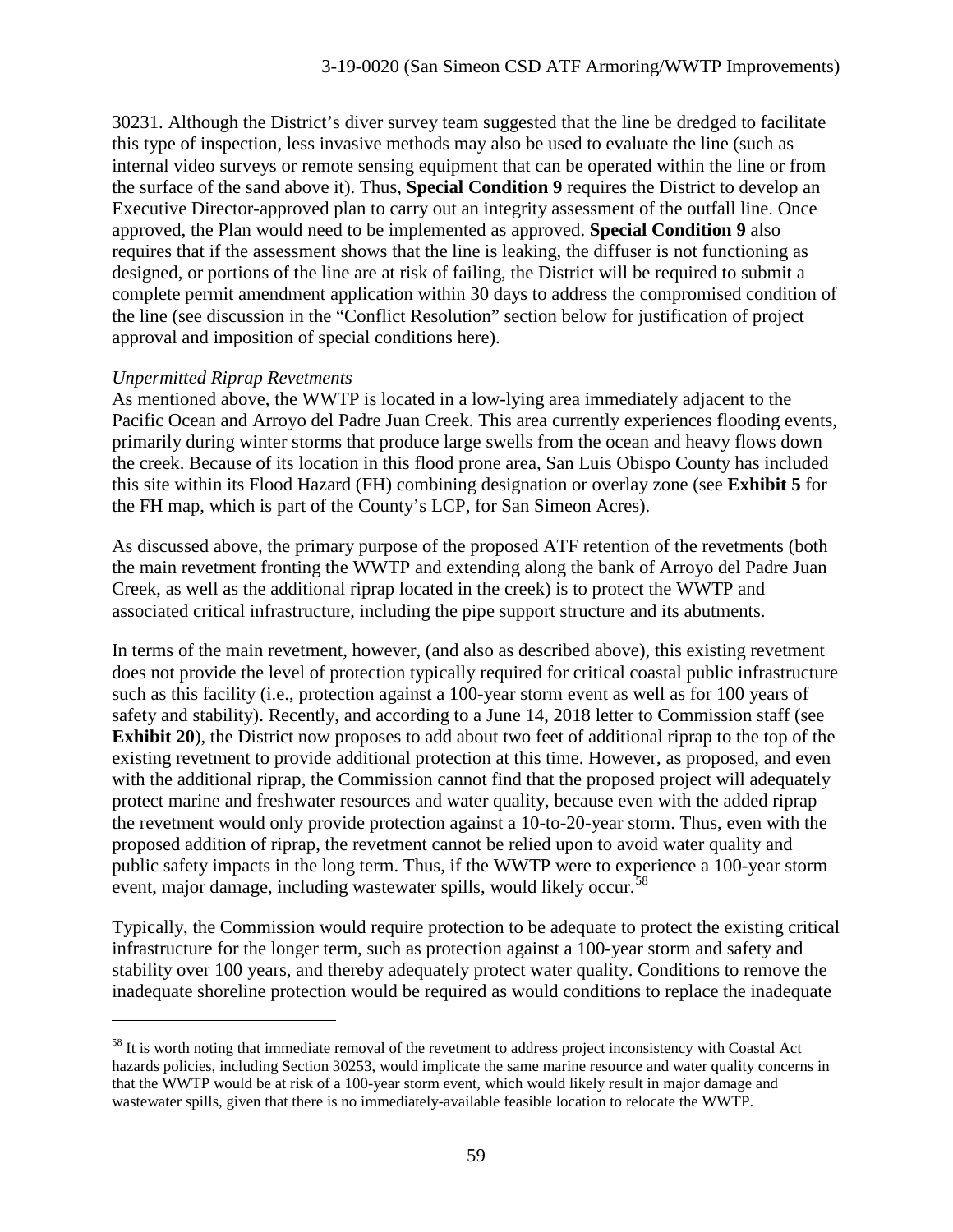30231. Although the District's diver survey team suggested that the line be dredged to facilitate this type of inspection, less invasive methods may also be used to evaluate the line (such as internal video surveys or remote sensing equipment that can be operated within the line or from the surface of the sand above it). Thus, **Special Condition 9** requires the District to develop an Executive Director-approved plan to carry out an integrity assessment of the outfall line. Once approved, the Plan would need to be implemented as approved. **Special Condition 9** also requires that if the assessment shows that the line is leaking, the diffuser is not functioning as designed, or portions of the line are at risk of failing, the District will be required to submit a complete permit amendment application within 30 days to address the compromised condition of the line (see discussion in the "Conflict Resolution" section below for justification of project approval and imposition of special conditions here).

#### *Unpermitted Riprap Revetments*

 $\overline{a}$ 

As mentioned above, the WWTP is located in a low-lying area immediately adjacent to the Pacific Ocean and Arroyo del Padre Juan Creek. This area currently experiences flooding events, primarily during winter storms that produce large swells from the ocean and heavy flows down the creek. Because of its location in this flood prone area, San Luis Obispo County has included this site within its Flood Hazard (FH) combining designation or overlay zone (see **Exhibit 5** for the FH map, which is part of the County's LCP, for San Simeon Acres).

As discussed above, the primary purpose of the proposed ATF retention of the revetments (both the main revetment fronting the WWTP and extending along the bank of Arroyo del Padre Juan Creek, as well as the additional riprap located in the creek) is to protect the WWTP and associated critical infrastructure, including the pipe support structure and its abutments.

In terms of the main revetment, however, (and also as described above), this existing revetment does not provide the level of protection typically required for critical coastal public infrastructure such as this facility (i.e., protection against a 100-year storm event as well as for 100 years of safety and stability). Recently, and according to a June 14, 2018 letter to Commission staff (see **Exhibit 20**), the District now proposes to add about two feet of additional riprap to the top of the existing revetment to provide additional protection at this time. However, as proposed, and even with the additional riprap, the Commission cannot find that the proposed project will adequately protect marine and freshwater resources and water quality, because even with the added riprap the revetment would only provide protection against a 10-to-20-year storm. Thus, even with the proposed addition of riprap, the revetment cannot be relied upon to avoid water quality and public safety impacts in the long term. Thus, if the WWTP were to experience a 100-year storm event, major damage, including wastewater spills, would likely occur.<sup>[58](#page-58-0)</sup>

Typically, the Commission would require protection to be adequate to protect the existing critical infrastructure for the longer term, such as protection against a 100-year storm and safety and stability over 100 years, and thereby adequately protect water quality. Conditions to remove the inadequate shoreline protection would be required as would conditions to replace the inadequate

<span id="page-58-0"></span><sup>&</sup>lt;sup>58</sup> It is worth noting that immediate removal of the revetment to address project inconsistency with Coastal Act hazards policies, including Section 30253, would implicate the same marine resource and water quality concerns in that the WWTP would be at risk of a 100-year storm event, which would likely result in major damage and wastewater spills, given that there is no immediately-available feasible location to relocate the WWTP.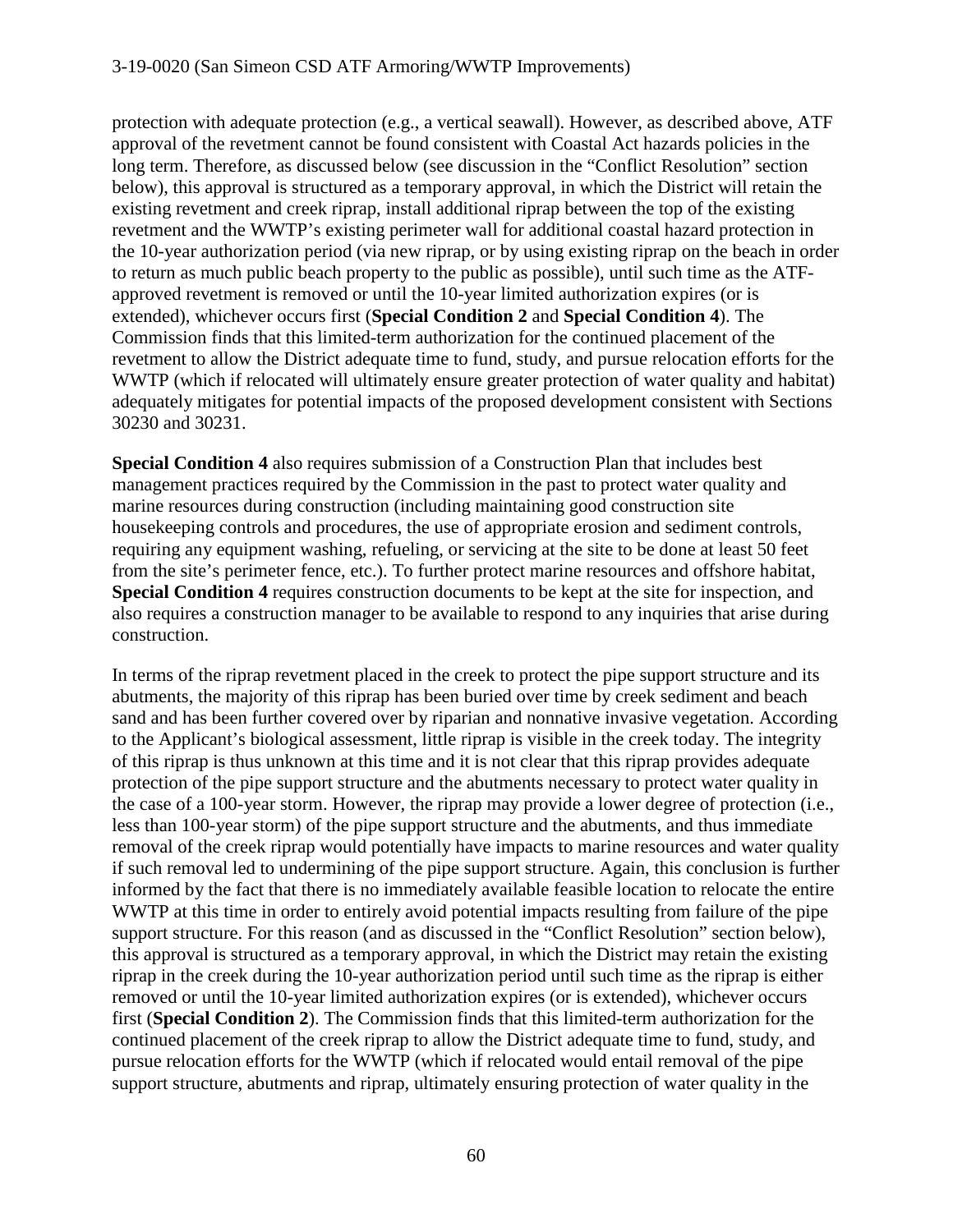protection with adequate protection (e.g., a vertical seawall). However, as described above, ATF approval of the revetment cannot be found consistent with Coastal Act hazards policies in the long term. Therefore, as discussed below (see discussion in the "Conflict Resolution" section below), this approval is structured as a temporary approval, in which the District will retain the existing revetment and creek riprap, install additional riprap between the top of the existing revetment and the WWTP's existing perimeter wall for additional coastal hazard protection in the 10-year authorization period (via new riprap, or by using existing riprap on the beach in order to return as much public beach property to the public as possible), until such time as the ATFapproved revetment is removed or until the 10-year limited authorization expires (or is extended), whichever occurs first (**Special Condition 2** and **Special Condition 4**). The Commission finds that this limited-term authorization for the continued placement of the revetment to allow the District adequate time to fund, study, and pursue relocation efforts for the WWTP (which if relocated will ultimately ensure greater protection of water quality and habitat) adequately mitigates for potential impacts of the proposed development consistent with Sections 30230 and 30231.

**Special Condition 4** also requires submission of a Construction Plan that includes best management practices required by the Commission in the past to protect water quality and marine resources during construction (including maintaining good construction site housekeeping controls and procedures, the use of appropriate erosion and sediment controls, requiring any equipment washing, refueling, or servicing at the site to be done at least 50 feet from the site's perimeter fence, etc.). To further protect marine resources and offshore habitat, **Special Condition 4** requires construction documents to be kept at the site for inspection, and also requires a construction manager to be available to respond to any inquiries that arise during construction.

In terms of the riprap revetment placed in the creek to protect the pipe support structure and its abutments, the majority of this riprap has been buried over time by creek sediment and beach sand and has been further covered over by riparian and nonnative invasive vegetation. According to the Applicant's biological assessment, little riprap is visible in the creek today. The integrity of this riprap is thus unknown at this time and it is not clear that this riprap provides adequate protection of the pipe support structure and the abutments necessary to protect water quality in the case of a 100-year storm. However, the riprap may provide a lower degree of protection (i.e., less than 100-year storm) of the pipe support structure and the abutments, and thus immediate removal of the creek riprap would potentially have impacts to marine resources and water quality if such removal led to undermining of the pipe support structure. Again, this conclusion is further informed by the fact that there is no immediately available feasible location to relocate the entire WWTP at this time in order to entirely avoid potential impacts resulting from failure of the pipe support structure. For this reason (and as discussed in the "Conflict Resolution" section below), this approval is structured as a temporary approval, in which the District may retain the existing riprap in the creek during the 10-year authorization period until such time as the riprap is either removed or until the 10-year limited authorization expires (or is extended), whichever occurs first (**Special Condition 2**). The Commission finds that this limited-term authorization for the continued placement of the creek riprap to allow the District adequate time to fund, study, and pursue relocation efforts for the WWTP (which if relocated would entail removal of the pipe support structure, abutments and riprap, ultimately ensuring protection of water quality in the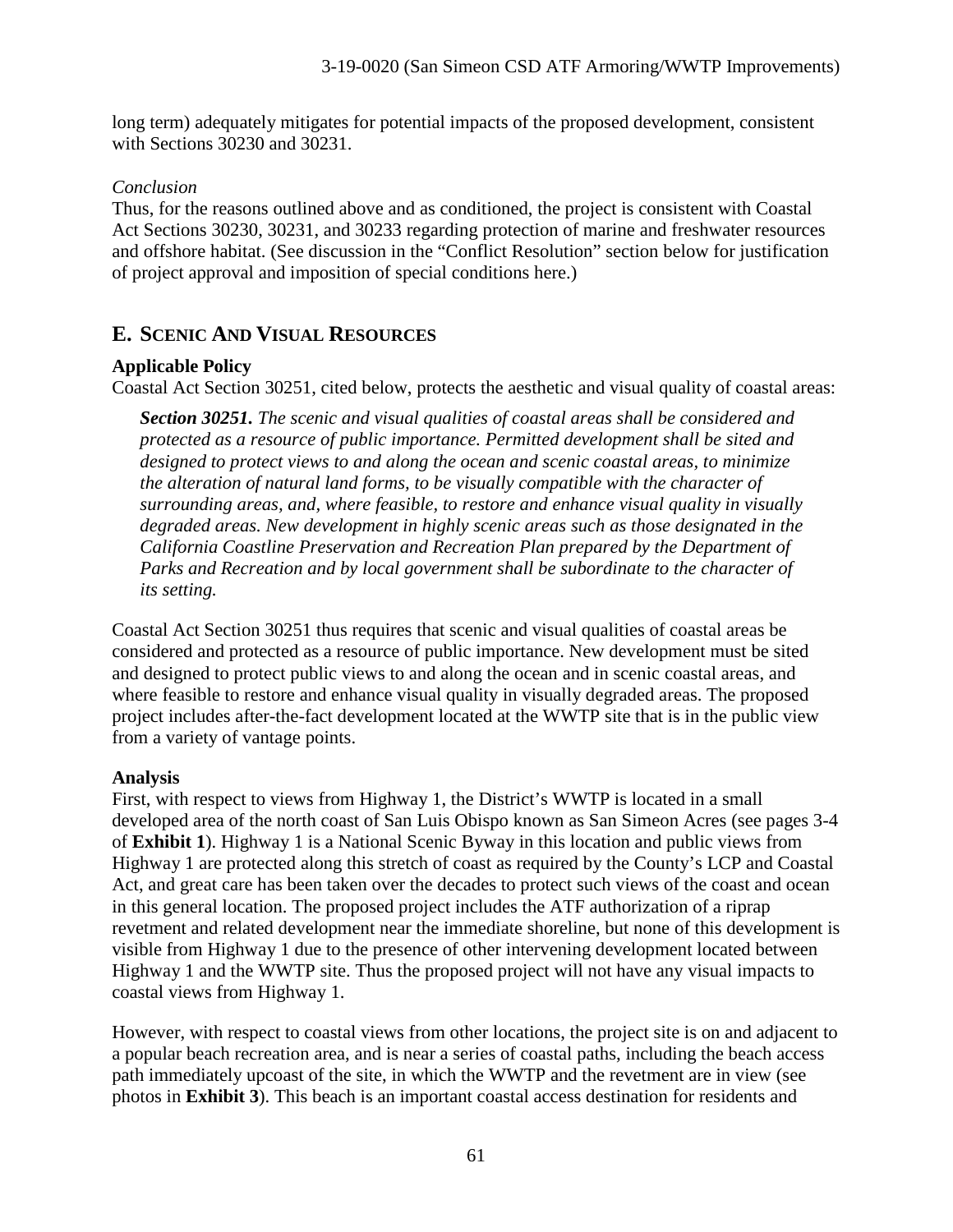long term) adequately mitigates for potential impacts of the proposed development, consistent with Sections 30230 and 30231.

# *Conclusion*

Thus, for the reasons outlined above and as conditioned, the project is consistent with Coastal Act Sections 30230, 30231, and 30233 regarding protection of marine and freshwater resources and offshore habitat. (See discussion in the "Conflict Resolution" section below for justification of project approval and imposition of special conditions here.)

# **E. SCENIC AND VISUAL RESOURCES**

# **Applicable Policy**

Coastal Act Section 30251, cited below, protects the aesthetic and visual quality of coastal areas:

*Section 30251. The scenic and visual qualities of coastal areas shall be considered and protected as a resource of public importance. Permitted development shall be sited and designed to protect views to and along the ocean and scenic coastal areas, to minimize the alteration of natural land forms, to be visually compatible with the character of surrounding areas, and, where feasible, to restore and enhance visual quality in visually degraded areas. New development in highly scenic areas such as those designated in the California Coastline Preservation and Recreation Plan prepared by the Department of Parks and Recreation and by local government shall be subordinate to the character of its setting.*

Coastal Act Section 30251 thus requires that scenic and visual qualities of coastal areas be considered and protected as a resource of public importance. New development must be sited and designed to protect public views to and along the ocean and in scenic coastal areas, and where feasible to restore and enhance visual quality in visually degraded areas. The proposed project includes after-the-fact development located at the WWTP site that is in the public view from a variety of vantage points.

# **Analysis**

First, with respect to views from Highway 1, the District's WWTP is located in a small developed area of the north coast of San Luis Obispo known as San Simeon Acres (see pages 3-4 of **Exhibit 1**). Highway 1 is a National Scenic Byway in this location and public views from Highway 1 are protected along this stretch of coast as required by the County's LCP and Coastal Act, and great care has been taken over the decades to protect such views of the coast and ocean in this general location. The proposed project includes the ATF authorization of a riprap revetment and related development near the immediate shoreline, but none of this development is visible from Highway 1 due to the presence of other intervening development located between Highway 1 and the WWTP site. Thus the proposed project will not have any visual impacts to coastal views from Highway 1.

However, with respect to coastal views from other locations, the project site is on and adjacent to a popular beach recreation area, and is near a series of coastal paths, including the beach access path immediately upcoast of the site, in which the WWTP and the revetment are in view (see photos in **Exhibit 3**). This beach is an important coastal access destination for residents and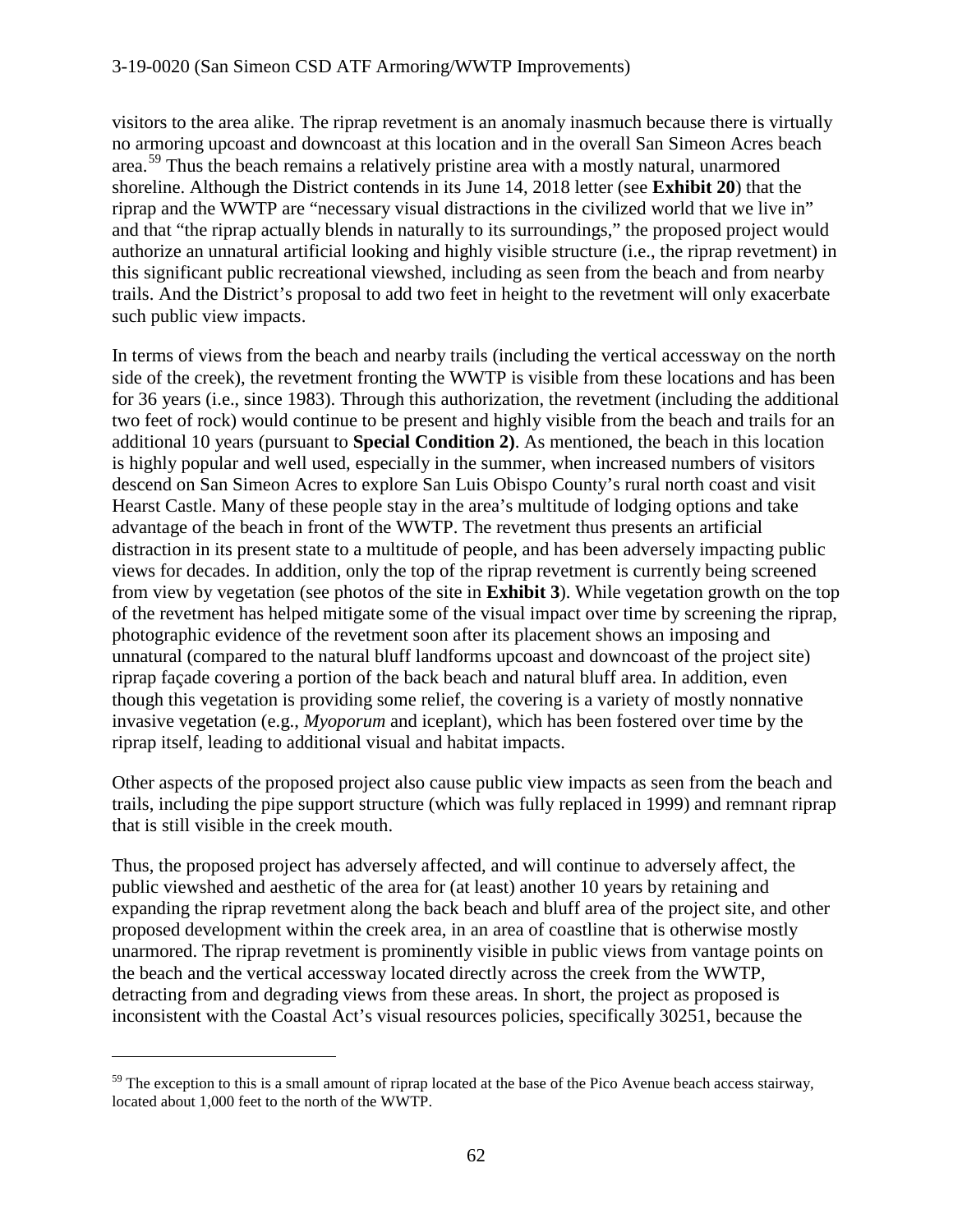visitors to the area alike. The riprap revetment is an anomaly inasmuch because there is virtually no armoring upcoast and downcoast at this location and in the overall San Simeon Acres beach area.<sup>[59](#page-61-0)</sup> Thus the beach remains a relatively pristine area with a mostly natural, unarmored shoreline. Although the District contends in its June 14, 2018 letter (see **Exhibit 20**) that the riprap and the WWTP are "necessary visual distractions in the civilized world that we live in" and that "the riprap actually blends in naturally to its surroundings," the proposed project would authorize an unnatural artificial looking and highly visible structure (i.e., the riprap revetment) in this significant public recreational viewshed, including as seen from the beach and from nearby trails. And the District's proposal to add two feet in height to the revetment will only exacerbate such public view impacts.

In terms of views from the beach and nearby trails (including the vertical accessway on the north side of the creek), the revetment fronting the WWTP is visible from these locations and has been for 36 years (i.e., since 1983). Through this authorization, the revetment (including the additional two feet of rock) would continue to be present and highly visible from the beach and trails for an additional 10 years (pursuant to **Special Condition 2)**. As mentioned, the beach in this location is highly popular and well used, especially in the summer, when increased numbers of visitors descend on San Simeon Acres to explore San Luis Obispo County's rural north coast and visit Hearst Castle. Many of these people stay in the area's multitude of lodging options and take advantage of the beach in front of the WWTP. The revetment thus presents an artificial distraction in its present state to a multitude of people, and has been adversely impacting public views for decades. In addition, only the top of the riprap revetment is currently being screened from view by vegetation (see photos of the site in **Exhibit 3**). While vegetation growth on the top of the revetment has helped mitigate some of the visual impact over time by screening the riprap, photographic evidence of the revetment soon after its placement shows an imposing and unnatural (compared to the natural bluff landforms upcoast and downcoast of the project site) riprap façade covering a portion of the back beach and natural bluff area. In addition, even though this vegetation is providing some relief, the covering is a variety of mostly nonnative invasive vegetation (e.g., *Myoporum* and iceplant), which has been fostered over time by the riprap itself, leading to additional visual and habitat impacts.

Other aspects of the proposed project also cause public view impacts as seen from the beach and trails, including the pipe support structure (which was fully replaced in 1999) and remnant riprap that is still visible in the creek mouth.

Thus, the proposed project has adversely affected, and will continue to adversely affect, the public viewshed and aesthetic of the area for (at least) another 10 years by retaining and expanding the riprap revetment along the back beach and bluff area of the project site, and other proposed development within the creek area, in an area of coastline that is otherwise mostly unarmored. The riprap revetment is prominently visible in public views from vantage points on the beach and the vertical accessway located directly across the creek from the WWTP, detracting from and degrading views from these areas. In short, the project as proposed is inconsistent with the Coastal Act's visual resources policies, specifically 30251, because the

<span id="page-61-0"></span> $59$  The exception to this is a small amount of riprap located at the base of the Pico Avenue beach access stairway, located about 1,000 feet to the north of the WWTP.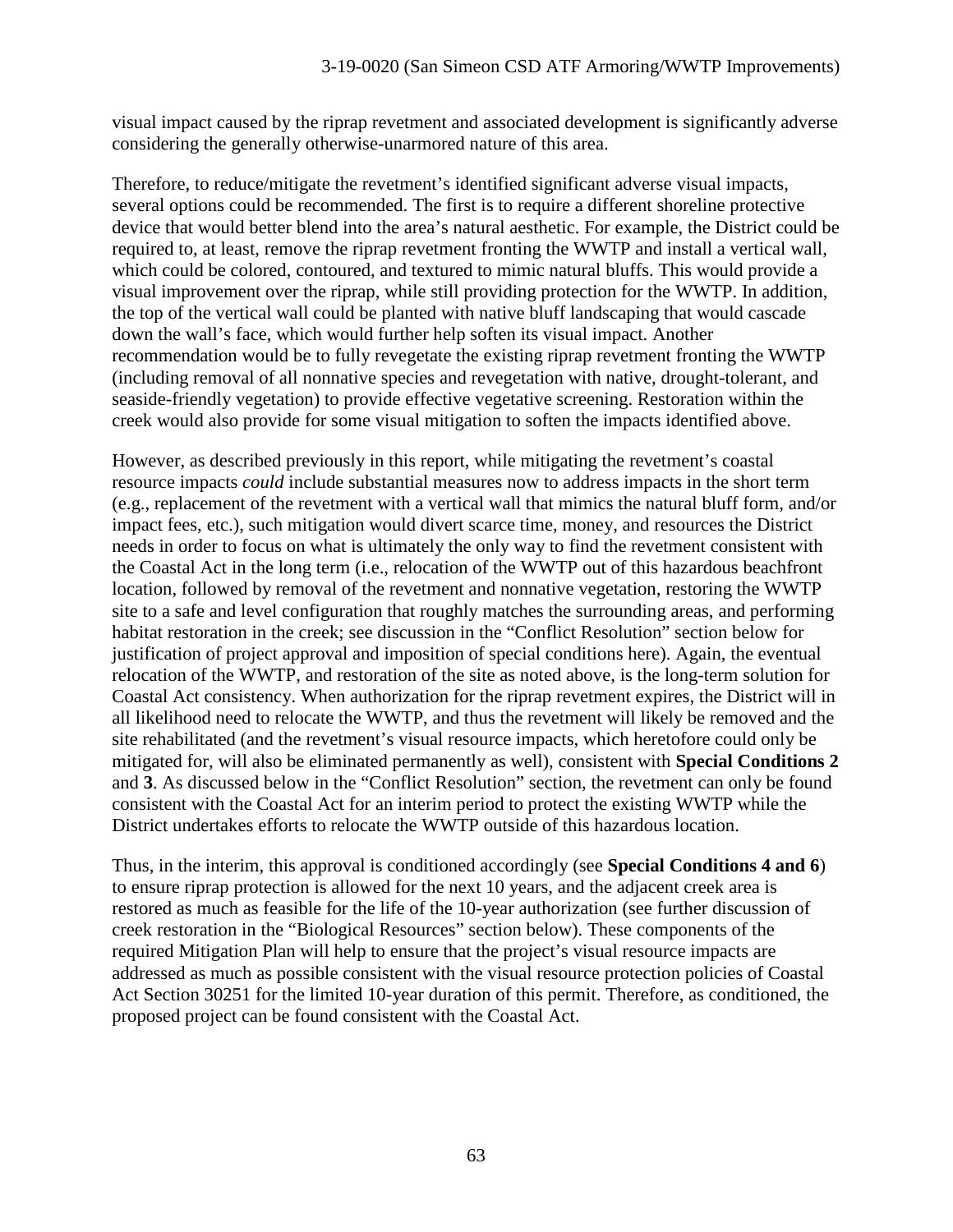visual impact caused by the riprap revetment and associated development is significantly adverse considering the generally otherwise-unarmored nature of this area.

Therefore, to reduce/mitigate the revetment's identified significant adverse visual impacts, several options could be recommended. The first is to require a different shoreline protective device that would better blend into the area's natural aesthetic. For example, the District could be required to, at least, remove the riprap revetment fronting the WWTP and install a vertical wall, which could be colored, contoured, and textured to mimic natural bluffs. This would provide a visual improvement over the riprap, while still providing protection for the WWTP. In addition, the top of the vertical wall could be planted with native bluff landscaping that would cascade down the wall's face, which would further help soften its visual impact. Another recommendation would be to fully revegetate the existing riprap revetment fronting the WWTP (including removal of all nonnative species and revegetation with native, drought-tolerant, and seaside-friendly vegetation) to provide effective vegetative screening. Restoration within the creek would also provide for some visual mitigation to soften the impacts identified above.

However, as described previously in this report, while mitigating the revetment's coastal resource impacts *could* include substantial measures now to address impacts in the short term (e.g., replacement of the revetment with a vertical wall that mimics the natural bluff form, and/or impact fees, etc.), such mitigation would divert scarce time, money, and resources the District needs in order to focus on what is ultimately the only way to find the revetment consistent with the Coastal Act in the long term (i.e., relocation of the WWTP out of this hazardous beachfront location, followed by removal of the revetment and nonnative vegetation, restoring the WWTP site to a safe and level configuration that roughly matches the surrounding areas, and performing habitat restoration in the creek; see discussion in the "Conflict Resolution" section below for justification of project approval and imposition of special conditions here). Again, the eventual relocation of the WWTP, and restoration of the site as noted above, is the long-term solution for Coastal Act consistency. When authorization for the riprap revetment expires, the District will in all likelihood need to relocate the WWTP, and thus the revetment will likely be removed and the site rehabilitated (and the revetment's visual resource impacts, which heretofore could only be mitigated for, will also be eliminated permanently as well), consistent with **Special Conditions 2** and **3**. As discussed below in the "Conflict Resolution" section, the revetment can only be found consistent with the Coastal Act for an interim period to protect the existing WWTP while the District undertakes efforts to relocate the WWTP outside of this hazardous location.

Thus, in the interim, this approval is conditioned accordingly (see **Special Conditions 4 and 6**) to ensure riprap protection is allowed for the next 10 years, and the adjacent creek area is restored as much as feasible for the life of the 10-year authorization (see further discussion of creek restoration in the "Biological Resources" section below). These components of the required Mitigation Plan will help to ensure that the project's visual resource impacts are addressed as much as possible consistent with the visual resource protection policies of Coastal Act Section 30251 for the limited 10-year duration of this permit. Therefore, as conditioned, the proposed project can be found consistent with the Coastal Act.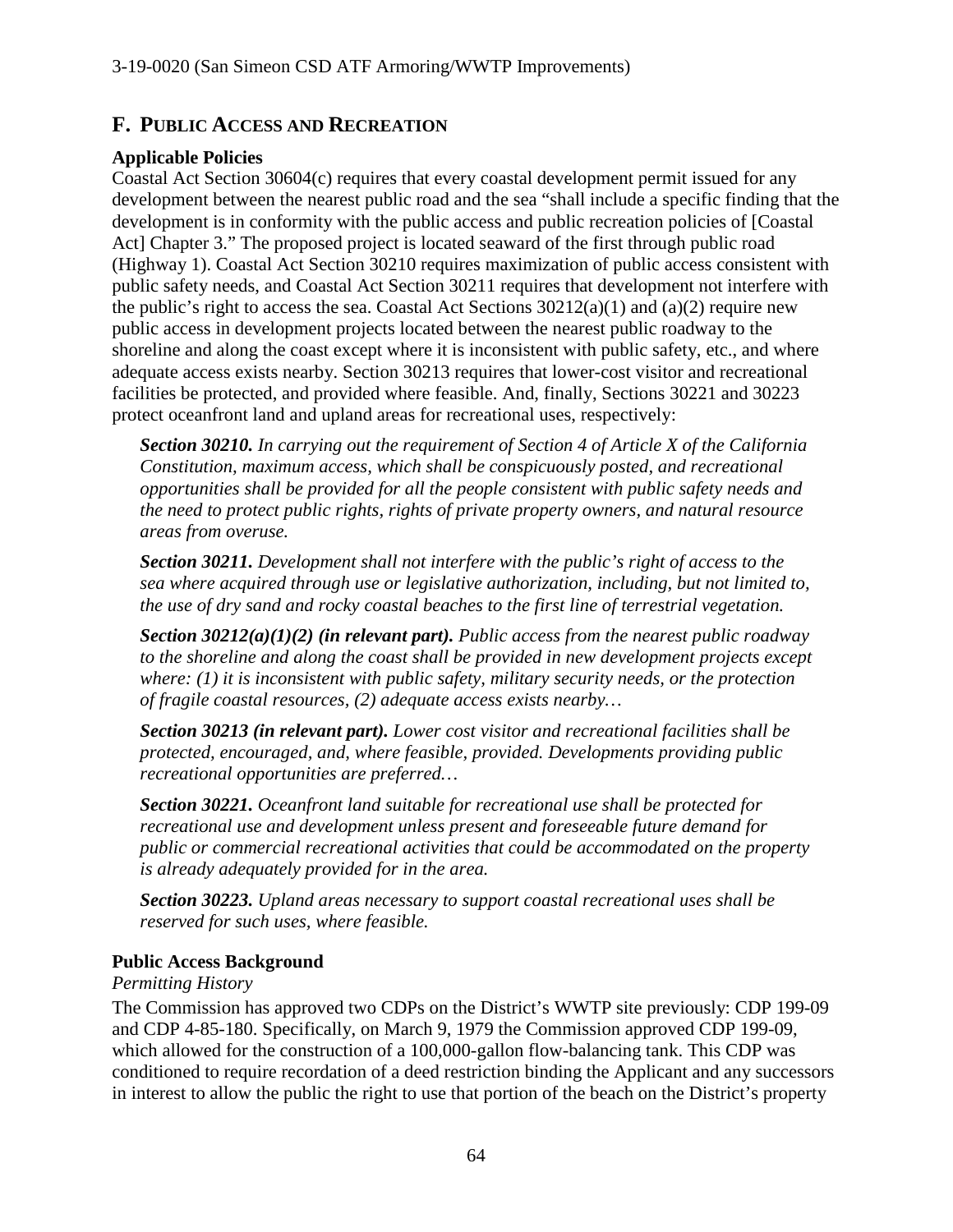# **F. PUBLIC ACCESS AND RECREATION**

# **Applicable Policies**

Coastal Act Section 30604(c) requires that every coastal development permit issued for any development between the nearest public road and the sea "shall include a specific finding that the development is in conformity with the public access and public recreation policies of [Coastal Act] Chapter 3." The proposed project is located seaward of the first through public road (Highway 1). Coastal Act Section 30210 requires maximization of public access consistent with public safety needs, and Coastal Act Section 30211 requires that development not interfere with the public's right to access the sea. Coastal Act Sections  $30212(a)(1)$  and  $(a)(2)$  require new public access in development projects located between the nearest public roadway to the shoreline and along the coast except where it is inconsistent with public safety, etc., and where adequate access exists nearby. Section 30213 requires that lower-cost visitor and recreational facilities be protected, and provided where feasible. And, finally, Sections 30221 and 30223 protect oceanfront land and upland areas for recreational uses, respectively:

*Section 30210. In carrying out the requirement of Section 4 of Article X of the California Constitution, maximum access, which shall be conspicuously posted, and recreational opportunities shall be provided for all the people consistent with public safety needs and the need to protect public rights, rights of private property owners, and natural resource areas from overuse.*

*Section 30211. Development shall not interfere with the public's right of access to the sea where acquired through use or legislative authorization, including, but not limited to, the use of dry sand and rocky coastal beaches to the first line of terrestrial vegetation.*

*Section 30212(a)(1)(2) (in relevant part). Public access from the nearest public roadway*  to the shoreline and along the coast shall be provided in new development projects except *where: (1) it is inconsistent with public safety, military security needs, or the protection of fragile coastal resources, (2) adequate access exists nearby…* 

*Section 30213 (in relevant part). Lower cost visitor and recreational facilities shall be protected, encouraged, and, where feasible, provided. Developments providing public recreational opportunities are preferred…*

*Section 30221. Oceanfront land suitable for recreational use shall be protected for recreational use and development unless present and foreseeable future demand for public or commercial recreational activities that could be accommodated on the property is already adequately provided for in the area.*

*Section 30223. Upland areas necessary to support coastal recreational uses shall be reserved for such uses, where feasible.* 

# **Public Access Background**

# *Permitting History*

The Commission has approved two CDPs on the District's WWTP site previously: CDP 199-09 and CDP 4-85-180. Specifically, on March 9, 1979 the Commission approved CDP 199-09, which allowed for the construction of a 100,000-gallon flow-balancing tank. This CDP was conditioned to require recordation of a deed restriction binding the Applicant and any successors in interest to allow the public the right to use that portion of the beach on the District's property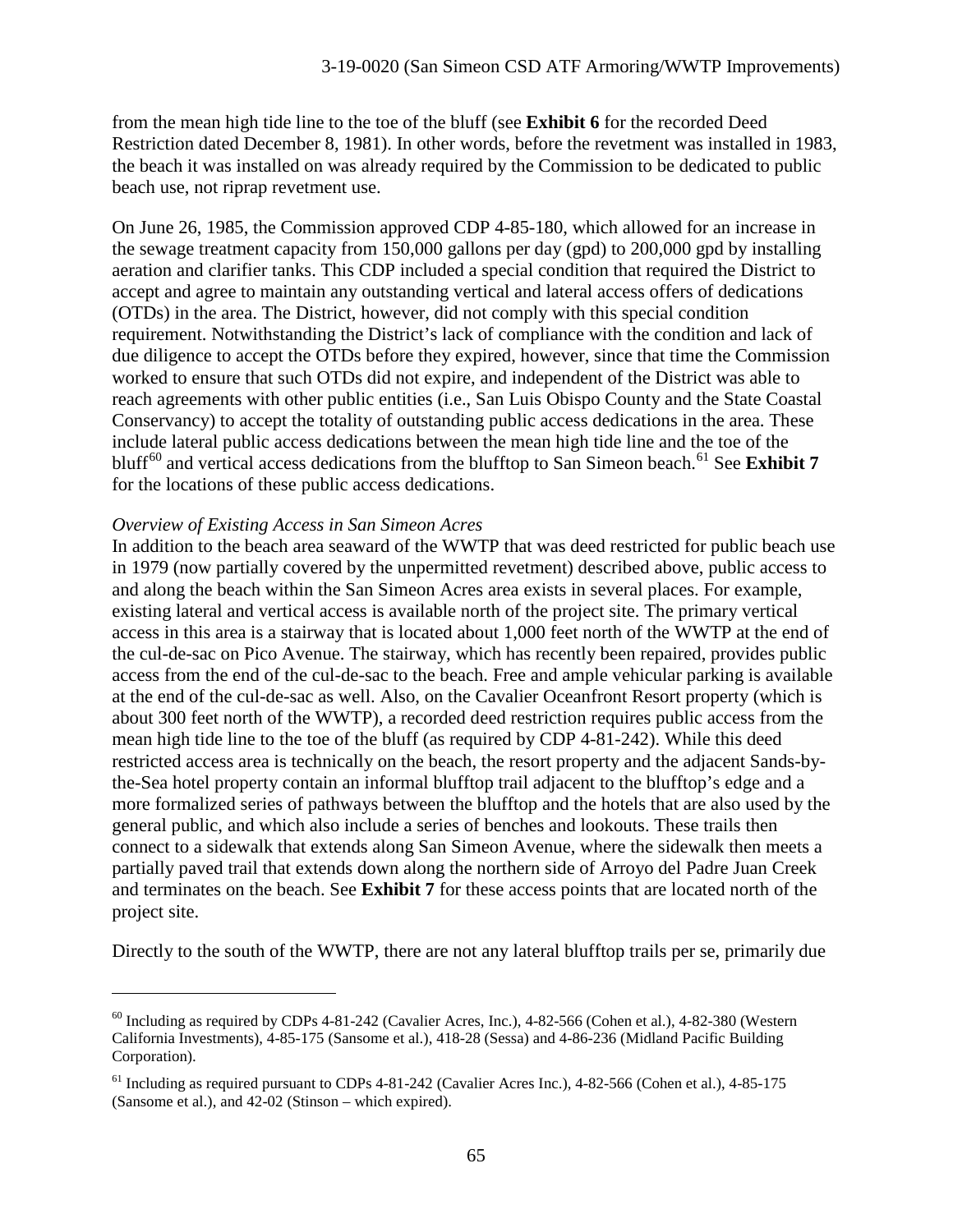from the mean high tide line to the toe of the bluff (see **Exhibit 6** for the recorded Deed Restriction dated December 8, 1981). In other words, before the revetment was installed in 1983, the beach it was installed on was already required by the Commission to be dedicated to public beach use, not riprap revetment use.

On June 26, 1985, the Commission approved CDP 4-85-180, which allowed for an increase in the sewage treatment capacity from 150,000 gallons per day (gpd) to 200,000 gpd by installing aeration and clarifier tanks. This CDP included a special condition that required the District to accept and agree to maintain any outstanding vertical and lateral access offers of dedications (OTDs) in the area. The District, however, did not comply with this special condition requirement. Notwithstanding the District's lack of compliance with the condition and lack of due diligence to accept the OTDs before they expired, however, since that time the Commission worked to ensure that such OTDs did not expire, and independent of the District was able to reach agreements with other public entities (i.e., San Luis Obispo County and the State Coastal Conservancy) to accept the totality of outstanding public access dedications in the area. These include lateral public access dedications between the mean high tide line and the toe of the bluff<sup>[60](#page-64-0)</sup> and vertical access dedications from the blufftop to San Simeon beach.<sup>[61](#page-64-1)</sup> See **Exhibit 7** for the locations of these public access dedications.

#### *Overview of Existing Access in San Simeon Acres*

 $\overline{a}$ 

In addition to the beach area seaward of the WWTP that was deed restricted for public beach use in 1979 (now partially covered by the unpermitted revetment) described above, public access to and along the beach within the San Simeon Acres area exists in several places. For example, existing lateral and vertical access is available north of the project site. The primary vertical access in this area is a stairway that is located about 1,000 feet north of the WWTP at the end of the cul-de-sac on Pico Avenue. The stairway, which has recently been repaired, provides public access from the end of the cul-de-sac to the beach. Free and ample vehicular parking is available at the end of the cul-de-sac as well. Also, on the Cavalier Oceanfront Resort property (which is about 300 feet north of the WWTP), a recorded deed restriction requires public access from the mean high tide line to the toe of the bluff (as required by CDP 4-81-242). While this deed restricted access area is technically on the beach, the resort property and the adjacent Sands-bythe-Sea hotel property contain an informal blufftop trail adjacent to the blufftop's edge and a more formalized series of pathways between the blufftop and the hotels that are also used by the general public, and which also include a series of benches and lookouts. These trails then connect to a sidewalk that extends along San Simeon Avenue, where the sidewalk then meets a partially paved trail that extends down along the northern side of Arroyo del Padre Juan Creek and terminates on the beach. See **Exhibit 7** for these access points that are located north of the project site.

Directly to the south of the WWTP, there are not any lateral blufftop trails per se, primarily due

<span id="page-64-0"></span> $^{60}$  Including as required by CDPs 4-81-242 (Cavalier Acres, Inc.), 4-82-566 (Cohen et al.), 4-82-380 (Western California Investments), 4-85-175 (Sansome et al.), 418-28 (Sessa) and 4-86-236 (Midland Pacific Building Corporation).

<span id="page-64-1"></span> $61$  Including as required pursuant to CDPs 4-81-242 (Cavalier Acres Inc.), 4-82-566 (Cohen et al.), 4-85-175 (Sansome et al.), and 42-02 (Stinson – which expired).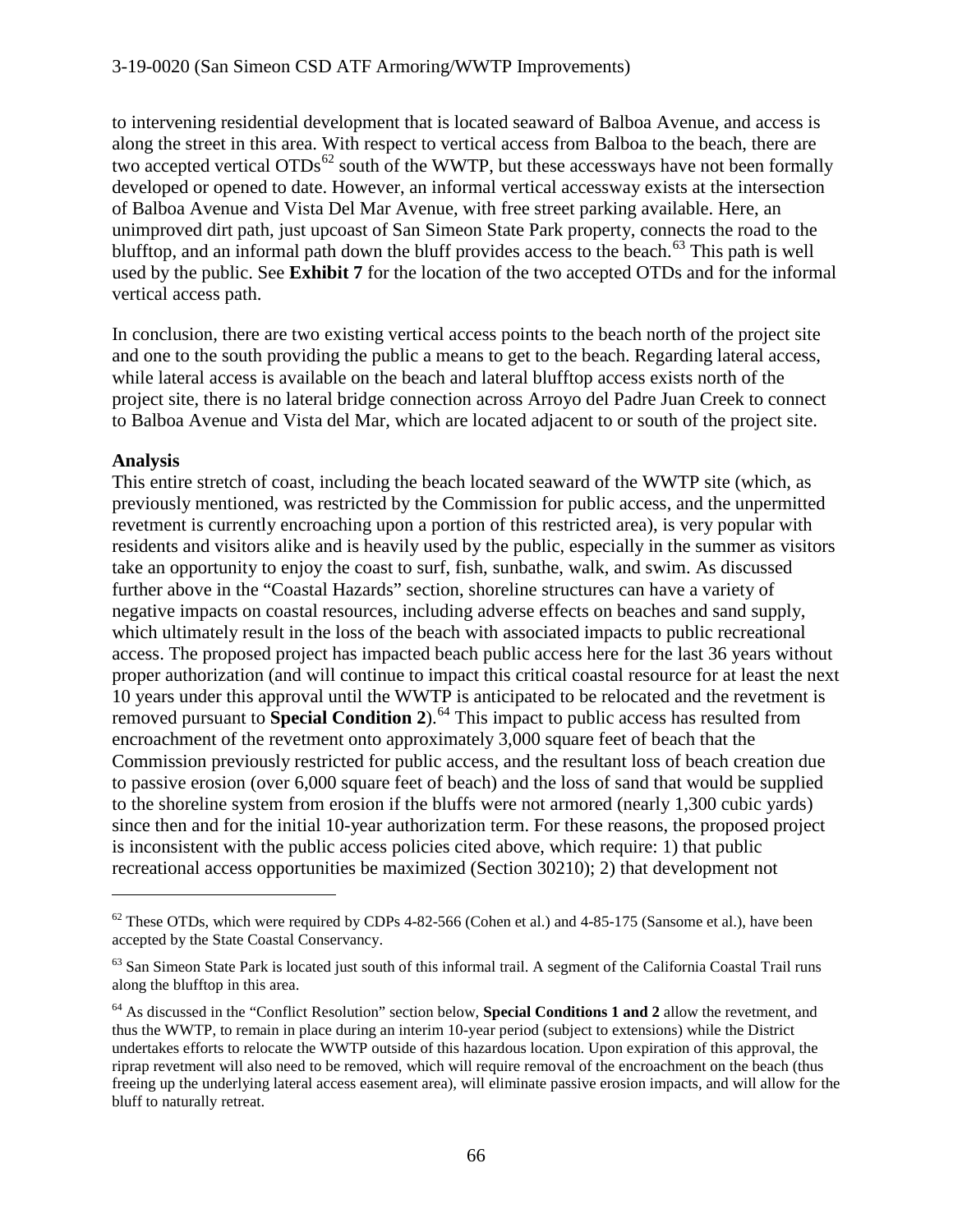to intervening residential development that is located seaward of Balboa Avenue, and access is along the street in this area. With respect to vertical access from Balboa to the beach, there are two accepted vertical  $OTDs^{62}$  $OTDs^{62}$  $OTDs^{62}$  south of the WWTP, but these accessways have not been formally developed or opened to date. However, an informal vertical accessway exists at the intersection of Balboa Avenue and Vista Del Mar Avenue, with free street parking available. Here, an unimproved dirt path, just upcoast of San Simeon State Park property, connects the road to the blufftop, and an informal path down the bluff provides access to the beach. $^{63}$  $^{63}$  $^{63}$  This path is well used by the public. See **Exhibit 7** for the location of the two accepted OTDs and for the informal vertical access path.

In conclusion, there are two existing vertical access points to the beach north of the project site and one to the south providing the public a means to get to the beach. Regarding lateral access, while lateral access is available on the beach and lateral blufftop access exists north of the project site, there is no lateral bridge connection across Arroyo del Padre Juan Creek to connect to Balboa Avenue and Vista del Mar, which are located adjacent to or south of the project site.

# **Analysis**

 $\overline{a}$ 

This entire stretch of coast, including the beach located seaward of the WWTP site (which, as previously mentioned, was restricted by the Commission for public access, and the unpermitted revetment is currently encroaching upon a portion of this restricted area), is very popular with residents and visitors alike and is heavily used by the public, especially in the summer as visitors take an opportunity to enjoy the coast to surf, fish, sunbathe, walk, and swim. As discussed further above in the "Coastal Hazards" section, shoreline structures can have a variety of negative impacts on coastal resources, including adverse effects on beaches and sand supply, which ultimately result in the loss of the beach with associated impacts to public recreational access. The proposed project has impacted beach public access here for the last 36 years without proper authorization (and will continue to impact this critical coastal resource for at least the next 10 years under this approval until the WWTP is anticipated to be relocated and the revetment is removed pursuant to **Special Condition 2**). [64](#page-65-2) This impact to public access has resulted from encroachment of the revetment onto approximately 3,000 square feet of beach that the Commission previously restricted for public access, and the resultant loss of beach creation due to passive erosion (over 6,000 square feet of beach) and the loss of sand that would be supplied to the shoreline system from erosion if the bluffs were not armored (nearly 1,300 cubic yards) since then and for the initial 10-year authorization term. For these reasons, the proposed project is inconsistent with the public access policies cited above, which require: 1) that public recreational access opportunities be maximized (Section 30210); 2) that development not

<span id="page-65-0"></span> $62$  These OTDs, which were required by CDPs 4-82-566 (Cohen et al.) and 4-85-175 (Sansome et al.), have been accepted by the State Coastal Conservancy.

<span id="page-65-1"></span> $63$  San Simeon State Park is located just south of this informal trail. A segment of the California Coastal Trail runs along the blufftop in this area.

<span id="page-65-2"></span><sup>64</sup> As discussed in the "Conflict Resolution" section below, **Special Conditions 1 and 2** allow the revetment, and thus the WWTP, to remain in place during an interim 10-year period (subject to extensions) while the District undertakes efforts to relocate the WWTP outside of this hazardous location. Upon expiration of this approval, the riprap revetment will also need to be removed, which will require removal of the encroachment on the beach (thus freeing up the underlying lateral access easement area), will eliminate passive erosion impacts, and will allow for the bluff to naturally retreat.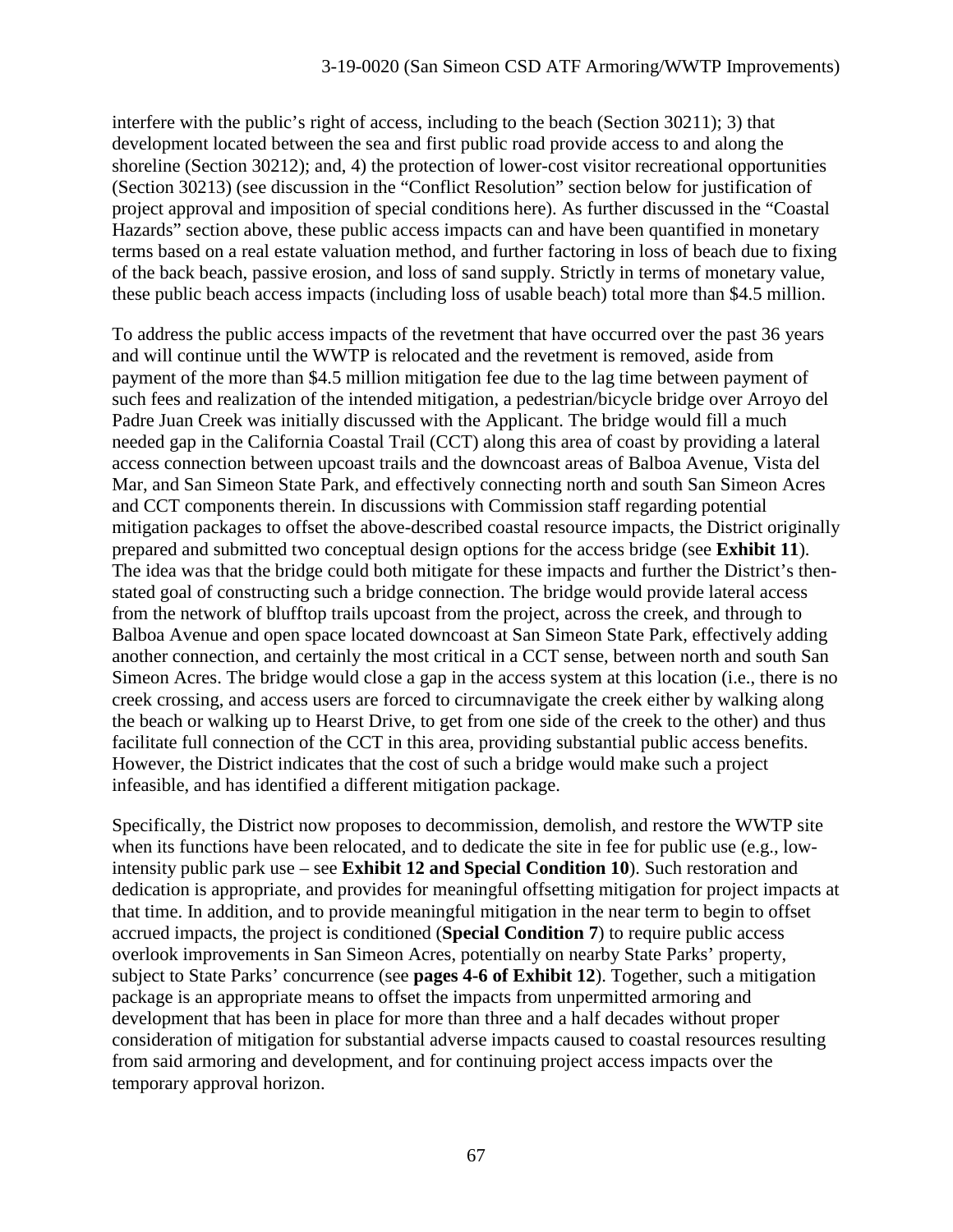interfere with the public's right of access, including to the beach (Section 30211); 3) that development located between the sea and first public road provide access to and along the shoreline (Section 30212); and, 4) the protection of lower-cost visitor recreational opportunities (Section 30213) (see discussion in the "Conflict Resolution" section below for justification of project approval and imposition of special conditions here). As further discussed in the "Coastal Hazards" section above, these public access impacts can and have been quantified in monetary terms based on a real estate valuation method, and further factoring in loss of beach due to fixing of the back beach, passive erosion, and loss of sand supply. Strictly in terms of monetary value, these public beach access impacts (including loss of usable beach) total more than \$4.5 million.

To address the public access impacts of the revetment that have occurred over the past 36 years and will continue until the WWTP is relocated and the revetment is removed, aside from payment of the more than \$4.5 million mitigation fee due to the lag time between payment of such fees and realization of the intended mitigation, a pedestrian/bicycle bridge over Arroyo del Padre Juan Creek was initially discussed with the Applicant. The bridge would fill a much needed gap in the California Coastal Trail (CCT) along this area of coast by providing a lateral access connection between upcoast trails and the downcoast areas of Balboa Avenue, Vista del Mar, and San Simeon State Park, and effectively connecting north and south San Simeon Acres and CCT components therein. In discussions with Commission staff regarding potential mitigation packages to offset the above-described coastal resource impacts, the District originally prepared and submitted two conceptual design options for the access bridge (see **Exhibit 11**). The idea was that the bridge could both mitigate for these impacts and further the District's thenstated goal of constructing such a bridge connection. The bridge would provide lateral access from the network of blufftop trails upcoast from the project, across the creek, and through to Balboa Avenue and open space located downcoast at San Simeon State Park, effectively adding another connection, and certainly the most critical in a CCT sense, between north and south San Simeon Acres. The bridge would close a gap in the access system at this location (i.e., there is no creek crossing, and access users are forced to circumnavigate the creek either by walking along the beach or walking up to Hearst Drive, to get from one side of the creek to the other) and thus facilitate full connection of the CCT in this area, providing substantial public access benefits. However, the District indicates that the cost of such a bridge would make such a project infeasible, and has identified a different mitigation package.

Specifically, the District now proposes to decommission, demolish, and restore the WWTP site when its functions have been relocated, and to dedicate the site in fee for public use (e.g., lowintensity public park use – see **Exhibit 12 and Special Condition 10**). Such restoration and dedication is appropriate, and provides for meaningful offsetting mitigation for project impacts at that time. In addition, and to provide meaningful mitigation in the near term to begin to offset accrued impacts, the project is conditioned (**Special Condition 7**) to require public access overlook improvements in San Simeon Acres, potentially on nearby State Parks' property, subject to State Parks' concurrence (see **pages 4-6 of Exhibit 12**). Together, such a mitigation package is an appropriate means to offset the impacts from unpermitted armoring and development that has been in place for more than three and a half decades without proper consideration of mitigation for substantial adverse impacts caused to coastal resources resulting from said armoring and development, and for continuing project access impacts over the temporary approval horizon.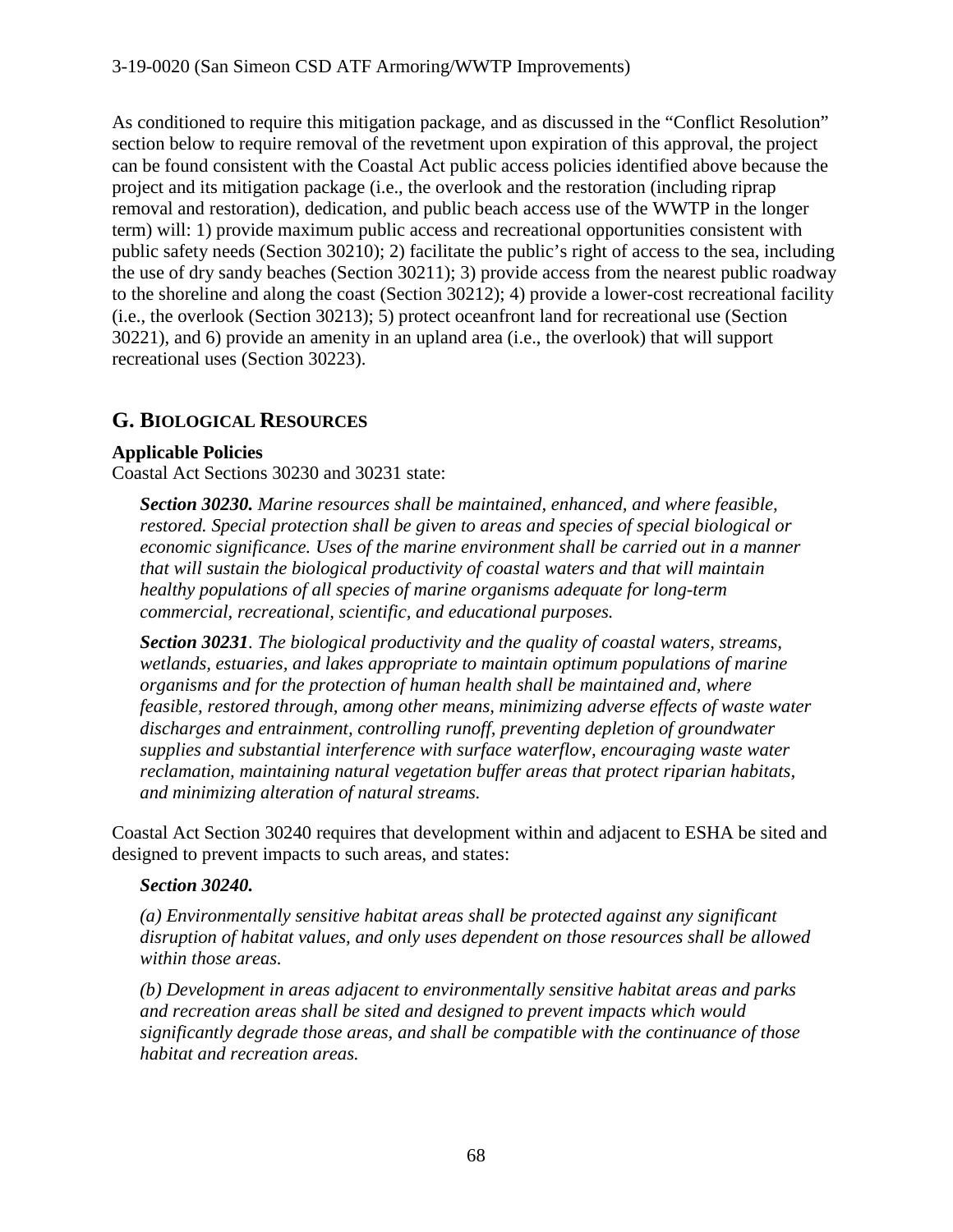As conditioned to require this mitigation package, and as discussed in the "Conflict Resolution" section below to require removal of the revetment upon expiration of this approval, the project can be found consistent with the Coastal Act public access policies identified above because the project and its mitigation package (i.e., the overlook and the restoration (including riprap removal and restoration), dedication, and public beach access use of the WWTP in the longer term) will: 1) provide maximum public access and recreational opportunities consistent with public safety needs (Section 30210); 2) facilitate the public's right of access to the sea, including the use of dry sandy beaches (Section 30211); 3) provide access from the nearest public roadway to the shoreline and along the coast (Section 30212); 4) provide a lower-cost recreational facility (i.e., the overlook (Section 30213); 5) protect oceanfront land for recreational use (Section 30221), and 6) provide an amenity in an upland area (i.e., the overlook) that will support recreational uses (Section 30223).

# **G. BIOLOGICAL RESOURCES**

# **Applicable Policies**

Coastal Act Sections 30230 and 30231 state:

*Section 30230. Marine resources shall be maintained, enhanced, and where feasible, restored. Special protection shall be given to areas and species of special biological or economic significance. Uses of the marine environment shall be carried out in a manner that will sustain the biological productivity of coastal waters and that will maintain healthy populations of all species of marine organisms adequate for long-term commercial, recreational, scientific, and educational purposes.*

*Section 30231. The biological productivity and the quality of coastal waters, streams, wetlands, estuaries, and lakes appropriate to maintain optimum populations of marine organisms and for the protection of human health shall be maintained and, where feasible, restored through, among other means, minimizing adverse effects of waste water discharges and entrainment, controlling runoff, preventing depletion of groundwater supplies and substantial interference with surface waterflow, encouraging waste water reclamation, maintaining natural vegetation buffer areas that protect riparian habitats, and minimizing alteration of natural streams.*

Coastal Act Section 30240 requires that development within and adjacent to ESHA be sited and designed to prevent impacts to such areas, and states:

# *Section 30240.*

*(a) Environmentally sensitive habitat areas shall be protected against any significant disruption of habitat values, and only uses dependent on those resources shall be allowed within those areas.*

*(b) Development in areas adjacent to environmentally sensitive habitat areas and parks and recreation areas shall be sited and designed to prevent impacts which would significantly degrade those areas, and shall be compatible with the continuance of those habitat and recreation areas.*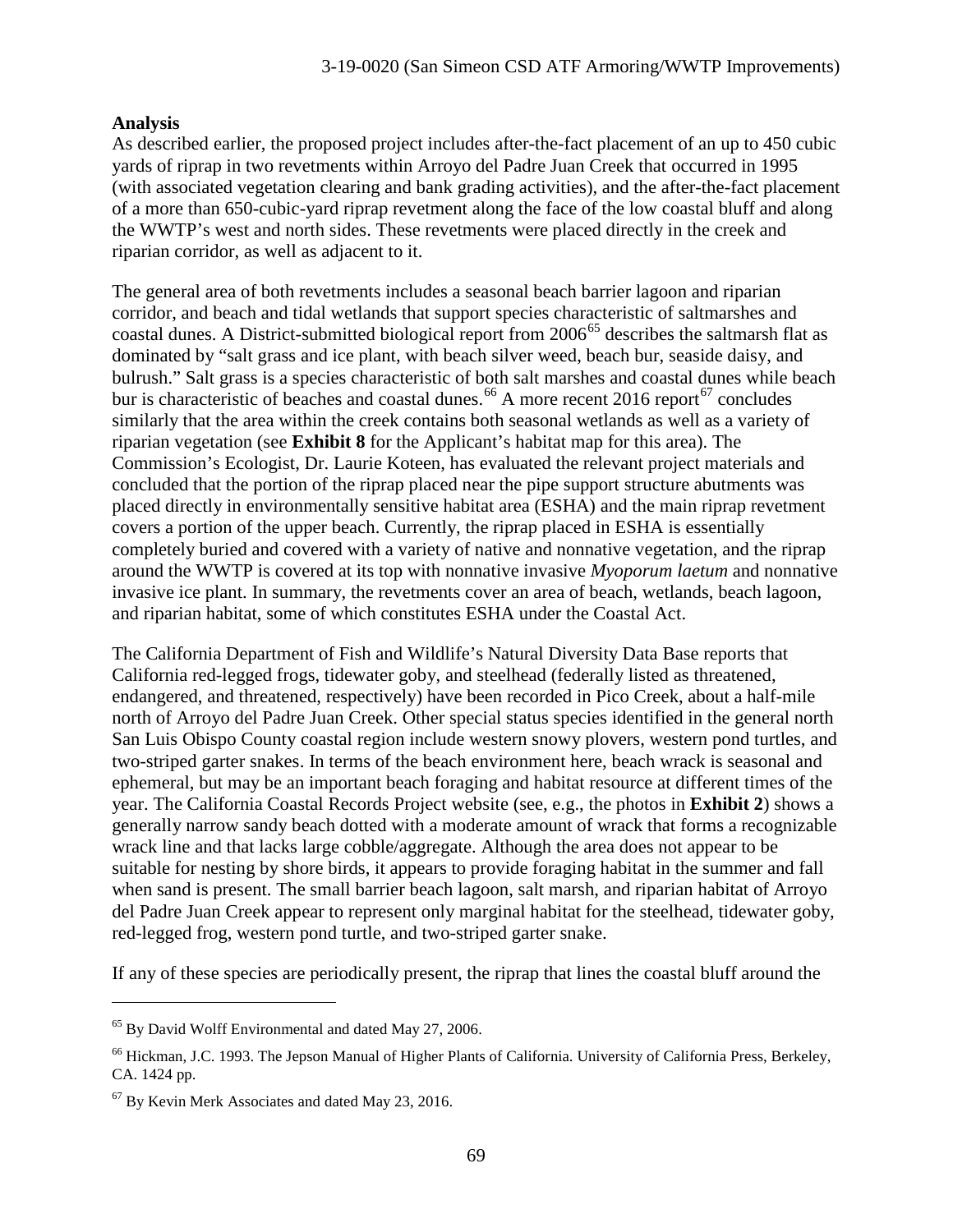#### **Analysis**

As described earlier, the proposed project includes after-the-fact placement of an up to 450 cubic yards of riprap in two revetments within Arroyo del Padre Juan Creek that occurred in 1995 (with associated vegetation clearing and bank grading activities), and the after-the-fact placement of a more than 650-cubic-yard riprap revetment along the face of the low coastal bluff and along the WWTP's west and north sides. These revetments were placed directly in the creek and riparian corridor, as well as adjacent to it.

The general area of both revetments includes a seasonal beach barrier lagoon and riparian corridor, and beach and tidal wetlands that support species characteristic of saltmarshes and coastal dunes. A District-submitted biological report from  $2006^{65}$  $2006^{65}$  $2006^{65}$  describes the saltmarsh flat as dominated by "salt grass and ice plant, with beach silver weed, beach bur, seaside daisy, and bulrush." Salt grass is a species characteristic of both salt marshes and coastal dunes while beach bur is characteristic of beaches and coastal dunes.<sup>[66](#page-68-1)</sup> A more recent 2016 report<sup>[67](#page-68-2)</sup> concludes similarly that the area within the creek contains both seasonal wetlands as well as a variety of riparian vegetation (see **Exhibit 8** for the Applicant's habitat map for this area). The Commission's Ecologist, Dr. Laurie Koteen, has evaluated the relevant project materials and concluded that the portion of the riprap placed near the pipe support structure abutments was placed directly in environmentally sensitive habitat area (ESHA) and the main riprap revetment covers a portion of the upper beach. Currently, the riprap placed in ESHA is essentially completely buried and covered with a variety of native and nonnative vegetation, and the riprap around the WWTP is covered at its top with nonnative invasive *Myoporum laetum* and nonnative invasive ice plant. In summary, the revetments cover an area of beach, wetlands, beach lagoon, and riparian habitat, some of which constitutes ESHA under the Coastal Act.

The California Department of Fish and Wildlife's Natural Diversity Data Base reports that California red-legged frogs, tidewater goby, and steelhead (federally listed as threatened, endangered, and threatened, respectively) have been recorded in Pico Creek, about a half-mile north of Arroyo del Padre Juan Creek. Other special status species identified in the general north San Luis Obispo County coastal region include western snowy plovers, western pond turtles, and two-striped garter snakes. In terms of the beach environment here, beach wrack is seasonal and ephemeral, but may be an important beach foraging and habitat resource at different times of the year. The California Coastal Records Project website (see, e.g., the photos in **Exhibit 2**) shows a generally narrow sandy beach dotted with a moderate amount of wrack that forms a recognizable wrack line and that lacks large cobble/aggregate. Although the area does not appear to be suitable for nesting by shore birds, it appears to provide foraging habitat in the summer and fall when sand is present. The small barrier beach lagoon, salt marsh, and riparian habitat of Arroyo del Padre Juan Creek appear to represent only marginal habitat for the steelhead, tidewater goby, red-legged frog, western pond turtle, and two-striped garter snake.

If any of these species are periodically present, the riprap that lines the coastal bluff around the

<span id="page-68-0"></span><sup>65</sup> By David Wolff Environmental and dated May 27, 2006.

<span id="page-68-1"></span><sup>&</sup>lt;sup>66</sup> Hickman, J.C. 1993. The Jepson Manual of Higher Plants of California. University of California Press, Berkeley, CA. 1424 pp.

<span id="page-68-2"></span><sup>67</sup> By Kevin Merk Associates and dated May 23, 2016.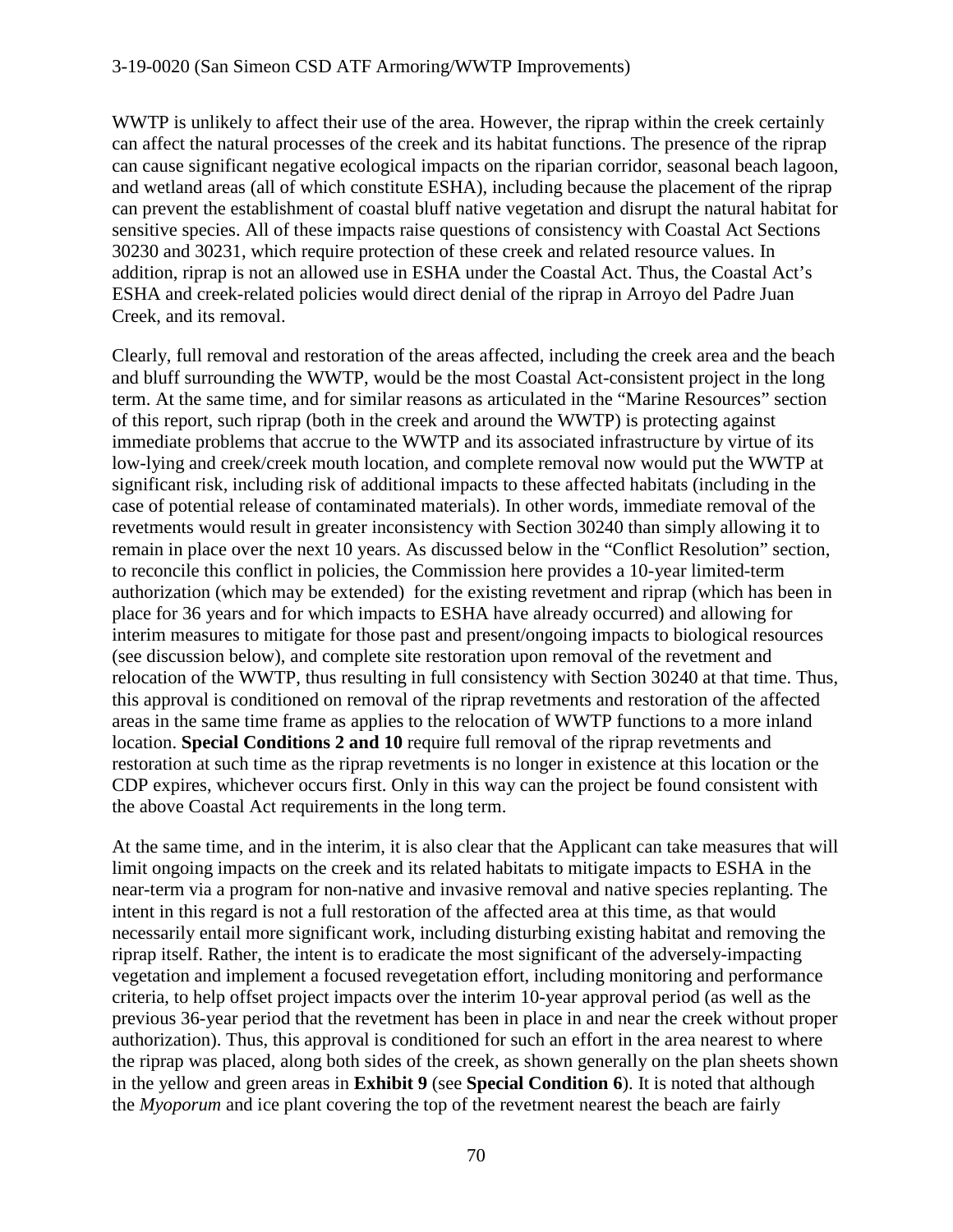WWTP is unlikely to affect their use of the area. However, the riprap within the creek certainly can affect the natural processes of the creek and its habitat functions. The presence of the riprap can cause significant negative ecological impacts on the riparian corridor, seasonal beach lagoon, and wetland areas (all of which constitute ESHA), including because the placement of the riprap can prevent the establishment of coastal bluff native vegetation and disrupt the natural habitat for sensitive species. All of these impacts raise questions of consistency with Coastal Act Sections 30230 and 30231, which require protection of these creek and related resource values. In addition, riprap is not an allowed use in ESHA under the Coastal Act. Thus, the Coastal Act's ESHA and creek-related policies would direct denial of the riprap in Arroyo del Padre Juan Creek, and its removal.

Clearly, full removal and restoration of the areas affected, including the creek area and the beach and bluff surrounding the WWTP, would be the most Coastal Act-consistent project in the long term. At the same time, and for similar reasons as articulated in the "Marine Resources" section of this report, such riprap (both in the creek and around the WWTP) is protecting against immediate problems that accrue to the WWTP and its associated infrastructure by virtue of its low-lying and creek/creek mouth location, and complete removal now would put the WWTP at significant risk, including risk of additional impacts to these affected habitats (including in the case of potential release of contaminated materials). In other words, immediate removal of the revetments would result in greater inconsistency with Section 30240 than simply allowing it to remain in place over the next 10 years. As discussed below in the "Conflict Resolution" section, to reconcile this conflict in policies, the Commission here provides a 10-year limited-term authorization (which may be extended) for the existing revetment and riprap (which has been in place for 36 years and for which impacts to ESHA have already occurred) and allowing for interim measures to mitigate for those past and present/ongoing impacts to biological resources (see discussion below), and complete site restoration upon removal of the revetment and relocation of the WWTP, thus resulting in full consistency with Section 30240 at that time. Thus, this approval is conditioned on removal of the riprap revetments and restoration of the affected areas in the same time frame as applies to the relocation of WWTP functions to a more inland location. **Special Conditions 2 and 10** require full removal of the riprap revetments and restoration at such time as the riprap revetments is no longer in existence at this location or the CDP expires, whichever occurs first. Only in this way can the project be found consistent with the above Coastal Act requirements in the long term.

At the same time, and in the interim, it is also clear that the Applicant can take measures that will limit ongoing impacts on the creek and its related habitats to mitigate impacts to ESHA in the near-term via a program for non-native and invasive removal and native species replanting. The intent in this regard is not a full restoration of the affected area at this time, as that would necessarily entail more significant work, including disturbing existing habitat and removing the riprap itself. Rather, the intent is to eradicate the most significant of the adversely-impacting vegetation and implement a focused revegetation effort, including monitoring and performance criteria, to help offset project impacts over the interim 10-year approval period (as well as the previous 36-year period that the revetment has been in place in and near the creek without proper authorization). Thus, this approval is conditioned for such an effort in the area nearest to where the riprap was placed, along both sides of the creek, as shown generally on the plan sheets shown in the yellow and green areas in **Exhibit 9** (see **Special Condition 6**). It is noted that although the *Myoporum* and ice plant covering the top of the revetment nearest the beach are fairly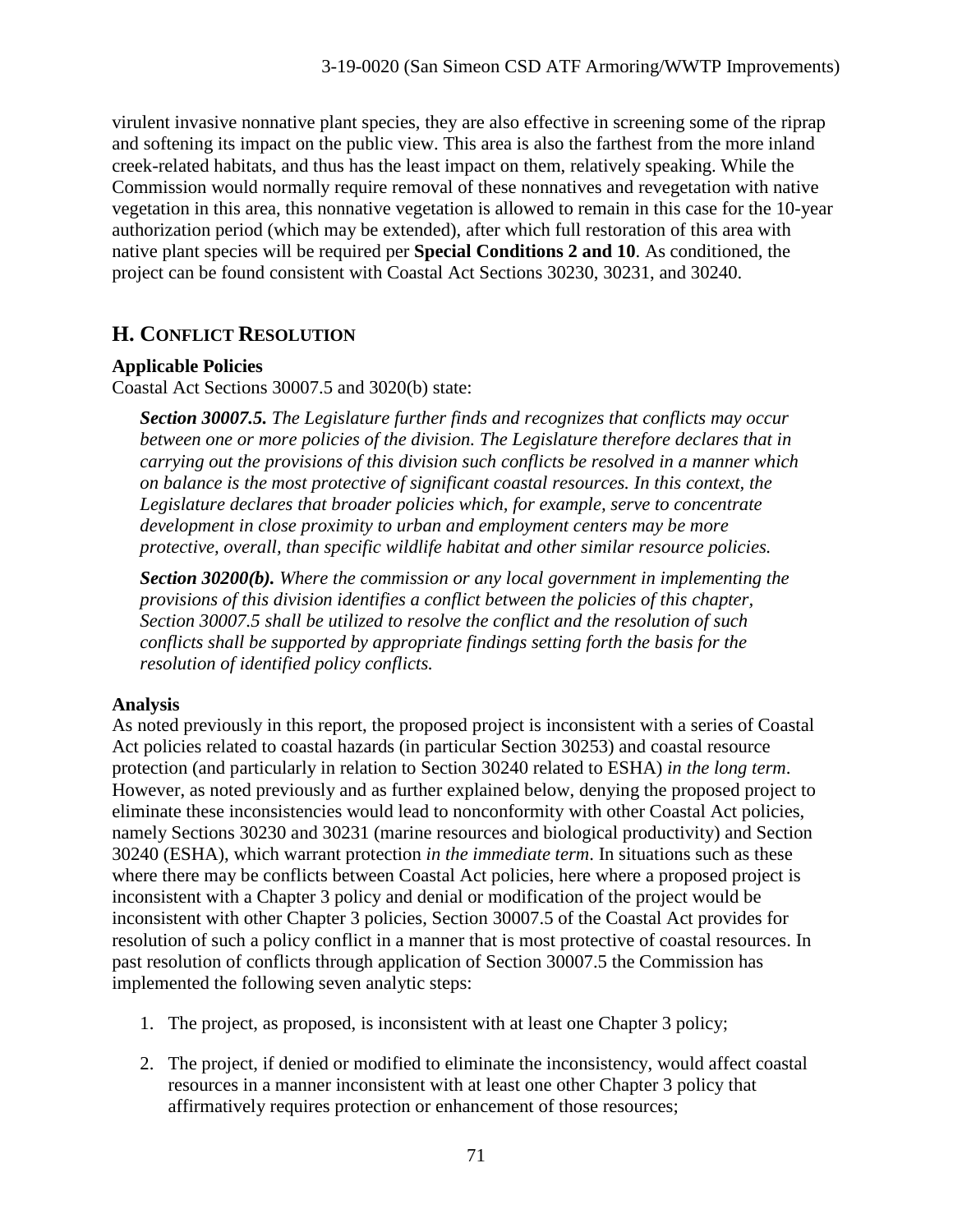virulent invasive nonnative plant species, they are also effective in screening some of the riprap and softening its impact on the public view. This area is also the farthest from the more inland creek-related habitats, and thus has the least impact on them, relatively speaking. While the Commission would normally require removal of these nonnatives and revegetation with native vegetation in this area, this nonnative vegetation is allowed to remain in this case for the 10-year authorization period (which may be extended), after which full restoration of this area with native plant species will be required per **Special Conditions 2 and 10**. As conditioned, the project can be found consistent with Coastal Act Sections 30230, 30231, and 30240.

# **H. CONFLICT RESOLUTION**

# **Applicable Policies**

Coastal Act Sections 30007.5 and 3020(b) state:

*Section 30007.5. The Legislature further finds and recognizes that conflicts may occur between one or more policies of the division. The Legislature therefore declares that in carrying out the provisions of this division such conflicts be resolved in a manner which on balance is the most protective of significant coastal resources. In this context, the Legislature declares that broader policies which, for example, serve to concentrate development in close proximity to urban and employment centers may be more protective, overall, than specific wildlife habitat and other similar resource policies.* 

*Section 30200(b). Where the commission or any local government in implementing the provisions of this division identifies a conflict between the policies of this chapter, Section 30007.5 shall be utilized to resolve the conflict and the resolution of such conflicts shall be supported by appropriate findings setting forth the basis for the resolution of identified policy conflicts.* 

# **Analysis**

As noted previously in this report, the proposed project is inconsistent with a series of Coastal Act policies related to coastal hazards (in particular Section 30253) and coastal resource protection (and particularly in relation to Section 30240 related to ESHA) *in the long term*. However, as noted previously and as further explained below, denying the proposed project to eliminate these inconsistencies would lead to nonconformity with other Coastal Act policies, namely Sections 30230 and 30231 (marine resources and biological productivity) and Section 30240 (ESHA), which warrant protection *in the immediate term*. In situations such as these where there may be conflicts between Coastal Act policies, here where a proposed project is inconsistent with a Chapter 3 policy and denial or modification of the project would be inconsistent with other Chapter 3 policies, Section 30007.5 of the Coastal Act provides for resolution of such a policy conflict in a manner that is most protective of coastal resources. In past resolution of conflicts through application of Section 30007.5 the Commission has implemented the following seven analytic steps:

- 1. The project, as proposed, is inconsistent with at least one Chapter 3 policy;
- 2. The project, if denied or modified to eliminate the inconsistency, would affect coastal resources in a manner inconsistent with at least one other Chapter 3 policy that affirmatively requires protection or enhancement of those resources;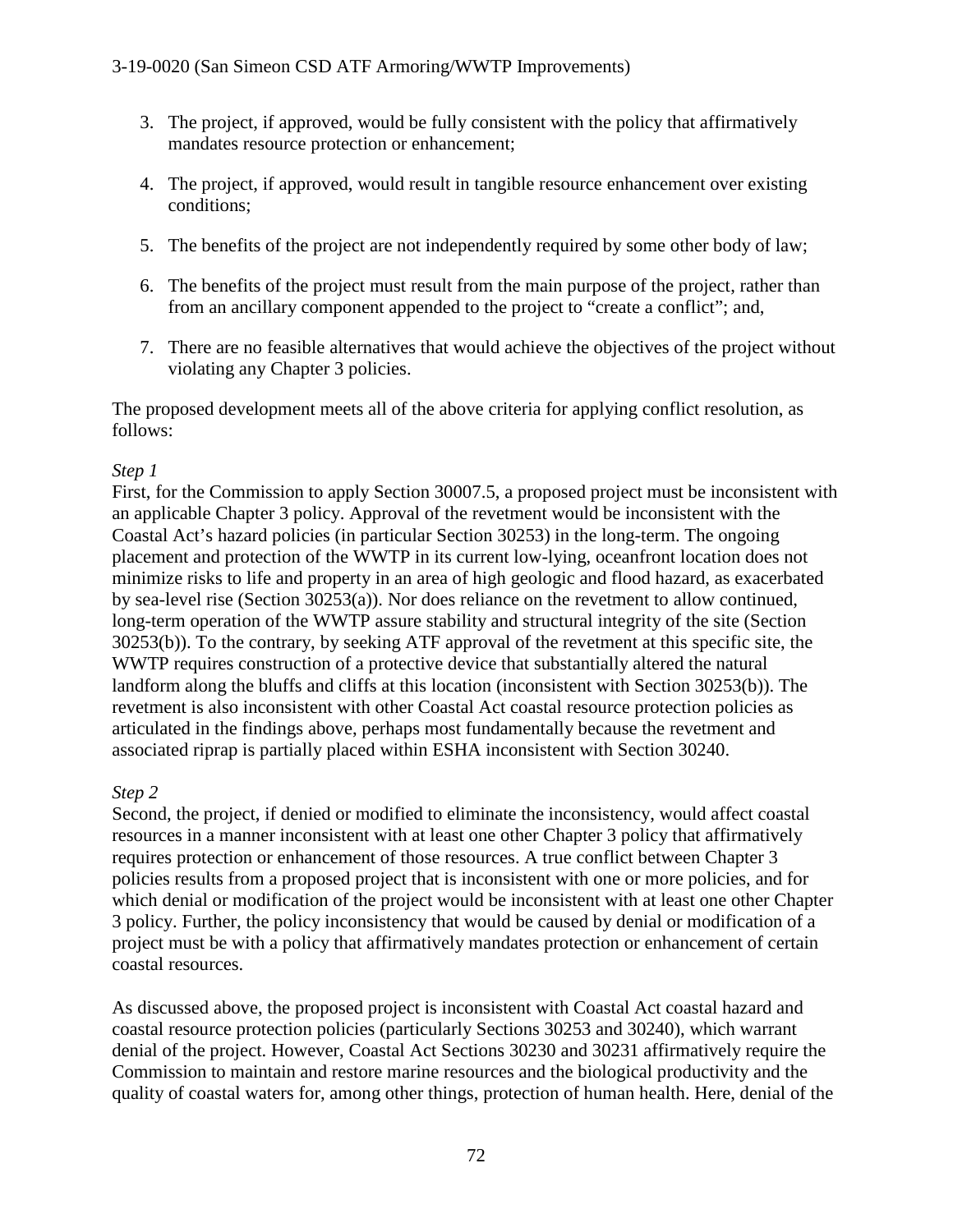- 3. The project, if approved, would be fully consistent with the policy that affirmatively mandates resource protection or enhancement;
- 4. The project, if approved, would result in tangible resource enhancement over existing conditions;
- 5. The benefits of the project are not independently required by some other body of law;
- 6. The benefits of the project must result from the main purpose of the project, rather than from an ancillary component appended to the project to "create a conflict"; and,
- 7. There are no feasible alternatives that would achieve the objectives of the project without violating any Chapter 3 policies.

The proposed development meets all of the above criteria for applying conflict resolution, as follows:

# *Step 1*

First, for the Commission to apply Section 30007.5, a proposed project must be inconsistent with an applicable Chapter 3 policy. Approval of the revetment would be inconsistent with the Coastal Act's hazard policies (in particular Section 30253) in the long-term. The ongoing placement and protection of the WWTP in its current low-lying, oceanfront location does not minimize risks to life and property in an area of high geologic and flood hazard, as exacerbated by sea-level rise (Section 30253(a)). Nor does reliance on the revetment to allow continued, long-term operation of the WWTP assure stability and structural integrity of the site (Section 30253(b)). To the contrary, by seeking ATF approval of the revetment at this specific site, the WWTP requires construction of a protective device that substantially altered the natural landform along the bluffs and cliffs at this location (inconsistent with Section 30253(b)). The revetment is also inconsistent with other Coastal Act coastal resource protection policies as articulated in the findings above, perhaps most fundamentally because the revetment and associated riprap is partially placed within ESHA inconsistent with Section 30240.

# *Step 2*

Second, the project, if denied or modified to eliminate the inconsistency, would affect coastal resources in a manner inconsistent with at least one other Chapter 3 policy that affirmatively requires protection or enhancement of those resources. A true conflict between Chapter 3 policies results from a proposed project that is inconsistent with one or more policies, and for which denial or modification of the project would be inconsistent with at least one other Chapter 3 policy. Further, the policy inconsistency that would be caused by denial or modification of a project must be with a policy that affirmatively mandates protection or enhancement of certain coastal resources.

As discussed above, the proposed project is inconsistent with Coastal Act coastal hazard and coastal resource protection policies (particularly Sections 30253 and 30240), which warrant denial of the project. However, Coastal Act Sections 30230 and 30231 affirmatively require the Commission to maintain and restore marine resources and the biological productivity and the quality of coastal waters for, among other things, protection of human health. Here, denial of the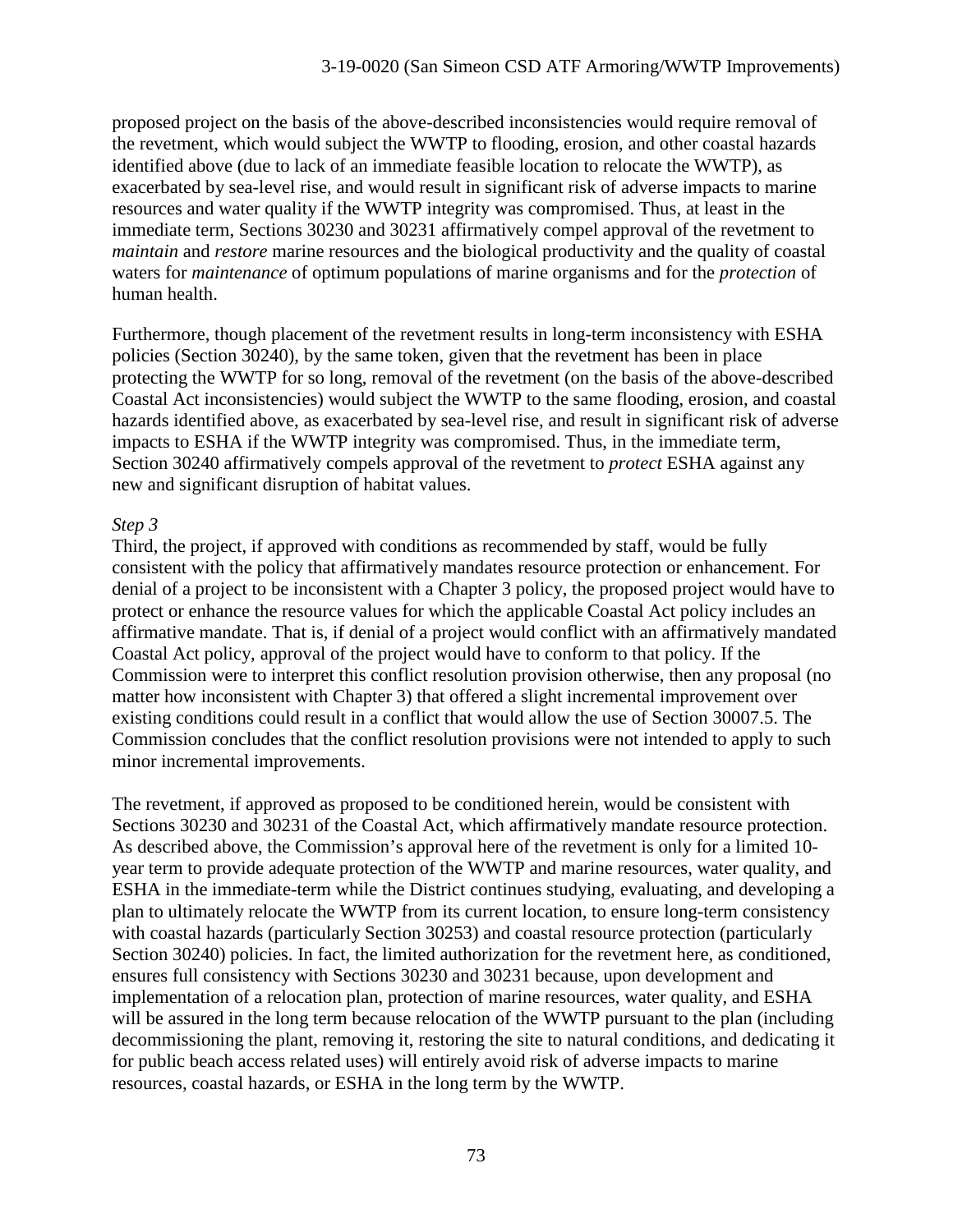proposed project on the basis of the above-described inconsistencies would require removal of the revetment, which would subject the WWTP to flooding, erosion, and other coastal hazards identified above (due to lack of an immediate feasible location to relocate the WWTP), as exacerbated by sea-level rise, and would result in significant risk of adverse impacts to marine resources and water quality if the WWTP integrity was compromised. Thus, at least in the immediate term, Sections 30230 and 30231 affirmatively compel approval of the revetment to *maintain* and *restore* marine resources and the biological productivity and the quality of coastal waters for *maintenance* of optimum populations of marine organisms and for the *protection* of human health.

Furthermore, though placement of the revetment results in long-term inconsistency with ESHA policies (Section 30240), by the same token, given that the revetment has been in place protecting the WWTP for so long, removal of the revetment (on the basis of the above-described Coastal Act inconsistencies) would subject the WWTP to the same flooding, erosion, and coastal hazards identified above, as exacerbated by sea-level rise, and result in significant risk of adverse impacts to ESHA if the WWTP integrity was compromised. Thus, in the immediate term, Section 30240 affirmatively compels approval of the revetment to *protect* ESHA against any new and significant disruption of habitat values.

## *Step 3*

Third, the project, if approved with conditions as recommended by staff, would be fully consistent with the policy that affirmatively mandates resource protection or enhancement. For denial of a project to be inconsistent with a Chapter 3 policy, the proposed project would have to protect or enhance the resource values for which the applicable Coastal Act policy includes an affirmative mandate. That is, if denial of a project would conflict with an affirmatively mandated Coastal Act policy, approval of the project would have to conform to that policy. If the Commission were to interpret this conflict resolution provision otherwise, then any proposal (no matter how inconsistent with Chapter 3) that offered a slight incremental improvement over existing conditions could result in a conflict that would allow the use of Section 30007.5. The Commission concludes that the conflict resolution provisions were not intended to apply to such minor incremental improvements.

The revetment, if approved as proposed to be conditioned herein, would be consistent with Sections 30230 and 30231 of the Coastal Act, which affirmatively mandate resource protection. As described above, the Commission's approval here of the revetment is only for a limited 10 year term to provide adequate protection of the WWTP and marine resources, water quality, and ESHA in the immediate-term while the District continues studying, evaluating, and developing a plan to ultimately relocate the WWTP from its current location, to ensure long-term consistency with coastal hazards (particularly Section 30253) and coastal resource protection (particularly Section 30240) policies. In fact, the limited authorization for the revetment here, as conditioned, ensures full consistency with Sections 30230 and 30231 because, upon development and implementation of a relocation plan, protection of marine resources, water quality, and ESHA will be assured in the long term because relocation of the WWTP pursuant to the plan (including decommissioning the plant, removing it, restoring the site to natural conditions, and dedicating it for public beach access related uses) will entirely avoid risk of adverse impacts to marine resources, coastal hazards, or ESHA in the long term by the WWTP.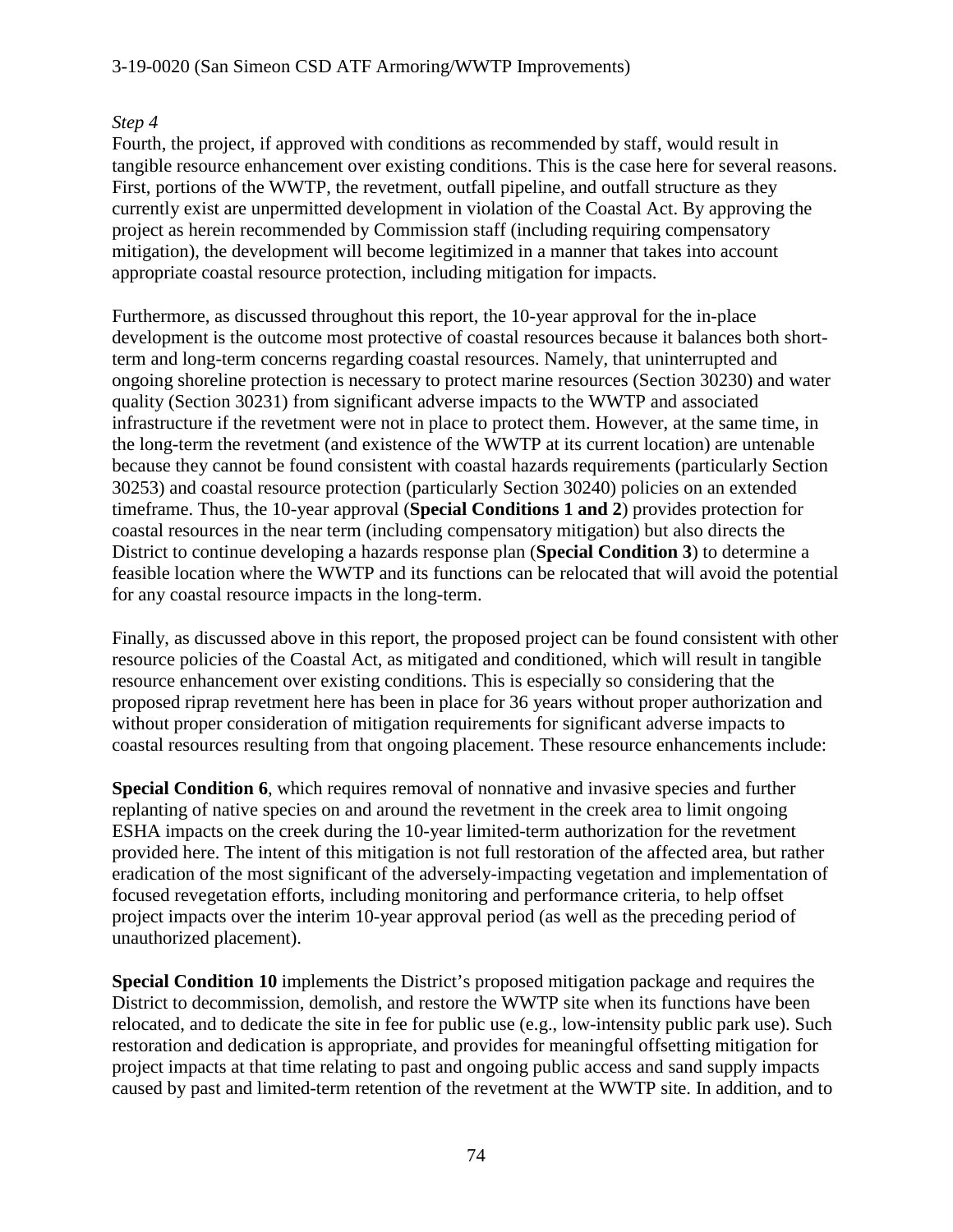### 3-19-0020 (San Simeon CSD ATF Armoring/WWTP Improvements)

#### *Step 4*

Fourth, the project, if approved with conditions as recommended by staff, would result in tangible resource enhancement over existing conditions. This is the case here for several reasons. First, portions of the WWTP, the revetment, outfall pipeline, and outfall structure as they currently exist are unpermitted development in violation of the Coastal Act. By approving the project as herein recommended by Commission staff (including requiring compensatory mitigation), the development will become legitimized in a manner that takes into account appropriate coastal resource protection, including mitigation for impacts.

Furthermore, as discussed throughout this report, the 10-year approval for the in-place development is the outcome most protective of coastal resources because it balances both shortterm and long-term concerns regarding coastal resources. Namely, that uninterrupted and ongoing shoreline protection is necessary to protect marine resources (Section 30230) and water quality (Section 30231) from significant adverse impacts to the WWTP and associated infrastructure if the revetment were not in place to protect them. However, at the same time, in the long-term the revetment (and existence of the WWTP at its current location) are untenable because they cannot be found consistent with coastal hazards requirements (particularly Section 30253) and coastal resource protection (particularly Section 30240) policies on an extended timeframe. Thus, the 10-year approval (**Special Conditions 1 and 2**) provides protection for coastal resources in the near term (including compensatory mitigation) but also directs the District to continue developing a hazards response plan (**Special Condition 3**) to determine a feasible location where the WWTP and its functions can be relocated that will avoid the potential for any coastal resource impacts in the long-term.

Finally, as discussed above in this report, the proposed project can be found consistent with other resource policies of the Coastal Act, as mitigated and conditioned, which will result in tangible resource enhancement over existing conditions. This is especially so considering that the proposed riprap revetment here has been in place for 36 years without proper authorization and without proper consideration of mitigation requirements for significant adverse impacts to coastal resources resulting from that ongoing placement. These resource enhancements include:

**Special Condition 6**, which requires removal of nonnative and invasive species and further replanting of native species on and around the revetment in the creek area to limit ongoing ESHA impacts on the creek during the 10-year limited-term authorization for the revetment provided here. The intent of this mitigation is not full restoration of the affected area, but rather eradication of the most significant of the adversely-impacting vegetation and implementation of focused revegetation efforts, including monitoring and performance criteria, to help offset project impacts over the interim 10-year approval period (as well as the preceding period of unauthorized placement).

**Special Condition 10** implements the District's proposed mitigation package and requires the District to decommission, demolish, and restore the WWTP site when its functions have been relocated, and to dedicate the site in fee for public use (e.g., low-intensity public park use). Such restoration and dedication is appropriate, and provides for meaningful offsetting mitigation for project impacts at that time relating to past and ongoing public access and sand supply impacts caused by past and limited-term retention of the revetment at the WWTP site. In addition, and to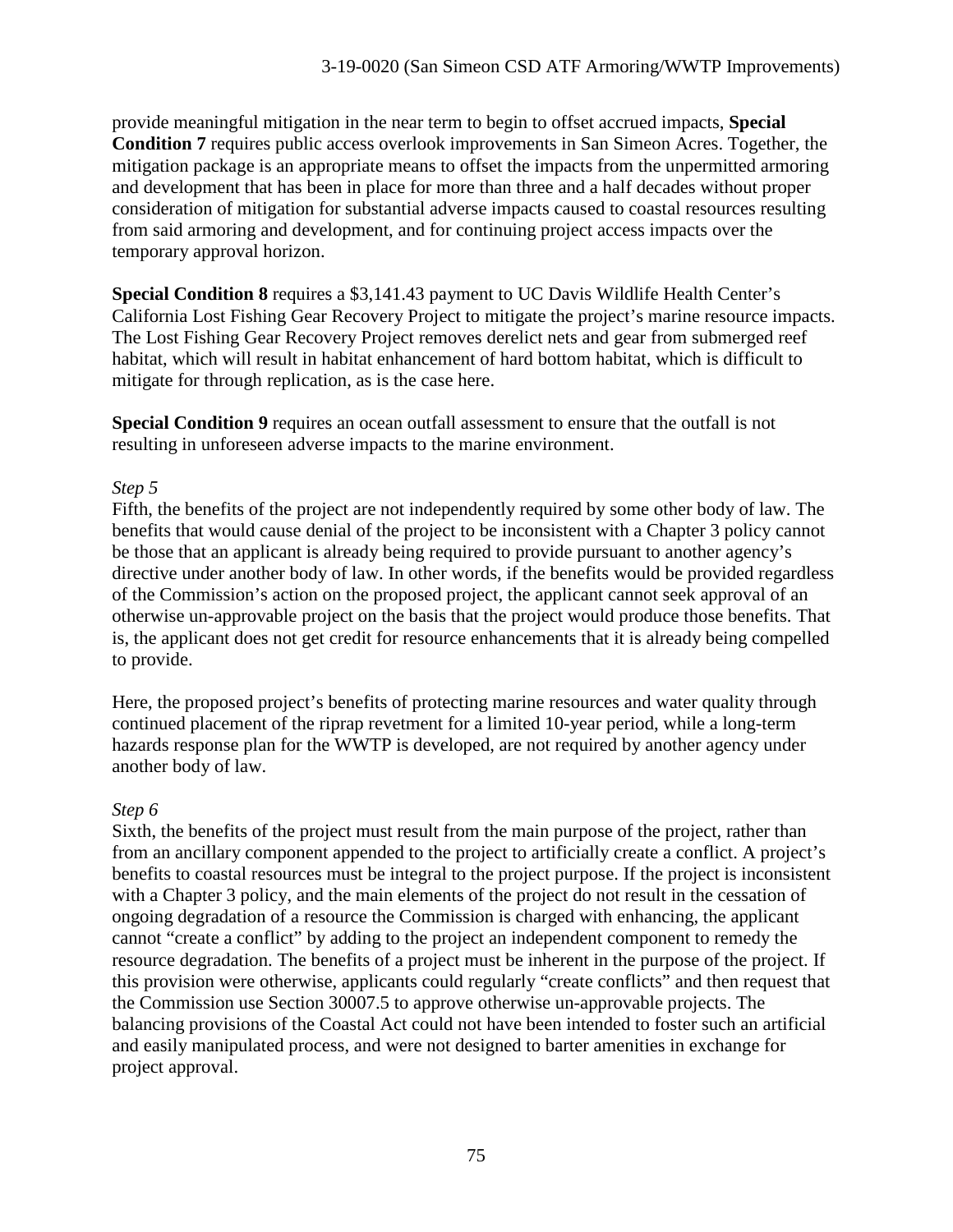provide meaningful mitigation in the near term to begin to offset accrued impacts, **Special Condition 7** requires public access overlook improvements in San Simeon Acres. Together, the mitigation package is an appropriate means to offset the impacts from the unpermitted armoring and development that has been in place for more than three and a half decades without proper consideration of mitigation for substantial adverse impacts caused to coastal resources resulting from said armoring and development, and for continuing project access impacts over the temporary approval horizon.

**Special Condition 8** requires a \$3,141.43 payment to UC Davis Wildlife Health Center's California Lost Fishing Gear Recovery Project to mitigate the project's marine resource impacts. The Lost Fishing Gear Recovery Project removes derelict nets and gear from submerged reef habitat, which will result in habitat enhancement of hard bottom habitat, which is difficult to mitigate for through replication, as is the case here.

**Special Condition 9** requires an ocean outfall assessment to ensure that the outfall is not resulting in unforeseen adverse impacts to the marine environment.

## *Step 5*

Fifth, the benefits of the project are not independently required by some other body of law. The benefits that would cause denial of the project to be inconsistent with a Chapter 3 policy cannot be those that an applicant is already being required to provide pursuant to another agency's directive under another body of law. In other words, if the benefits would be provided regardless of the Commission's action on the proposed project, the applicant cannot seek approval of an otherwise un-approvable project on the basis that the project would produce those benefits. That is, the applicant does not get credit for resource enhancements that it is already being compelled to provide.

Here, the proposed project's benefits of protecting marine resources and water quality through continued placement of the riprap revetment for a limited 10-year period, while a long-term hazards response plan for the WWTP is developed, are not required by another agency under another body of law.

### *Step 6*

Sixth, the benefits of the project must result from the main purpose of the project, rather than from an ancillary component appended to the project to artificially create a conflict. A project's benefits to coastal resources must be integral to the project purpose. If the project is inconsistent with a Chapter 3 policy, and the main elements of the project do not result in the cessation of ongoing degradation of a resource the Commission is charged with enhancing, the applicant cannot "create a conflict" by adding to the project an independent component to remedy the resource degradation. The benefits of a project must be inherent in the purpose of the project. If this provision were otherwise, applicants could regularly "create conflicts" and then request that the Commission use Section 30007.5 to approve otherwise un-approvable projects. The balancing provisions of the Coastal Act could not have been intended to foster such an artificial and easily manipulated process, and were not designed to barter amenities in exchange for project approval.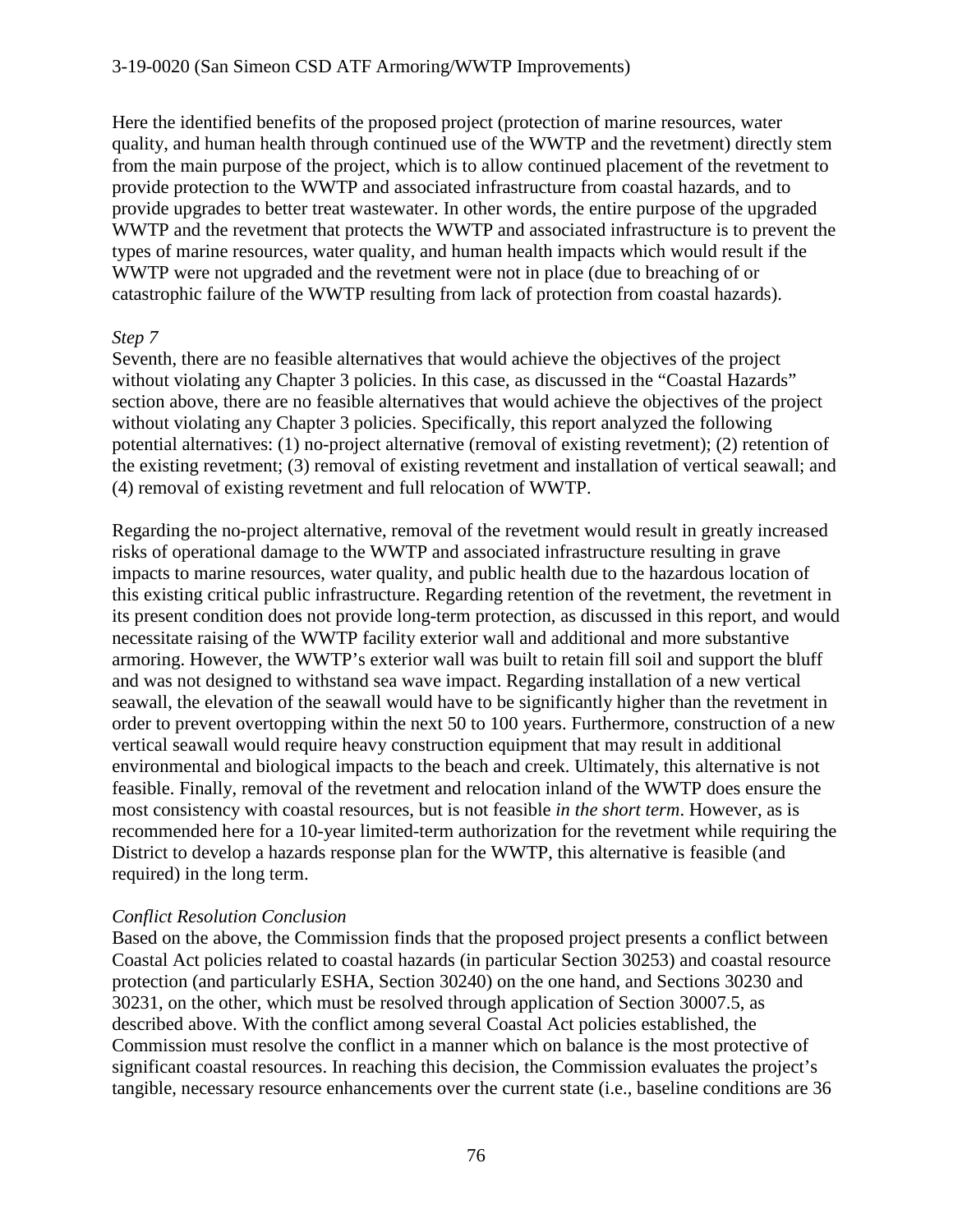Here the identified benefits of the proposed project (protection of marine resources, water quality, and human health through continued use of the WWTP and the revetment) directly stem from the main purpose of the project, which is to allow continued placement of the revetment to provide protection to the WWTP and associated infrastructure from coastal hazards, and to provide upgrades to better treat wastewater. In other words, the entire purpose of the upgraded WWTP and the revetment that protects the WWTP and associated infrastructure is to prevent the types of marine resources, water quality, and human health impacts which would result if the WWTP were not upgraded and the revetment were not in place (due to breaching of or catastrophic failure of the WWTP resulting from lack of protection from coastal hazards).

#### *Step 7*

Seventh, there are no feasible alternatives that would achieve the objectives of the project without violating any Chapter 3 policies. In this case, as discussed in the "Coastal Hazards" section above, there are no feasible alternatives that would achieve the objectives of the project without violating any Chapter 3 policies. Specifically, this report analyzed the following potential alternatives: (1) no-project alternative (removal of existing revetment); (2) retention of the existing revetment; (3) removal of existing revetment and installation of vertical seawall; and (4) removal of existing revetment and full relocation of WWTP.

Regarding the no-project alternative, removal of the revetment would result in greatly increased risks of operational damage to the WWTP and associated infrastructure resulting in grave impacts to marine resources, water quality, and public health due to the hazardous location of this existing critical public infrastructure. Regarding retention of the revetment, the revetment in its present condition does not provide long-term protection, as discussed in this report, and would necessitate raising of the WWTP facility exterior wall and additional and more substantive armoring. However, the WWTP's exterior wall was built to retain fill soil and support the bluff and was not designed to withstand sea wave impact. Regarding installation of a new vertical seawall, the elevation of the seawall would have to be significantly higher than the revetment in order to prevent overtopping within the next 50 to 100 years. Furthermore, construction of a new vertical seawall would require heavy construction equipment that may result in additional environmental and biological impacts to the beach and creek. Ultimately, this alternative is not feasible. Finally, removal of the revetment and relocation inland of the WWTP does ensure the most consistency with coastal resources, but is not feasible *in the short term*. However, as is recommended here for a 10-year limited-term authorization for the revetment while requiring the District to develop a hazards response plan for the WWTP, this alternative is feasible (and required) in the long term.

#### *Conflict Resolution Conclusion*

Based on the above, the Commission finds that the proposed project presents a conflict between Coastal Act policies related to coastal hazards (in particular Section 30253) and coastal resource protection (and particularly ESHA, Section 30240) on the one hand, and Sections 30230 and 30231, on the other, which must be resolved through application of Section 30007.5, as described above. With the conflict among several Coastal Act policies established, the Commission must resolve the conflict in a manner which on balance is the most protective of significant coastal resources. In reaching this decision, the Commission evaluates the project's tangible, necessary resource enhancements over the current state (i.e., baseline conditions are 36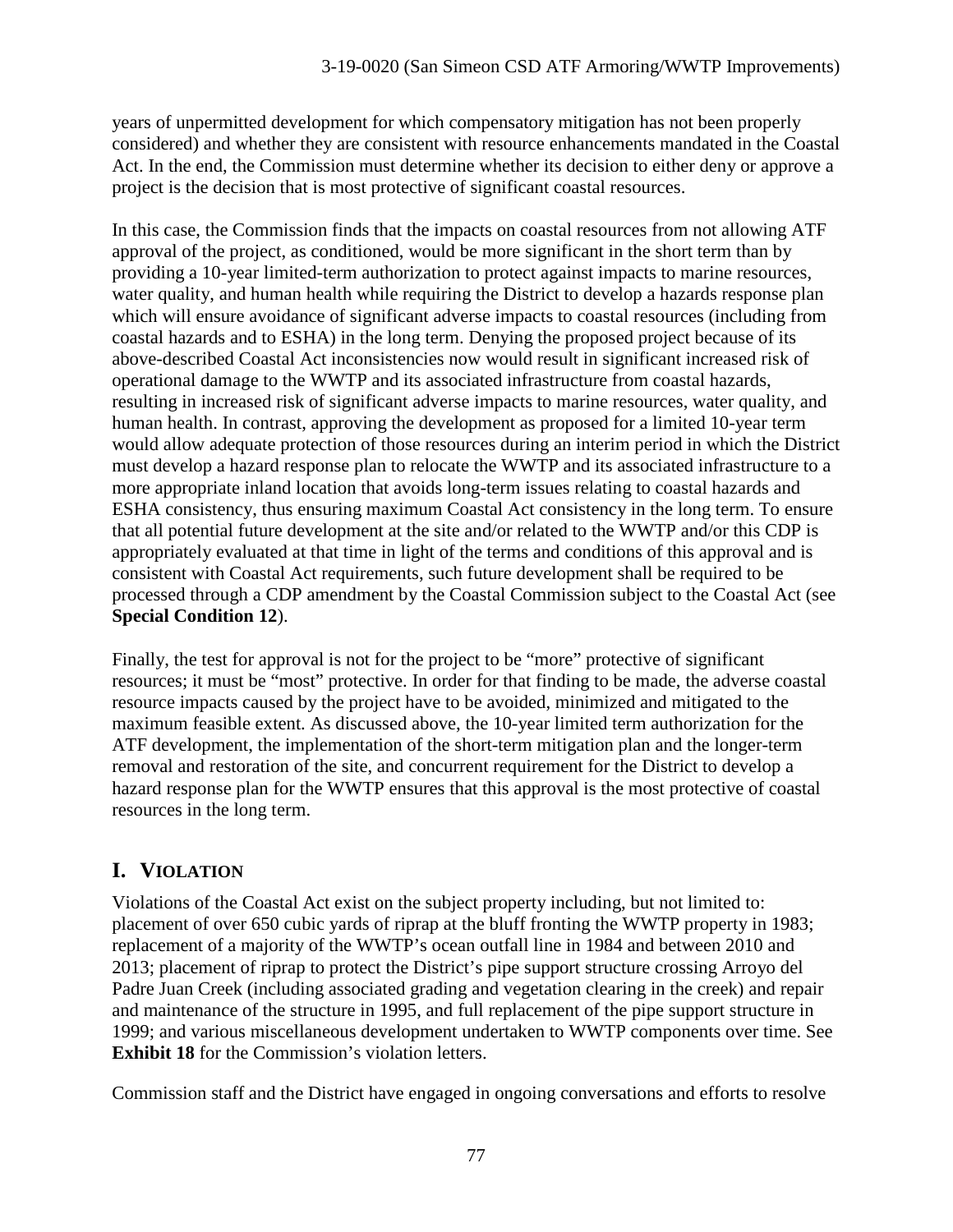years of unpermitted development for which compensatory mitigation has not been properly considered) and whether they are consistent with resource enhancements mandated in the Coastal Act. In the end, the Commission must determine whether its decision to either deny or approve a project is the decision that is most protective of significant coastal resources.

In this case, the Commission finds that the impacts on coastal resources from not allowing ATF approval of the project, as conditioned, would be more significant in the short term than by providing a 10-year limited-term authorization to protect against impacts to marine resources, water quality, and human health while requiring the District to develop a hazards response plan which will ensure avoidance of significant adverse impacts to coastal resources (including from coastal hazards and to ESHA) in the long term. Denying the proposed project because of its above-described Coastal Act inconsistencies now would result in significant increased risk of operational damage to the WWTP and its associated infrastructure from coastal hazards, resulting in increased risk of significant adverse impacts to marine resources, water quality, and human health. In contrast, approving the development as proposed for a limited 10-year term would allow adequate protection of those resources during an interim period in which the District must develop a hazard response plan to relocate the WWTP and its associated infrastructure to a more appropriate inland location that avoids long-term issues relating to coastal hazards and ESHA consistency, thus ensuring maximum Coastal Act consistency in the long term. To ensure that all potential future development at the site and/or related to the WWTP and/or this CDP is appropriately evaluated at that time in light of the terms and conditions of this approval and is consistent with Coastal Act requirements, such future development shall be required to be processed through a CDP amendment by the Coastal Commission subject to the Coastal Act (see **Special Condition 12**).

Finally, the test for approval is not for the project to be "more" protective of significant resources; it must be "most" protective. In order for that finding to be made, the adverse coastal resource impacts caused by the project have to be avoided, minimized and mitigated to the maximum feasible extent. As discussed above, the 10-year limited term authorization for the ATF development, the implementation of the short-term mitigation plan and the longer-term removal and restoration of the site, and concurrent requirement for the District to develop a hazard response plan for the WWTP ensures that this approval is the most protective of coastal resources in the long term.

# **I. VIOLATION**

Violations of the Coastal Act exist on the subject property including, but not limited to: placement of over 650 cubic yards of riprap at the bluff fronting the WWTP property in 1983; replacement of a majority of the WWTP's ocean outfall line in 1984 and between 2010 and 2013; placement of riprap to protect the District's pipe support structure crossing Arroyo del Padre Juan Creek (including associated grading and vegetation clearing in the creek) and repair and maintenance of the structure in 1995, and full replacement of the pipe support structure in 1999; and various miscellaneous development undertaken to WWTP components over time. See **Exhibit 18** for the Commission's violation letters.

Commission staff and the District have engaged in ongoing conversations and efforts to resolve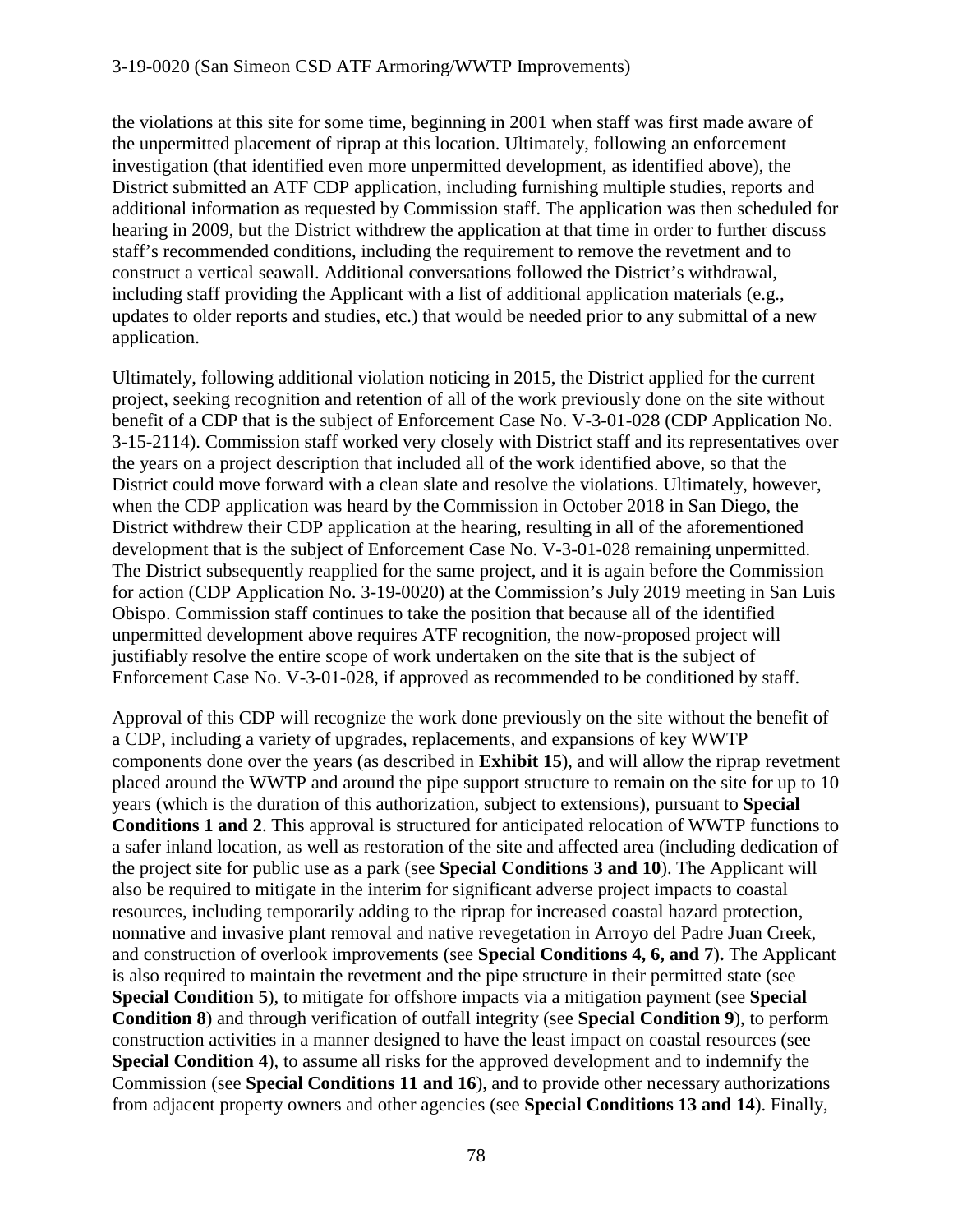the violations at this site for some time, beginning in 2001 when staff was first made aware of the unpermitted placement of riprap at this location. Ultimately, following an enforcement investigation (that identified even more unpermitted development, as identified above), the District submitted an ATF CDP application, including furnishing multiple studies, reports and additional information as requested by Commission staff. The application was then scheduled for hearing in 2009, but the District withdrew the application at that time in order to further discuss staff's recommended conditions, including the requirement to remove the revetment and to construct a vertical seawall. Additional conversations followed the District's withdrawal, including staff providing the Applicant with a list of additional application materials (e.g., updates to older reports and studies, etc.) that would be needed prior to any submittal of a new application.

Ultimately, following additional violation noticing in 2015, the District applied for the current project, seeking recognition and retention of all of the work previously done on the site without benefit of a CDP that is the subject of Enforcement Case No. V-3-01-028 (CDP Application No. 3-15-2114). Commission staff worked very closely with District staff and its representatives over the years on a project description that included all of the work identified above, so that the District could move forward with a clean slate and resolve the violations. Ultimately, however, when the CDP application was heard by the Commission in October 2018 in San Diego, the District withdrew their CDP application at the hearing, resulting in all of the aforementioned development that is the subject of Enforcement Case No. V-3-01-028 remaining unpermitted. The District subsequently reapplied for the same project, and it is again before the Commission for action (CDP Application No. 3-19-0020) at the Commission's July 2019 meeting in San Luis Obispo. Commission staff continues to take the position that because all of the identified unpermitted development above requires ATF recognition, the now-proposed project will justifiably resolve the entire scope of work undertaken on the site that is the subject of Enforcement Case No. V-3-01-028, if approved as recommended to be conditioned by staff.

Approval of this CDP will recognize the work done previously on the site without the benefit of a CDP, including a variety of upgrades, replacements, and expansions of key WWTP components done over the years (as described in **Exhibit 15**), and will allow the riprap revetment placed around the WWTP and around the pipe support structure to remain on the site for up to 10 years (which is the duration of this authorization, subject to extensions), pursuant to **Special Conditions 1 and 2**. This approval is structured for anticipated relocation of WWTP functions to a safer inland location, as well as restoration of the site and affected area (including dedication of the project site for public use as a park (see **Special Conditions 3 and 10**). The Applicant will also be required to mitigate in the interim for significant adverse project impacts to coastal resources, including temporarily adding to the riprap for increased coastal hazard protection, nonnative and invasive plant removal and native revegetation in Arroyo del Padre Juan Creek, and construction of overlook improvements (see **Special Conditions 4, 6, and 7**)**.** The Applicant is also required to maintain the revetment and the pipe structure in their permitted state (see **Special Condition 5**), to mitigate for offshore impacts via a mitigation payment (see **Special Condition 8**) and through verification of outfall integrity (see **Special Condition 9**), to perform construction activities in a manner designed to have the least impact on coastal resources (see **Special Condition 4**), to assume all risks for the approved development and to indemnify the Commission (see **Special Conditions 11 and 16**), and to provide other necessary authorizations from adjacent property owners and other agencies (see **Special Conditions 13 and 14**). Finally,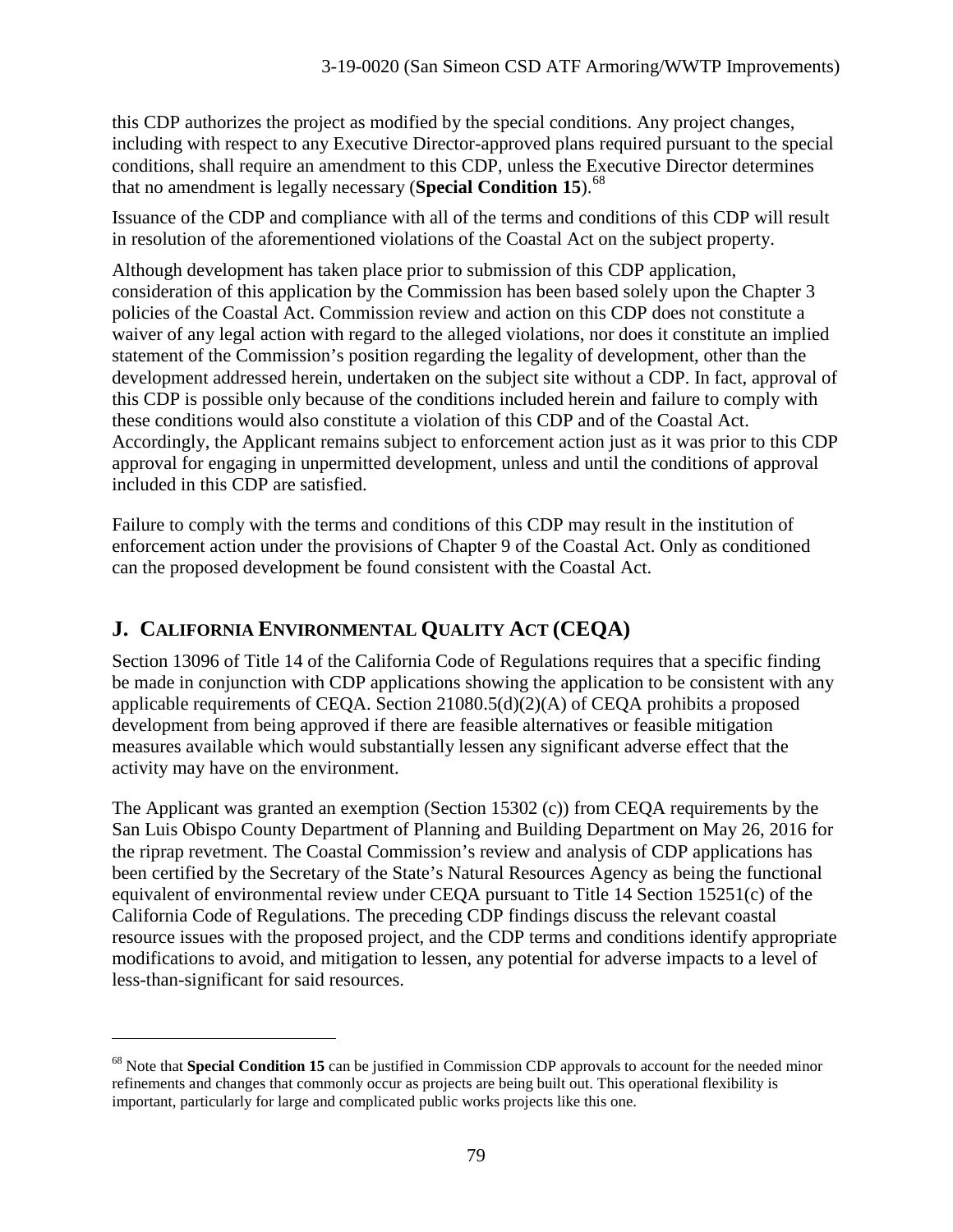this CDP authorizes the project as modified by the special conditions. Any project changes, including with respect to any Executive Director-approved plans required pursuant to the special conditions, shall require an amendment to this CDP, unless the Executive Director determines that no amendment is legally necessary (**Special Condition 15**).[68](#page-78-0)

Issuance of the CDP and compliance with all of the terms and conditions of this CDP will result in resolution of the aforementioned violations of the Coastal Act on the subject property.

Although development has taken place prior to submission of this CDP application, consideration of this application by the Commission has been based solely upon the Chapter 3 policies of the Coastal Act. Commission review and action on this CDP does not constitute a waiver of any legal action with regard to the alleged violations, nor does it constitute an implied statement of the Commission's position regarding the legality of development, other than the development addressed herein, undertaken on the subject site without a CDP. In fact, approval of this CDP is possible only because of the conditions included herein and failure to comply with these conditions would also constitute a violation of this CDP and of the Coastal Act. Accordingly, the Applicant remains subject to enforcement action just as it was prior to this CDP approval for engaging in unpermitted development, unless and until the conditions of approval included in this CDP are satisfied.

Failure to comply with the terms and conditions of this CDP may result in the institution of enforcement action under the provisions of Chapter 9 of the Coastal Act. Only as conditioned can the proposed development be found consistent with the Coastal Act.

# **J. CALIFORNIA ENVIRONMENTAL QUALITY ACT (CEQA)**

 $\overline{a}$ 

Section 13096 of Title 14 of the California Code of Regulations requires that a specific finding be made in conjunction with CDP applications showing the application to be consistent with any applicable requirements of CEQA. Section 21080.5(d)(2)(A) of CEQA prohibits a proposed development from being approved if there are feasible alternatives or feasible mitigation measures available which would substantially lessen any significant adverse effect that the activity may have on the environment.

The Applicant was granted an exemption (Section 15302 (c)) from CEQA requirements by the San Luis Obispo County Department of Planning and Building Department on May 26, 2016 for the riprap revetment. The Coastal Commission's review and analysis of CDP applications has been certified by the Secretary of the State's Natural Resources Agency as being the functional equivalent of environmental review under CEQA pursuant to Title 14 Section 15251(c) of the California Code of Regulations. The preceding CDP findings discuss the relevant coastal resource issues with the proposed project, and the CDP terms and conditions identify appropriate modifications to avoid, and mitigation to lessen, any potential for adverse impacts to a level of less-than-significant for said resources.

<span id="page-78-0"></span><sup>&</sup>lt;sup>68</sup> Note that **Special Condition 15** can be justified in Commission CDP approvals to account for the needed minor refinements and changes that commonly occur as projects are being built out. This operational flexibility is important, particularly for large and complicated public works projects like this one.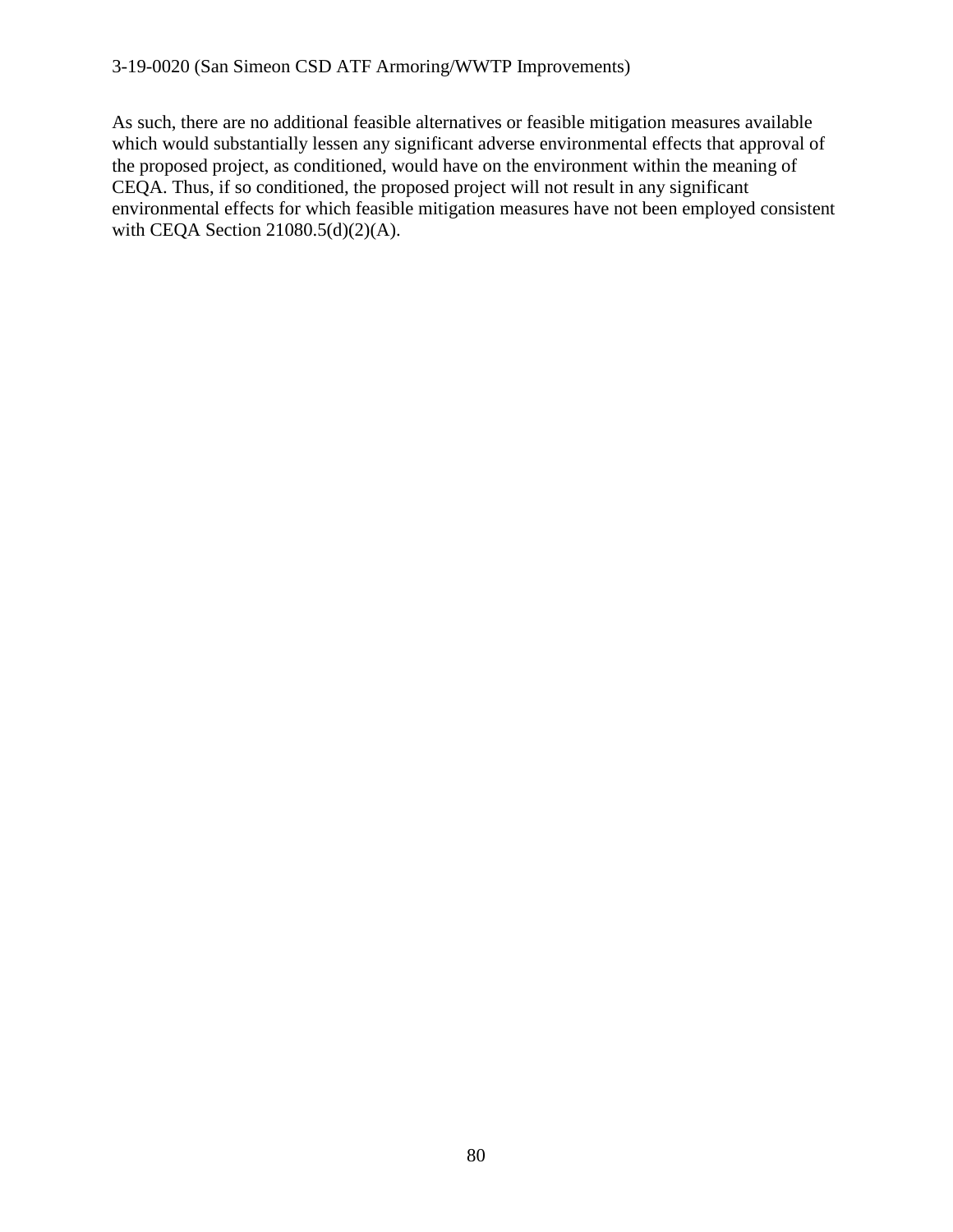As such, there are no additional feasible alternatives or feasible mitigation measures available which would substantially lessen any significant adverse environmental effects that approval of the proposed project, as conditioned, would have on the environment within the meaning of CEQA. Thus, if so conditioned, the proposed project will not result in any significant environmental effects for which feasible mitigation measures have not been employed consistent with CEQA Section 21080.5(d)(2)(A).